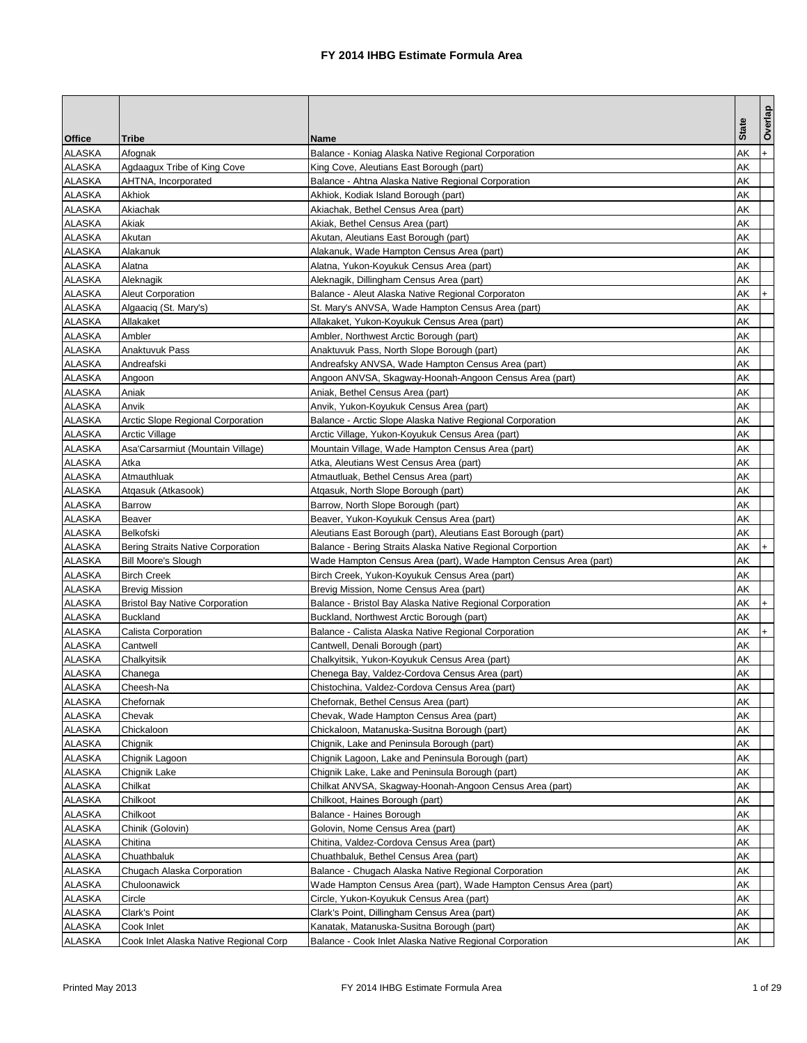|               |                                        |                                                                  |              | Overlap   |
|---------------|----------------------------------------|------------------------------------------------------------------|--------------|-----------|
| <b>Office</b> | <b>Tribe</b>                           | <b>Name</b>                                                      | <b>State</b> |           |
| <b>ALASKA</b> | Afognak                                | Balance - Koniag Alaska Native Regional Corporation              | AΚ           | $+$       |
| ALASKA        | Agdaagux Tribe of King Cove            | King Cove, Aleutians East Borough (part)                         | AΚ           |           |
| ALASKA        | AHTNA, Incorporated                    | Balance - Ahtna Alaska Native Regional Corporation               | AΚ           |           |
| <b>ALASKA</b> | Akhiok                                 | Akhiok, Kodiak Island Borough (part)                             | AΚ           |           |
| <b>ALASKA</b> | Akiachak                               | Akiachak, Bethel Census Area (part)                              | AΚ           |           |
| ALASKA        | Akiak                                  | Akiak, Bethel Census Area (part)                                 | AΚ           |           |
| ALASKA        | Akutan                                 | Akutan, Aleutians East Borough (part)                            | AΚ           |           |
| ALASKA        | Alakanuk                               | Alakanuk, Wade Hampton Census Area (part)                        | AΚ           |           |
| ALASKA        | Alatna                                 | Alatna, Yukon-Koyukuk Census Area (part)                         | AΚ           |           |
| ALASKA        | Aleknagik                              | Aleknagik, Dillingham Census Area (part)                         | AΚ           |           |
| ALASKA        | <b>Aleut Corporation</b>               | Balance - Aleut Alaska Native Regional Corporaton                | AΚ           | $+$       |
| ALASKA        | Algaaciq (St. Mary's)                  | St. Mary's ANVSA, Wade Hampton Census Area (part)                | AΚ           |           |
| <b>ALASKA</b> | Allakaket                              | Allakaket, Yukon-Koyukuk Census Area (part)                      | AΚ           |           |
| <b>ALASKA</b> | Ambler                                 | Ambler, Northwest Arctic Borough (part)                          | AΚ           |           |
| ALASKA        | Anaktuvuk Pass                         | Anaktuvuk Pass, North Slope Borough (part)                       | AΚ           |           |
| ALASKA        | Andreafski                             | Andreafsky ANVSA, Wade Hampton Census Area (part)                | AΚ           |           |
| ALASKA        | Angoon                                 | Angoon ANVSA, Skagway-Hoonah-Angoon Census Area (part)           | AΚ           |           |
| ALASKA        | Aniak                                  | Aniak, Bethel Census Area (part)                                 | AΚ           |           |
| ALASKA        | Anvik                                  | Anvik, Yukon-Koyukuk Census Area (part)                          | AΚ           |           |
| ALASKA        | Arctic Slope Regional Corporation      | Balance - Arctic Slope Alaska Native Regional Corporation        | AΚ           |           |
| ALASKA        | <b>Arctic Village</b>                  | Arctic Village, Yukon-Koyukuk Census Area (part)                 | AΚ           |           |
| <b>ALASKA</b> | Asa'Carsarmiut (Mountain Village)      | Mountain Village, Wade Hampton Census Area (part)                | AΚ           |           |
| <b>ALASKA</b> | Atka                                   | Atka, Aleutians West Census Area (part)                          | AK           |           |
| ALASKA        | Atmauthluak                            | Atmautluak, Bethel Census Area (part)                            | AΚ           |           |
| ALASKA        | Atgasuk (Atkasook)                     | Atgasuk, North Slope Borough (part)                              | AΚ           |           |
| <b>ALASKA</b> | Barrow                                 | Barrow, North Slope Borough (part)                               | AΚ           |           |
| ALASKA        | Beaver                                 | Beaver, Yukon-Koyukuk Census Area (part)                         | AΚ           |           |
| ALASKA        | Belkofski                              | Aleutians East Borough (part), Aleutians East Borough (part)     | AΚ           |           |
| ALASKA        | Bering Straits Native Corporation      | Balance - Bering Straits Alaska Native Regional Corportion       | AΚ           | $+$       |
| ALASKA        | <b>Bill Moore's Slough</b>             | Wade Hampton Census Area (part), Wade Hampton Census Area (part) | АK           |           |
| <b>ALASKA</b> | <b>Birch Creek</b>                     | Birch Creek, Yukon-Koyukuk Census Area (part)                    | AΚ           |           |
| <b>ALASKA</b> | <b>Brevig Mission</b>                  | Brevig Mission, Nome Census Area (part)                          | AΚ           |           |
| ALASKA        | <b>Bristol Bay Native Corporation</b>  | Balance - Bristol Bay Alaska Native Regional Corporation         | AΚ           | $+$       |
| ALASKA        | <b>Buckland</b>                        | Buckland, Northwest Arctic Borough (part)                        | AΚ           |           |
| ALASKA        | Calista Corporation                    | Balance - Calista Alaska Native Regional Corporation             | AΚ           | $\ddot{}$ |
| ALASKA        | Cantwell                               | Cantwell, Denali Borough (part)                                  | AΚ           |           |
| <b>ALASKA</b> | Chalkyitsik                            | Chalkyitsik, Yukon-Koyukuk Census Area (part)                    | AΚ           |           |
| ALASKA        | Chanega                                | Chenega Bay, Valdez-Cordova Census Area (part)                   | AΚ           |           |
| ALASKA        | Cheesh-Na                              | Chistochina, Valdez-Cordova Census Area (part)                   | AK           |           |
| ALASKA        | Chefornak                              | Chefornak, Bethel Census Area (part)                             | АK           |           |
| <b>ALASKA</b> | Chevak                                 | Chevak, Wade Hampton Census Area (part)                          | AΚ           |           |
| ALASKA        | Chickaloon                             | Chickaloon, Matanuska-Susitna Borough (part)                     | АK           |           |
| ALASKA        | Chignik                                | Chignik, Lake and Peninsula Borough (part)                       | AΚ           |           |
| ALASKA        | Chignik Lagoon                         | Chignik Lagoon, Lake and Peninsula Borough (part)                | AΚ           |           |
| <b>ALASKA</b> | Chignik Lake                           | Chignik Lake, Lake and Peninsula Borough (part)                  | AΚ           |           |
| <b>ALASKA</b> | Chilkat                                | Chilkat ANVSA, Skagway-Hoonah-Angoon Census Area (part)          | AΚ           |           |
| ALASKA        | Chilkoot                               | Chilkoot, Haines Borough (part)                                  | AΚ           |           |
| <b>ALASKA</b> | Chilkoot                               | Balance - Haines Borough                                         | AΚ           |           |
| <b>ALASKA</b> | Chinik (Golovin)                       | Golovin, Nome Census Area (part)                                 | AΚ           |           |
| <b>ALASKA</b> | Chitina                                | Chitina, Valdez-Cordova Census Area (part)                       | AΚ           |           |
| ALASKA        | Chuathbaluk                            | Chuathbaluk, Bethel Census Area (part)                           | AΚ           |           |
| ALASKA        | Chugach Alaska Corporation             | Balance - Chugach Alaska Native Regional Corporation             | AΚ           |           |
| <b>ALASKA</b> | Chuloonawick                           | Wade Hampton Census Area (part), Wade Hampton Census Area (part) | AΚ           |           |
| <b>ALASKA</b> | Circle                                 | Circle, Yukon-Koyukuk Census Area (part)                         | AΚ           |           |
| <b>ALASKA</b> | Clark's Point                          | Clark's Point, Dillingham Census Area (part)                     | AΚ           |           |
| ALASKA        | Cook Inlet                             | Kanatak, Matanuska-Susitna Borough (part)                        | AΚ           |           |
| <b>ALASKA</b> | Cook Inlet Alaska Native Regional Corp | Balance - Cook Inlet Alaska Native Regional Corporation          | АK           |           |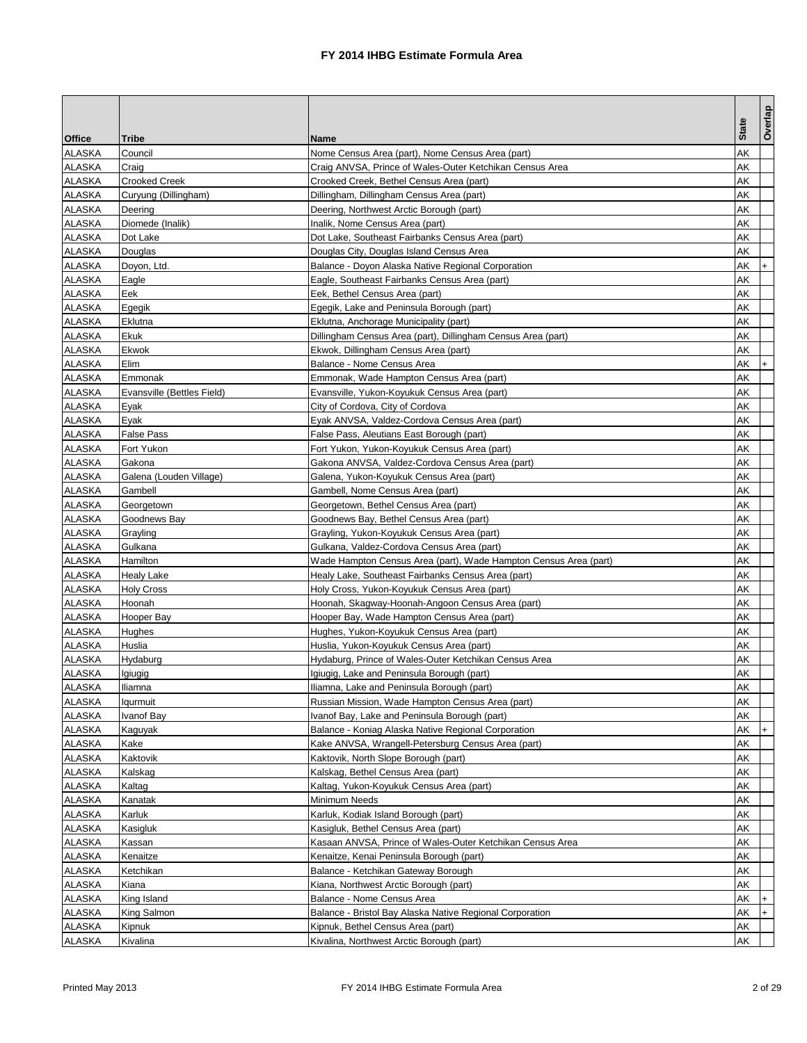| <b>Office</b><br><b>Tribe</b><br><b>Name</b><br><b>ALASKA</b><br>Council<br>AΚ<br>Nome Census Area (part), Nome Census Area (part)<br>ALASKA<br>Craig<br>Craig ANVSA, Prince of Wales-Outer Ketchikan Census Area<br>AΚ<br>ALASKA<br><b>Crooked Creek</b><br>AΚ<br>Crooked Creek, Bethel Census Area (part)<br><b>ALASKA</b><br>Curyung (Dillingham)<br>AΚ<br>Dillingham, Dillingham Census Area (part)<br><b>ALASKA</b><br>AΚ<br>Deering<br>Deering, Northwest Arctic Borough (part)<br>ALASKA<br>AΚ<br>Diomede (Inalik)<br>Inalik, Nome Census Area (part)<br>ALASKA<br>AΚ<br>Dot Lake<br>Dot Lake, Southeast Fairbanks Census Area (part)<br>ALASKA<br>AΚ<br>Douglas<br>Douglas City, Douglas Island Census Area<br>ALASKA<br>Doyon, Ltd.<br>AΚ<br>Balance - Doyon Alaska Native Regional Corporation<br>$\ddot{}$<br>ALASKA<br>Eagle<br>AΚ<br>Eagle, Southeast Fairbanks Census Area (part)<br>ALASKA<br>Eek<br>Eek, Bethel Census Area (part)<br>AΚ<br>ALASKA<br>AΚ<br>Egegik<br>Egegik, Lake and Peninsula Borough (part)<br><b>ALASKA</b><br>Eklutna<br>AΚ<br>Eklutna, Anchorage Municipality (part)<br><b>ALASKA</b><br>AK<br>Ekuk<br>Dillingham Census Area (part), Dillingham Census Area (part)<br>ALASKA<br>Ekwok<br>AΚ<br>Ekwok, Dillingham Census Area (part)<br>ALASKA<br>Elim<br>Balance - Nome Census Area<br>AΚ<br>$\ddot{}$<br>ALASKA<br>AΚ<br>Emmonak<br>Emmonak, Wade Hampton Census Area (part)<br>ALASKA<br>AΚ<br>Evansville (Bettles Field)<br>Evansville, Yukon-Koyukuk Census Area (part)<br><b>ALASKA</b><br>Eyak<br>City of Cordova, City of Cordova<br>AΚ<br>ALASKA<br>Eyak<br>Eyak ANVSA, Valdez-Cordova Census Area (part)<br>AΚ<br>ALASKA<br><b>False Pass</b><br>AΚ<br>False Pass, Aleutians East Borough (part)<br><b>ALASKA</b><br>Fort Yukon<br>AΚ<br>Fort Yukon, Yukon-Koyukuk Census Area (part)<br><b>ALASKA</b><br>AK<br>Gakona<br>Gakona ANVSA, Valdez-Cordova Census Area (part)<br><b>ALASKA</b><br>AΚ<br>Galena (Louden Village)<br>Galena, Yukon-Koyukuk Census Area (part)<br>ALASKA<br>Gambell<br>Gambell, Nome Census Area (part)<br>AΚ<br>ALASKA<br>AΚ<br>Georgetown<br>Georgetown, Bethel Census Area (part)<br>ALASKA<br>AΚ<br>Goodnews Bay<br>Goodnews Bay, Bethel Census Area (part)<br>ALASKA<br>AΚ<br>Grayling<br>Grayling, Yukon-Koyukuk Census Area (part)<br><b>ALASKA</b><br>AΚ<br>Gulkana<br>Gulkana, Valdez-Cordova Census Area (part)<br>ALASKA<br>AΚ<br>Wade Hampton Census Area (part), Wade Hampton Census Area (part)<br>Hamilton<br>ALASKA<br><b>Healy Lake</b><br>AΚ<br>Healy Lake, Southeast Fairbanks Census Area (part)<br><b>ALASKA</b><br>AΚ<br><b>Holy Cross</b><br>Holy Cross, Yukon-Koyukuk Census Area (part)<br><b>ALASKA</b><br>Hoonah<br>Hoonah, Skagway-Hoonah-Angoon Census Area (part)<br>AΚ<br>ALASKA<br>Hooper Bay, Wade Hampton Census Area (part)<br>AΚ<br>Hooper Bay<br>ALASKA<br>Hughes, Yukon-Koyukuk Census Area (part)<br>AΚ<br>Hughes<br>ALASKA<br>Huslia<br>Huslia, Yukon-Koyukuk Census Area (part)<br>AΚ<br><b>ALASKA</b><br>Hydaburg<br>Hydaburg, Prince of Wales-Outer Ketchikan Census Area<br>AΚ<br><b>ALASKA</b><br>Igiugig, Lake and Peninsula Borough (part)<br>AΚ<br>Igiugig<br><b>Iliamna</b><br>ALASKA<br>Iliamna, Lake and Peninsula Borough (part)<br>AK<br>ALASKA<br>АK<br>Russian Mission, Wade Hampton Census Area (part)<br><b>Iqurmuit</b><br><b>ALASKA</b><br>Ivanof Bay, Lake and Peninsula Borough (part)<br>Ivanof Bay<br>AΚ<br>ALASKA<br>Kaguyak<br>AΚ<br>Balance - Koniag Alaska Native Regional Corporation<br>$+$<br>ALASKA<br>Kake<br>Kake ANVSA, Wrangell-Petersburg Census Area (part)<br>AΚ<br>ALASKA<br>Kaktovik<br>AΚ<br>Kaktovik, North Slope Borough (part)<br><b>ALASKA</b><br>Kalskag<br>Kalskag, Bethel Census Area (part)<br>AΚ<br><b>ALASKA</b><br>Kaltag<br>Kaltag, Yukon-Koyukuk Census Area (part)<br>AΚ<br>ALASKA<br>AΚ<br>Kanatak<br>Minimum Needs<br><b>ALASKA</b><br>Karluk<br>Karluk, Kodiak Island Borough (part)<br>AΚ<br><b>ALASKA</b><br>Kasigluk<br>AΚ<br>Kasigluk, Bethel Census Area (part)<br><b>ALASKA</b><br>Kassan<br>Kasaan ANVSA, Prince of Wales-Outer Ketchikan Census Area<br>AΚ<br>ALASKA<br>Kenaitze<br>AΚ<br>Kenaitze, Kenai Peninsula Borough (part)<br>ALASKA<br>Balance - Ketchikan Gateway Borough<br>AΚ<br>Ketchikan<br>ALASKA<br>Kiana<br>Kiana, Northwest Arctic Borough (part)<br>АK<br><b>ALASKA</b><br>King Island<br>Balance - Nome Census Area<br>AΚ<br>$+$<br><b>ALASKA</b><br>King Salmon<br>Balance - Bristol Bay Alaska Native Regional Corporation<br>AΚ<br>$+$<br><b>ALASKA</b><br>Kipnuk<br>Kipnuk, Bethel Census Area (part)<br>АK |               |          |                                           |              | Overlap |
|-------------------------------------------------------------------------------------------------------------------------------------------------------------------------------------------------------------------------------------------------------------------------------------------------------------------------------------------------------------------------------------------------------------------------------------------------------------------------------------------------------------------------------------------------------------------------------------------------------------------------------------------------------------------------------------------------------------------------------------------------------------------------------------------------------------------------------------------------------------------------------------------------------------------------------------------------------------------------------------------------------------------------------------------------------------------------------------------------------------------------------------------------------------------------------------------------------------------------------------------------------------------------------------------------------------------------------------------------------------------------------------------------------------------------------------------------------------------------------------------------------------------------------------------------------------------------------------------------------------------------------------------------------------------------------------------------------------------------------------------------------------------------------------------------------------------------------------------------------------------------------------------------------------------------------------------------------------------------------------------------------------------------------------------------------------------------------------------------------------------------------------------------------------------------------------------------------------------------------------------------------------------------------------------------------------------------------------------------------------------------------------------------------------------------------------------------------------------------------------------------------------------------------------------------------------------------------------------------------------------------------------------------------------------------------------------------------------------------------------------------------------------------------------------------------------------------------------------------------------------------------------------------------------------------------------------------------------------------------------------------------------------------------------------------------------------------------------------------------------------------------------------------------------------------------------------------------------------------------------------------------------------------------------------------------------------------------------------------------------------------------------------------------------------------------------------------------------------------------------------------------------------------------------------------------------------------------------------------------------------------------------------------------------------------------------------------------------------------------------------------------------------------------------------------------------------------------------------------------------------------------------------------------------------------------------------------------------------------------------------------------------------------------------------------------------------------------------------------------------------------------------------------------------------------------------------------------------------------------------------------------------------------------------------------------------------------------------------------------------------------------------------------------------------------------------------------------------------------------------------------------------------------------------------------------------------------------------------------------------------------|---------------|----------|-------------------------------------------|--------------|---------|
|                                                                                                                                                                                                                                                                                                                                                                                                                                                                                                                                                                                                                                                                                                                                                                                                                                                                                                                                                                                                                                                                                                                                                                                                                                                                                                                                                                                                                                                                                                                                                                                                                                                                                                                                                                                                                                                                                                                                                                                                                                                                                                                                                                                                                                                                                                                                                                                                                                                                                                                                                                                                                                                                                                                                                                                                                                                                                                                                                                                                                                                                                                                                                                                                                                                                                                                                                                                                                                                                                                                                                                                                                                                                                                                                                                                                                                                                                                                                                                                                                                                                                                                                                                                                                                                                                                                                                                                                                                                                                                                                                                                                                         |               |          |                                           | <b>State</b> |         |
|                                                                                                                                                                                                                                                                                                                                                                                                                                                                                                                                                                                                                                                                                                                                                                                                                                                                                                                                                                                                                                                                                                                                                                                                                                                                                                                                                                                                                                                                                                                                                                                                                                                                                                                                                                                                                                                                                                                                                                                                                                                                                                                                                                                                                                                                                                                                                                                                                                                                                                                                                                                                                                                                                                                                                                                                                                                                                                                                                                                                                                                                                                                                                                                                                                                                                                                                                                                                                                                                                                                                                                                                                                                                                                                                                                                                                                                                                                                                                                                                                                                                                                                                                                                                                                                                                                                                                                                                                                                                                                                                                                                                                         |               |          |                                           |              |         |
|                                                                                                                                                                                                                                                                                                                                                                                                                                                                                                                                                                                                                                                                                                                                                                                                                                                                                                                                                                                                                                                                                                                                                                                                                                                                                                                                                                                                                                                                                                                                                                                                                                                                                                                                                                                                                                                                                                                                                                                                                                                                                                                                                                                                                                                                                                                                                                                                                                                                                                                                                                                                                                                                                                                                                                                                                                                                                                                                                                                                                                                                                                                                                                                                                                                                                                                                                                                                                                                                                                                                                                                                                                                                                                                                                                                                                                                                                                                                                                                                                                                                                                                                                                                                                                                                                                                                                                                                                                                                                                                                                                                                                         |               |          |                                           |              |         |
|                                                                                                                                                                                                                                                                                                                                                                                                                                                                                                                                                                                                                                                                                                                                                                                                                                                                                                                                                                                                                                                                                                                                                                                                                                                                                                                                                                                                                                                                                                                                                                                                                                                                                                                                                                                                                                                                                                                                                                                                                                                                                                                                                                                                                                                                                                                                                                                                                                                                                                                                                                                                                                                                                                                                                                                                                                                                                                                                                                                                                                                                                                                                                                                                                                                                                                                                                                                                                                                                                                                                                                                                                                                                                                                                                                                                                                                                                                                                                                                                                                                                                                                                                                                                                                                                                                                                                                                                                                                                                                                                                                                                                         |               |          |                                           |              |         |
|                                                                                                                                                                                                                                                                                                                                                                                                                                                                                                                                                                                                                                                                                                                                                                                                                                                                                                                                                                                                                                                                                                                                                                                                                                                                                                                                                                                                                                                                                                                                                                                                                                                                                                                                                                                                                                                                                                                                                                                                                                                                                                                                                                                                                                                                                                                                                                                                                                                                                                                                                                                                                                                                                                                                                                                                                                                                                                                                                                                                                                                                                                                                                                                                                                                                                                                                                                                                                                                                                                                                                                                                                                                                                                                                                                                                                                                                                                                                                                                                                                                                                                                                                                                                                                                                                                                                                                                                                                                                                                                                                                                                                         |               |          |                                           |              |         |
|                                                                                                                                                                                                                                                                                                                                                                                                                                                                                                                                                                                                                                                                                                                                                                                                                                                                                                                                                                                                                                                                                                                                                                                                                                                                                                                                                                                                                                                                                                                                                                                                                                                                                                                                                                                                                                                                                                                                                                                                                                                                                                                                                                                                                                                                                                                                                                                                                                                                                                                                                                                                                                                                                                                                                                                                                                                                                                                                                                                                                                                                                                                                                                                                                                                                                                                                                                                                                                                                                                                                                                                                                                                                                                                                                                                                                                                                                                                                                                                                                                                                                                                                                                                                                                                                                                                                                                                                                                                                                                                                                                                                                         |               |          |                                           |              |         |
|                                                                                                                                                                                                                                                                                                                                                                                                                                                                                                                                                                                                                                                                                                                                                                                                                                                                                                                                                                                                                                                                                                                                                                                                                                                                                                                                                                                                                                                                                                                                                                                                                                                                                                                                                                                                                                                                                                                                                                                                                                                                                                                                                                                                                                                                                                                                                                                                                                                                                                                                                                                                                                                                                                                                                                                                                                                                                                                                                                                                                                                                                                                                                                                                                                                                                                                                                                                                                                                                                                                                                                                                                                                                                                                                                                                                                                                                                                                                                                                                                                                                                                                                                                                                                                                                                                                                                                                                                                                                                                                                                                                                                         |               |          |                                           |              |         |
|                                                                                                                                                                                                                                                                                                                                                                                                                                                                                                                                                                                                                                                                                                                                                                                                                                                                                                                                                                                                                                                                                                                                                                                                                                                                                                                                                                                                                                                                                                                                                                                                                                                                                                                                                                                                                                                                                                                                                                                                                                                                                                                                                                                                                                                                                                                                                                                                                                                                                                                                                                                                                                                                                                                                                                                                                                                                                                                                                                                                                                                                                                                                                                                                                                                                                                                                                                                                                                                                                                                                                                                                                                                                                                                                                                                                                                                                                                                                                                                                                                                                                                                                                                                                                                                                                                                                                                                                                                                                                                                                                                                                                         |               |          |                                           |              |         |
|                                                                                                                                                                                                                                                                                                                                                                                                                                                                                                                                                                                                                                                                                                                                                                                                                                                                                                                                                                                                                                                                                                                                                                                                                                                                                                                                                                                                                                                                                                                                                                                                                                                                                                                                                                                                                                                                                                                                                                                                                                                                                                                                                                                                                                                                                                                                                                                                                                                                                                                                                                                                                                                                                                                                                                                                                                                                                                                                                                                                                                                                                                                                                                                                                                                                                                                                                                                                                                                                                                                                                                                                                                                                                                                                                                                                                                                                                                                                                                                                                                                                                                                                                                                                                                                                                                                                                                                                                                                                                                                                                                                                                         |               |          |                                           |              |         |
|                                                                                                                                                                                                                                                                                                                                                                                                                                                                                                                                                                                                                                                                                                                                                                                                                                                                                                                                                                                                                                                                                                                                                                                                                                                                                                                                                                                                                                                                                                                                                                                                                                                                                                                                                                                                                                                                                                                                                                                                                                                                                                                                                                                                                                                                                                                                                                                                                                                                                                                                                                                                                                                                                                                                                                                                                                                                                                                                                                                                                                                                                                                                                                                                                                                                                                                                                                                                                                                                                                                                                                                                                                                                                                                                                                                                                                                                                                                                                                                                                                                                                                                                                                                                                                                                                                                                                                                                                                                                                                                                                                                                                         |               |          |                                           |              |         |
|                                                                                                                                                                                                                                                                                                                                                                                                                                                                                                                                                                                                                                                                                                                                                                                                                                                                                                                                                                                                                                                                                                                                                                                                                                                                                                                                                                                                                                                                                                                                                                                                                                                                                                                                                                                                                                                                                                                                                                                                                                                                                                                                                                                                                                                                                                                                                                                                                                                                                                                                                                                                                                                                                                                                                                                                                                                                                                                                                                                                                                                                                                                                                                                                                                                                                                                                                                                                                                                                                                                                                                                                                                                                                                                                                                                                                                                                                                                                                                                                                                                                                                                                                                                                                                                                                                                                                                                                                                                                                                                                                                                                                         |               |          |                                           |              |         |
|                                                                                                                                                                                                                                                                                                                                                                                                                                                                                                                                                                                                                                                                                                                                                                                                                                                                                                                                                                                                                                                                                                                                                                                                                                                                                                                                                                                                                                                                                                                                                                                                                                                                                                                                                                                                                                                                                                                                                                                                                                                                                                                                                                                                                                                                                                                                                                                                                                                                                                                                                                                                                                                                                                                                                                                                                                                                                                                                                                                                                                                                                                                                                                                                                                                                                                                                                                                                                                                                                                                                                                                                                                                                                                                                                                                                                                                                                                                                                                                                                                                                                                                                                                                                                                                                                                                                                                                                                                                                                                                                                                                                                         |               |          |                                           |              |         |
|                                                                                                                                                                                                                                                                                                                                                                                                                                                                                                                                                                                                                                                                                                                                                                                                                                                                                                                                                                                                                                                                                                                                                                                                                                                                                                                                                                                                                                                                                                                                                                                                                                                                                                                                                                                                                                                                                                                                                                                                                                                                                                                                                                                                                                                                                                                                                                                                                                                                                                                                                                                                                                                                                                                                                                                                                                                                                                                                                                                                                                                                                                                                                                                                                                                                                                                                                                                                                                                                                                                                                                                                                                                                                                                                                                                                                                                                                                                                                                                                                                                                                                                                                                                                                                                                                                                                                                                                                                                                                                                                                                                                                         |               |          |                                           |              |         |
|                                                                                                                                                                                                                                                                                                                                                                                                                                                                                                                                                                                                                                                                                                                                                                                                                                                                                                                                                                                                                                                                                                                                                                                                                                                                                                                                                                                                                                                                                                                                                                                                                                                                                                                                                                                                                                                                                                                                                                                                                                                                                                                                                                                                                                                                                                                                                                                                                                                                                                                                                                                                                                                                                                                                                                                                                                                                                                                                                                                                                                                                                                                                                                                                                                                                                                                                                                                                                                                                                                                                                                                                                                                                                                                                                                                                                                                                                                                                                                                                                                                                                                                                                                                                                                                                                                                                                                                                                                                                                                                                                                                                                         |               |          |                                           |              |         |
|                                                                                                                                                                                                                                                                                                                                                                                                                                                                                                                                                                                                                                                                                                                                                                                                                                                                                                                                                                                                                                                                                                                                                                                                                                                                                                                                                                                                                                                                                                                                                                                                                                                                                                                                                                                                                                                                                                                                                                                                                                                                                                                                                                                                                                                                                                                                                                                                                                                                                                                                                                                                                                                                                                                                                                                                                                                                                                                                                                                                                                                                                                                                                                                                                                                                                                                                                                                                                                                                                                                                                                                                                                                                                                                                                                                                                                                                                                                                                                                                                                                                                                                                                                                                                                                                                                                                                                                                                                                                                                                                                                                                                         |               |          |                                           |              |         |
|                                                                                                                                                                                                                                                                                                                                                                                                                                                                                                                                                                                                                                                                                                                                                                                                                                                                                                                                                                                                                                                                                                                                                                                                                                                                                                                                                                                                                                                                                                                                                                                                                                                                                                                                                                                                                                                                                                                                                                                                                                                                                                                                                                                                                                                                                                                                                                                                                                                                                                                                                                                                                                                                                                                                                                                                                                                                                                                                                                                                                                                                                                                                                                                                                                                                                                                                                                                                                                                                                                                                                                                                                                                                                                                                                                                                                                                                                                                                                                                                                                                                                                                                                                                                                                                                                                                                                                                                                                                                                                                                                                                                                         |               |          |                                           |              |         |
|                                                                                                                                                                                                                                                                                                                                                                                                                                                                                                                                                                                                                                                                                                                                                                                                                                                                                                                                                                                                                                                                                                                                                                                                                                                                                                                                                                                                                                                                                                                                                                                                                                                                                                                                                                                                                                                                                                                                                                                                                                                                                                                                                                                                                                                                                                                                                                                                                                                                                                                                                                                                                                                                                                                                                                                                                                                                                                                                                                                                                                                                                                                                                                                                                                                                                                                                                                                                                                                                                                                                                                                                                                                                                                                                                                                                                                                                                                                                                                                                                                                                                                                                                                                                                                                                                                                                                                                                                                                                                                                                                                                                                         |               |          |                                           |              |         |
|                                                                                                                                                                                                                                                                                                                                                                                                                                                                                                                                                                                                                                                                                                                                                                                                                                                                                                                                                                                                                                                                                                                                                                                                                                                                                                                                                                                                                                                                                                                                                                                                                                                                                                                                                                                                                                                                                                                                                                                                                                                                                                                                                                                                                                                                                                                                                                                                                                                                                                                                                                                                                                                                                                                                                                                                                                                                                                                                                                                                                                                                                                                                                                                                                                                                                                                                                                                                                                                                                                                                                                                                                                                                                                                                                                                                                                                                                                                                                                                                                                                                                                                                                                                                                                                                                                                                                                                                                                                                                                                                                                                                                         |               |          |                                           |              |         |
|                                                                                                                                                                                                                                                                                                                                                                                                                                                                                                                                                                                                                                                                                                                                                                                                                                                                                                                                                                                                                                                                                                                                                                                                                                                                                                                                                                                                                                                                                                                                                                                                                                                                                                                                                                                                                                                                                                                                                                                                                                                                                                                                                                                                                                                                                                                                                                                                                                                                                                                                                                                                                                                                                                                                                                                                                                                                                                                                                                                                                                                                                                                                                                                                                                                                                                                                                                                                                                                                                                                                                                                                                                                                                                                                                                                                                                                                                                                                                                                                                                                                                                                                                                                                                                                                                                                                                                                                                                                                                                                                                                                                                         |               |          |                                           |              |         |
|                                                                                                                                                                                                                                                                                                                                                                                                                                                                                                                                                                                                                                                                                                                                                                                                                                                                                                                                                                                                                                                                                                                                                                                                                                                                                                                                                                                                                                                                                                                                                                                                                                                                                                                                                                                                                                                                                                                                                                                                                                                                                                                                                                                                                                                                                                                                                                                                                                                                                                                                                                                                                                                                                                                                                                                                                                                                                                                                                                                                                                                                                                                                                                                                                                                                                                                                                                                                                                                                                                                                                                                                                                                                                                                                                                                                                                                                                                                                                                                                                                                                                                                                                                                                                                                                                                                                                                                                                                                                                                                                                                                                                         |               |          |                                           |              |         |
|                                                                                                                                                                                                                                                                                                                                                                                                                                                                                                                                                                                                                                                                                                                                                                                                                                                                                                                                                                                                                                                                                                                                                                                                                                                                                                                                                                                                                                                                                                                                                                                                                                                                                                                                                                                                                                                                                                                                                                                                                                                                                                                                                                                                                                                                                                                                                                                                                                                                                                                                                                                                                                                                                                                                                                                                                                                                                                                                                                                                                                                                                                                                                                                                                                                                                                                                                                                                                                                                                                                                                                                                                                                                                                                                                                                                                                                                                                                                                                                                                                                                                                                                                                                                                                                                                                                                                                                                                                                                                                                                                                                                                         |               |          |                                           |              |         |
|                                                                                                                                                                                                                                                                                                                                                                                                                                                                                                                                                                                                                                                                                                                                                                                                                                                                                                                                                                                                                                                                                                                                                                                                                                                                                                                                                                                                                                                                                                                                                                                                                                                                                                                                                                                                                                                                                                                                                                                                                                                                                                                                                                                                                                                                                                                                                                                                                                                                                                                                                                                                                                                                                                                                                                                                                                                                                                                                                                                                                                                                                                                                                                                                                                                                                                                                                                                                                                                                                                                                                                                                                                                                                                                                                                                                                                                                                                                                                                                                                                                                                                                                                                                                                                                                                                                                                                                                                                                                                                                                                                                                                         |               |          |                                           |              |         |
|                                                                                                                                                                                                                                                                                                                                                                                                                                                                                                                                                                                                                                                                                                                                                                                                                                                                                                                                                                                                                                                                                                                                                                                                                                                                                                                                                                                                                                                                                                                                                                                                                                                                                                                                                                                                                                                                                                                                                                                                                                                                                                                                                                                                                                                                                                                                                                                                                                                                                                                                                                                                                                                                                                                                                                                                                                                                                                                                                                                                                                                                                                                                                                                                                                                                                                                                                                                                                                                                                                                                                                                                                                                                                                                                                                                                                                                                                                                                                                                                                                                                                                                                                                                                                                                                                                                                                                                                                                                                                                                                                                                                                         |               |          |                                           |              |         |
|                                                                                                                                                                                                                                                                                                                                                                                                                                                                                                                                                                                                                                                                                                                                                                                                                                                                                                                                                                                                                                                                                                                                                                                                                                                                                                                                                                                                                                                                                                                                                                                                                                                                                                                                                                                                                                                                                                                                                                                                                                                                                                                                                                                                                                                                                                                                                                                                                                                                                                                                                                                                                                                                                                                                                                                                                                                                                                                                                                                                                                                                                                                                                                                                                                                                                                                                                                                                                                                                                                                                                                                                                                                                                                                                                                                                                                                                                                                                                                                                                                                                                                                                                                                                                                                                                                                                                                                                                                                                                                                                                                                                                         |               |          |                                           |              |         |
|                                                                                                                                                                                                                                                                                                                                                                                                                                                                                                                                                                                                                                                                                                                                                                                                                                                                                                                                                                                                                                                                                                                                                                                                                                                                                                                                                                                                                                                                                                                                                                                                                                                                                                                                                                                                                                                                                                                                                                                                                                                                                                                                                                                                                                                                                                                                                                                                                                                                                                                                                                                                                                                                                                                                                                                                                                                                                                                                                                                                                                                                                                                                                                                                                                                                                                                                                                                                                                                                                                                                                                                                                                                                                                                                                                                                                                                                                                                                                                                                                                                                                                                                                                                                                                                                                                                                                                                                                                                                                                                                                                                                                         |               |          |                                           |              |         |
|                                                                                                                                                                                                                                                                                                                                                                                                                                                                                                                                                                                                                                                                                                                                                                                                                                                                                                                                                                                                                                                                                                                                                                                                                                                                                                                                                                                                                                                                                                                                                                                                                                                                                                                                                                                                                                                                                                                                                                                                                                                                                                                                                                                                                                                                                                                                                                                                                                                                                                                                                                                                                                                                                                                                                                                                                                                                                                                                                                                                                                                                                                                                                                                                                                                                                                                                                                                                                                                                                                                                                                                                                                                                                                                                                                                                                                                                                                                                                                                                                                                                                                                                                                                                                                                                                                                                                                                                                                                                                                                                                                                                                         |               |          |                                           |              |         |
|                                                                                                                                                                                                                                                                                                                                                                                                                                                                                                                                                                                                                                                                                                                                                                                                                                                                                                                                                                                                                                                                                                                                                                                                                                                                                                                                                                                                                                                                                                                                                                                                                                                                                                                                                                                                                                                                                                                                                                                                                                                                                                                                                                                                                                                                                                                                                                                                                                                                                                                                                                                                                                                                                                                                                                                                                                                                                                                                                                                                                                                                                                                                                                                                                                                                                                                                                                                                                                                                                                                                                                                                                                                                                                                                                                                                                                                                                                                                                                                                                                                                                                                                                                                                                                                                                                                                                                                                                                                                                                                                                                                                                         |               |          |                                           |              |         |
|                                                                                                                                                                                                                                                                                                                                                                                                                                                                                                                                                                                                                                                                                                                                                                                                                                                                                                                                                                                                                                                                                                                                                                                                                                                                                                                                                                                                                                                                                                                                                                                                                                                                                                                                                                                                                                                                                                                                                                                                                                                                                                                                                                                                                                                                                                                                                                                                                                                                                                                                                                                                                                                                                                                                                                                                                                                                                                                                                                                                                                                                                                                                                                                                                                                                                                                                                                                                                                                                                                                                                                                                                                                                                                                                                                                                                                                                                                                                                                                                                                                                                                                                                                                                                                                                                                                                                                                                                                                                                                                                                                                                                         |               |          |                                           |              |         |
|                                                                                                                                                                                                                                                                                                                                                                                                                                                                                                                                                                                                                                                                                                                                                                                                                                                                                                                                                                                                                                                                                                                                                                                                                                                                                                                                                                                                                                                                                                                                                                                                                                                                                                                                                                                                                                                                                                                                                                                                                                                                                                                                                                                                                                                                                                                                                                                                                                                                                                                                                                                                                                                                                                                                                                                                                                                                                                                                                                                                                                                                                                                                                                                                                                                                                                                                                                                                                                                                                                                                                                                                                                                                                                                                                                                                                                                                                                                                                                                                                                                                                                                                                                                                                                                                                                                                                                                                                                                                                                                                                                                                                         |               |          |                                           |              |         |
|                                                                                                                                                                                                                                                                                                                                                                                                                                                                                                                                                                                                                                                                                                                                                                                                                                                                                                                                                                                                                                                                                                                                                                                                                                                                                                                                                                                                                                                                                                                                                                                                                                                                                                                                                                                                                                                                                                                                                                                                                                                                                                                                                                                                                                                                                                                                                                                                                                                                                                                                                                                                                                                                                                                                                                                                                                                                                                                                                                                                                                                                                                                                                                                                                                                                                                                                                                                                                                                                                                                                                                                                                                                                                                                                                                                                                                                                                                                                                                                                                                                                                                                                                                                                                                                                                                                                                                                                                                                                                                                                                                                                                         |               |          |                                           |              |         |
|                                                                                                                                                                                                                                                                                                                                                                                                                                                                                                                                                                                                                                                                                                                                                                                                                                                                                                                                                                                                                                                                                                                                                                                                                                                                                                                                                                                                                                                                                                                                                                                                                                                                                                                                                                                                                                                                                                                                                                                                                                                                                                                                                                                                                                                                                                                                                                                                                                                                                                                                                                                                                                                                                                                                                                                                                                                                                                                                                                                                                                                                                                                                                                                                                                                                                                                                                                                                                                                                                                                                                                                                                                                                                                                                                                                                                                                                                                                                                                                                                                                                                                                                                                                                                                                                                                                                                                                                                                                                                                                                                                                                                         |               |          |                                           |              |         |
|                                                                                                                                                                                                                                                                                                                                                                                                                                                                                                                                                                                                                                                                                                                                                                                                                                                                                                                                                                                                                                                                                                                                                                                                                                                                                                                                                                                                                                                                                                                                                                                                                                                                                                                                                                                                                                                                                                                                                                                                                                                                                                                                                                                                                                                                                                                                                                                                                                                                                                                                                                                                                                                                                                                                                                                                                                                                                                                                                                                                                                                                                                                                                                                                                                                                                                                                                                                                                                                                                                                                                                                                                                                                                                                                                                                                                                                                                                                                                                                                                                                                                                                                                                                                                                                                                                                                                                                                                                                                                                                                                                                                                         |               |          |                                           |              |         |
|                                                                                                                                                                                                                                                                                                                                                                                                                                                                                                                                                                                                                                                                                                                                                                                                                                                                                                                                                                                                                                                                                                                                                                                                                                                                                                                                                                                                                                                                                                                                                                                                                                                                                                                                                                                                                                                                                                                                                                                                                                                                                                                                                                                                                                                                                                                                                                                                                                                                                                                                                                                                                                                                                                                                                                                                                                                                                                                                                                                                                                                                                                                                                                                                                                                                                                                                                                                                                                                                                                                                                                                                                                                                                                                                                                                                                                                                                                                                                                                                                                                                                                                                                                                                                                                                                                                                                                                                                                                                                                                                                                                                                         |               |          |                                           |              |         |
|                                                                                                                                                                                                                                                                                                                                                                                                                                                                                                                                                                                                                                                                                                                                                                                                                                                                                                                                                                                                                                                                                                                                                                                                                                                                                                                                                                                                                                                                                                                                                                                                                                                                                                                                                                                                                                                                                                                                                                                                                                                                                                                                                                                                                                                                                                                                                                                                                                                                                                                                                                                                                                                                                                                                                                                                                                                                                                                                                                                                                                                                                                                                                                                                                                                                                                                                                                                                                                                                                                                                                                                                                                                                                                                                                                                                                                                                                                                                                                                                                                                                                                                                                                                                                                                                                                                                                                                                                                                                                                                                                                                                                         |               |          |                                           |              |         |
|                                                                                                                                                                                                                                                                                                                                                                                                                                                                                                                                                                                                                                                                                                                                                                                                                                                                                                                                                                                                                                                                                                                                                                                                                                                                                                                                                                                                                                                                                                                                                                                                                                                                                                                                                                                                                                                                                                                                                                                                                                                                                                                                                                                                                                                                                                                                                                                                                                                                                                                                                                                                                                                                                                                                                                                                                                                                                                                                                                                                                                                                                                                                                                                                                                                                                                                                                                                                                                                                                                                                                                                                                                                                                                                                                                                                                                                                                                                                                                                                                                                                                                                                                                                                                                                                                                                                                                                                                                                                                                                                                                                                                         |               |          |                                           |              |         |
|                                                                                                                                                                                                                                                                                                                                                                                                                                                                                                                                                                                                                                                                                                                                                                                                                                                                                                                                                                                                                                                                                                                                                                                                                                                                                                                                                                                                                                                                                                                                                                                                                                                                                                                                                                                                                                                                                                                                                                                                                                                                                                                                                                                                                                                                                                                                                                                                                                                                                                                                                                                                                                                                                                                                                                                                                                                                                                                                                                                                                                                                                                                                                                                                                                                                                                                                                                                                                                                                                                                                                                                                                                                                                                                                                                                                                                                                                                                                                                                                                                                                                                                                                                                                                                                                                                                                                                                                                                                                                                                                                                                                                         |               |          |                                           |              |         |
|                                                                                                                                                                                                                                                                                                                                                                                                                                                                                                                                                                                                                                                                                                                                                                                                                                                                                                                                                                                                                                                                                                                                                                                                                                                                                                                                                                                                                                                                                                                                                                                                                                                                                                                                                                                                                                                                                                                                                                                                                                                                                                                                                                                                                                                                                                                                                                                                                                                                                                                                                                                                                                                                                                                                                                                                                                                                                                                                                                                                                                                                                                                                                                                                                                                                                                                                                                                                                                                                                                                                                                                                                                                                                                                                                                                                                                                                                                                                                                                                                                                                                                                                                                                                                                                                                                                                                                                                                                                                                                                                                                                                                         |               |          |                                           |              |         |
|                                                                                                                                                                                                                                                                                                                                                                                                                                                                                                                                                                                                                                                                                                                                                                                                                                                                                                                                                                                                                                                                                                                                                                                                                                                                                                                                                                                                                                                                                                                                                                                                                                                                                                                                                                                                                                                                                                                                                                                                                                                                                                                                                                                                                                                                                                                                                                                                                                                                                                                                                                                                                                                                                                                                                                                                                                                                                                                                                                                                                                                                                                                                                                                                                                                                                                                                                                                                                                                                                                                                                                                                                                                                                                                                                                                                                                                                                                                                                                                                                                                                                                                                                                                                                                                                                                                                                                                                                                                                                                                                                                                                                         |               |          |                                           |              |         |
|                                                                                                                                                                                                                                                                                                                                                                                                                                                                                                                                                                                                                                                                                                                                                                                                                                                                                                                                                                                                                                                                                                                                                                                                                                                                                                                                                                                                                                                                                                                                                                                                                                                                                                                                                                                                                                                                                                                                                                                                                                                                                                                                                                                                                                                                                                                                                                                                                                                                                                                                                                                                                                                                                                                                                                                                                                                                                                                                                                                                                                                                                                                                                                                                                                                                                                                                                                                                                                                                                                                                                                                                                                                                                                                                                                                                                                                                                                                                                                                                                                                                                                                                                                                                                                                                                                                                                                                                                                                                                                                                                                                                                         |               |          |                                           |              |         |
|                                                                                                                                                                                                                                                                                                                                                                                                                                                                                                                                                                                                                                                                                                                                                                                                                                                                                                                                                                                                                                                                                                                                                                                                                                                                                                                                                                                                                                                                                                                                                                                                                                                                                                                                                                                                                                                                                                                                                                                                                                                                                                                                                                                                                                                                                                                                                                                                                                                                                                                                                                                                                                                                                                                                                                                                                                                                                                                                                                                                                                                                                                                                                                                                                                                                                                                                                                                                                                                                                                                                                                                                                                                                                                                                                                                                                                                                                                                                                                                                                                                                                                                                                                                                                                                                                                                                                                                                                                                                                                                                                                                                                         |               |          |                                           |              |         |
|                                                                                                                                                                                                                                                                                                                                                                                                                                                                                                                                                                                                                                                                                                                                                                                                                                                                                                                                                                                                                                                                                                                                                                                                                                                                                                                                                                                                                                                                                                                                                                                                                                                                                                                                                                                                                                                                                                                                                                                                                                                                                                                                                                                                                                                                                                                                                                                                                                                                                                                                                                                                                                                                                                                                                                                                                                                                                                                                                                                                                                                                                                                                                                                                                                                                                                                                                                                                                                                                                                                                                                                                                                                                                                                                                                                                                                                                                                                                                                                                                                                                                                                                                                                                                                                                                                                                                                                                                                                                                                                                                                                                                         |               |          |                                           |              |         |
|                                                                                                                                                                                                                                                                                                                                                                                                                                                                                                                                                                                                                                                                                                                                                                                                                                                                                                                                                                                                                                                                                                                                                                                                                                                                                                                                                                                                                                                                                                                                                                                                                                                                                                                                                                                                                                                                                                                                                                                                                                                                                                                                                                                                                                                                                                                                                                                                                                                                                                                                                                                                                                                                                                                                                                                                                                                                                                                                                                                                                                                                                                                                                                                                                                                                                                                                                                                                                                                                                                                                                                                                                                                                                                                                                                                                                                                                                                                                                                                                                                                                                                                                                                                                                                                                                                                                                                                                                                                                                                                                                                                                                         |               |          |                                           |              |         |
|                                                                                                                                                                                                                                                                                                                                                                                                                                                                                                                                                                                                                                                                                                                                                                                                                                                                                                                                                                                                                                                                                                                                                                                                                                                                                                                                                                                                                                                                                                                                                                                                                                                                                                                                                                                                                                                                                                                                                                                                                                                                                                                                                                                                                                                                                                                                                                                                                                                                                                                                                                                                                                                                                                                                                                                                                                                                                                                                                                                                                                                                                                                                                                                                                                                                                                                                                                                                                                                                                                                                                                                                                                                                                                                                                                                                                                                                                                                                                                                                                                                                                                                                                                                                                                                                                                                                                                                                                                                                                                                                                                                                                         |               |          |                                           |              |         |
|                                                                                                                                                                                                                                                                                                                                                                                                                                                                                                                                                                                                                                                                                                                                                                                                                                                                                                                                                                                                                                                                                                                                                                                                                                                                                                                                                                                                                                                                                                                                                                                                                                                                                                                                                                                                                                                                                                                                                                                                                                                                                                                                                                                                                                                                                                                                                                                                                                                                                                                                                                                                                                                                                                                                                                                                                                                                                                                                                                                                                                                                                                                                                                                                                                                                                                                                                                                                                                                                                                                                                                                                                                                                                                                                                                                                                                                                                                                                                                                                                                                                                                                                                                                                                                                                                                                                                                                                                                                                                                                                                                                                                         |               |          |                                           |              |         |
|                                                                                                                                                                                                                                                                                                                                                                                                                                                                                                                                                                                                                                                                                                                                                                                                                                                                                                                                                                                                                                                                                                                                                                                                                                                                                                                                                                                                                                                                                                                                                                                                                                                                                                                                                                                                                                                                                                                                                                                                                                                                                                                                                                                                                                                                                                                                                                                                                                                                                                                                                                                                                                                                                                                                                                                                                                                                                                                                                                                                                                                                                                                                                                                                                                                                                                                                                                                                                                                                                                                                                                                                                                                                                                                                                                                                                                                                                                                                                                                                                                                                                                                                                                                                                                                                                                                                                                                                                                                                                                                                                                                                                         |               |          |                                           |              |         |
|                                                                                                                                                                                                                                                                                                                                                                                                                                                                                                                                                                                                                                                                                                                                                                                                                                                                                                                                                                                                                                                                                                                                                                                                                                                                                                                                                                                                                                                                                                                                                                                                                                                                                                                                                                                                                                                                                                                                                                                                                                                                                                                                                                                                                                                                                                                                                                                                                                                                                                                                                                                                                                                                                                                                                                                                                                                                                                                                                                                                                                                                                                                                                                                                                                                                                                                                                                                                                                                                                                                                                                                                                                                                                                                                                                                                                                                                                                                                                                                                                                                                                                                                                                                                                                                                                                                                                                                                                                                                                                                                                                                                                         |               |          |                                           |              |         |
|                                                                                                                                                                                                                                                                                                                                                                                                                                                                                                                                                                                                                                                                                                                                                                                                                                                                                                                                                                                                                                                                                                                                                                                                                                                                                                                                                                                                                                                                                                                                                                                                                                                                                                                                                                                                                                                                                                                                                                                                                                                                                                                                                                                                                                                                                                                                                                                                                                                                                                                                                                                                                                                                                                                                                                                                                                                                                                                                                                                                                                                                                                                                                                                                                                                                                                                                                                                                                                                                                                                                                                                                                                                                                                                                                                                                                                                                                                                                                                                                                                                                                                                                                                                                                                                                                                                                                                                                                                                                                                                                                                                                                         |               |          |                                           |              |         |
|                                                                                                                                                                                                                                                                                                                                                                                                                                                                                                                                                                                                                                                                                                                                                                                                                                                                                                                                                                                                                                                                                                                                                                                                                                                                                                                                                                                                                                                                                                                                                                                                                                                                                                                                                                                                                                                                                                                                                                                                                                                                                                                                                                                                                                                                                                                                                                                                                                                                                                                                                                                                                                                                                                                                                                                                                                                                                                                                                                                                                                                                                                                                                                                                                                                                                                                                                                                                                                                                                                                                                                                                                                                                                                                                                                                                                                                                                                                                                                                                                                                                                                                                                                                                                                                                                                                                                                                                                                                                                                                                                                                                                         |               |          |                                           |              |         |
|                                                                                                                                                                                                                                                                                                                                                                                                                                                                                                                                                                                                                                                                                                                                                                                                                                                                                                                                                                                                                                                                                                                                                                                                                                                                                                                                                                                                                                                                                                                                                                                                                                                                                                                                                                                                                                                                                                                                                                                                                                                                                                                                                                                                                                                                                                                                                                                                                                                                                                                                                                                                                                                                                                                                                                                                                                                                                                                                                                                                                                                                                                                                                                                                                                                                                                                                                                                                                                                                                                                                                                                                                                                                                                                                                                                                                                                                                                                                                                                                                                                                                                                                                                                                                                                                                                                                                                                                                                                                                                                                                                                                                         |               |          |                                           |              |         |
|                                                                                                                                                                                                                                                                                                                                                                                                                                                                                                                                                                                                                                                                                                                                                                                                                                                                                                                                                                                                                                                                                                                                                                                                                                                                                                                                                                                                                                                                                                                                                                                                                                                                                                                                                                                                                                                                                                                                                                                                                                                                                                                                                                                                                                                                                                                                                                                                                                                                                                                                                                                                                                                                                                                                                                                                                                                                                                                                                                                                                                                                                                                                                                                                                                                                                                                                                                                                                                                                                                                                                                                                                                                                                                                                                                                                                                                                                                                                                                                                                                                                                                                                                                                                                                                                                                                                                                                                                                                                                                                                                                                                                         |               |          |                                           |              |         |
|                                                                                                                                                                                                                                                                                                                                                                                                                                                                                                                                                                                                                                                                                                                                                                                                                                                                                                                                                                                                                                                                                                                                                                                                                                                                                                                                                                                                                                                                                                                                                                                                                                                                                                                                                                                                                                                                                                                                                                                                                                                                                                                                                                                                                                                                                                                                                                                                                                                                                                                                                                                                                                                                                                                                                                                                                                                                                                                                                                                                                                                                                                                                                                                                                                                                                                                                                                                                                                                                                                                                                                                                                                                                                                                                                                                                                                                                                                                                                                                                                                                                                                                                                                                                                                                                                                                                                                                                                                                                                                                                                                                                                         |               |          |                                           |              |         |
|                                                                                                                                                                                                                                                                                                                                                                                                                                                                                                                                                                                                                                                                                                                                                                                                                                                                                                                                                                                                                                                                                                                                                                                                                                                                                                                                                                                                                                                                                                                                                                                                                                                                                                                                                                                                                                                                                                                                                                                                                                                                                                                                                                                                                                                                                                                                                                                                                                                                                                                                                                                                                                                                                                                                                                                                                                                                                                                                                                                                                                                                                                                                                                                                                                                                                                                                                                                                                                                                                                                                                                                                                                                                                                                                                                                                                                                                                                                                                                                                                                                                                                                                                                                                                                                                                                                                                                                                                                                                                                                                                                                                                         |               |          |                                           |              |         |
|                                                                                                                                                                                                                                                                                                                                                                                                                                                                                                                                                                                                                                                                                                                                                                                                                                                                                                                                                                                                                                                                                                                                                                                                                                                                                                                                                                                                                                                                                                                                                                                                                                                                                                                                                                                                                                                                                                                                                                                                                                                                                                                                                                                                                                                                                                                                                                                                                                                                                                                                                                                                                                                                                                                                                                                                                                                                                                                                                                                                                                                                                                                                                                                                                                                                                                                                                                                                                                                                                                                                                                                                                                                                                                                                                                                                                                                                                                                                                                                                                                                                                                                                                                                                                                                                                                                                                                                                                                                                                                                                                                                                                         |               |          |                                           |              |         |
|                                                                                                                                                                                                                                                                                                                                                                                                                                                                                                                                                                                                                                                                                                                                                                                                                                                                                                                                                                                                                                                                                                                                                                                                                                                                                                                                                                                                                                                                                                                                                                                                                                                                                                                                                                                                                                                                                                                                                                                                                                                                                                                                                                                                                                                                                                                                                                                                                                                                                                                                                                                                                                                                                                                                                                                                                                                                                                                                                                                                                                                                                                                                                                                                                                                                                                                                                                                                                                                                                                                                                                                                                                                                                                                                                                                                                                                                                                                                                                                                                                                                                                                                                                                                                                                                                                                                                                                                                                                                                                                                                                                                                         |               |          |                                           |              |         |
|                                                                                                                                                                                                                                                                                                                                                                                                                                                                                                                                                                                                                                                                                                                                                                                                                                                                                                                                                                                                                                                                                                                                                                                                                                                                                                                                                                                                                                                                                                                                                                                                                                                                                                                                                                                                                                                                                                                                                                                                                                                                                                                                                                                                                                                                                                                                                                                                                                                                                                                                                                                                                                                                                                                                                                                                                                                                                                                                                                                                                                                                                                                                                                                                                                                                                                                                                                                                                                                                                                                                                                                                                                                                                                                                                                                                                                                                                                                                                                                                                                                                                                                                                                                                                                                                                                                                                                                                                                                                                                                                                                                                                         |               |          |                                           |              |         |
|                                                                                                                                                                                                                                                                                                                                                                                                                                                                                                                                                                                                                                                                                                                                                                                                                                                                                                                                                                                                                                                                                                                                                                                                                                                                                                                                                                                                                                                                                                                                                                                                                                                                                                                                                                                                                                                                                                                                                                                                                                                                                                                                                                                                                                                                                                                                                                                                                                                                                                                                                                                                                                                                                                                                                                                                                                                                                                                                                                                                                                                                                                                                                                                                                                                                                                                                                                                                                                                                                                                                                                                                                                                                                                                                                                                                                                                                                                                                                                                                                                                                                                                                                                                                                                                                                                                                                                                                                                                                                                                                                                                                                         |               |          |                                           |              |         |
|                                                                                                                                                                                                                                                                                                                                                                                                                                                                                                                                                                                                                                                                                                                                                                                                                                                                                                                                                                                                                                                                                                                                                                                                                                                                                                                                                                                                                                                                                                                                                                                                                                                                                                                                                                                                                                                                                                                                                                                                                                                                                                                                                                                                                                                                                                                                                                                                                                                                                                                                                                                                                                                                                                                                                                                                                                                                                                                                                                                                                                                                                                                                                                                                                                                                                                                                                                                                                                                                                                                                                                                                                                                                                                                                                                                                                                                                                                                                                                                                                                                                                                                                                                                                                                                                                                                                                                                                                                                                                                                                                                                                                         |               |          |                                           |              |         |
|                                                                                                                                                                                                                                                                                                                                                                                                                                                                                                                                                                                                                                                                                                                                                                                                                                                                                                                                                                                                                                                                                                                                                                                                                                                                                                                                                                                                                                                                                                                                                                                                                                                                                                                                                                                                                                                                                                                                                                                                                                                                                                                                                                                                                                                                                                                                                                                                                                                                                                                                                                                                                                                                                                                                                                                                                                                                                                                                                                                                                                                                                                                                                                                                                                                                                                                                                                                                                                                                                                                                                                                                                                                                                                                                                                                                                                                                                                                                                                                                                                                                                                                                                                                                                                                                                                                                                                                                                                                                                                                                                                                                                         | <b>ALASKA</b> | Kivalina | Kivalina, Northwest Arctic Borough (part) | AΚ           |         |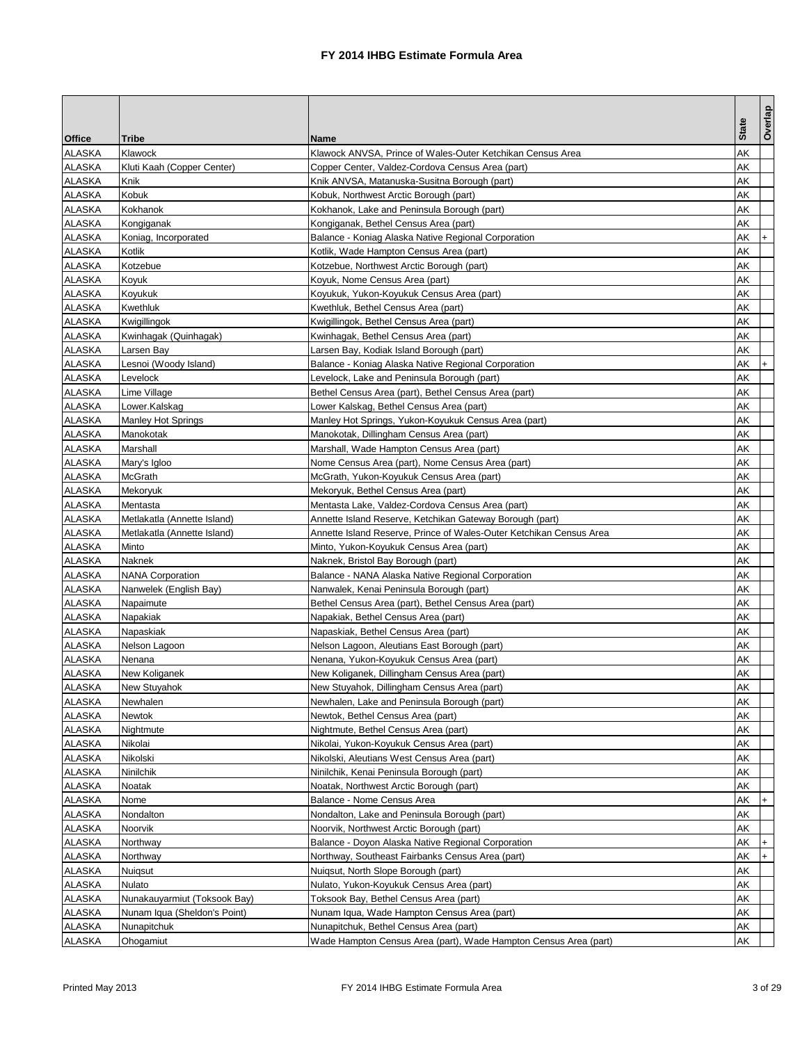| <b>Office</b><br><b>Tribe</b><br><b>Name</b><br>AΚ<br><b>ALASKA</b><br>Klawock<br>Klawock ANVSA, Prince of Wales-Outer Ketchikan Census Area<br><b>ALASKA</b><br>AΚ<br>Kluti Kaah (Copper Center)<br>Copper Center, Valdez-Cordova Census Area (part)<br><b>ALASKA</b><br>AΚ<br>Knik<br>Knik ANVSA, Matanuska-Susitna Borough (part)<br><b>ALASKA</b><br>Kobuk<br>AΚ<br>Kobuk, Northwest Arctic Borough (part)<br><b>ALASKA</b><br>Kokhanok<br>AΚ<br>Kokhanok, Lake and Peninsula Borough (part)<br><b>ALASKA</b><br>Kongiganak<br>Kongiganak, Bethel Census Area (part)<br>AΚ<br><b>ALASKA</b><br>Koniag, Incorporated<br>Balance - Koniag Alaska Native Regional Corporation<br>AΚ<br>$\ddot{}$<br>ALASKA<br>Kotlik<br>AΚ<br>Kotlik, Wade Hampton Census Area (part)<br>ALASKA<br>Kotzebue<br>AΚ<br>Kotzebue, Northwest Arctic Borough (part)<br>ALASKA<br>Koyuk<br>AΚ<br>Koyuk, Nome Census Area (part)<br>ALASKA<br>AΚ<br>Koyukuk<br>Koyukuk, Yukon-Koyukuk Census Area (part)<br>ALASKA<br>AΚ<br>Kwethluk<br>Kwethluk, Bethel Census Area (part)<br><b>ALASKA</b><br>AΚ<br>Kwigillingok<br>Kwigillingok, Bethel Census Area (part)<br><b>ALASKA</b><br>AΚ<br>Kwinhagak (Quinhagak)<br>Kwinhagak, Bethel Census Area (part)<br>ALASKA<br>AΚ<br>Larsen Bay<br>Larsen Bay, Kodiak Island Borough (part)<br>ALASKA<br>Lesnoi (Woody Island)<br>Balance - Koniag Alaska Native Regional Corporation<br>AΚ<br>$\ddot{}$<br>ALASKA<br>AΚ<br>Levelock<br>Levelock, Lake and Peninsula Borough (part)<br>ALASKA<br>AΚ<br>Lime Village<br>Bethel Census Area (part), Bethel Census Area (part)<br><b>ALASKA</b><br>AΚ<br>Lower.Kalskag<br>Lower Kalskag, Bethel Census Area (part)<br>ALASKA<br>AΚ<br><b>Manley Hot Springs</b><br>Manley Hot Springs, Yukon-Koyukuk Census Area (part)<br>ALASKA<br>AΚ<br>Manokotak<br>Manokotak, Dillingham Census Area (part)<br>ALASKA<br>Marshall<br>AΚ<br>Marshall, Wade Hampton Census Area (part)<br>ALASKA<br>AΚ<br>Mary's Igloo<br>Nome Census Area (part), Nome Census Area (part)<br>ALASKA<br><b>McGrath</b><br>AΚ<br>McGrath, Yukon-Koyukuk Census Area (part)<br>ALASKA<br>Mekoryuk, Bethel Census Area (part)<br>AΚ<br>Mekoryuk<br>ALASKA<br>AΚ<br>Mentasta<br>Mentasta Lake, Valdez-Cordova Census Area (part)<br><b>ALASKA</b><br>AΚ<br>Metlakatla (Annette Island)<br>Annette Island Reserve, Ketchikan Gateway Borough (part)<br><b>ALASKA</b><br>AΚ<br>Metlakatla (Annette Island)<br>Annette Island Reserve, Prince of Wales-Outer Ketchikan Census Area<br>ALASKA<br>AΚ<br>Minto<br>Minto, Yukon-Koyukuk Census Area (part)<br>ALASKA<br>AΚ<br>Naknek<br>Naknek, Bristol Bay Borough (part)<br>ALASKA<br>AΚ<br><b>NANA Corporation</b><br>Balance - NANA Alaska Native Regional Corporation<br>ALASKA<br>AΚ<br>Nanwelek (English Bay)<br>Nanwalek, Kenai Peninsula Borough (part)<br>ALASKA<br>Napaimute<br>Bethel Census Area (part), Bethel Census Area (part)<br>AΚ<br><b>ALASKA</b><br>Napakiak<br>Napakiak, Bethel Census Area (part)<br>AΚ<br>ALASKA<br>AΚ<br>Napaskiak<br>Napaskiak, Bethel Census Area (part)<br>ALASKA<br>AΚ<br>Nelson Lagoon<br>Nelson Lagoon, Aleutians East Borough (part)<br><b>ALASKA</b><br>Nenana<br>AΚ<br>Nenana, Yukon-Koyukuk Census Area (part)<br>ALASKA<br>AΚ<br>New Koliganek<br>New Koliganek, Dillingham Census Area (part)<br>ALASKA<br>New Stuyahok<br>New Stuyahok, Dillingham Census Area (part)<br>AK<br>AΚ<br>ALASKA<br>Newhalen<br>Newhalen, Lake and Peninsula Borough (part)<br><b>ALASKA</b><br><b>Newtok</b><br>Newtok, Bethel Census Area (part)<br>AΚ<br>ALASKA<br>Nightmute<br>Nightmute, Bethel Census Area (part)<br>AΚ<br>ALASKA<br>AΚ<br>Nikolai<br>Nikolai, Yukon-Koyukuk Census Area (part)<br>ALASKA<br>AΚ<br>Nikolski<br>Nikolski, Aleutians West Census Area (part)<br><b>ALASKA</b><br>Ninilchik<br>Ninilchik, Kenai Peninsula Borough (part)<br>AΚ<br><b>ALASKA</b><br>Noatak, Northwest Arctic Borough (part)<br>AΚ<br>Noatak<br><b>ALASKA</b><br>Balance - Nome Census Area<br>АK<br>$+$<br>Nome<br>ALASKA<br>Nondalton<br>Nondalton, Lake and Peninsula Borough (part)<br>AΚ<br><b>ALASKA</b><br>Noorvik<br>Noorvik, Northwest Arctic Borough (part)<br>АK<br><b>ALASKA</b><br>AΚ<br>Northway<br>Balance - Doyon Alaska Native Regional Corporation<br>$+$<br>ALASKA<br>Northway<br>Northway, Southeast Fairbanks Census Area (part)<br>AΚ<br>$\ddot{}$<br>ALASKA<br>Nuigsut, North Slope Borough (part)<br>AΚ<br>Nuigsut<br>ALASKA<br>AΚ<br>Nulato<br>Nulato, Yukon-Koyukuk Census Area (part)<br><b>ALASKA</b><br>Nunakauyarmiut (Toksook Bay)<br>Toksook Bay, Bethel Census Area (part)<br>AΚ<br><b>ALASKA</b><br>Nunam Iqua (Sheldon's Point)<br>Nunam Iqua, Wade Hampton Census Area (part)<br>AΚ<br>ALASKA<br>Nunapitchuk<br>Nunapitchuk, Bethel Census Area (part)<br>AΚ |        |           |                                                                  |              | Overlap |
|--------------------------------------------------------------------------------------------------------------------------------------------------------------------------------------------------------------------------------------------------------------------------------------------------------------------------------------------------------------------------------------------------------------------------------------------------------------------------------------------------------------------------------------------------------------------------------------------------------------------------------------------------------------------------------------------------------------------------------------------------------------------------------------------------------------------------------------------------------------------------------------------------------------------------------------------------------------------------------------------------------------------------------------------------------------------------------------------------------------------------------------------------------------------------------------------------------------------------------------------------------------------------------------------------------------------------------------------------------------------------------------------------------------------------------------------------------------------------------------------------------------------------------------------------------------------------------------------------------------------------------------------------------------------------------------------------------------------------------------------------------------------------------------------------------------------------------------------------------------------------------------------------------------------------------------------------------------------------------------------------------------------------------------------------------------------------------------------------------------------------------------------------------------------------------------------------------------------------------------------------------------------------------------------------------------------------------------------------------------------------------------------------------------------------------------------------------------------------------------------------------------------------------------------------------------------------------------------------------------------------------------------------------------------------------------------------------------------------------------------------------------------------------------------------------------------------------------------------------------------------------------------------------------------------------------------------------------------------------------------------------------------------------------------------------------------------------------------------------------------------------------------------------------------------------------------------------------------------------------------------------------------------------------------------------------------------------------------------------------------------------------------------------------------------------------------------------------------------------------------------------------------------------------------------------------------------------------------------------------------------------------------------------------------------------------------------------------------------------------------------------------------------------------------------------------------------------------------------------------------------------------------------------------------------------------------------------------------------------------------------------------------------------------------------------------------------------------------------------------------------------------------------------------------------------------------------------------------------------------------------------------------------------------------------------------------------------------------------------------------------------------------------------------------------------------------------------------------------------------------------------------------------------------------------------------------------------------------------------------------------------------------------------------------------------------------------------------------------------------------------------------------------------------------------------|--------|-----------|------------------------------------------------------------------|--------------|---------|
|                                                                                                                                                                                                                                                                                                                                                                                                                                                                                                                                                                                                                                                                                                                                                                                                                                                                                                                                                                                                                                                                                                                                                                                                                                                                                                                                                                                                                                                                                                                                                                                                                                                                                                                                                                                                                                                                                                                                                                                                                                                                                                                                                                                                                                                                                                                                                                                                                                                                                                                                                                                                                                                                                                                                                                                                                                                                                                                                                                                                                                                                                                                                                                                                                                                                                                                                                                                                                                                                                                                                                                                                                                                                                                                                                                                                                                                                                                                                                                                                                                                                                                                                                                                                                                                                                                                                                                                                                                                                                                                                                                                                                                                                                                                                                                                                        |        |           |                                                                  | <b>State</b> |         |
|                                                                                                                                                                                                                                                                                                                                                                                                                                                                                                                                                                                                                                                                                                                                                                                                                                                                                                                                                                                                                                                                                                                                                                                                                                                                                                                                                                                                                                                                                                                                                                                                                                                                                                                                                                                                                                                                                                                                                                                                                                                                                                                                                                                                                                                                                                                                                                                                                                                                                                                                                                                                                                                                                                                                                                                                                                                                                                                                                                                                                                                                                                                                                                                                                                                                                                                                                                                                                                                                                                                                                                                                                                                                                                                                                                                                                                                                                                                                                                                                                                                                                                                                                                                                                                                                                                                                                                                                                                                                                                                                                                                                                                                                                                                                                                                                        |        |           |                                                                  |              |         |
|                                                                                                                                                                                                                                                                                                                                                                                                                                                                                                                                                                                                                                                                                                                                                                                                                                                                                                                                                                                                                                                                                                                                                                                                                                                                                                                                                                                                                                                                                                                                                                                                                                                                                                                                                                                                                                                                                                                                                                                                                                                                                                                                                                                                                                                                                                                                                                                                                                                                                                                                                                                                                                                                                                                                                                                                                                                                                                                                                                                                                                                                                                                                                                                                                                                                                                                                                                                                                                                                                                                                                                                                                                                                                                                                                                                                                                                                                                                                                                                                                                                                                                                                                                                                                                                                                                                                                                                                                                                                                                                                                                                                                                                                                                                                                                                                        |        |           |                                                                  |              |         |
|                                                                                                                                                                                                                                                                                                                                                                                                                                                                                                                                                                                                                                                                                                                                                                                                                                                                                                                                                                                                                                                                                                                                                                                                                                                                                                                                                                                                                                                                                                                                                                                                                                                                                                                                                                                                                                                                                                                                                                                                                                                                                                                                                                                                                                                                                                                                                                                                                                                                                                                                                                                                                                                                                                                                                                                                                                                                                                                                                                                                                                                                                                                                                                                                                                                                                                                                                                                                                                                                                                                                                                                                                                                                                                                                                                                                                                                                                                                                                                                                                                                                                                                                                                                                                                                                                                                                                                                                                                                                                                                                                                                                                                                                                                                                                                                                        |        |           |                                                                  |              |         |
|                                                                                                                                                                                                                                                                                                                                                                                                                                                                                                                                                                                                                                                                                                                                                                                                                                                                                                                                                                                                                                                                                                                                                                                                                                                                                                                                                                                                                                                                                                                                                                                                                                                                                                                                                                                                                                                                                                                                                                                                                                                                                                                                                                                                                                                                                                                                                                                                                                                                                                                                                                                                                                                                                                                                                                                                                                                                                                                                                                                                                                                                                                                                                                                                                                                                                                                                                                                                                                                                                                                                                                                                                                                                                                                                                                                                                                                                                                                                                                                                                                                                                                                                                                                                                                                                                                                                                                                                                                                                                                                                                                                                                                                                                                                                                                                                        |        |           |                                                                  |              |         |
|                                                                                                                                                                                                                                                                                                                                                                                                                                                                                                                                                                                                                                                                                                                                                                                                                                                                                                                                                                                                                                                                                                                                                                                                                                                                                                                                                                                                                                                                                                                                                                                                                                                                                                                                                                                                                                                                                                                                                                                                                                                                                                                                                                                                                                                                                                                                                                                                                                                                                                                                                                                                                                                                                                                                                                                                                                                                                                                                                                                                                                                                                                                                                                                                                                                                                                                                                                                                                                                                                                                                                                                                                                                                                                                                                                                                                                                                                                                                                                                                                                                                                                                                                                                                                                                                                                                                                                                                                                                                                                                                                                                                                                                                                                                                                                                                        |        |           |                                                                  |              |         |
|                                                                                                                                                                                                                                                                                                                                                                                                                                                                                                                                                                                                                                                                                                                                                                                                                                                                                                                                                                                                                                                                                                                                                                                                                                                                                                                                                                                                                                                                                                                                                                                                                                                                                                                                                                                                                                                                                                                                                                                                                                                                                                                                                                                                                                                                                                                                                                                                                                                                                                                                                                                                                                                                                                                                                                                                                                                                                                                                                                                                                                                                                                                                                                                                                                                                                                                                                                                                                                                                                                                                                                                                                                                                                                                                                                                                                                                                                                                                                                                                                                                                                                                                                                                                                                                                                                                                                                                                                                                                                                                                                                                                                                                                                                                                                                                                        |        |           |                                                                  |              |         |
|                                                                                                                                                                                                                                                                                                                                                                                                                                                                                                                                                                                                                                                                                                                                                                                                                                                                                                                                                                                                                                                                                                                                                                                                                                                                                                                                                                                                                                                                                                                                                                                                                                                                                                                                                                                                                                                                                                                                                                                                                                                                                                                                                                                                                                                                                                                                                                                                                                                                                                                                                                                                                                                                                                                                                                                                                                                                                                                                                                                                                                                                                                                                                                                                                                                                                                                                                                                                                                                                                                                                                                                                                                                                                                                                                                                                                                                                                                                                                                                                                                                                                                                                                                                                                                                                                                                                                                                                                                                                                                                                                                                                                                                                                                                                                                                                        |        |           |                                                                  |              |         |
|                                                                                                                                                                                                                                                                                                                                                                                                                                                                                                                                                                                                                                                                                                                                                                                                                                                                                                                                                                                                                                                                                                                                                                                                                                                                                                                                                                                                                                                                                                                                                                                                                                                                                                                                                                                                                                                                                                                                                                                                                                                                                                                                                                                                                                                                                                                                                                                                                                                                                                                                                                                                                                                                                                                                                                                                                                                                                                                                                                                                                                                                                                                                                                                                                                                                                                                                                                                                                                                                                                                                                                                                                                                                                                                                                                                                                                                                                                                                                                                                                                                                                                                                                                                                                                                                                                                                                                                                                                                                                                                                                                                                                                                                                                                                                                                                        |        |           |                                                                  |              |         |
|                                                                                                                                                                                                                                                                                                                                                                                                                                                                                                                                                                                                                                                                                                                                                                                                                                                                                                                                                                                                                                                                                                                                                                                                                                                                                                                                                                                                                                                                                                                                                                                                                                                                                                                                                                                                                                                                                                                                                                                                                                                                                                                                                                                                                                                                                                                                                                                                                                                                                                                                                                                                                                                                                                                                                                                                                                                                                                                                                                                                                                                                                                                                                                                                                                                                                                                                                                                                                                                                                                                                                                                                                                                                                                                                                                                                                                                                                                                                                                                                                                                                                                                                                                                                                                                                                                                                                                                                                                                                                                                                                                                                                                                                                                                                                                                                        |        |           |                                                                  |              |         |
|                                                                                                                                                                                                                                                                                                                                                                                                                                                                                                                                                                                                                                                                                                                                                                                                                                                                                                                                                                                                                                                                                                                                                                                                                                                                                                                                                                                                                                                                                                                                                                                                                                                                                                                                                                                                                                                                                                                                                                                                                                                                                                                                                                                                                                                                                                                                                                                                                                                                                                                                                                                                                                                                                                                                                                                                                                                                                                                                                                                                                                                                                                                                                                                                                                                                                                                                                                                                                                                                                                                                                                                                                                                                                                                                                                                                                                                                                                                                                                                                                                                                                                                                                                                                                                                                                                                                                                                                                                                                                                                                                                                                                                                                                                                                                                                                        |        |           |                                                                  |              |         |
|                                                                                                                                                                                                                                                                                                                                                                                                                                                                                                                                                                                                                                                                                                                                                                                                                                                                                                                                                                                                                                                                                                                                                                                                                                                                                                                                                                                                                                                                                                                                                                                                                                                                                                                                                                                                                                                                                                                                                                                                                                                                                                                                                                                                                                                                                                                                                                                                                                                                                                                                                                                                                                                                                                                                                                                                                                                                                                                                                                                                                                                                                                                                                                                                                                                                                                                                                                                                                                                                                                                                                                                                                                                                                                                                                                                                                                                                                                                                                                                                                                                                                                                                                                                                                                                                                                                                                                                                                                                                                                                                                                                                                                                                                                                                                                                                        |        |           |                                                                  |              |         |
|                                                                                                                                                                                                                                                                                                                                                                                                                                                                                                                                                                                                                                                                                                                                                                                                                                                                                                                                                                                                                                                                                                                                                                                                                                                                                                                                                                                                                                                                                                                                                                                                                                                                                                                                                                                                                                                                                                                                                                                                                                                                                                                                                                                                                                                                                                                                                                                                                                                                                                                                                                                                                                                                                                                                                                                                                                                                                                                                                                                                                                                                                                                                                                                                                                                                                                                                                                                                                                                                                                                                                                                                                                                                                                                                                                                                                                                                                                                                                                                                                                                                                                                                                                                                                                                                                                                                                                                                                                                                                                                                                                                                                                                                                                                                                                                                        |        |           |                                                                  |              |         |
|                                                                                                                                                                                                                                                                                                                                                                                                                                                                                                                                                                                                                                                                                                                                                                                                                                                                                                                                                                                                                                                                                                                                                                                                                                                                                                                                                                                                                                                                                                                                                                                                                                                                                                                                                                                                                                                                                                                                                                                                                                                                                                                                                                                                                                                                                                                                                                                                                                                                                                                                                                                                                                                                                                                                                                                                                                                                                                                                                                                                                                                                                                                                                                                                                                                                                                                                                                                                                                                                                                                                                                                                                                                                                                                                                                                                                                                                                                                                                                                                                                                                                                                                                                                                                                                                                                                                                                                                                                                                                                                                                                                                                                                                                                                                                                                                        |        |           |                                                                  |              |         |
|                                                                                                                                                                                                                                                                                                                                                                                                                                                                                                                                                                                                                                                                                                                                                                                                                                                                                                                                                                                                                                                                                                                                                                                                                                                                                                                                                                                                                                                                                                                                                                                                                                                                                                                                                                                                                                                                                                                                                                                                                                                                                                                                                                                                                                                                                                                                                                                                                                                                                                                                                                                                                                                                                                                                                                                                                                                                                                                                                                                                                                                                                                                                                                                                                                                                                                                                                                                                                                                                                                                                                                                                                                                                                                                                                                                                                                                                                                                                                                                                                                                                                                                                                                                                                                                                                                                                                                                                                                                                                                                                                                                                                                                                                                                                                                                                        |        |           |                                                                  |              |         |
|                                                                                                                                                                                                                                                                                                                                                                                                                                                                                                                                                                                                                                                                                                                                                                                                                                                                                                                                                                                                                                                                                                                                                                                                                                                                                                                                                                                                                                                                                                                                                                                                                                                                                                                                                                                                                                                                                                                                                                                                                                                                                                                                                                                                                                                                                                                                                                                                                                                                                                                                                                                                                                                                                                                                                                                                                                                                                                                                                                                                                                                                                                                                                                                                                                                                                                                                                                                                                                                                                                                                                                                                                                                                                                                                                                                                                                                                                                                                                                                                                                                                                                                                                                                                                                                                                                                                                                                                                                                                                                                                                                                                                                                                                                                                                                                                        |        |           |                                                                  |              |         |
|                                                                                                                                                                                                                                                                                                                                                                                                                                                                                                                                                                                                                                                                                                                                                                                                                                                                                                                                                                                                                                                                                                                                                                                                                                                                                                                                                                                                                                                                                                                                                                                                                                                                                                                                                                                                                                                                                                                                                                                                                                                                                                                                                                                                                                                                                                                                                                                                                                                                                                                                                                                                                                                                                                                                                                                                                                                                                                                                                                                                                                                                                                                                                                                                                                                                                                                                                                                                                                                                                                                                                                                                                                                                                                                                                                                                                                                                                                                                                                                                                                                                                                                                                                                                                                                                                                                                                                                                                                                                                                                                                                                                                                                                                                                                                                                                        |        |           |                                                                  |              |         |
|                                                                                                                                                                                                                                                                                                                                                                                                                                                                                                                                                                                                                                                                                                                                                                                                                                                                                                                                                                                                                                                                                                                                                                                                                                                                                                                                                                                                                                                                                                                                                                                                                                                                                                                                                                                                                                                                                                                                                                                                                                                                                                                                                                                                                                                                                                                                                                                                                                                                                                                                                                                                                                                                                                                                                                                                                                                                                                                                                                                                                                                                                                                                                                                                                                                                                                                                                                                                                                                                                                                                                                                                                                                                                                                                                                                                                                                                                                                                                                                                                                                                                                                                                                                                                                                                                                                                                                                                                                                                                                                                                                                                                                                                                                                                                                                                        |        |           |                                                                  |              |         |
|                                                                                                                                                                                                                                                                                                                                                                                                                                                                                                                                                                                                                                                                                                                                                                                                                                                                                                                                                                                                                                                                                                                                                                                                                                                                                                                                                                                                                                                                                                                                                                                                                                                                                                                                                                                                                                                                                                                                                                                                                                                                                                                                                                                                                                                                                                                                                                                                                                                                                                                                                                                                                                                                                                                                                                                                                                                                                                                                                                                                                                                                                                                                                                                                                                                                                                                                                                                                                                                                                                                                                                                                                                                                                                                                                                                                                                                                                                                                                                                                                                                                                                                                                                                                                                                                                                                                                                                                                                                                                                                                                                                                                                                                                                                                                                                                        |        |           |                                                                  |              |         |
|                                                                                                                                                                                                                                                                                                                                                                                                                                                                                                                                                                                                                                                                                                                                                                                                                                                                                                                                                                                                                                                                                                                                                                                                                                                                                                                                                                                                                                                                                                                                                                                                                                                                                                                                                                                                                                                                                                                                                                                                                                                                                                                                                                                                                                                                                                                                                                                                                                                                                                                                                                                                                                                                                                                                                                                                                                                                                                                                                                                                                                                                                                                                                                                                                                                                                                                                                                                                                                                                                                                                                                                                                                                                                                                                                                                                                                                                                                                                                                                                                                                                                                                                                                                                                                                                                                                                                                                                                                                                                                                                                                                                                                                                                                                                                                                                        |        |           |                                                                  |              |         |
|                                                                                                                                                                                                                                                                                                                                                                                                                                                                                                                                                                                                                                                                                                                                                                                                                                                                                                                                                                                                                                                                                                                                                                                                                                                                                                                                                                                                                                                                                                                                                                                                                                                                                                                                                                                                                                                                                                                                                                                                                                                                                                                                                                                                                                                                                                                                                                                                                                                                                                                                                                                                                                                                                                                                                                                                                                                                                                                                                                                                                                                                                                                                                                                                                                                                                                                                                                                                                                                                                                                                                                                                                                                                                                                                                                                                                                                                                                                                                                                                                                                                                                                                                                                                                                                                                                                                                                                                                                                                                                                                                                                                                                                                                                                                                                                                        |        |           |                                                                  |              |         |
|                                                                                                                                                                                                                                                                                                                                                                                                                                                                                                                                                                                                                                                                                                                                                                                                                                                                                                                                                                                                                                                                                                                                                                                                                                                                                                                                                                                                                                                                                                                                                                                                                                                                                                                                                                                                                                                                                                                                                                                                                                                                                                                                                                                                                                                                                                                                                                                                                                                                                                                                                                                                                                                                                                                                                                                                                                                                                                                                                                                                                                                                                                                                                                                                                                                                                                                                                                                                                                                                                                                                                                                                                                                                                                                                                                                                                                                                                                                                                                                                                                                                                                                                                                                                                                                                                                                                                                                                                                                                                                                                                                                                                                                                                                                                                                                                        |        |           |                                                                  |              |         |
|                                                                                                                                                                                                                                                                                                                                                                                                                                                                                                                                                                                                                                                                                                                                                                                                                                                                                                                                                                                                                                                                                                                                                                                                                                                                                                                                                                                                                                                                                                                                                                                                                                                                                                                                                                                                                                                                                                                                                                                                                                                                                                                                                                                                                                                                                                                                                                                                                                                                                                                                                                                                                                                                                                                                                                                                                                                                                                                                                                                                                                                                                                                                                                                                                                                                                                                                                                                                                                                                                                                                                                                                                                                                                                                                                                                                                                                                                                                                                                                                                                                                                                                                                                                                                                                                                                                                                                                                                                                                                                                                                                                                                                                                                                                                                                                                        |        |           |                                                                  |              |         |
|                                                                                                                                                                                                                                                                                                                                                                                                                                                                                                                                                                                                                                                                                                                                                                                                                                                                                                                                                                                                                                                                                                                                                                                                                                                                                                                                                                                                                                                                                                                                                                                                                                                                                                                                                                                                                                                                                                                                                                                                                                                                                                                                                                                                                                                                                                                                                                                                                                                                                                                                                                                                                                                                                                                                                                                                                                                                                                                                                                                                                                                                                                                                                                                                                                                                                                                                                                                                                                                                                                                                                                                                                                                                                                                                                                                                                                                                                                                                                                                                                                                                                                                                                                                                                                                                                                                                                                                                                                                                                                                                                                                                                                                                                                                                                                                                        |        |           |                                                                  |              |         |
|                                                                                                                                                                                                                                                                                                                                                                                                                                                                                                                                                                                                                                                                                                                                                                                                                                                                                                                                                                                                                                                                                                                                                                                                                                                                                                                                                                                                                                                                                                                                                                                                                                                                                                                                                                                                                                                                                                                                                                                                                                                                                                                                                                                                                                                                                                                                                                                                                                                                                                                                                                                                                                                                                                                                                                                                                                                                                                                                                                                                                                                                                                                                                                                                                                                                                                                                                                                                                                                                                                                                                                                                                                                                                                                                                                                                                                                                                                                                                                                                                                                                                                                                                                                                                                                                                                                                                                                                                                                                                                                                                                                                                                                                                                                                                                                                        |        |           |                                                                  |              |         |
|                                                                                                                                                                                                                                                                                                                                                                                                                                                                                                                                                                                                                                                                                                                                                                                                                                                                                                                                                                                                                                                                                                                                                                                                                                                                                                                                                                                                                                                                                                                                                                                                                                                                                                                                                                                                                                                                                                                                                                                                                                                                                                                                                                                                                                                                                                                                                                                                                                                                                                                                                                                                                                                                                                                                                                                                                                                                                                                                                                                                                                                                                                                                                                                                                                                                                                                                                                                                                                                                                                                                                                                                                                                                                                                                                                                                                                                                                                                                                                                                                                                                                                                                                                                                                                                                                                                                                                                                                                                                                                                                                                                                                                                                                                                                                                                                        |        |           |                                                                  |              |         |
|                                                                                                                                                                                                                                                                                                                                                                                                                                                                                                                                                                                                                                                                                                                                                                                                                                                                                                                                                                                                                                                                                                                                                                                                                                                                                                                                                                                                                                                                                                                                                                                                                                                                                                                                                                                                                                                                                                                                                                                                                                                                                                                                                                                                                                                                                                                                                                                                                                                                                                                                                                                                                                                                                                                                                                                                                                                                                                                                                                                                                                                                                                                                                                                                                                                                                                                                                                                                                                                                                                                                                                                                                                                                                                                                                                                                                                                                                                                                                                                                                                                                                                                                                                                                                                                                                                                                                                                                                                                                                                                                                                                                                                                                                                                                                                                                        |        |           |                                                                  |              |         |
|                                                                                                                                                                                                                                                                                                                                                                                                                                                                                                                                                                                                                                                                                                                                                                                                                                                                                                                                                                                                                                                                                                                                                                                                                                                                                                                                                                                                                                                                                                                                                                                                                                                                                                                                                                                                                                                                                                                                                                                                                                                                                                                                                                                                                                                                                                                                                                                                                                                                                                                                                                                                                                                                                                                                                                                                                                                                                                                                                                                                                                                                                                                                                                                                                                                                                                                                                                                                                                                                                                                                                                                                                                                                                                                                                                                                                                                                                                                                                                                                                                                                                                                                                                                                                                                                                                                                                                                                                                                                                                                                                                                                                                                                                                                                                                                                        |        |           |                                                                  |              |         |
|                                                                                                                                                                                                                                                                                                                                                                                                                                                                                                                                                                                                                                                                                                                                                                                                                                                                                                                                                                                                                                                                                                                                                                                                                                                                                                                                                                                                                                                                                                                                                                                                                                                                                                                                                                                                                                                                                                                                                                                                                                                                                                                                                                                                                                                                                                                                                                                                                                                                                                                                                                                                                                                                                                                                                                                                                                                                                                                                                                                                                                                                                                                                                                                                                                                                                                                                                                                                                                                                                                                                                                                                                                                                                                                                                                                                                                                                                                                                                                                                                                                                                                                                                                                                                                                                                                                                                                                                                                                                                                                                                                                                                                                                                                                                                                                                        |        |           |                                                                  |              |         |
|                                                                                                                                                                                                                                                                                                                                                                                                                                                                                                                                                                                                                                                                                                                                                                                                                                                                                                                                                                                                                                                                                                                                                                                                                                                                                                                                                                                                                                                                                                                                                                                                                                                                                                                                                                                                                                                                                                                                                                                                                                                                                                                                                                                                                                                                                                                                                                                                                                                                                                                                                                                                                                                                                                                                                                                                                                                                                                                                                                                                                                                                                                                                                                                                                                                                                                                                                                                                                                                                                                                                                                                                                                                                                                                                                                                                                                                                                                                                                                                                                                                                                                                                                                                                                                                                                                                                                                                                                                                                                                                                                                                                                                                                                                                                                                                                        |        |           |                                                                  |              |         |
|                                                                                                                                                                                                                                                                                                                                                                                                                                                                                                                                                                                                                                                                                                                                                                                                                                                                                                                                                                                                                                                                                                                                                                                                                                                                                                                                                                                                                                                                                                                                                                                                                                                                                                                                                                                                                                                                                                                                                                                                                                                                                                                                                                                                                                                                                                                                                                                                                                                                                                                                                                                                                                                                                                                                                                                                                                                                                                                                                                                                                                                                                                                                                                                                                                                                                                                                                                                                                                                                                                                                                                                                                                                                                                                                                                                                                                                                                                                                                                                                                                                                                                                                                                                                                                                                                                                                                                                                                                                                                                                                                                                                                                                                                                                                                                                                        |        |           |                                                                  |              |         |
|                                                                                                                                                                                                                                                                                                                                                                                                                                                                                                                                                                                                                                                                                                                                                                                                                                                                                                                                                                                                                                                                                                                                                                                                                                                                                                                                                                                                                                                                                                                                                                                                                                                                                                                                                                                                                                                                                                                                                                                                                                                                                                                                                                                                                                                                                                                                                                                                                                                                                                                                                                                                                                                                                                                                                                                                                                                                                                                                                                                                                                                                                                                                                                                                                                                                                                                                                                                                                                                                                                                                                                                                                                                                                                                                                                                                                                                                                                                                                                                                                                                                                                                                                                                                                                                                                                                                                                                                                                                                                                                                                                                                                                                                                                                                                                                                        |        |           |                                                                  |              |         |
|                                                                                                                                                                                                                                                                                                                                                                                                                                                                                                                                                                                                                                                                                                                                                                                                                                                                                                                                                                                                                                                                                                                                                                                                                                                                                                                                                                                                                                                                                                                                                                                                                                                                                                                                                                                                                                                                                                                                                                                                                                                                                                                                                                                                                                                                                                                                                                                                                                                                                                                                                                                                                                                                                                                                                                                                                                                                                                                                                                                                                                                                                                                                                                                                                                                                                                                                                                                                                                                                                                                                                                                                                                                                                                                                                                                                                                                                                                                                                                                                                                                                                                                                                                                                                                                                                                                                                                                                                                                                                                                                                                                                                                                                                                                                                                                                        |        |           |                                                                  |              |         |
|                                                                                                                                                                                                                                                                                                                                                                                                                                                                                                                                                                                                                                                                                                                                                                                                                                                                                                                                                                                                                                                                                                                                                                                                                                                                                                                                                                                                                                                                                                                                                                                                                                                                                                                                                                                                                                                                                                                                                                                                                                                                                                                                                                                                                                                                                                                                                                                                                                                                                                                                                                                                                                                                                                                                                                                                                                                                                                                                                                                                                                                                                                                                                                                                                                                                                                                                                                                                                                                                                                                                                                                                                                                                                                                                                                                                                                                                                                                                                                                                                                                                                                                                                                                                                                                                                                                                                                                                                                                                                                                                                                                                                                                                                                                                                                                                        |        |           |                                                                  |              |         |
|                                                                                                                                                                                                                                                                                                                                                                                                                                                                                                                                                                                                                                                                                                                                                                                                                                                                                                                                                                                                                                                                                                                                                                                                                                                                                                                                                                                                                                                                                                                                                                                                                                                                                                                                                                                                                                                                                                                                                                                                                                                                                                                                                                                                                                                                                                                                                                                                                                                                                                                                                                                                                                                                                                                                                                                                                                                                                                                                                                                                                                                                                                                                                                                                                                                                                                                                                                                                                                                                                                                                                                                                                                                                                                                                                                                                                                                                                                                                                                                                                                                                                                                                                                                                                                                                                                                                                                                                                                                                                                                                                                                                                                                                                                                                                                                                        |        |           |                                                                  |              |         |
|                                                                                                                                                                                                                                                                                                                                                                                                                                                                                                                                                                                                                                                                                                                                                                                                                                                                                                                                                                                                                                                                                                                                                                                                                                                                                                                                                                                                                                                                                                                                                                                                                                                                                                                                                                                                                                                                                                                                                                                                                                                                                                                                                                                                                                                                                                                                                                                                                                                                                                                                                                                                                                                                                                                                                                                                                                                                                                                                                                                                                                                                                                                                                                                                                                                                                                                                                                                                                                                                                                                                                                                                                                                                                                                                                                                                                                                                                                                                                                                                                                                                                                                                                                                                                                                                                                                                                                                                                                                                                                                                                                                                                                                                                                                                                                                                        |        |           |                                                                  |              |         |
|                                                                                                                                                                                                                                                                                                                                                                                                                                                                                                                                                                                                                                                                                                                                                                                                                                                                                                                                                                                                                                                                                                                                                                                                                                                                                                                                                                                                                                                                                                                                                                                                                                                                                                                                                                                                                                                                                                                                                                                                                                                                                                                                                                                                                                                                                                                                                                                                                                                                                                                                                                                                                                                                                                                                                                                                                                                                                                                                                                                                                                                                                                                                                                                                                                                                                                                                                                                                                                                                                                                                                                                                                                                                                                                                                                                                                                                                                                                                                                                                                                                                                                                                                                                                                                                                                                                                                                                                                                                                                                                                                                                                                                                                                                                                                                                                        |        |           |                                                                  |              |         |
|                                                                                                                                                                                                                                                                                                                                                                                                                                                                                                                                                                                                                                                                                                                                                                                                                                                                                                                                                                                                                                                                                                                                                                                                                                                                                                                                                                                                                                                                                                                                                                                                                                                                                                                                                                                                                                                                                                                                                                                                                                                                                                                                                                                                                                                                                                                                                                                                                                                                                                                                                                                                                                                                                                                                                                                                                                                                                                                                                                                                                                                                                                                                                                                                                                                                                                                                                                                                                                                                                                                                                                                                                                                                                                                                                                                                                                                                                                                                                                                                                                                                                                                                                                                                                                                                                                                                                                                                                                                                                                                                                                                                                                                                                                                                                                                                        |        |           |                                                                  |              |         |
|                                                                                                                                                                                                                                                                                                                                                                                                                                                                                                                                                                                                                                                                                                                                                                                                                                                                                                                                                                                                                                                                                                                                                                                                                                                                                                                                                                                                                                                                                                                                                                                                                                                                                                                                                                                                                                                                                                                                                                                                                                                                                                                                                                                                                                                                                                                                                                                                                                                                                                                                                                                                                                                                                                                                                                                                                                                                                                                                                                                                                                                                                                                                                                                                                                                                                                                                                                                                                                                                                                                                                                                                                                                                                                                                                                                                                                                                                                                                                                                                                                                                                                                                                                                                                                                                                                                                                                                                                                                                                                                                                                                                                                                                                                                                                                                                        |        |           |                                                                  |              |         |
|                                                                                                                                                                                                                                                                                                                                                                                                                                                                                                                                                                                                                                                                                                                                                                                                                                                                                                                                                                                                                                                                                                                                                                                                                                                                                                                                                                                                                                                                                                                                                                                                                                                                                                                                                                                                                                                                                                                                                                                                                                                                                                                                                                                                                                                                                                                                                                                                                                                                                                                                                                                                                                                                                                                                                                                                                                                                                                                                                                                                                                                                                                                                                                                                                                                                                                                                                                                                                                                                                                                                                                                                                                                                                                                                                                                                                                                                                                                                                                                                                                                                                                                                                                                                                                                                                                                                                                                                                                                                                                                                                                                                                                                                                                                                                                                                        |        |           |                                                                  |              |         |
|                                                                                                                                                                                                                                                                                                                                                                                                                                                                                                                                                                                                                                                                                                                                                                                                                                                                                                                                                                                                                                                                                                                                                                                                                                                                                                                                                                                                                                                                                                                                                                                                                                                                                                                                                                                                                                                                                                                                                                                                                                                                                                                                                                                                                                                                                                                                                                                                                                                                                                                                                                                                                                                                                                                                                                                                                                                                                                                                                                                                                                                                                                                                                                                                                                                                                                                                                                                                                                                                                                                                                                                                                                                                                                                                                                                                                                                                                                                                                                                                                                                                                                                                                                                                                                                                                                                                                                                                                                                                                                                                                                                                                                                                                                                                                                                                        |        |           |                                                                  |              |         |
|                                                                                                                                                                                                                                                                                                                                                                                                                                                                                                                                                                                                                                                                                                                                                                                                                                                                                                                                                                                                                                                                                                                                                                                                                                                                                                                                                                                                                                                                                                                                                                                                                                                                                                                                                                                                                                                                                                                                                                                                                                                                                                                                                                                                                                                                                                                                                                                                                                                                                                                                                                                                                                                                                                                                                                                                                                                                                                                                                                                                                                                                                                                                                                                                                                                                                                                                                                                                                                                                                                                                                                                                                                                                                                                                                                                                                                                                                                                                                                                                                                                                                                                                                                                                                                                                                                                                                                                                                                                                                                                                                                                                                                                                                                                                                                                                        |        |           |                                                                  |              |         |
|                                                                                                                                                                                                                                                                                                                                                                                                                                                                                                                                                                                                                                                                                                                                                                                                                                                                                                                                                                                                                                                                                                                                                                                                                                                                                                                                                                                                                                                                                                                                                                                                                                                                                                                                                                                                                                                                                                                                                                                                                                                                                                                                                                                                                                                                                                                                                                                                                                                                                                                                                                                                                                                                                                                                                                                                                                                                                                                                                                                                                                                                                                                                                                                                                                                                                                                                                                                                                                                                                                                                                                                                                                                                                                                                                                                                                                                                                                                                                                                                                                                                                                                                                                                                                                                                                                                                                                                                                                                                                                                                                                                                                                                                                                                                                                                                        |        |           |                                                                  |              |         |
|                                                                                                                                                                                                                                                                                                                                                                                                                                                                                                                                                                                                                                                                                                                                                                                                                                                                                                                                                                                                                                                                                                                                                                                                                                                                                                                                                                                                                                                                                                                                                                                                                                                                                                                                                                                                                                                                                                                                                                                                                                                                                                                                                                                                                                                                                                                                                                                                                                                                                                                                                                                                                                                                                                                                                                                                                                                                                                                                                                                                                                                                                                                                                                                                                                                                                                                                                                                                                                                                                                                                                                                                                                                                                                                                                                                                                                                                                                                                                                                                                                                                                                                                                                                                                                                                                                                                                                                                                                                                                                                                                                                                                                                                                                                                                                                                        |        |           |                                                                  |              |         |
|                                                                                                                                                                                                                                                                                                                                                                                                                                                                                                                                                                                                                                                                                                                                                                                                                                                                                                                                                                                                                                                                                                                                                                                                                                                                                                                                                                                                                                                                                                                                                                                                                                                                                                                                                                                                                                                                                                                                                                                                                                                                                                                                                                                                                                                                                                                                                                                                                                                                                                                                                                                                                                                                                                                                                                                                                                                                                                                                                                                                                                                                                                                                                                                                                                                                                                                                                                                                                                                                                                                                                                                                                                                                                                                                                                                                                                                                                                                                                                                                                                                                                                                                                                                                                                                                                                                                                                                                                                                                                                                                                                                                                                                                                                                                                                                                        |        |           |                                                                  |              |         |
|                                                                                                                                                                                                                                                                                                                                                                                                                                                                                                                                                                                                                                                                                                                                                                                                                                                                                                                                                                                                                                                                                                                                                                                                                                                                                                                                                                                                                                                                                                                                                                                                                                                                                                                                                                                                                                                                                                                                                                                                                                                                                                                                                                                                                                                                                                                                                                                                                                                                                                                                                                                                                                                                                                                                                                                                                                                                                                                                                                                                                                                                                                                                                                                                                                                                                                                                                                                                                                                                                                                                                                                                                                                                                                                                                                                                                                                                                                                                                                                                                                                                                                                                                                                                                                                                                                                                                                                                                                                                                                                                                                                                                                                                                                                                                                                                        |        |           |                                                                  |              |         |
|                                                                                                                                                                                                                                                                                                                                                                                                                                                                                                                                                                                                                                                                                                                                                                                                                                                                                                                                                                                                                                                                                                                                                                                                                                                                                                                                                                                                                                                                                                                                                                                                                                                                                                                                                                                                                                                                                                                                                                                                                                                                                                                                                                                                                                                                                                                                                                                                                                                                                                                                                                                                                                                                                                                                                                                                                                                                                                                                                                                                                                                                                                                                                                                                                                                                                                                                                                                                                                                                                                                                                                                                                                                                                                                                                                                                                                                                                                                                                                                                                                                                                                                                                                                                                                                                                                                                                                                                                                                                                                                                                                                                                                                                                                                                                                                                        |        |           |                                                                  |              |         |
|                                                                                                                                                                                                                                                                                                                                                                                                                                                                                                                                                                                                                                                                                                                                                                                                                                                                                                                                                                                                                                                                                                                                                                                                                                                                                                                                                                                                                                                                                                                                                                                                                                                                                                                                                                                                                                                                                                                                                                                                                                                                                                                                                                                                                                                                                                                                                                                                                                                                                                                                                                                                                                                                                                                                                                                                                                                                                                                                                                                                                                                                                                                                                                                                                                                                                                                                                                                                                                                                                                                                                                                                                                                                                                                                                                                                                                                                                                                                                                                                                                                                                                                                                                                                                                                                                                                                                                                                                                                                                                                                                                                                                                                                                                                                                                                                        |        |           |                                                                  |              |         |
|                                                                                                                                                                                                                                                                                                                                                                                                                                                                                                                                                                                                                                                                                                                                                                                                                                                                                                                                                                                                                                                                                                                                                                                                                                                                                                                                                                                                                                                                                                                                                                                                                                                                                                                                                                                                                                                                                                                                                                                                                                                                                                                                                                                                                                                                                                                                                                                                                                                                                                                                                                                                                                                                                                                                                                                                                                                                                                                                                                                                                                                                                                                                                                                                                                                                                                                                                                                                                                                                                                                                                                                                                                                                                                                                                                                                                                                                                                                                                                                                                                                                                                                                                                                                                                                                                                                                                                                                                                                                                                                                                                                                                                                                                                                                                                                                        |        |           |                                                                  |              |         |
|                                                                                                                                                                                                                                                                                                                                                                                                                                                                                                                                                                                                                                                                                                                                                                                                                                                                                                                                                                                                                                                                                                                                                                                                                                                                                                                                                                                                                                                                                                                                                                                                                                                                                                                                                                                                                                                                                                                                                                                                                                                                                                                                                                                                                                                                                                                                                                                                                                                                                                                                                                                                                                                                                                                                                                                                                                                                                                                                                                                                                                                                                                                                                                                                                                                                                                                                                                                                                                                                                                                                                                                                                                                                                                                                                                                                                                                                                                                                                                                                                                                                                                                                                                                                                                                                                                                                                                                                                                                                                                                                                                                                                                                                                                                                                                                                        |        |           |                                                                  |              |         |
|                                                                                                                                                                                                                                                                                                                                                                                                                                                                                                                                                                                                                                                                                                                                                                                                                                                                                                                                                                                                                                                                                                                                                                                                                                                                                                                                                                                                                                                                                                                                                                                                                                                                                                                                                                                                                                                                                                                                                                                                                                                                                                                                                                                                                                                                                                                                                                                                                                                                                                                                                                                                                                                                                                                                                                                                                                                                                                                                                                                                                                                                                                                                                                                                                                                                                                                                                                                                                                                                                                                                                                                                                                                                                                                                                                                                                                                                                                                                                                                                                                                                                                                                                                                                                                                                                                                                                                                                                                                                                                                                                                                                                                                                                                                                                                                                        |        |           |                                                                  |              |         |
|                                                                                                                                                                                                                                                                                                                                                                                                                                                                                                                                                                                                                                                                                                                                                                                                                                                                                                                                                                                                                                                                                                                                                                                                                                                                                                                                                                                                                                                                                                                                                                                                                                                                                                                                                                                                                                                                                                                                                                                                                                                                                                                                                                                                                                                                                                                                                                                                                                                                                                                                                                                                                                                                                                                                                                                                                                                                                                                                                                                                                                                                                                                                                                                                                                                                                                                                                                                                                                                                                                                                                                                                                                                                                                                                                                                                                                                                                                                                                                                                                                                                                                                                                                                                                                                                                                                                                                                                                                                                                                                                                                                                                                                                                                                                                                                                        |        |           |                                                                  |              |         |
|                                                                                                                                                                                                                                                                                                                                                                                                                                                                                                                                                                                                                                                                                                                                                                                                                                                                                                                                                                                                                                                                                                                                                                                                                                                                                                                                                                                                                                                                                                                                                                                                                                                                                                                                                                                                                                                                                                                                                                                                                                                                                                                                                                                                                                                                                                                                                                                                                                                                                                                                                                                                                                                                                                                                                                                                                                                                                                                                                                                                                                                                                                                                                                                                                                                                                                                                                                                                                                                                                                                                                                                                                                                                                                                                                                                                                                                                                                                                                                                                                                                                                                                                                                                                                                                                                                                                                                                                                                                                                                                                                                                                                                                                                                                                                                                                        |        |           |                                                                  |              |         |
|                                                                                                                                                                                                                                                                                                                                                                                                                                                                                                                                                                                                                                                                                                                                                                                                                                                                                                                                                                                                                                                                                                                                                                                                                                                                                                                                                                                                                                                                                                                                                                                                                                                                                                                                                                                                                                                                                                                                                                                                                                                                                                                                                                                                                                                                                                                                                                                                                                                                                                                                                                                                                                                                                                                                                                                                                                                                                                                                                                                                                                                                                                                                                                                                                                                                                                                                                                                                                                                                                                                                                                                                                                                                                                                                                                                                                                                                                                                                                                                                                                                                                                                                                                                                                                                                                                                                                                                                                                                                                                                                                                                                                                                                                                                                                                                                        |        |           |                                                                  |              |         |
|                                                                                                                                                                                                                                                                                                                                                                                                                                                                                                                                                                                                                                                                                                                                                                                                                                                                                                                                                                                                                                                                                                                                                                                                                                                                                                                                                                                                                                                                                                                                                                                                                                                                                                                                                                                                                                                                                                                                                                                                                                                                                                                                                                                                                                                                                                                                                                                                                                                                                                                                                                                                                                                                                                                                                                                                                                                                                                                                                                                                                                                                                                                                                                                                                                                                                                                                                                                                                                                                                                                                                                                                                                                                                                                                                                                                                                                                                                                                                                                                                                                                                                                                                                                                                                                                                                                                                                                                                                                                                                                                                                                                                                                                                                                                                                                                        |        |           |                                                                  |              |         |
|                                                                                                                                                                                                                                                                                                                                                                                                                                                                                                                                                                                                                                                                                                                                                                                                                                                                                                                                                                                                                                                                                                                                                                                                                                                                                                                                                                                                                                                                                                                                                                                                                                                                                                                                                                                                                                                                                                                                                                                                                                                                                                                                                                                                                                                                                                                                                                                                                                                                                                                                                                                                                                                                                                                                                                                                                                                                                                                                                                                                                                                                                                                                                                                                                                                                                                                                                                                                                                                                                                                                                                                                                                                                                                                                                                                                                                                                                                                                                                                                                                                                                                                                                                                                                                                                                                                                                                                                                                                                                                                                                                                                                                                                                                                                                                                                        |        |           |                                                                  |              |         |
|                                                                                                                                                                                                                                                                                                                                                                                                                                                                                                                                                                                                                                                                                                                                                                                                                                                                                                                                                                                                                                                                                                                                                                                                                                                                                                                                                                                                                                                                                                                                                                                                                                                                                                                                                                                                                                                                                                                                                                                                                                                                                                                                                                                                                                                                                                                                                                                                                                                                                                                                                                                                                                                                                                                                                                                                                                                                                                                                                                                                                                                                                                                                                                                                                                                                                                                                                                                                                                                                                                                                                                                                                                                                                                                                                                                                                                                                                                                                                                                                                                                                                                                                                                                                                                                                                                                                                                                                                                                                                                                                                                                                                                                                                                                                                                                                        |        |           |                                                                  |              |         |
|                                                                                                                                                                                                                                                                                                                                                                                                                                                                                                                                                                                                                                                                                                                                                                                                                                                                                                                                                                                                                                                                                                                                                                                                                                                                                                                                                                                                                                                                                                                                                                                                                                                                                                                                                                                                                                                                                                                                                                                                                                                                                                                                                                                                                                                                                                                                                                                                                                                                                                                                                                                                                                                                                                                                                                                                                                                                                                                                                                                                                                                                                                                                                                                                                                                                                                                                                                                                                                                                                                                                                                                                                                                                                                                                                                                                                                                                                                                                                                                                                                                                                                                                                                                                                                                                                                                                                                                                                                                                                                                                                                                                                                                                                                                                                                                                        | ALASKA | Ohogamiut | Wade Hampton Census Area (part), Wade Hampton Census Area (part) | AΚ           |         |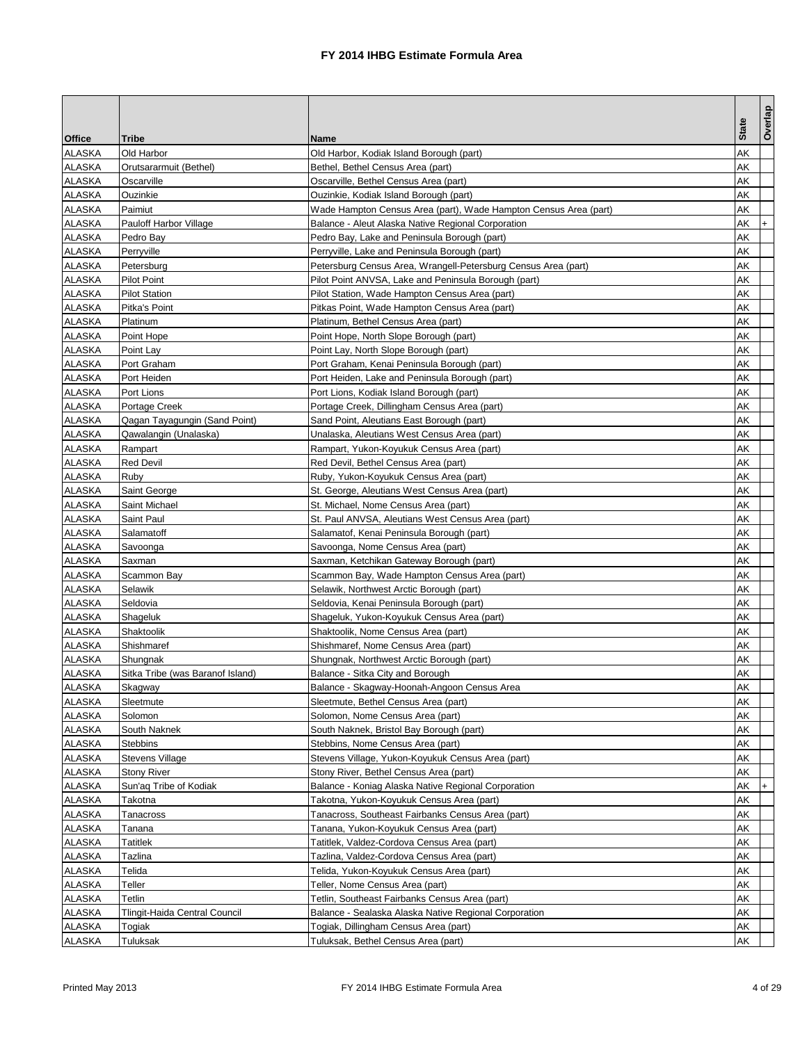|               |                                  |                                                                  |              | Overlap   |
|---------------|----------------------------------|------------------------------------------------------------------|--------------|-----------|
| <b>Office</b> | <b>Tribe</b>                     | Name                                                             | <b>State</b> |           |
| <b>ALASKA</b> | Old Harbor                       | Old Harbor, Kodiak Island Borough (part)                         | AΚ           |           |
| ALASKA        | Orutsararmuit (Bethel)           | Bethel, Bethel Census Area (part)                                | AΚ           |           |
| ALASKA        | Oscarville                       | Oscarville, Bethel Census Area (part)                            | AΚ           |           |
| <b>ALASKA</b> | Ouzinkie                         | Ouzinkie, Kodiak Island Borough (part)                           | AΚ           |           |
| ALASKA        | Paimiut                          | Wade Hampton Census Area (part), Wade Hampton Census Area (part) | AΚ           |           |
| ALASKA        | <b>Pauloff Harbor Village</b>    | Balance - Aleut Alaska Native Regional Corporation               | AΚ           | $+$       |
| <b>ALASKA</b> | Pedro Bay                        | Pedro Bay, Lake and Peninsula Borough (part)                     | AΚ           |           |
| ALASKA        | Perryville                       | Perryville, Lake and Peninsula Borough (part)                    | AΚ           |           |
| ALASKA        | Petersburg                       | Petersburg Census Area, Wrangell-Petersburg Census Area (part)   | AΚ           |           |
| <b>ALASKA</b> | <b>Pilot Point</b>               | Pilot Point ANVSA, Lake and Peninsula Borough (part)             | AΚ           |           |
| ALASKA        | <b>Pilot Station</b>             | Pilot Station, Wade Hampton Census Area (part)                   | AΚ           |           |
| ALASKA        | Pitka's Point                    | Pitkas Point, Wade Hampton Census Area (part)                    | AΚ           |           |
| ALASKA        | Platinum                         | Platinum, Bethel Census Area (part)                              | AΚ           |           |
| ALASKA        | Point Hope                       | Point Hope, North Slope Borough (part)                           | AΚ           |           |
| ALASKA        | Point Lay                        | Point Lay, North Slope Borough (part)                            | AΚ           |           |
| <b>ALASKA</b> | Port Graham                      | Port Graham, Kenai Peninsula Borough (part)                      | AΚ           |           |
| <b>ALASKA</b> | Port Heiden                      | Port Heiden, Lake and Peninsula Borough (part)                   | AΚ           |           |
| <b>ALASKA</b> | Port Lions                       | Port Lions, Kodiak Island Borough (part)                         | AΚ           |           |
| ALASKA        | Portage Creek                    | Portage Creek, Dillingham Census Area (part)                     | AΚ           |           |
| ALASKA        | Qagan Tayagungin (Sand Point)    | Sand Point, Aleutians East Borough (part)                        | AΚ           |           |
| ALASKA        | Qawalangin (Unalaska)            | Unalaska, Aleutians West Census Area (part)                      | AΚ           |           |
| ALASKA        | Rampart                          | Rampart, Yukon-Koyukuk Census Area (part)                        | AΚ           |           |
| <b>ALASKA</b> | <b>Red Devil</b>                 | Red Devil, Bethel Census Area (part)                             | AΚ           |           |
| ALASKA        | Ruby                             | Ruby, Yukon-Koyukuk Census Area (part)                           | AΚ           |           |
| ALASKA        | Saint George                     | St. George, Aleutians West Census Area (part)                    | AΚ           |           |
| ALASKA        | Saint Michael                    | St. Michael, Nome Census Area (part)                             | AΚ           |           |
| ALASKA        | Saint Paul                       | St. Paul ANVSA, Aleutians West Census Area (part)                | AΚ           |           |
| ALASKA        | Salamatoff                       | Salamatof, Kenai Peninsula Borough (part)                        | AΚ           |           |
| <b>ALASKA</b> | Savoonga                         | Savoonga, Nome Census Area (part)                                | AΚ           |           |
| ALASKA        | Saxman                           | Saxman, Ketchikan Gateway Borough (part)                         | AΚ           |           |
| <b>ALASKA</b> | Scammon Bay                      | Scammon Bay, Wade Hampton Census Area (part)                     | AΚ           |           |
| <b>ALASKA</b> | Selawik                          | Selawik, Northwest Arctic Borough (part)                         | AΚ           |           |
| ALASKA        | Seldovia                         | Seldovia, Kenai Peninsula Borough (part)                         | AΚ           |           |
| ALASKA        | Shageluk                         | Shageluk, Yukon-Koyukuk Census Area (part)                       | AΚ           |           |
| <b>ALASKA</b> | Shaktoolik                       | Shaktoolik, Nome Census Area (part)                              | AΚ           |           |
| <b>ALASKA</b> | Shishmaref                       | Shishmaref, Nome Census Area (part)                              | AΚ           |           |
| <b>ALASKA</b> | Shungnak                         | Shungnak, Northwest Arctic Borough (part)                        | AΚ           |           |
| ALASKA        | Sitka Tribe (was Baranof Island) | Balance - Sitka City and Borough                                 | AΚ           |           |
| ALASKA        | Skagway                          | Balance - Skagway-Hoonah-Angoon Census Area                      | AK           |           |
| ALASKA        | Sleetmute                        | Sleetmute, Bethel Census Area (part)                             | AK           |           |
| <b>ALASKA</b> | Solomon                          | Solomon, Nome Census Area (part)                                 | AΚ           |           |
| ALASKA        | South Naknek                     | South Naknek, Bristol Bay Borough (part)                         | АK           |           |
| ALASKA        | <b>Stebbins</b>                  | Stebbins, Nome Census Area (part)                                | AΚ           |           |
| <b>ALASKA</b> | <b>Stevens Village</b>           | Stevens Village, Yukon-Koyukuk Census Area (part)                | АK           |           |
| <b>ALASKA</b> | <b>Stony River</b>               | Stony River, Bethel Census Area (part)                           | AΚ           |           |
| ALASKA        | Sun'aq Tribe of Kodiak           | Balance - Koniag Alaska Native Regional Corporation              | АK           | $\ddot{}$ |
| ALASKA        | Takotna                          | Takotna, Yukon-Koyukuk Census Area (part)                        | AΚ           |           |
| <b>ALASKA</b> | Tanacross                        | Tanacross, Southeast Fairbanks Census Area (part)                | AΚ           |           |
| <b>ALASKA</b> | Tanana                           | Tanana, Yukon-Koyukuk Census Area (part)                         | AΚ           |           |
| <b>ALASKA</b> | Tatitlek                         | Tatitlek, Valdez-Cordova Census Area (part)                      | AΚ           |           |
| ALASKA        | Tazlina                          | Tazlina, Valdez-Cordova Census Area (part)                       | AΚ           |           |
| ALASKA        | Telida                           | Telida, Yukon-Koyukuk Census Area (part)                         | AΚ           |           |
| <b>ALASKA</b> | Teller                           | Teller, Nome Census Area (part)                                  | AΚ           |           |
| <b>ALASKA</b> | Tetlin                           | Tetlin, Southeast Fairbanks Census Area (part)                   | AΚ           |           |
| ALASKA        | Tlingit-Haida Central Council    | Balance - Sealaska Alaska Native Regional Corporation            | AΚ           |           |
| ALASKA        | Togiak                           | Togiak, Dillingham Census Area (part)                            | AΚ           |           |
| <b>ALASKA</b> | Tuluksak                         | Tuluksak, Bethel Census Area (part)                              | AK           |           |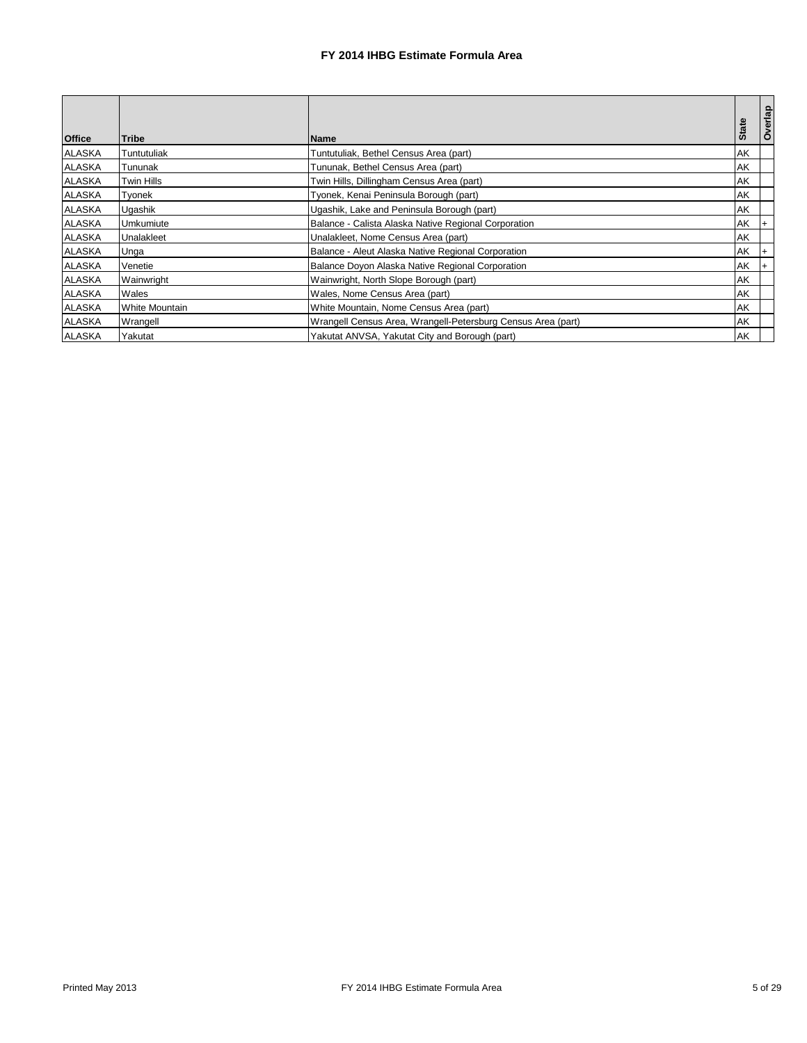| <b>Office</b> | <b>Tribe</b>          | <b>Name</b>                                                  | <b>State</b> | Overlap |
|---------------|-----------------------|--------------------------------------------------------------|--------------|---------|
| <b>ALASKA</b> | Tuntutuliak           | Tuntutuliak, Bethel Census Area (part)                       | AK           |         |
| <b>ALASKA</b> | Tununak               | Tununak, Bethel Census Area (part)                           | AK           |         |
| <b>ALASKA</b> | <b>Twin Hills</b>     | Twin Hills, Dillingham Census Area (part)                    | AK           |         |
| <b>ALASKA</b> | Tyonek                | Tyonek, Kenai Peninsula Borough (part)                       | AK           |         |
| <b>ALASKA</b> | Ugashik               | Ugashik, Lake and Peninsula Borough (part)                   | AK           |         |
| <b>ALASKA</b> | Umkumiute             | Balance - Calista Alaska Native Regional Corporation         | AK           | $+$     |
| <b>ALASKA</b> | Unalakleet            | Unalakleet, Nome Census Area (part)                          | AK           |         |
| <b>ALASKA</b> | Unga                  | Balance - Aleut Alaska Native Regional Corporation           | AK           | $+$     |
| <b>ALASKA</b> | Venetie               | Balance Doyon Alaska Native Regional Corporation             | AK           | $+$     |
| <b>ALASKA</b> | Wainwright            | Wainwright, North Slope Borough (part)                       | AK           |         |
| <b>ALASKA</b> | Wales                 | Wales, Nome Census Area (part)                               | AK           |         |
| <b>ALASKA</b> | <b>White Mountain</b> | White Mountain, Nome Census Area (part)                      | AK           |         |
| <b>ALASKA</b> | Wrangell              | Wrangell Census Area, Wrangell-Petersburg Census Area (part) | AK           |         |
| <b>ALASKA</b> | Yakutat               | Yakutat ANVSA, Yakutat City and Borough (part)               | AK           |         |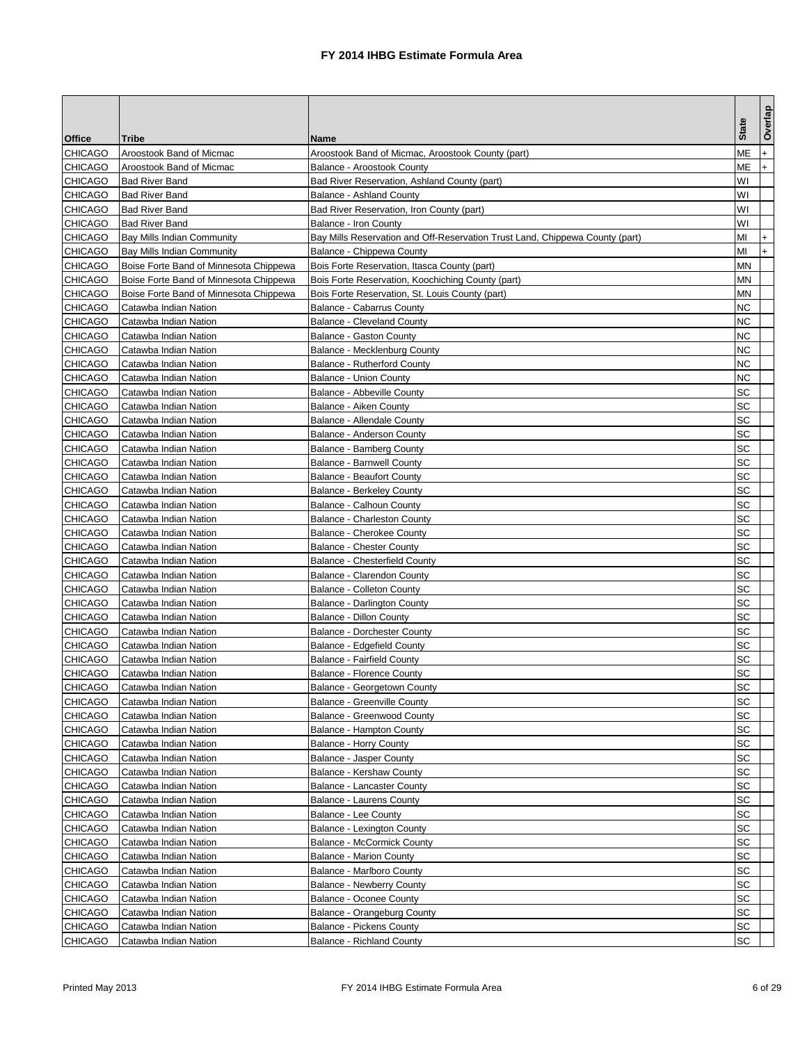|                                  |                                                |                                                                              | <b>State</b> | Overlap   |
|----------------------------------|------------------------------------------------|------------------------------------------------------------------------------|--------------|-----------|
| <b>Office</b>                    | <b>Tribe</b>                                   | Name                                                                         |              |           |
| <b>CHICAGO</b>                   | Aroostook Band of Micmac                       | Aroostook Band of Micmac, Aroostook County (part)                            | МЕ           | $\ddot{}$ |
| <b>CHICAGO</b>                   | Aroostook Band of Micmac                       | Balance - Aroostook County                                                   | ΜЕ           | $+$       |
| <b>CHICAGO</b>                   | <b>Bad River Band</b>                          | Bad River Reservation, Ashland County (part)                                 | W١           |           |
| <b>CHICAGO</b>                   | <b>Bad River Band</b>                          | <b>Balance - Ashland County</b>                                              | W١           |           |
| <b>CHICAGO</b>                   | <b>Bad River Band</b>                          | Bad River Reservation, Iron County (part)                                    | W١           |           |
| <b>CHICAGO</b>                   | <b>Bad River Band</b>                          | Balance - Iron County                                                        | W١           |           |
| <b>CHICAGO</b>                   | <b>Bay Mills Indian Community</b>              | Bay Mills Reservation and Off-Reservation Trust Land, Chippewa County (part) | MI           | $\ddot{}$ |
| <b>CHICAGO</b>                   | Bay Mills Indian Community                     | Balance - Chippewa County                                                    | MI           | $+$       |
| <b>CHICAGO</b>                   | Boise Forte Band of Minnesota Chippewa         | Bois Forte Reservation, Itasca County (part)                                 | MΝ           |           |
| <b>CHICAGO</b>                   | Boise Forte Band of Minnesota Chippewa         | Bois Forte Reservation, Koochiching County (part)                            | ΜN           |           |
| <b>CHICAGO</b>                   | Boise Forte Band of Minnesota Chippewa         | Bois Forte Reservation, St. Louis County (part)                              | MΝ           |           |
| <b>CHICAGO</b>                   | Catawba Indian Nation                          | <b>Balance - Cabarrus County</b>                                             | ΝC           |           |
| <b>CHICAGO</b>                   | Catawba Indian Nation                          | <b>Balance - Cleveland County</b>                                            | NC           |           |
| <b>CHICAGO</b>                   | Catawba Indian Nation                          | <b>Balance - Gaston County</b>                                               | ΝC           |           |
| <b>CHICAGO</b>                   | Catawba Indian Nation                          | Balance - Mecklenburg County                                                 | ΝC           |           |
| <b>CHICAGO</b>                   | Catawba Indian Nation                          | <b>Balance - Rutherford County</b>                                           | ΝC           |           |
| <b>CHICAGO</b>                   | Catawba Indian Nation                          | <b>Balance - Union County</b>                                                | ΝC           |           |
| <b>CHICAGO</b>                   | Catawba Indian Nation                          | <b>Balance - Abbeville County</b>                                            | SC           |           |
| <b>CHICAGO</b>                   | Catawba Indian Nation                          | Balance - Aiken County                                                       | SC           |           |
| <b>CHICAGO</b>                   | Catawba Indian Nation                          | Balance - Allendale County                                                   | SC           |           |
| <b>CHICAGO</b>                   | Catawba Indian Nation                          | Balance - Anderson County                                                    | SC           |           |
| <b>CHICAGO</b>                   | Catawba Indian Nation                          | Balance - Bamberg County                                                     | SC           |           |
| <b>CHICAGO</b>                   | Catawba Indian Nation                          | <b>Balance - Barnwell County</b>                                             | SC           |           |
| <b>CHICAGO</b>                   | Catawba Indian Nation                          | <b>Balance - Beaufort County</b>                                             | SC           |           |
| <b>CHICAGO</b>                   | Catawba Indian Nation                          | <b>Balance - Berkeley County</b>                                             | SC           |           |
| <b>CHICAGO</b>                   | Catawba Indian Nation                          | Balance - Calhoun County                                                     | SC           |           |
| <b>CHICAGO</b>                   | Catawba Indian Nation                          | Balance - Charleston County                                                  | SC           |           |
| <b>CHICAGO</b>                   | Catawba Indian Nation                          | Balance - Cherokee County                                                    | SC           |           |
| <b>CHICAGO</b>                   | Catawba Indian Nation                          | <b>Balance - Chester County</b>                                              | SC           |           |
| <b>CHICAGO</b>                   | Catawba Indian Nation                          | <b>Balance - Chesterfield County</b>                                         | SC           |           |
| <b>CHICAGO</b>                   | Catawba Indian Nation                          | Balance - Clarendon County                                                   | SC<br>SC     |           |
| <b>CHICAGO</b>                   | Catawba Indian Nation                          | <b>Balance - Colleton County</b>                                             |              |           |
| <b>CHICAGO</b>                   | Catawba Indian Nation                          | Balance - Darlington County                                                  | SC<br>SC     |           |
| <b>CHICAGO</b>                   | Catawba Indian Nation                          | <b>Balance - Dillon County</b>                                               |              |           |
| <b>CHICAGO</b>                   | Catawba Indian Nation                          | <b>Balance - Dorchester County</b>                                           | SC<br>SC     |           |
| <b>CHICAGO</b>                   | Catawba Indian Nation                          | Balance - Edgefield County                                                   |              |           |
| <b>CHICAGO</b><br><b>CHICAGO</b> | Catawba Indian Nation                          | <b>Balance - Fairfield County</b>                                            | SC<br>SC     |           |
| <b>CHICAGO</b>                   | Catawba Indian Nation<br>Catawba Indian Nation | <b>Balance - Florence County</b><br>Balance - Georgetown County              | <b>SC</b>    |           |
|                                  |                                                |                                                                              | SC           |           |
| <b>CHICAGO</b><br><b>CHICAGO</b> | Catawba Indian Nation<br>Catawba Indian Nation | Balance - Greenville County<br>Balance - Greenwood County                    | SC           |           |
|                                  |                                                | Balance - Hampton County                                                     | SC           |           |
| <b>CHICAGO</b><br><b>CHICAGO</b> | Catawba Indian Nation<br>Catawba Indian Nation | <b>Balance - Horry County</b>                                                | SC           |           |
| <b>CHICAGO</b>                   | Catawba Indian Nation                          | <b>Balance - Jasper County</b>                                               | SC           |           |
| <b>CHICAGO</b>                   | Catawba Indian Nation                          | Balance - Kershaw County                                                     | SC           |           |
| <b>CHICAGO</b>                   | Catawba Indian Nation                          | Balance - Lancaster County                                                   | SC           |           |
| <b>CHICAGO</b>                   | Catawba Indian Nation                          | Balance - Laurens County                                                     | SC           |           |
| <b>CHICAGO</b>                   |                                                | Balance - Lee County                                                         | SC           |           |
| <b>CHICAGO</b>                   | Catawba Indian Nation<br>Catawba Indian Nation | Balance - Lexington County                                                   | SC           |           |
| <b>CHICAGO</b>                   | Catawba Indian Nation                          | <b>Balance - McCormick County</b>                                            | SC           |           |
| <b>CHICAGO</b>                   | Catawba Indian Nation                          | <b>Balance - Marion County</b>                                               | SC           |           |
| <b>CHICAGO</b>                   | Catawba Indian Nation                          | Balance - Marlboro County                                                    | SC           |           |
| <b>CHICAGO</b>                   | Catawba Indian Nation                          | <b>Balance - Newberry County</b>                                             | SC           |           |
| <b>CHICAGO</b>                   | Catawba Indian Nation                          | <b>Balance - Oconee County</b>                                               | SC           |           |
| <b>CHICAGO</b>                   | Catawba Indian Nation                          | Balance - Orangeburg County                                                  | SC           |           |
| <b>CHICAGO</b>                   | Catawba Indian Nation                          | <b>Balance - Pickens County</b>                                              | SC           |           |
| <b>CHICAGO</b>                   |                                                |                                                                              | SC           |           |
|                                  | Catawba Indian Nation                          | <b>Balance - Richland County</b>                                             |              |           |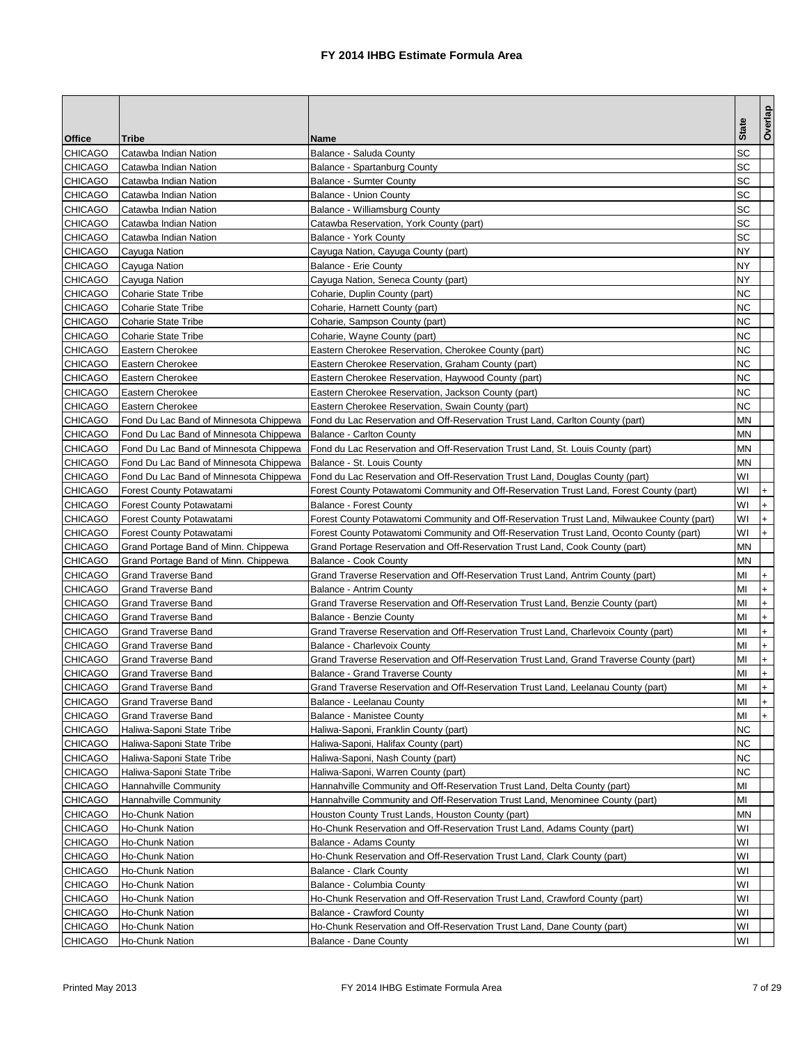|                |                                        |                                                                                            | <b>State</b> | Overlap   |
|----------------|----------------------------------------|--------------------------------------------------------------------------------------------|--------------|-----------|
| Office         | <b>Tribe</b>                           | Name                                                                                       |              |           |
| <b>CHICAGO</b> | Catawba Indian Nation                  | Balance - Saluda County                                                                    | SC           |           |
| <b>CHICAGO</b> | Catawba Indian Nation                  | Balance - Spartanburg County                                                               | SC           |           |
| <b>CHICAGO</b> | Catawba Indian Nation                  | <b>Balance - Sumter County</b>                                                             | SC           |           |
| <b>CHICAGO</b> | Catawba Indian Nation                  | <b>Balance - Union County</b>                                                              | SC           |           |
| <b>CHICAGO</b> | Catawba Indian Nation                  | Balance - Williamsburg County                                                              | SC           |           |
| <b>CHICAGO</b> | Catawba Indian Nation                  | Catawba Reservation, York County (part)                                                    | SC           |           |
| <b>CHICAGO</b> | Catawba Indian Nation                  | <b>Balance - York County</b>                                                               | SC           |           |
| <b>CHICAGO</b> | Cayuga Nation                          | Cayuga Nation, Cayuga County (part)                                                        | NY           |           |
| <b>CHICAGO</b> | Cayuga Nation                          | <b>Balance - Erie County</b>                                                               | <b>NY</b>    |           |
| <b>CHICAGO</b> | Cayuga Nation                          | Cayuga Nation, Seneca County (part)                                                        | NY           |           |
| <b>CHICAGO</b> | <b>Coharie State Tribe</b>             | Coharie, Duplin County (part)                                                              | ΝC           |           |
| <b>CHICAGO</b> | <b>Coharie State Tribe</b>             | Coharie, Harnett County (part)                                                             | ΝC           |           |
| <b>CHICAGO</b> | <b>Coharie State Tribe</b>             | Coharie, Sampson County (part)                                                             | NC           |           |
| <b>CHICAGO</b> | <b>Coharie State Tribe</b>             | Coharie, Wayne County (part)                                                               | ΝC           |           |
| <b>CHICAGO</b> | Eastern Cherokee                       | Eastern Cherokee Reservation, Cherokee County (part)                                       | ΝC           |           |
| <b>CHICAGO</b> | Eastern Cherokee                       | Eastern Cherokee Reservation, Graham County (part)                                         | ΝC           |           |
| <b>CHICAGO</b> | Eastern Cherokee                       | Eastern Cherokee Reservation, Haywood County (part)                                        | <b>NC</b>    |           |
| <b>CHICAGO</b> | Eastern Cherokee                       | Eastern Cherokee Reservation, Jackson County (part)                                        | NС           |           |
| <b>CHICAGO</b> | Eastern Cherokee                       | Eastern Cherokee Reservation, Swain County (part)                                          | ΝC           |           |
| <b>CHICAGO</b> | Fond Du Lac Band of Minnesota Chippewa | Fond du Lac Reservation and Off-Reservation Trust Land, Carlton County (part)              | ΜN           |           |
| <b>CHICAGO</b> | Fond Du Lac Band of Minnesota Chippewa | <b>Balance - Carlton County</b>                                                            | MΝ           |           |
| <b>CHICAGO</b> | Fond Du Lac Band of Minnesota Chippewa | Fond du Lac Reservation and Off-Reservation Trust Land, St. Louis County (part)            | ΜN           |           |
| <b>CHICAGO</b> | Fond Du Lac Band of Minnesota Chippewa | Balance - St. Louis County                                                                 | MΝ           |           |
| <b>CHICAGO</b> | Fond Du Lac Band of Minnesota Chippewa | Fond du Lac Reservation and Off-Reservation Trust Land, Douglas County (part)              | W١           |           |
| <b>CHICAGO</b> | <b>Forest County Potawatami</b>        | Forest County Potawatomi Community and Off-Reservation Trust Land, Forest County (part)    | W١           | $\ddot{}$ |
| <b>CHICAGO</b> | Forest County Potawatami               | <b>Balance - Forest County</b>                                                             | W١           | $+$       |
| <b>CHICAGO</b> | Forest County Potawatami               | Forest County Potawatomi Community and Off-Reservation Trust Land, Milwaukee County (part) | WI           | $\ddot{}$ |
| <b>CHICAGO</b> | Forest County Potawatami               | Forest County Potawatomi Community and Off-Reservation Trust Land, Oconto County (part)    | W١           | $+$       |
| <b>CHICAGO</b> | Grand Portage Band of Minn. Chippewa   | Grand Portage Reservation and Off-Reservation Trust Land, Cook County (part)               | ΜN           |           |
| <b>CHICAGO</b> | Grand Portage Band of Minn. Chippewa   | Balance - Cook County                                                                      | MΝ           |           |
| <b>CHICAGO</b> | <b>Grand Traverse Band</b>             | Grand Traverse Reservation and Off-Reservation Trust Land, Antrim County (part)            | MI           | $\ddot{}$ |
| <b>CHICAGO</b> | <b>Grand Traverse Band</b>             | Balance - Antrim County                                                                    | MI           | $\ddot{}$ |
| <b>CHICAGO</b> | <b>Grand Traverse Band</b>             | Grand Traverse Reservation and Off-Reservation Trust Land, Benzie County (part)            | MI           | $+$       |
| <b>CHICAGO</b> | <b>Grand Traverse Band</b>             | <b>Balance - Benzie County</b>                                                             | MI           | $\pmb{+}$ |
| <b>CHICAGO</b> | <b>Grand Traverse Band</b>             | Grand Traverse Reservation and Off-Reservation Trust Land, Charlevoix County (part)        | MI           | $\ddot{}$ |
| <b>CHICAGO</b> | <b>Grand Traverse Band</b>             | Balance - Charlevoix County                                                                | MI           | $+$       |
| <b>CHICAGO</b> | <b>Grand Traverse Band</b>             | Grand Traverse Reservation and Off-Reservation Trust Land, Grand Traverse County (part)    | MI           | $\ddot{}$ |
| <b>CHICAGO</b> | <b>Grand Traverse Band</b>             | Balance - Grand Traverse County                                                            | MI           | $\ddot{}$ |
| <b>CHICAGO</b> | <b>Grand Traverse Band</b>             | Grand Traverse Reservation and Off-Reservation Trust Land, Leelanau County (part)          | MI           | $ + $     |
| <b>CHICAGO</b> | Grand Traverse Band                    | Balance - Leelanau County                                                                  | MI           | $+$       |
| <b>CHICAGO</b> | <b>Grand Traverse Band</b>             | <b>Balance - Manistee County</b>                                                           | MI           | $+$       |
| <b>CHICAGO</b> | Haliwa-Saponi State Tribe              | Haliwa-Saponi, Franklin County (part)                                                      | NC           |           |
| <b>CHICAGO</b> | Haliwa-Saponi State Tribe              | Haliwa-Saponi, Halifax County (part)                                                       | ΝC           |           |
| <b>CHICAGO</b> | Haliwa-Saponi State Tribe              | Haliwa-Saponi, Nash County (part)                                                          | ΝC           |           |
| <b>CHICAGO</b> | Haliwa-Saponi State Tribe              | Haliwa-Saponi, Warren County (part)                                                        | NC           |           |
| <b>CHICAGO</b> | Hannahville Community                  | Hannahville Community and Off-Reservation Trust Land, Delta County (part)                  | MI           |           |
| CHICAGO        | Hannahville Community                  | Hannahville Community and Off-Reservation Trust Land, Menominee County (part)              | ΜI           |           |
| <b>CHICAGO</b> | Ho-Chunk Nation                        | Houston County Trust Lands, Houston County (part)                                          | ΜN           |           |
| <b>CHICAGO</b> | Ho-Chunk Nation                        | Ho-Chunk Reservation and Off-Reservation Trust Land, Adams County (part)                   | W١           |           |
| <b>CHICAGO</b> | Ho-Chunk Nation                        | Balance - Adams County                                                                     | W١           |           |
| <b>CHICAGO</b> | Ho-Chunk Nation                        | Ho-Chunk Reservation and Off-Reservation Trust Land, Clark County (part)                   | W١           |           |
| <b>CHICAGO</b> | Ho-Chunk Nation                        | <b>Balance - Clark County</b>                                                              | W١           |           |
| <b>CHICAGO</b> | Ho-Chunk Nation                        | Balance - Columbia County                                                                  | W١           |           |
| <b>CHICAGO</b> | Ho-Chunk Nation                        | Ho-Chunk Reservation and Off-Reservation Trust Land, Crawford County (part)                | W١           |           |
| <b>CHICAGO</b> | Ho-Chunk Nation                        | <b>Balance - Crawford County</b>                                                           | W١           |           |
| <b>CHICAGO</b> | Ho-Chunk Nation                        | Ho-Chunk Reservation and Off-Reservation Trust Land, Dane County (part)                    | W١           |           |
| <b>CHICAGO</b> | Ho-Chunk Nation                        | Balance - Dane County                                                                      | W١           |           |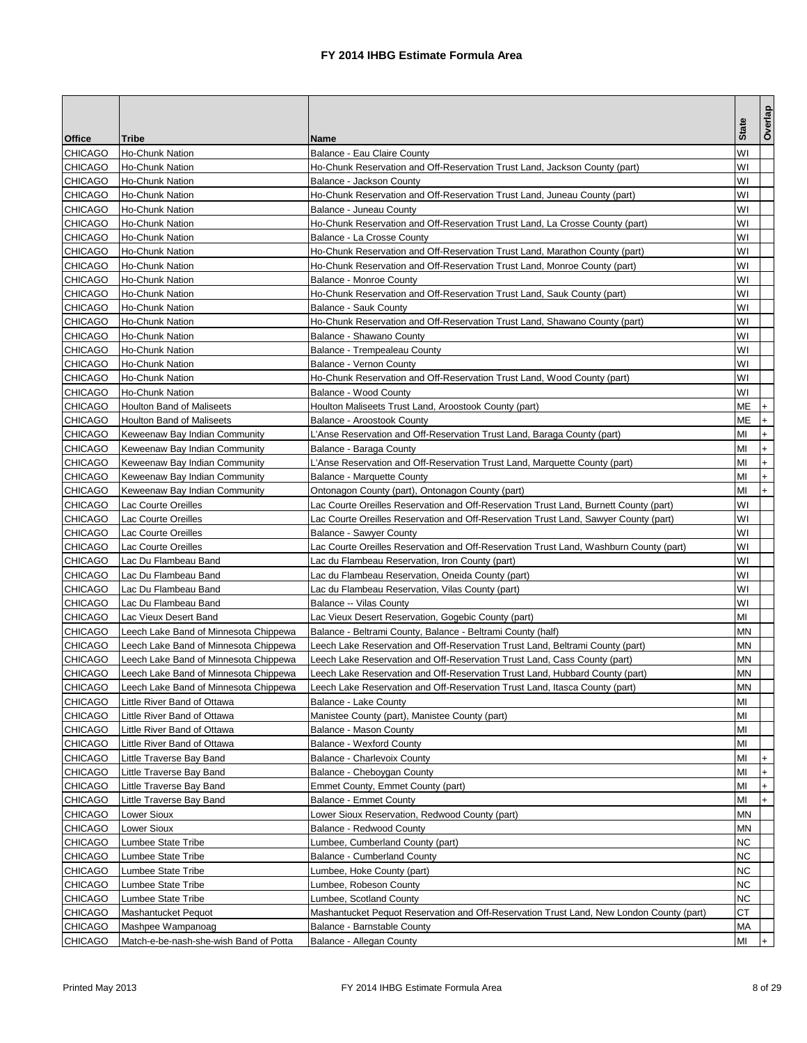|                |                                        |                                                                                          |                        | Overlap   |
|----------------|----------------------------------------|------------------------------------------------------------------------------------------|------------------------|-----------|
| Office         | Tribe                                  | Name                                                                                     | <b>State</b>           |           |
| <b>CHICAGO</b> | <b>Ho-Chunk Nation</b>                 | Balance - Eau Claire County                                                              | W١                     |           |
| <b>CHICAGO</b> | Ho-Chunk Nation                        | Ho-Chunk Reservation and Off-Reservation Trust Land, Jackson County (part)               | W١                     |           |
| <b>CHICAGO</b> | Ho-Chunk Nation                        | Balance - Jackson County                                                                 | W١                     |           |
| <b>CHICAGO</b> | Ho-Chunk Nation                        | Ho-Chunk Reservation and Off-Reservation Trust Land, Juneau County (part)                | W١                     |           |
| <b>CHICAGO</b> | Ho-Chunk Nation                        | Balance - Juneau County                                                                  | W١                     |           |
| <b>CHICAGO</b> | <b>Ho-Chunk Nation</b>                 | Ho-Chunk Reservation and Off-Reservation Trust Land, La Crosse County (part)             | W١                     |           |
| CHICAGO        | Ho-Chunk Nation                        | Balance - La Crosse County                                                               | W١                     |           |
| <b>CHICAGO</b> | <b>Ho-Chunk Nation</b>                 | Ho-Chunk Reservation and Off-Reservation Trust Land, Marathon County (part)              | W١                     |           |
| CHICAGO        | Ho-Chunk Nation                        | Ho-Chunk Reservation and Off-Reservation Trust Land, Monroe County (part)                | W١                     |           |
| <b>CHICAGO</b> | Ho-Chunk Nation                        | Balance - Monroe County                                                                  | W١                     |           |
| <b>CHICAGO</b> | Ho-Chunk Nation                        | Ho-Chunk Reservation and Off-Reservation Trust Land, Sauk County (part)                  | W١                     |           |
| <b>CHICAGO</b> | Ho-Chunk Nation                        | Balance - Sauk County                                                                    | W١                     |           |
| <b>CHICAGO</b> | Ho-Chunk Nation                        | Ho-Chunk Reservation and Off-Reservation Trust Land, Shawano County (part)               | W١                     |           |
| <b>CHICAGO</b> | Ho-Chunk Nation                        | Balance - Shawano County                                                                 | W١                     |           |
| <b>CHICAGO</b> | Ho-Chunk Nation                        | Balance - Trempealeau County                                                             | W١                     |           |
| CHICAGO        | Ho-Chunk Nation                        | Balance - Vernon County                                                                  | W١                     |           |
| <b>CHICAGO</b> | Ho-Chunk Nation                        | Ho-Chunk Reservation and Off-Reservation Trust Land, Wood County (part)                  | W١                     |           |
| CHICAGO        | Ho-Chunk Nation                        | Balance - Wood County                                                                    | W١                     |           |
| <b>CHICAGO</b> | <b>Houlton Band of Maliseets</b>       | Houlton Maliseets Trust Land, Aroostook County (part)                                    | МE                     | $+$       |
| <b>CHICAGO</b> | <b>Houlton Band of Maliseets</b>       | Balance - Aroostook County                                                               | ΜЕ                     | $\ddot{}$ |
| <b>CHICAGO</b> | Keweenaw Bay Indian Community          | L'Anse Reservation and Off-Reservation Trust Land, Baraga County (part)                  | MI                     | $\ddot{}$ |
| <b>CHICAGO</b> | Keweenaw Bay Indian Community          | Balance - Baraga County                                                                  | MI                     | $\ddot{}$ |
| <b>CHICAGO</b> | Keweenaw Bay Indian Community          | L'Anse Reservation and Off-Reservation Trust Land, Marquette County (part)               | ΜI                     | $\ddot{}$ |
| <b>CHICAGO</b> | Keweenaw Bay Indian Community          | Balance - Marquette County                                                               | MI                     | $\ddot{}$ |
| CHICAGO        | Keweenaw Bay Indian Community          | Ontonagon County (part), Ontonagon County (part)                                         | MI                     | $+$       |
| <b>CHICAGO</b> | Lac Courte Oreilles                    | Lac Courte Oreilles Reservation and Off-Reservation Trust Land, Burnett County (part)    | WI                     |           |
| <b>CHICAGO</b> | Lac Courte Oreilles                    | Lac Courte Oreilles Reservation and Off-Reservation Trust Land, Sawyer County (part)     | W١                     |           |
| <b>CHICAGO</b> | Lac Courte Oreilles                    | Balance - Sawyer County                                                                  | W١                     |           |
| <b>CHICAGO</b> | Lac Courte Oreilles                    | Lac Courte Oreilles Reservation and Off-Reservation Trust Land, Washburn County (part)   | W١                     |           |
| <b>CHICAGO</b> | Lac Du Flambeau Band                   | Lac du Flambeau Reservation, Iron County (part)                                          | W١                     |           |
| <b>CHICAGO</b> | Lac Du Flambeau Band                   | Lac du Flambeau Reservation, Oneida County (part)                                        | WI                     |           |
| <b>CHICAGO</b> | Lac Du Flambeau Band                   | Lac du Flambeau Reservation, Vilas County (part)                                         | W١                     |           |
| <b>CHICAGO</b> | Lac Du Flambeau Band                   | Balance -- Vilas County                                                                  | W١                     |           |
| <b>CHICAGO</b> | Lac Vieux Desert Band                  | Lac Vieux Desert Reservation, Gogebic County (part)                                      | MI                     |           |
| <b>CHICAGO</b> | Leech Lake Band of Minnesota Chippewa  | Balance - Beltrami County, Balance - Beltrami County (half)                              | MΝ                     |           |
| <b>CHICAGO</b> | Leech Lake Band of Minnesota Chippewa  | Leech Lake Reservation and Off-Reservation Trust Land, Beltrami County (part)            | ΜN                     |           |
| <b>CHICAGO</b> | Leech Lake Band of Minnesota Chippewa  | Leech Lake Reservation and Off-Reservation Trust Land, Cass County (part)                | MΝ                     |           |
| <b>CHICAGO</b> | Leech Lake Band of Minnesota Chippewa  | Leech Lake Reservation and Off-Reservation Trust Land, Hubbard County (part)             | MΝ                     |           |
| <b>CHICAGO</b> | Leech Lake Band of Minnesota Chippewa  | Leech Lake Reservation and Off-Reservation Trust Land, Itasca County (part)              | $\mathsf{M}\mathsf{N}$ |           |
| <b>CHICAGO</b> | Little River Band of Ottawa            | Balance - Lake County                                                                    | MI                     |           |
| CHICAGO        | Little River Band of Ottawa            | Manistee County (part), Manistee County (part)                                           | MI                     |           |
| <b>CHICAGO</b> | Little River Band of Ottawa            | Balance - Mason County                                                                   | MI                     |           |
| <b>CHICAGO</b> | Little River Band of Ottawa            | <b>Balance - Wexford County</b>                                                          | ΜI                     |           |
| CHICAGO        | Little Traverse Bay Band               | <b>Balance - Charlevoix County</b>                                                       | MI                     | $\ddot{}$ |
| CHICAGO        | Little Traverse Bay Band               | Balance - Cheboygan County                                                               | MI                     | $\ddot{}$ |
| <b>CHICAGO</b> | Little Traverse Bay Band               | Emmet County, Emmet County (part)                                                        | MI                     | $\ddot{}$ |
| <b>CHICAGO</b> | Little Traverse Bay Band               | Balance - Emmet County                                                                   | MI                     | $\ddot{}$ |
| <b>CHICAGO</b> | Lower Sioux                            | Lower Sioux Reservation, Redwood County (part)                                           | ΜN                     |           |
| CHICAGO        | <b>Lower Sioux</b>                     | Balance - Redwood County                                                                 | ΜN                     |           |
| <b>CHICAGO</b> | Lumbee State Tribe                     | Lumbee, Cumberland County (part)                                                         | ΝC                     |           |
| CHICAGO        | Lumbee State Tribe                     | <b>Balance - Cumberland County</b>                                                       | NC                     |           |
| CHICAGO        | Lumbee State Tribe                     | Lumbee, Hoke County (part)                                                               | ΝC                     |           |
| CHICAGO        | Lumbee State Tribe                     | Lumbee, Robeson County                                                                   | ΝC                     |           |
| CHICAGO        | Lumbee State Tribe                     | Lumbee, Scotland County                                                                  | ΝC                     |           |
| CHICAGO        | Mashantucket Pequot                    | Mashantucket Pequot Reservation and Off-Reservation Trust Land, New London County (part) | СT                     |           |
| <b>CHICAGO</b> | Mashpee Wampanoag                      | Balance - Barnstable County                                                              | МA                     |           |
| <b>CHICAGO</b> | Match-e-be-nash-she-wish Band of Potta | Balance - Allegan County                                                                 | MI                     |           |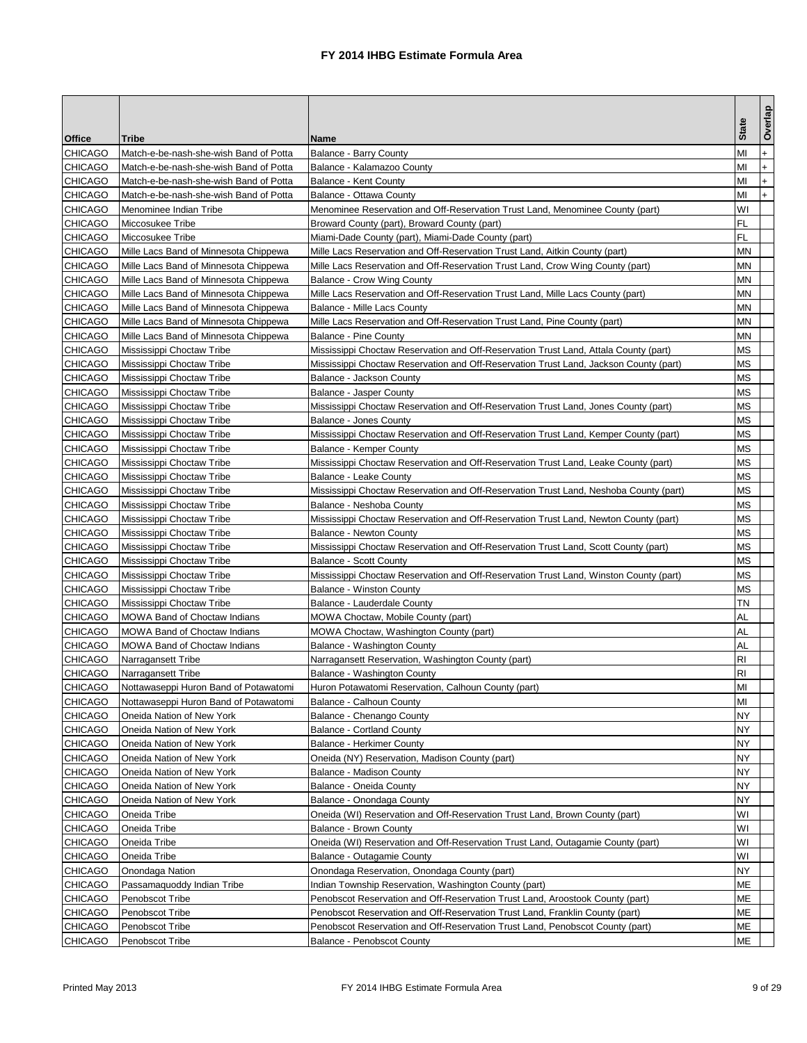|                |                                        |                                                                                       | <b>State</b> | Overlap   |
|----------------|----------------------------------------|---------------------------------------------------------------------------------------|--------------|-----------|
| Office         | Tribe                                  | Name                                                                                  |              |           |
| <b>CHICAGO</b> | Match-e-be-nash-she-wish Band of Potta | Balance - Barry County                                                                | MI           | $\ddot{}$ |
| <b>CHICAGO</b> | Match-e-be-nash-she-wish Band of Potta | Balance - Kalamazoo County                                                            | MI           | $\ddot{}$ |
| <b>CHICAGO</b> | Match-e-be-nash-she-wish Band of Potta | Balance - Kent County                                                                 | MI           | $+$       |
| <b>CHICAGO</b> | Match-e-be-nash-she-wish Band of Potta | Balance - Ottawa County                                                               | MI           | $+$       |
| <b>CHICAGO</b> | Menominee Indian Tribe                 | Menominee Reservation and Off-Reservation Trust Land, Menominee County (part)         | W١           |           |
| <b>CHICAGO</b> | Miccosukee Tribe                       | Broward County (part), Broward County (part)                                          | FL           |           |
| CHICAGO        | Miccosukee Tribe                       | Miami-Dade County (part), Miami-Dade County (part)                                    | FL           |           |
| <b>CHICAGO</b> | Mille Lacs Band of Minnesota Chippewa  | Mille Lacs Reservation and Off-Reservation Trust Land, Aitkin County (part)           | ΜN           |           |
| <b>CHICAGO</b> | Mille Lacs Band of Minnesota Chippewa  | Mille Lacs Reservation and Off-Reservation Trust Land, Crow Wing County (part)        | MΝ           |           |
| <b>CHICAGO</b> | Mille Lacs Band of Minnesota Chippewa  | Balance - Crow Wing County                                                            | ΜN           |           |
| CHICAGO        | Mille Lacs Band of Minnesota Chippewa  | Mille Lacs Reservation and Off-Reservation Trust Land, Mille Lacs County (part)       | MΝ           |           |
| <b>CHICAGO</b> | Mille Lacs Band of Minnesota Chippewa  | Balance - Mille Lacs County                                                           | MΝ           |           |
| <b>CHICAGO</b> | Mille Lacs Band of Minnesota Chippewa  | Mille Lacs Reservation and Off-Reservation Trust Land, Pine County (part)             | MΝ           |           |
| <b>CHICAGO</b> | Mille Lacs Band of Minnesota Chippewa  | <b>Balance - Pine County</b>                                                          | MΝ           |           |
| <b>CHICAGO</b> | Mississippi Choctaw Tribe              | Mississippi Choctaw Reservation and Off-Reservation Trust Land, Attala County (part)  | МS           |           |
| <b>CHICAGO</b> | Mississippi Choctaw Tribe              | Mississippi Choctaw Reservation and Off-Reservation Trust Land, Jackson County (part) | МS           |           |
| <b>CHICAGO</b> | Mississippi Choctaw Tribe              | Balance - Jackson County                                                              | ΜS           |           |
| <b>CHICAGO</b> | Mississippi Choctaw Tribe              | <b>Balance - Jasper County</b>                                                        | ΜS           |           |
| <b>CHICAGO</b> | Mississippi Choctaw Tribe              | Mississippi Choctaw Reservation and Off-Reservation Trust Land, Jones County (part)   | ΜS           |           |
| <b>CHICAGO</b> | Mississippi Choctaw Tribe              | Balance - Jones County                                                                | ΜS           |           |
| <b>CHICAGO</b> | Mississippi Choctaw Tribe              | Mississippi Choctaw Reservation and Off-Reservation Trust Land, Kemper County (part)  | <b>MS</b>    |           |
| CHICAGO        | Mississippi Choctaw Tribe              | Balance - Kemper County                                                               | МS           |           |
| <b>CHICAGO</b> | Mississippi Choctaw Tribe              | Mississippi Choctaw Reservation and Off-Reservation Trust Land, Leake County (part)   | МS           |           |
| <b>CHICAGO</b> | Mississippi Choctaw Tribe              | Balance - Leake County                                                                | МS           |           |
| <b>CHICAGO</b> | Mississippi Choctaw Tribe              | Mississippi Choctaw Reservation and Off-Reservation Trust Land, Neshoba County (part) | МS           |           |
| <b>CHICAGO</b> | Mississippi Choctaw Tribe              | Balance - Neshoba County                                                              | ΜS           |           |
| <b>CHICAGO</b> | Mississippi Choctaw Tribe              | Mississippi Choctaw Reservation and Off-Reservation Trust Land, Newton County (part)  | МS           |           |
| <b>CHICAGO</b> | Mississippi Choctaw Tribe              | Balance - Newton County                                                               | ΜS           |           |
| <b>CHICAGO</b> | Mississippi Choctaw Tribe              | Mississippi Choctaw Reservation and Off-Reservation Trust Land, Scott County (part)   | МS           |           |
| <b>CHICAGO</b> | Mississippi Choctaw Tribe              | Balance - Scott County                                                                | ΜS           |           |
| <b>CHICAGO</b> | Mississippi Choctaw Tribe              | Mississippi Choctaw Reservation and Off-Reservation Trust Land, Winston County (part) | ΜS           |           |
| <b>CHICAGO</b> | Mississippi Choctaw Tribe              | <b>Balance - Winston County</b>                                                       | ΜS           |           |
| <b>CHICAGO</b> | Mississippi Choctaw Tribe              | Balance - Lauderdale County                                                           | ΤN           |           |
| <b>CHICAGO</b> | <b>MOWA Band of Choctaw Indians</b>    | MOWA Choctaw, Mobile County (part)                                                    | AL           |           |
| <b>CHICAGO</b> | <b>MOWA Band of Choctaw Indians</b>    | MOWA Choctaw, Washington County (part)                                                | AL           |           |
| <b>CHICAGO</b> | <b>MOWA Band of Choctaw Indians</b>    | Balance - Washington County                                                           | AL           |           |
| <b>CHICAGO</b> | Narragansett Tribe                     | Narragansett Reservation, Washington County (part)                                    | RI           |           |
| <b>CHICAGO</b> | Narragansett Tribe                     | Balance - Washington County                                                           | RI           |           |
| CHICAGO        | Nottawaseppi Huron Band of Potawatomi  | Huron Potawatomi Reservation, Calhoun County (part)                                   | MI           |           |
| <b>CHICAGO</b> | Nottawaseppi Huron Band of Potawatomi  | Balance - Calhoun County                                                              | MI           |           |
| <b>CHICAGO</b> | Oneida Nation of New York              | Balance - Chenango County                                                             | NY           |           |
| CHICAGO        | Oneida Nation of New York              | <b>Balance - Cortland County</b>                                                      | NY           |           |
| CHICAGO        | Oneida Nation of New York              | Balance - Herkimer County                                                             | NY           |           |
| <b>CHICAGO</b> | Oneida Nation of New York              | Oneida (NY) Reservation, Madison County (part)                                        | NΥ           |           |
| CHICAGO        | Oneida Nation of New York              | Balance - Madison County                                                              | NY           |           |
| <b>CHICAGO</b> | Oneida Nation of New York              | Balance - Oneida County                                                               | NY.          |           |
| <b>CHICAGO</b> | Oneida Nation of New York              | Balance - Onondaga County                                                             | NY           |           |
| <b>CHICAGO</b> | Oneida Tribe                           | Oneida (WI) Reservation and Off-Reservation Trust Land, Brown County (part)           | W١           |           |
| CHICAGO        | Oneida Tribe                           | Balance - Brown County                                                                | W١           |           |
| CHICAGO        | Oneida Tribe                           | Oneida (WI) Reservation and Off-Reservation Trust Land, Outagamie County (part)       | W١           |           |
| CHICAGO        | Oneida Tribe                           | Balance - Outagamie County                                                            | W١           |           |
| CHICAGO        | Onondaga Nation                        | Onondaga Reservation, Onondaga County (part)                                          | NY           |           |
| <b>CHICAGO</b> | Passamaquoddy Indian Tribe             | Indian Township Reservation, Washington County (part)                                 | MЕ           |           |
| CHICAGO        | Penobscot Tribe                        | Penobscot Reservation and Off-Reservation Trust Land, Aroostook County (part)         | MЕ           |           |
| CHICAGO        | Penobscot Tribe                        | Penobscot Reservation and Off-Reservation Trust Land, Franklin County (part)          | MЕ           |           |
| <b>CHICAGO</b> | Penobscot Tribe                        | Penobscot Reservation and Off-Reservation Trust Land, Penobscot County (part)         | МE           |           |
| <b>CHICAGO</b> | Penobscot Tribe                        | <b>Balance - Penobscot County</b>                                                     | МE           |           |
|                |                                        |                                                                                       |              |           |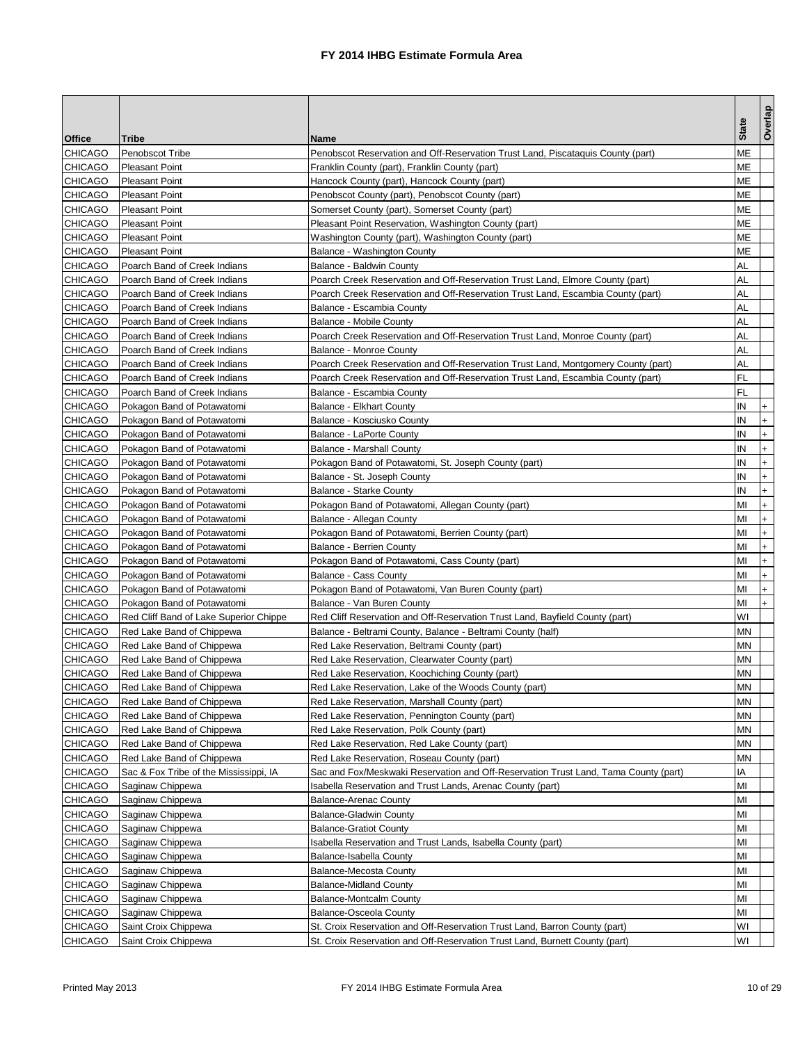| <b>Office</b><br><b>Tribe</b><br><b>Name</b><br>МE<br><b>CHICAGO</b><br>Penobscot Tribe<br>Penobscot Reservation and Off-Reservation Trust Land, Piscataquis County (part)<br><b>CHICAGO</b><br>MЕ<br><b>Pleasant Point</b><br>Franklin County (part), Franklin County (part)<br><b>CHICAGO</b><br>ΜЕ<br><b>Pleasant Point</b><br>Hancock County (part), Hancock County (part)<br>МE<br><b>CHICAGO</b><br><b>Pleasant Point</b><br>Penobscot County (part), Penobscot County (part)<br>MЕ<br><b>CHICAGO</b><br><b>Pleasant Point</b><br>Somerset County (part), Somerset County (part)<br>МE<br><b>CHICAGO</b><br><b>Pleasant Point</b><br>Pleasant Point Reservation, Washington County (part)<br>ΜЕ<br><b>CHICAGO</b><br><b>Pleasant Point</b><br>Washington County (part), Washington County (part)<br><b>CHICAGO</b><br>ΜЕ<br><b>Pleasant Point</b><br>Balance - Washington County<br><b>CHICAGO</b><br>AL<br>Poarch Band of Creek Indians<br>Balance - Baldwin County<br><b>CHICAGO</b><br>AL<br>Poarch Band of Creek Indians<br>Poarch Creek Reservation and Off-Reservation Trust Land, Elmore County (part)<br><b>CHICAGO</b><br>Poarch Band of Creek Indians<br>Poarch Creek Reservation and Off-Reservation Trust Land, Escambia County (part)<br>AL<br><b>CHICAGO</b><br>AL<br>Poarch Band of Creek Indians<br>Balance - Escambia County<br><b>CHICAGO</b><br>AL<br>Poarch Band of Creek Indians<br>Balance - Mobile County<br>AL<br><b>CHICAGO</b><br>Poarch Band of Creek Indians<br>Poarch Creek Reservation and Off-Reservation Trust Land, Monroe County (part)<br><b>CHICAGO</b><br>AL<br>Poarch Band of Creek Indians<br>Balance - Monroe County<br>AL<br><b>CHICAGO</b><br>Poarch Band of Creek Indians<br>Poarch Creek Reservation and Off-Reservation Trust Land, Montgomery County (part)<br><b>CHICAGO</b><br>FL<br>Poarch Band of Creek Indians<br>Poarch Creek Reservation and Off-Reservation Trust Land, Escambia County (part)<br><b>CHICAGO</b><br>Poarch Band of Creek Indians<br>Balance - Escambia County<br>FL<br><b>CHICAGO</b><br>Pokagon Band of Potawatomi<br><b>Balance - Elkhart County</b><br>IN<br>$\ddot{}$<br><b>CHICAGO</b><br>Pokagon Band of Potawatomi<br>Balance - Kosciusko County<br>IN<br>$\ddot{}$<br><b>CHICAGO</b><br>ΙN<br>Pokagon Band of Potawatomi<br>Balance - LaPorte County<br>$\ddot{}$<br>$\ddot{}$<br><b>CHICAGO</b><br>IN<br>Pokagon Band of Potawatomi<br><b>Balance - Marshall County</b><br><b>CHICAGO</b><br>IN<br>Pokagon Band of Potawatomi<br>Pokagon Band of Potawatomi, St. Joseph County (part)<br>$\ddot{}$<br><b>CHICAGO</b><br>IN<br>$\ddot{}$<br>Pokagon Band of Potawatomi<br>Balance - St. Joseph County<br>IN<br><b>CHICAGO</b><br>Pokagon Band of Potawatomi<br><b>Balance - Starke County</b><br>$\ddot{}$<br><b>CHICAGO</b><br>MI<br>Pokagon Band of Potawatomi<br>Pokagon Band of Potawatomi, Allegan County (part)<br>$\ddot{}$<br><b>CHICAGO</b><br>$\ddot{}$<br>Pokagon Band of Potawatomi<br>Balance - Allegan County<br>MI<br><b>CHICAGO</b><br>MI<br>Pokagon Band of Potawatomi<br>Pokagon Band of Potawatomi, Berrien County (part)<br>$\ddot{}$<br><b>CHICAGO</b><br>MI<br>$\ddot{}$<br>Pokagon Band of Potawatomi<br><b>Balance - Berrien County</b><br><b>CHICAGO</b><br>Pokagon Band of Potawatomi, Cass County (part)<br>МI<br>Pokagon Band of Potawatomi<br>$\ddot{}$<br><b>CHICAGO</b><br>MI<br>$\ddot{}$<br>Pokagon Band of Potawatomi<br>Balance - Cass County<br><b>CHICAGO</b><br>MI<br>Pokagon Band of Potawatomi<br>Pokagon Band of Potawatomi, Van Buren County (part)<br>$\ddot{}$<br><b>CHICAGO</b><br>MI<br>Pokagon Band of Potawatomi<br>Balance - Van Buren County<br>$+$<br>W١<br><b>CHICAGO</b><br>Red Cliff Reservation and Off-Reservation Trust Land, Bayfield County (part)<br>Red Cliff Band of Lake Superior Chippe<br><b>CHICAGO</b><br>Red Lake Band of Chippewa<br>Balance - Beltrami County, Balance - Beltrami County (half)<br>MΝ<br><b>CHICAGO</b><br>Red Lake Band of Chippewa<br>Red Lake Reservation, Beltrami County (part)<br>ΜN<br><b>CHICAGO</b><br>Red Lake Band of Chippewa<br>Red Lake Reservation, Clearwater County (part)<br>MΝ<br><b>CHICAGO</b><br>Red Lake Band of Chippewa<br>Red Lake Reservation, Koochiching County (part)<br>MΝ<br><b>CHICAGO</b><br>Red Lake Band of Chippewa<br>Red Lake Reservation, Lake of the Woods County (part)<br>ΜN<br>MΝ<br><b>CHICAGO</b><br>Red Lake Band of Chippewa<br>Red Lake Reservation, Marshall County (part)<br><b>CHICAGO</b><br>Red Lake Band of Chippewa<br>Red Lake Reservation, Pennington County (part)<br>MΝ<br>CHICAGO<br>ΜN<br>Red Lake Band of Chippewa<br>Red Lake Reservation, Polk County (part)<br>CHICAGO<br>Red Lake Band of Chippewa<br>Red Lake Reservation, Red Lake County (part)<br>ΜN<br>CHICAGO<br>MΝ<br>Red Lake Band of Chippewa<br>Red Lake Reservation, Roseau County (part)<br><b>CHICAGO</b><br>ΙA<br>Sac & Fox Tribe of the Mississippi, IA<br>Sac and Fox/Meskwaki Reservation and Off-Reservation Trust Land, Tama County (part)<br>CHICAGO<br>Isabella Reservation and Trust Lands, Arenac County (part)<br>MI<br>Saginaw Chippewa<br><b>CHICAGO</b><br>MI<br>Saginaw Chippewa<br><b>Balance-Arenac County</b><br><b>CHICAGO</b><br>Saginaw Chippewa<br><b>Balance-Gladwin County</b><br>MI<br>CHICAGO<br>MI<br>Saginaw Chippewa<br><b>Balance-Gratiot County</b><br><b>CHICAGO</b><br>Saginaw Chippewa<br>Isabella Reservation and Trust Lands, Isabella County (part)<br>MI<br>CHICAGO<br>MI<br>Saginaw Chippewa<br>Balance-Isabella County<br>CHICAGO<br>Saginaw Chippewa<br><b>Balance-Mecosta County</b><br>MI<br>CHICAGO<br>Saginaw Chippewa<br><b>Balance-Midland County</b><br>MI<br><b>CHICAGO</b><br>Saginaw Chippewa<br>MI<br><b>Balance-Montcalm County</b><br><b>CHICAGO</b><br><b>Balance-Osceola County</b><br>MI<br>Saginaw Chippewa<br>W١<br><b>CHICAGO</b><br>Saint Croix Chippewa<br>St. Croix Reservation and Off-Reservation Trust Land, Barron County (part) |                |                      |                                                                             |              | Overlap |
|---------------------------------------------------------------------------------------------------------------------------------------------------------------------------------------------------------------------------------------------------------------------------------------------------------------------------------------------------------------------------------------------------------------------------------------------------------------------------------------------------------------------------------------------------------------------------------------------------------------------------------------------------------------------------------------------------------------------------------------------------------------------------------------------------------------------------------------------------------------------------------------------------------------------------------------------------------------------------------------------------------------------------------------------------------------------------------------------------------------------------------------------------------------------------------------------------------------------------------------------------------------------------------------------------------------------------------------------------------------------------------------------------------------------------------------------------------------------------------------------------------------------------------------------------------------------------------------------------------------------------------------------------------------------------------------------------------------------------------------------------------------------------------------------------------------------------------------------------------------------------------------------------------------------------------------------------------------------------------------------------------------------------------------------------------------------------------------------------------------------------------------------------------------------------------------------------------------------------------------------------------------------------------------------------------------------------------------------------------------------------------------------------------------------------------------------------------------------------------------------------------------------------------------------------------------------------------------------------------------------------------------------------------------------------------------------------------------------------------------------------------------------------------------------------------------------------------------------------------------------------------------------------------------------------------------------------------------------------------------------------------------------------------------------------------------------------------------------------------------------------------------------------------------------------------------------------------------------------------------------------------------------------------------------------------------------------------------------------------------------------------------------------------------------------------------------------------------------------------------------------------------------------------------------------------------------------------------------------------------------------------------------------------------------------------------------------------------------------------------------------------------------------------------------------------------------------------------------------------------------------------------------------------------------------------------------------------------------------------------------------------------------------------------------------------------------------------------------------------------------------------------------------------------------------------------------------------------------------------------------------------------------------------------------------------------------------------------------------------------------------------------------------------------------------------------------------------------------------------------------------------------------------------------------------------------------------------------------------------------------------------------------------------------------------------------------------------------------------------------------------------------------------------------------------------------------------------------------------------------------------------------------------------------------------------------------------------------------------------------------------------------------------------------------------------------------------------------------------------------------------------------------------------------------------------------------------------------------------------------------------------------------------------------------------------------------------------------------------------------------------------------------------------------------------------------------------------------------------------------------------------------------------------------------------------------------------------------------------------------------------------------------------------------------------------------------------------------------------------------------------------------------------------------------------------------------------------------------------------------------------------------------------------------------------------------------------------------------------------------------------------------|----------------|----------------------|-----------------------------------------------------------------------------|--------------|---------|
|                                                                                                                                                                                                                                                                                                                                                                                                                                                                                                                                                                                                                                                                                                                                                                                                                                                                                                                                                                                                                                                                                                                                                                                                                                                                                                                                                                                                                                                                                                                                                                                                                                                                                                                                                                                                                                                                                                                                                                                                                                                                                                                                                                                                                                                                                                                                                                                                                                                                                                                                                                                                                                                                                                                                                                                                                                                                                                                                                                                                                                                                                                                                                                                                                                                                                                                                                                                                                                                                                                                                                                                                                                                                                                                                                                                                                                                                                                                                                                                                                                                                                                                                                                                                                                                                                                                                                                                                                                                                                                                                                                                                                                                                                                                                                                                                                                                                                                                                                                                                                                                                                                                                                                                                                                                                                                                                                                                                                                                                                                                                                                                                                                                                                                                                                                                                                                                                                                                                                                                                               |                |                      |                                                                             | <b>State</b> |         |
|                                                                                                                                                                                                                                                                                                                                                                                                                                                                                                                                                                                                                                                                                                                                                                                                                                                                                                                                                                                                                                                                                                                                                                                                                                                                                                                                                                                                                                                                                                                                                                                                                                                                                                                                                                                                                                                                                                                                                                                                                                                                                                                                                                                                                                                                                                                                                                                                                                                                                                                                                                                                                                                                                                                                                                                                                                                                                                                                                                                                                                                                                                                                                                                                                                                                                                                                                                                                                                                                                                                                                                                                                                                                                                                                                                                                                                                                                                                                                                                                                                                                                                                                                                                                                                                                                                                                                                                                                                                                                                                                                                                                                                                                                                                                                                                                                                                                                                                                                                                                                                                                                                                                                                                                                                                                                                                                                                                                                                                                                                                                                                                                                                                                                                                                                                                                                                                                                                                                                                                                               |                |                      |                                                                             |              |         |
|                                                                                                                                                                                                                                                                                                                                                                                                                                                                                                                                                                                                                                                                                                                                                                                                                                                                                                                                                                                                                                                                                                                                                                                                                                                                                                                                                                                                                                                                                                                                                                                                                                                                                                                                                                                                                                                                                                                                                                                                                                                                                                                                                                                                                                                                                                                                                                                                                                                                                                                                                                                                                                                                                                                                                                                                                                                                                                                                                                                                                                                                                                                                                                                                                                                                                                                                                                                                                                                                                                                                                                                                                                                                                                                                                                                                                                                                                                                                                                                                                                                                                                                                                                                                                                                                                                                                                                                                                                                                                                                                                                                                                                                                                                                                                                                                                                                                                                                                                                                                                                                                                                                                                                                                                                                                                                                                                                                                                                                                                                                                                                                                                                                                                                                                                                                                                                                                                                                                                                                                               |                |                      |                                                                             |              |         |
|                                                                                                                                                                                                                                                                                                                                                                                                                                                                                                                                                                                                                                                                                                                                                                                                                                                                                                                                                                                                                                                                                                                                                                                                                                                                                                                                                                                                                                                                                                                                                                                                                                                                                                                                                                                                                                                                                                                                                                                                                                                                                                                                                                                                                                                                                                                                                                                                                                                                                                                                                                                                                                                                                                                                                                                                                                                                                                                                                                                                                                                                                                                                                                                                                                                                                                                                                                                                                                                                                                                                                                                                                                                                                                                                                                                                                                                                                                                                                                                                                                                                                                                                                                                                                                                                                                                                                                                                                                                                                                                                                                                                                                                                                                                                                                                                                                                                                                                                                                                                                                                                                                                                                                                                                                                                                                                                                                                                                                                                                                                                                                                                                                                                                                                                                                                                                                                                                                                                                                                                               |                |                      |                                                                             |              |         |
|                                                                                                                                                                                                                                                                                                                                                                                                                                                                                                                                                                                                                                                                                                                                                                                                                                                                                                                                                                                                                                                                                                                                                                                                                                                                                                                                                                                                                                                                                                                                                                                                                                                                                                                                                                                                                                                                                                                                                                                                                                                                                                                                                                                                                                                                                                                                                                                                                                                                                                                                                                                                                                                                                                                                                                                                                                                                                                                                                                                                                                                                                                                                                                                                                                                                                                                                                                                                                                                                                                                                                                                                                                                                                                                                                                                                                                                                                                                                                                                                                                                                                                                                                                                                                                                                                                                                                                                                                                                                                                                                                                                                                                                                                                                                                                                                                                                                                                                                                                                                                                                                                                                                                                                                                                                                                                                                                                                                                                                                                                                                                                                                                                                                                                                                                                                                                                                                                                                                                                                                               |                |                      |                                                                             |              |         |
|                                                                                                                                                                                                                                                                                                                                                                                                                                                                                                                                                                                                                                                                                                                                                                                                                                                                                                                                                                                                                                                                                                                                                                                                                                                                                                                                                                                                                                                                                                                                                                                                                                                                                                                                                                                                                                                                                                                                                                                                                                                                                                                                                                                                                                                                                                                                                                                                                                                                                                                                                                                                                                                                                                                                                                                                                                                                                                                                                                                                                                                                                                                                                                                                                                                                                                                                                                                                                                                                                                                                                                                                                                                                                                                                                                                                                                                                                                                                                                                                                                                                                                                                                                                                                                                                                                                                                                                                                                                                                                                                                                                                                                                                                                                                                                                                                                                                                                                                                                                                                                                                                                                                                                                                                                                                                                                                                                                                                                                                                                                                                                                                                                                                                                                                                                                                                                                                                                                                                                                                               |                |                      |                                                                             |              |         |
|                                                                                                                                                                                                                                                                                                                                                                                                                                                                                                                                                                                                                                                                                                                                                                                                                                                                                                                                                                                                                                                                                                                                                                                                                                                                                                                                                                                                                                                                                                                                                                                                                                                                                                                                                                                                                                                                                                                                                                                                                                                                                                                                                                                                                                                                                                                                                                                                                                                                                                                                                                                                                                                                                                                                                                                                                                                                                                                                                                                                                                                                                                                                                                                                                                                                                                                                                                                                                                                                                                                                                                                                                                                                                                                                                                                                                                                                                                                                                                                                                                                                                                                                                                                                                                                                                                                                                                                                                                                                                                                                                                                                                                                                                                                                                                                                                                                                                                                                                                                                                                                                                                                                                                                                                                                                                                                                                                                                                                                                                                                                                                                                                                                                                                                                                                                                                                                                                                                                                                                                               |                |                      |                                                                             |              |         |
|                                                                                                                                                                                                                                                                                                                                                                                                                                                                                                                                                                                                                                                                                                                                                                                                                                                                                                                                                                                                                                                                                                                                                                                                                                                                                                                                                                                                                                                                                                                                                                                                                                                                                                                                                                                                                                                                                                                                                                                                                                                                                                                                                                                                                                                                                                                                                                                                                                                                                                                                                                                                                                                                                                                                                                                                                                                                                                                                                                                                                                                                                                                                                                                                                                                                                                                                                                                                                                                                                                                                                                                                                                                                                                                                                                                                                                                                                                                                                                                                                                                                                                                                                                                                                                                                                                                                                                                                                                                                                                                                                                                                                                                                                                                                                                                                                                                                                                                                                                                                                                                                                                                                                                                                                                                                                                                                                                                                                                                                                                                                                                                                                                                                                                                                                                                                                                                                                                                                                                                                               |                |                      |                                                                             |              |         |
|                                                                                                                                                                                                                                                                                                                                                                                                                                                                                                                                                                                                                                                                                                                                                                                                                                                                                                                                                                                                                                                                                                                                                                                                                                                                                                                                                                                                                                                                                                                                                                                                                                                                                                                                                                                                                                                                                                                                                                                                                                                                                                                                                                                                                                                                                                                                                                                                                                                                                                                                                                                                                                                                                                                                                                                                                                                                                                                                                                                                                                                                                                                                                                                                                                                                                                                                                                                                                                                                                                                                                                                                                                                                                                                                                                                                                                                                                                                                                                                                                                                                                                                                                                                                                                                                                                                                                                                                                                                                                                                                                                                                                                                                                                                                                                                                                                                                                                                                                                                                                                                                                                                                                                                                                                                                                                                                                                                                                                                                                                                                                                                                                                                                                                                                                                                                                                                                                                                                                                                                               |                |                      |                                                                             |              |         |
|                                                                                                                                                                                                                                                                                                                                                                                                                                                                                                                                                                                                                                                                                                                                                                                                                                                                                                                                                                                                                                                                                                                                                                                                                                                                                                                                                                                                                                                                                                                                                                                                                                                                                                                                                                                                                                                                                                                                                                                                                                                                                                                                                                                                                                                                                                                                                                                                                                                                                                                                                                                                                                                                                                                                                                                                                                                                                                                                                                                                                                                                                                                                                                                                                                                                                                                                                                                                                                                                                                                                                                                                                                                                                                                                                                                                                                                                                                                                                                                                                                                                                                                                                                                                                                                                                                                                                                                                                                                                                                                                                                                                                                                                                                                                                                                                                                                                                                                                                                                                                                                                                                                                                                                                                                                                                                                                                                                                                                                                                                                                                                                                                                                                                                                                                                                                                                                                                                                                                                                                               |                |                      |                                                                             |              |         |
|                                                                                                                                                                                                                                                                                                                                                                                                                                                                                                                                                                                                                                                                                                                                                                                                                                                                                                                                                                                                                                                                                                                                                                                                                                                                                                                                                                                                                                                                                                                                                                                                                                                                                                                                                                                                                                                                                                                                                                                                                                                                                                                                                                                                                                                                                                                                                                                                                                                                                                                                                                                                                                                                                                                                                                                                                                                                                                                                                                                                                                                                                                                                                                                                                                                                                                                                                                                                                                                                                                                                                                                                                                                                                                                                                                                                                                                                                                                                                                                                                                                                                                                                                                                                                                                                                                                                                                                                                                                                                                                                                                                                                                                                                                                                                                                                                                                                                                                                                                                                                                                                                                                                                                                                                                                                                                                                                                                                                                                                                                                                                                                                                                                                                                                                                                                                                                                                                                                                                                                                               |                |                      |                                                                             |              |         |
|                                                                                                                                                                                                                                                                                                                                                                                                                                                                                                                                                                                                                                                                                                                                                                                                                                                                                                                                                                                                                                                                                                                                                                                                                                                                                                                                                                                                                                                                                                                                                                                                                                                                                                                                                                                                                                                                                                                                                                                                                                                                                                                                                                                                                                                                                                                                                                                                                                                                                                                                                                                                                                                                                                                                                                                                                                                                                                                                                                                                                                                                                                                                                                                                                                                                                                                                                                                                                                                                                                                                                                                                                                                                                                                                                                                                                                                                                                                                                                                                                                                                                                                                                                                                                                                                                                                                                                                                                                                                                                                                                                                                                                                                                                                                                                                                                                                                                                                                                                                                                                                                                                                                                                                                                                                                                                                                                                                                                                                                                                                                                                                                                                                                                                                                                                                                                                                                                                                                                                                                               |                |                      |                                                                             |              |         |
|                                                                                                                                                                                                                                                                                                                                                                                                                                                                                                                                                                                                                                                                                                                                                                                                                                                                                                                                                                                                                                                                                                                                                                                                                                                                                                                                                                                                                                                                                                                                                                                                                                                                                                                                                                                                                                                                                                                                                                                                                                                                                                                                                                                                                                                                                                                                                                                                                                                                                                                                                                                                                                                                                                                                                                                                                                                                                                                                                                                                                                                                                                                                                                                                                                                                                                                                                                                                                                                                                                                                                                                                                                                                                                                                                                                                                                                                                                                                                                                                                                                                                                                                                                                                                                                                                                                                                                                                                                                                                                                                                                                                                                                                                                                                                                                                                                                                                                                                                                                                                                                                                                                                                                                                                                                                                                                                                                                                                                                                                                                                                                                                                                                                                                                                                                                                                                                                                                                                                                                                               |                |                      |                                                                             |              |         |
|                                                                                                                                                                                                                                                                                                                                                                                                                                                                                                                                                                                                                                                                                                                                                                                                                                                                                                                                                                                                                                                                                                                                                                                                                                                                                                                                                                                                                                                                                                                                                                                                                                                                                                                                                                                                                                                                                                                                                                                                                                                                                                                                                                                                                                                                                                                                                                                                                                                                                                                                                                                                                                                                                                                                                                                                                                                                                                                                                                                                                                                                                                                                                                                                                                                                                                                                                                                                                                                                                                                                                                                                                                                                                                                                                                                                                                                                                                                                                                                                                                                                                                                                                                                                                                                                                                                                                                                                                                                                                                                                                                                                                                                                                                                                                                                                                                                                                                                                                                                                                                                                                                                                                                                                                                                                                                                                                                                                                                                                                                                                                                                                                                                                                                                                                                                                                                                                                                                                                                                                               |                |                      |                                                                             |              |         |
|                                                                                                                                                                                                                                                                                                                                                                                                                                                                                                                                                                                                                                                                                                                                                                                                                                                                                                                                                                                                                                                                                                                                                                                                                                                                                                                                                                                                                                                                                                                                                                                                                                                                                                                                                                                                                                                                                                                                                                                                                                                                                                                                                                                                                                                                                                                                                                                                                                                                                                                                                                                                                                                                                                                                                                                                                                                                                                                                                                                                                                                                                                                                                                                                                                                                                                                                                                                                                                                                                                                                                                                                                                                                                                                                                                                                                                                                                                                                                                                                                                                                                                                                                                                                                                                                                                                                                                                                                                                                                                                                                                                                                                                                                                                                                                                                                                                                                                                                                                                                                                                                                                                                                                                                                                                                                                                                                                                                                                                                                                                                                                                                                                                                                                                                                                                                                                                                                                                                                                                                               |                |                      |                                                                             |              |         |
|                                                                                                                                                                                                                                                                                                                                                                                                                                                                                                                                                                                                                                                                                                                                                                                                                                                                                                                                                                                                                                                                                                                                                                                                                                                                                                                                                                                                                                                                                                                                                                                                                                                                                                                                                                                                                                                                                                                                                                                                                                                                                                                                                                                                                                                                                                                                                                                                                                                                                                                                                                                                                                                                                                                                                                                                                                                                                                                                                                                                                                                                                                                                                                                                                                                                                                                                                                                                                                                                                                                                                                                                                                                                                                                                                                                                                                                                                                                                                                                                                                                                                                                                                                                                                                                                                                                                                                                                                                                                                                                                                                                                                                                                                                                                                                                                                                                                                                                                                                                                                                                                                                                                                                                                                                                                                                                                                                                                                                                                                                                                                                                                                                                                                                                                                                                                                                                                                                                                                                                                               |                |                      |                                                                             |              |         |
|                                                                                                                                                                                                                                                                                                                                                                                                                                                                                                                                                                                                                                                                                                                                                                                                                                                                                                                                                                                                                                                                                                                                                                                                                                                                                                                                                                                                                                                                                                                                                                                                                                                                                                                                                                                                                                                                                                                                                                                                                                                                                                                                                                                                                                                                                                                                                                                                                                                                                                                                                                                                                                                                                                                                                                                                                                                                                                                                                                                                                                                                                                                                                                                                                                                                                                                                                                                                                                                                                                                                                                                                                                                                                                                                                                                                                                                                                                                                                                                                                                                                                                                                                                                                                                                                                                                                                                                                                                                                                                                                                                                                                                                                                                                                                                                                                                                                                                                                                                                                                                                                                                                                                                                                                                                                                                                                                                                                                                                                                                                                                                                                                                                                                                                                                                                                                                                                                                                                                                                                               |                |                      |                                                                             |              |         |
|                                                                                                                                                                                                                                                                                                                                                                                                                                                                                                                                                                                                                                                                                                                                                                                                                                                                                                                                                                                                                                                                                                                                                                                                                                                                                                                                                                                                                                                                                                                                                                                                                                                                                                                                                                                                                                                                                                                                                                                                                                                                                                                                                                                                                                                                                                                                                                                                                                                                                                                                                                                                                                                                                                                                                                                                                                                                                                                                                                                                                                                                                                                                                                                                                                                                                                                                                                                                                                                                                                                                                                                                                                                                                                                                                                                                                                                                                                                                                                                                                                                                                                                                                                                                                                                                                                                                                                                                                                                                                                                                                                                                                                                                                                                                                                                                                                                                                                                                                                                                                                                                                                                                                                                                                                                                                                                                                                                                                                                                                                                                                                                                                                                                                                                                                                                                                                                                                                                                                                                                               |                |                      |                                                                             |              |         |
|                                                                                                                                                                                                                                                                                                                                                                                                                                                                                                                                                                                                                                                                                                                                                                                                                                                                                                                                                                                                                                                                                                                                                                                                                                                                                                                                                                                                                                                                                                                                                                                                                                                                                                                                                                                                                                                                                                                                                                                                                                                                                                                                                                                                                                                                                                                                                                                                                                                                                                                                                                                                                                                                                                                                                                                                                                                                                                                                                                                                                                                                                                                                                                                                                                                                                                                                                                                                                                                                                                                                                                                                                                                                                                                                                                                                                                                                                                                                                                                                                                                                                                                                                                                                                                                                                                                                                                                                                                                                                                                                                                                                                                                                                                                                                                                                                                                                                                                                                                                                                                                                                                                                                                                                                                                                                                                                                                                                                                                                                                                                                                                                                                                                                                                                                                                                                                                                                                                                                                                                               |                |                      |                                                                             |              |         |
|                                                                                                                                                                                                                                                                                                                                                                                                                                                                                                                                                                                                                                                                                                                                                                                                                                                                                                                                                                                                                                                                                                                                                                                                                                                                                                                                                                                                                                                                                                                                                                                                                                                                                                                                                                                                                                                                                                                                                                                                                                                                                                                                                                                                                                                                                                                                                                                                                                                                                                                                                                                                                                                                                                                                                                                                                                                                                                                                                                                                                                                                                                                                                                                                                                                                                                                                                                                                                                                                                                                                                                                                                                                                                                                                                                                                                                                                                                                                                                                                                                                                                                                                                                                                                                                                                                                                                                                                                                                                                                                                                                                                                                                                                                                                                                                                                                                                                                                                                                                                                                                                                                                                                                                                                                                                                                                                                                                                                                                                                                                                                                                                                                                                                                                                                                                                                                                                                                                                                                                                               |                |                      |                                                                             |              |         |
|                                                                                                                                                                                                                                                                                                                                                                                                                                                                                                                                                                                                                                                                                                                                                                                                                                                                                                                                                                                                                                                                                                                                                                                                                                                                                                                                                                                                                                                                                                                                                                                                                                                                                                                                                                                                                                                                                                                                                                                                                                                                                                                                                                                                                                                                                                                                                                                                                                                                                                                                                                                                                                                                                                                                                                                                                                                                                                                                                                                                                                                                                                                                                                                                                                                                                                                                                                                                                                                                                                                                                                                                                                                                                                                                                                                                                                                                                                                                                                                                                                                                                                                                                                                                                                                                                                                                                                                                                                                                                                                                                                                                                                                                                                                                                                                                                                                                                                                                                                                                                                                                                                                                                                                                                                                                                                                                                                                                                                                                                                                                                                                                                                                                                                                                                                                                                                                                                                                                                                                                               |                |                      |                                                                             |              |         |
|                                                                                                                                                                                                                                                                                                                                                                                                                                                                                                                                                                                                                                                                                                                                                                                                                                                                                                                                                                                                                                                                                                                                                                                                                                                                                                                                                                                                                                                                                                                                                                                                                                                                                                                                                                                                                                                                                                                                                                                                                                                                                                                                                                                                                                                                                                                                                                                                                                                                                                                                                                                                                                                                                                                                                                                                                                                                                                                                                                                                                                                                                                                                                                                                                                                                                                                                                                                                                                                                                                                                                                                                                                                                                                                                                                                                                                                                                                                                                                                                                                                                                                                                                                                                                                                                                                                                                                                                                                                                                                                                                                                                                                                                                                                                                                                                                                                                                                                                                                                                                                                                                                                                                                                                                                                                                                                                                                                                                                                                                                                                                                                                                                                                                                                                                                                                                                                                                                                                                                                                               |                |                      |                                                                             |              |         |
|                                                                                                                                                                                                                                                                                                                                                                                                                                                                                                                                                                                                                                                                                                                                                                                                                                                                                                                                                                                                                                                                                                                                                                                                                                                                                                                                                                                                                                                                                                                                                                                                                                                                                                                                                                                                                                                                                                                                                                                                                                                                                                                                                                                                                                                                                                                                                                                                                                                                                                                                                                                                                                                                                                                                                                                                                                                                                                                                                                                                                                                                                                                                                                                                                                                                                                                                                                                                                                                                                                                                                                                                                                                                                                                                                                                                                                                                                                                                                                                                                                                                                                                                                                                                                                                                                                                                                                                                                                                                                                                                                                                                                                                                                                                                                                                                                                                                                                                                                                                                                                                                                                                                                                                                                                                                                                                                                                                                                                                                                                                                                                                                                                                                                                                                                                                                                                                                                                                                                                                                               |                |                      |                                                                             |              |         |
|                                                                                                                                                                                                                                                                                                                                                                                                                                                                                                                                                                                                                                                                                                                                                                                                                                                                                                                                                                                                                                                                                                                                                                                                                                                                                                                                                                                                                                                                                                                                                                                                                                                                                                                                                                                                                                                                                                                                                                                                                                                                                                                                                                                                                                                                                                                                                                                                                                                                                                                                                                                                                                                                                                                                                                                                                                                                                                                                                                                                                                                                                                                                                                                                                                                                                                                                                                                                                                                                                                                                                                                                                                                                                                                                                                                                                                                                                                                                                                                                                                                                                                                                                                                                                                                                                                                                                                                                                                                                                                                                                                                                                                                                                                                                                                                                                                                                                                                                                                                                                                                                                                                                                                                                                                                                                                                                                                                                                                                                                                                                                                                                                                                                                                                                                                                                                                                                                                                                                                                                               |                |                      |                                                                             |              |         |
|                                                                                                                                                                                                                                                                                                                                                                                                                                                                                                                                                                                                                                                                                                                                                                                                                                                                                                                                                                                                                                                                                                                                                                                                                                                                                                                                                                                                                                                                                                                                                                                                                                                                                                                                                                                                                                                                                                                                                                                                                                                                                                                                                                                                                                                                                                                                                                                                                                                                                                                                                                                                                                                                                                                                                                                                                                                                                                                                                                                                                                                                                                                                                                                                                                                                                                                                                                                                                                                                                                                                                                                                                                                                                                                                                                                                                                                                                                                                                                                                                                                                                                                                                                                                                                                                                                                                                                                                                                                                                                                                                                                                                                                                                                                                                                                                                                                                                                                                                                                                                                                                                                                                                                                                                                                                                                                                                                                                                                                                                                                                                                                                                                                                                                                                                                                                                                                                                                                                                                                                               |                |                      |                                                                             |              |         |
|                                                                                                                                                                                                                                                                                                                                                                                                                                                                                                                                                                                                                                                                                                                                                                                                                                                                                                                                                                                                                                                                                                                                                                                                                                                                                                                                                                                                                                                                                                                                                                                                                                                                                                                                                                                                                                                                                                                                                                                                                                                                                                                                                                                                                                                                                                                                                                                                                                                                                                                                                                                                                                                                                                                                                                                                                                                                                                                                                                                                                                                                                                                                                                                                                                                                                                                                                                                                                                                                                                                                                                                                                                                                                                                                                                                                                                                                                                                                                                                                                                                                                                                                                                                                                                                                                                                                                                                                                                                                                                                                                                                                                                                                                                                                                                                                                                                                                                                                                                                                                                                                                                                                                                                                                                                                                                                                                                                                                                                                                                                                                                                                                                                                                                                                                                                                                                                                                                                                                                                                               |                |                      |                                                                             |              |         |
|                                                                                                                                                                                                                                                                                                                                                                                                                                                                                                                                                                                                                                                                                                                                                                                                                                                                                                                                                                                                                                                                                                                                                                                                                                                                                                                                                                                                                                                                                                                                                                                                                                                                                                                                                                                                                                                                                                                                                                                                                                                                                                                                                                                                                                                                                                                                                                                                                                                                                                                                                                                                                                                                                                                                                                                                                                                                                                                                                                                                                                                                                                                                                                                                                                                                                                                                                                                                                                                                                                                                                                                                                                                                                                                                                                                                                                                                                                                                                                                                                                                                                                                                                                                                                                                                                                                                                                                                                                                                                                                                                                                                                                                                                                                                                                                                                                                                                                                                                                                                                                                                                                                                                                                                                                                                                                                                                                                                                                                                                                                                                                                                                                                                                                                                                                                                                                                                                                                                                                                                               |                |                      |                                                                             |              |         |
|                                                                                                                                                                                                                                                                                                                                                                                                                                                                                                                                                                                                                                                                                                                                                                                                                                                                                                                                                                                                                                                                                                                                                                                                                                                                                                                                                                                                                                                                                                                                                                                                                                                                                                                                                                                                                                                                                                                                                                                                                                                                                                                                                                                                                                                                                                                                                                                                                                                                                                                                                                                                                                                                                                                                                                                                                                                                                                                                                                                                                                                                                                                                                                                                                                                                                                                                                                                                                                                                                                                                                                                                                                                                                                                                                                                                                                                                                                                                                                                                                                                                                                                                                                                                                                                                                                                                                                                                                                                                                                                                                                                                                                                                                                                                                                                                                                                                                                                                                                                                                                                                                                                                                                                                                                                                                                                                                                                                                                                                                                                                                                                                                                                                                                                                                                                                                                                                                                                                                                                                               |                |                      |                                                                             |              |         |
|                                                                                                                                                                                                                                                                                                                                                                                                                                                                                                                                                                                                                                                                                                                                                                                                                                                                                                                                                                                                                                                                                                                                                                                                                                                                                                                                                                                                                                                                                                                                                                                                                                                                                                                                                                                                                                                                                                                                                                                                                                                                                                                                                                                                                                                                                                                                                                                                                                                                                                                                                                                                                                                                                                                                                                                                                                                                                                                                                                                                                                                                                                                                                                                                                                                                                                                                                                                                                                                                                                                                                                                                                                                                                                                                                                                                                                                                                                                                                                                                                                                                                                                                                                                                                                                                                                                                                                                                                                                                                                                                                                                                                                                                                                                                                                                                                                                                                                                                                                                                                                                                                                                                                                                                                                                                                                                                                                                                                                                                                                                                                                                                                                                                                                                                                                                                                                                                                                                                                                                                               |                |                      |                                                                             |              |         |
|                                                                                                                                                                                                                                                                                                                                                                                                                                                                                                                                                                                                                                                                                                                                                                                                                                                                                                                                                                                                                                                                                                                                                                                                                                                                                                                                                                                                                                                                                                                                                                                                                                                                                                                                                                                                                                                                                                                                                                                                                                                                                                                                                                                                                                                                                                                                                                                                                                                                                                                                                                                                                                                                                                                                                                                                                                                                                                                                                                                                                                                                                                                                                                                                                                                                                                                                                                                                                                                                                                                                                                                                                                                                                                                                                                                                                                                                                                                                                                                                                                                                                                                                                                                                                                                                                                                                                                                                                                                                                                                                                                                                                                                                                                                                                                                                                                                                                                                                                                                                                                                                                                                                                                                                                                                                                                                                                                                                                                                                                                                                                                                                                                                                                                                                                                                                                                                                                                                                                                                                               |                |                      |                                                                             |              |         |
|                                                                                                                                                                                                                                                                                                                                                                                                                                                                                                                                                                                                                                                                                                                                                                                                                                                                                                                                                                                                                                                                                                                                                                                                                                                                                                                                                                                                                                                                                                                                                                                                                                                                                                                                                                                                                                                                                                                                                                                                                                                                                                                                                                                                                                                                                                                                                                                                                                                                                                                                                                                                                                                                                                                                                                                                                                                                                                                                                                                                                                                                                                                                                                                                                                                                                                                                                                                                                                                                                                                                                                                                                                                                                                                                                                                                                                                                                                                                                                                                                                                                                                                                                                                                                                                                                                                                                                                                                                                                                                                                                                                                                                                                                                                                                                                                                                                                                                                                                                                                                                                                                                                                                                                                                                                                                                                                                                                                                                                                                                                                                                                                                                                                                                                                                                                                                                                                                                                                                                                                               |                |                      |                                                                             |              |         |
|                                                                                                                                                                                                                                                                                                                                                                                                                                                                                                                                                                                                                                                                                                                                                                                                                                                                                                                                                                                                                                                                                                                                                                                                                                                                                                                                                                                                                                                                                                                                                                                                                                                                                                                                                                                                                                                                                                                                                                                                                                                                                                                                                                                                                                                                                                                                                                                                                                                                                                                                                                                                                                                                                                                                                                                                                                                                                                                                                                                                                                                                                                                                                                                                                                                                                                                                                                                                                                                                                                                                                                                                                                                                                                                                                                                                                                                                                                                                                                                                                                                                                                                                                                                                                                                                                                                                                                                                                                                                                                                                                                                                                                                                                                                                                                                                                                                                                                                                                                                                                                                                                                                                                                                                                                                                                                                                                                                                                                                                                                                                                                                                                                                                                                                                                                                                                                                                                                                                                                                                               |                |                      |                                                                             |              |         |
|                                                                                                                                                                                                                                                                                                                                                                                                                                                                                                                                                                                                                                                                                                                                                                                                                                                                                                                                                                                                                                                                                                                                                                                                                                                                                                                                                                                                                                                                                                                                                                                                                                                                                                                                                                                                                                                                                                                                                                                                                                                                                                                                                                                                                                                                                                                                                                                                                                                                                                                                                                                                                                                                                                                                                                                                                                                                                                                                                                                                                                                                                                                                                                                                                                                                                                                                                                                                                                                                                                                                                                                                                                                                                                                                                                                                                                                                                                                                                                                                                                                                                                                                                                                                                                                                                                                                                                                                                                                                                                                                                                                                                                                                                                                                                                                                                                                                                                                                                                                                                                                                                                                                                                                                                                                                                                                                                                                                                                                                                                                                                                                                                                                                                                                                                                                                                                                                                                                                                                                                               |                |                      |                                                                             |              |         |
|                                                                                                                                                                                                                                                                                                                                                                                                                                                                                                                                                                                                                                                                                                                                                                                                                                                                                                                                                                                                                                                                                                                                                                                                                                                                                                                                                                                                                                                                                                                                                                                                                                                                                                                                                                                                                                                                                                                                                                                                                                                                                                                                                                                                                                                                                                                                                                                                                                                                                                                                                                                                                                                                                                                                                                                                                                                                                                                                                                                                                                                                                                                                                                                                                                                                                                                                                                                                                                                                                                                                                                                                                                                                                                                                                                                                                                                                                                                                                                                                                                                                                                                                                                                                                                                                                                                                                                                                                                                                                                                                                                                                                                                                                                                                                                                                                                                                                                                                                                                                                                                                                                                                                                                                                                                                                                                                                                                                                                                                                                                                                                                                                                                                                                                                                                                                                                                                                                                                                                                                               |                |                      |                                                                             |              |         |
|                                                                                                                                                                                                                                                                                                                                                                                                                                                                                                                                                                                                                                                                                                                                                                                                                                                                                                                                                                                                                                                                                                                                                                                                                                                                                                                                                                                                                                                                                                                                                                                                                                                                                                                                                                                                                                                                                                                                                                                                                                                                                                                                                                                                                                                                                                                                                                                                                                                                                                                                                                                                                                                                                                                                                                                                                                                                                                                                                                                                                                                                                                                                                                                                                                                                                                                                                                                                                                                                                                                                                                                                                                                                                                                                                                                                                                                                                                                                                                                                                                                                                                                                                                                                                                                                                                                                                                                                                                                                                                                                                                                                                                                                                                                                                                                                                                                                                                                                                                                                                                                                                                                                                                                                                                                                                                                                                                                                                                                                                                                                                                                                                                                                                                                                                                                                                                                                                                                                                                                                               |                |                      |                                                                             |              |         |
|                                                                                                                                                                                                                                                                                                                                                                                                                                                                                                                                                                                                                                                                                                                                                                                                                                                                                                                                                                                                                                                                                                                                                                                                                                                                                                                                                                                                                                                                                                                                                                                                                                                                                                                                                                                                                                                                                                                                                                                                                                                                                                                                                                                                                                                                                                                                                                                                                                                                                                                                                                                                                                                                                                                                                                                                                                                                                                                                                                                                                                                                                                                                                                                                                                                                                                                                                                                                                                                                                                                                                                                                                                                                                                                                                                                                                                                                                                                                                                                                                                                                                                                                                                                                                                                                                                                                                                                                                                                                                                                                                                                                                                                                                                                                                                                                                                                                                                                                                                                                                                                                                                                                                                                                                                                                                                                                                                                                                                                                                                                                                                                                                                                                                                                                                                                                                                                                                                                                                                                                               |                |                      |                                                                             |              |         |
|                                                                                                                                                                                                                                                                                                                                                                                                                                                                                                                                                                                                                                                                                                                                                                                                                                                                                                                                                                                                                                                                                                                                                                                                                                                                                                                                                                                                                                                                                                                                                                                                                                                                                                                                                                                                                                                                                                                                                                                                                                                                                                                                                                                                                                                                                                                                                                                                                                                                                                                                                                                                                                                                                                                                                                                                                                                                                                                                                                                                                                                                                                                                                                                                                                                                                                                                                                                                                                                                                                                                                                                                                                                                                                                                                                                                                                                                                                                                                                                                                                                                                                                                                                                                                                                                                                                                                                                                                                                                                                                                                                                                                                                                                                                                                                                                                                                                                                                                                                                                                                                                                                                                                                                                                                                                                                                                                                                                                                                                                                                                                                                                                                                                                                                                                                                                                                                                                                                                                                                                               |                |                      |                                                                             |              |         |
|                                                                                                                                                                                                                                                                                                                                                                                                                                                                                                                                                                                                                                                                                                                                                                                                                                                                                                                                                                                                                                                                                                                                                                                                                                                                                                                                                                                                                                                                                                                                                                                                                                                                                                                                                                                                                                                                                                                                                                                                                                                                                                                                                                                                                                                                                                                                                                                                                                                                                                                                                                                                                                                                                                                                                                                                                                                                                                                                                                                                                                                                                                                                                                                                                                                                                                                                                                                                                                                                                                                                                                                                                                                                                                                                                                                                                                                                                                                                                                                                                                                                                                                                                                                                                                                                                                                                                                                                                                                                                                                                                                                                                                                                                                                                                                                                                                                                                                                                                                                                                                                                                                                                                                                                                                                                                                                                                                                                                                                                                                                                                                                                                                                                                                                                                                                                                                                                                                                                                                                                               |                |                      |                                                                             |              |         |
|                                                                                                                                                                                                                                                                                                                                                                                                                                                                                                                                                                                                                                                                                                                                                                                                                                                                                                                                                                                                                                                                                                                                                                                                                                                                                                                                                                                                                                                                                                                                                                                                                                                                                                                                                                                                                                                                                                                                                                                                                                                                                                                                                                                                                                                                                                                                                                                                                                                                                                                                                                                                                                                                                                                                                                                                                                                                                                                                                                                                                                                                                                                                                                                                                                                                                                                                                                                                                                                                                                                                                                                                                                                                                                                                                                                                                                                                                                                                                                                                                                                                                                                                                                                                                                                                                                                                                                                                                                                                                                                                                                                                                                                                                                                                                                                                                                                                                                                                                                                                                                                                                                                                                                                                                                                                                                                                                                                                                                                                                                                                                                                                                                                                                                                                                                                                                                                                                                                                                                                                               |                |                      |                                                                             |              |         |
|                                                                                                                                                                                                                                                                                                                                                                                                                                                                                                                                                                                                                                                                                                                                                                                                                                                                                                                                                                                                                                                                                                                                                                                                                                                                                                                                                                                                                                                                                                                                                                                                                                                                                                                                                                                                                                                                                                                                                                                                                                                                                                                                                                                                                                                                                                                                                                                                                                                                                                                                                                                                                                                                                                                                                                                                                                                                                                                                                                                                                                                                                                                                                                                                                                                                                                                                                                                                                                                                                                                                                                                                                                                                                                                                                                                                                                                                                                                                                                                                                                                                                                                                                                                                                                                                                                                                                                                                                                                                                                                                                                                                                                                                                                                                                                                                                                                                                                                                                                                                                                                                                                                                                                                                                                                                                                                                                                                                                                                                                                                                                                                                                                                                                                                                                                                                                                                                                                                                                                                                               |                |                      |                                                                             |              |         |
|                                                                                                                                                                                                                                                                                                                                                                                                                                                                                                                                                                                                                                                                                                                                                                                                                                                                                                                                                                                                                                                                                                                                                                                                                                                                                                                                                                                                                                                                                                                                                                                                                                                                                                                                                                                                                                                                                                                                                                                                                                                                                                                                                                                                                                                                                                                                                                                                                                                                                                                                                                                                                                                                                                                                                                                                                                                                                                                                                                                                                                                                                                                                                                                                                                                                                                                                                                                                                                                                                                                                                                                                                                                                                                                                                                                                                                                                                                                                                                                                                                                                                                                                                                                                                                                                                                                                                                                                                                                                                                                                                                                                                                                                                                                                                                                                                                                                                                                                                                                                                                                                                                                                                                                                                                                                                                                                                                                                                                                                                                                                                                                                                                                                                                                                                                                                                                                                                                                                                                                                               |                |                      |                                                                             |              |         |
|                                                                                                                                                                                                                                                                                                                                                                                                                                                                                                                                                                                                                                                                                                                                                                                                                                                                                                                                                                                                                                                                                                                                                                                                                                                                                                                                                                                                                                                                                                                                                                                                                                                                                                                                                                                                                                                                                                                                                                                                                                                                                                                                                                                                                                                                                                                                                                                                                                                                                                                                                                                                                                                                                                                                                                                                                                                                                                                                                                                                                                                                                                                                                                                                                                                                                                                                                                                                                                                                                                                                                                                                                                                                                                                                                                                                                                                                                                                                                                                                                                                                                                                                                                                                                                                                                                                                                                                                                                                                                                                                                                                                                                                                                                                                                                                                                                                                                                                                                                                                                                                                                                                                                                                                                                                                                                                                                                                                                                                                                                                                                                                                                                                                                                                                                                                                                                                                                                                                                                                                               |                |                      |                                                                             |              |         |
|                                                                                                                                                                                                                                                                                                                                                                                                                                                                                                                                                                                                                                                                                                                                                                                                                                                                                                                                                                                                                                                                                                                                                                                                                                                                                                                                                                                                                                                                                                                                                                                                                                                                                                                                                                                                                                                                                                                                                                                                                                                                                                                                                                                                                                                                                                                                                                                                                                                                                                                                                                                                                                                                                                                                                                                                                                                                                                                                                                                                                                                                                                                                                                                                                                                                                                                                                                                                                                                                                                                                                                                                                                                                                                                                                                                                                                                                                                                                                                                                                                                                                                                                                                                                                                                                                                                                                                                                                                                                                                                                                                                                                                                                                                                                                                                                                                                                                                                                                                                                                                                                                                                                                                                                                                                                                                                                                                                                                                                                                                                                                                                                                                                                                                                                                                                                                                                                                                                                                                                                               |                |                      |                                                                             |              |         |
|                                                                                                                                                                                                                                                                                                                                                                                                                                                                                                                                                                                                                                                                                                                                                                                                                                                                                                                                                                                                                                                                                                                                                                                                                                                                                                                                                                                                                                                                                                                                                                                                                                                                                                                                                                                                                                                                                                                                                                                                                                                                                                                                                                                                                                                                                                                                                                                                                                                                                                                                                                                                                                                                                                                                                                                                                                                                                                                                                                                                                                                                                                                                                                                                                                                                                                                                                                                                                                                                                                                                                                                                                                                                                                                                                                                                                                                                                                                                                                                                                                                                                                                                                                                                                                                                                                                                                                                                                                                                                                                                                                                                                                                                                                                                                                                                                                                                                                                                                                                                                                                                                                                                                                                                                                                                                                                                                                                                                                                                                                                                                                                                                                                                                                                                                                                                                                                                                                                                                                                                               |                |                      |                                                                             |              |         |
|                                                                                                                                                                                                                                                                                                                                                                                                                                                                                                                                                                                                                                                                                                                                                                                                                                                                                                                                                                                                                                                                                                                                                                                                                                                                                                                                                                                                                                                                                                                                                                                                                                                                                                                                                                                                                                                                                                                                                                                                                                                                                                                                                                                                                                                                                                                                                                                                                                                                                                                                                                                                                                                                                                                                                                                                                                                                                                                                                                                                                                                                                                                                                                                                                                                                                                                                                                                                                                                                                                                                                                                                                                                                                                                                                                                                                                                                                                                                                                                                                                                                                                                                                                                                                                                                                                                                                                                                                                                                                                                                                                                                                                                                                                                                                                                                                                                                                                                                                                                                                                                                                                                                                                                                                                                                                                                                                                                                                                                                                                                                                                                                                                                                                                                                                                                                                                                                                                                                                                                                               |                |                      |                                                                             |              |         |
|                                                                                                                                                                                                                                                                                                                                                                                                                                                                                                                                                                                                                                                                                                                                                                                                                                                                                                                                                                                                                                                                                                                                                                                                                                                                                                                                                                                                                                                                                                                                                                                                                                                                                                                                                                                                                                                                                                                                                                                                                                                                                                                                                                                                                                                                                                                                                                                                                                                                                                                                                                                                                                                                                                                                                                                                                                                                                                                                                                                                                                                                                                                                                                                                                                                                                                                                                                                                                                                                                                                                                                                                                                                                                                                                                                                                                                                                                                                                                                                                                                                                                                                                                                                                                                                                                                                                                                                                                                                                                                                                                                                                                                                                                                                                                                                                                                                                                                                                                                                                                                                                                                                                                                                                                                                                                                                                                                                                                                                                                                                                                                                                                                                                                                                                                                                                                                                                                                                                                                                                               |                |                      |                                                                             |              |         |
|                                                                                                                                                                                                                                                                                                                                                                                                                                                                                                                                                                                                                                                                                                                                                                                                                                                                                                                                                                                                                                                                                                                                                                                                                                                                                                                                                                                                                                                                                                                                                                                                                                                                                                                                                                                                                                                                                                                                                                                                                                                                                                                                                                                                                                                                                                                                                                                                                                                                                                                                                                                                                                                                                                                                                                                                                                                                                                                                                                                                                                                                                                                                                                                                                                                                                                                                                                                                                                                                                                                                                                                                                                                                                                                                                                                                                                                                                                                                                                                                                                                                                                                                                                                                                                                                                                                                                                                                                                                                                                                                                                                                                                                                                                                                                                                                                                                                                                                                                                                                                                                                                                                                                                                                                                                                                                                                                                                                                                                                                                                                                                                                                                                                                                                                                                                                                                                                                                                                                                                                               |                |                      |                                                                             |              |         |
|                                                                                                                                                                                                                                                                                                                                                                                                                                                                                                                                                                                                                                                                                                                                                                                                                                                                                                                                                                                                                                                                                                                                                                                                                                                                                                                                                                                                                                                                                                                                                                                                                                                                                                                                                                                                                                                                                                                                                                                                                                                                                                                                                                                                                                                                                                                                                                                                                                                                                                                                                                                                                                                                                                                                                                                                                                                                                                                                                                                                                                                                                                                                                                                                                                                                                                                                                                                                                                                                                                                                                                                                                                                                                                                                                                                                                                                                                                                                                                                                                                                                                                                                                                                                                                                                                                                                                                                                                                                                                                                                                                                                                                                                                                                                                                                                                                                                                                                                                                                                                                                                                                                                                                                                                                                                                                                                                                                                                                                                                                                                                                                                                                                                                                                                                                                                                                                                                                                                                                                                               |                |                      |                                                                             |              |         |
|                                                                                                                                                                                                                                                                                                                                                                                                                                                                                                                                                                                                                                                                                                                                                                                                                                                                                                                                                                                                                                                                                                                                                                                                                                                                                                                                                                                                                                                                                                                                                                                                                                                                                                                                                                                                                                                                                                                                                                                                                                                                                                                                                                                                                                                                                                                                                                                                                                                                                                                                                                                                                                                                                                                                                                                                                                                                                                                                                                                                                                                                                                                                                                                                                                                                                                                                                                                                                                                                                                                                                                                                                                                                                                                                                                                                                                                                                                                                                                                                                                                                                                                                                                                                                                                                                                                                                                                                                                                                                                                                                                                                                                                                                                                                                                                                                                                                                                                                                                                                                                                                                                                                                                                                                                                                                                                                                                                                                                                                                                                                                                                                                                                                                                                                                                                                                                                                                                                                                                                                               |                |                      |                                                                             |              |         |
|                                                                                                                                                                                                                                                                                                                                                                                                                                                                                                                                                                                                                                                                                                                                                                                                                                                                                                                                                                                                                                                                                                                                                                                                                                                                                                                                                                                                                                                                                                                                                                                                                                                                                                                                                                                                                                                                                                                                                                                                                                                                                                                                                                                                                                                                                                                                                                                                                                                                                                                                                                                                                                                                                                                                                                                                                                                                                                                                                                                                                                                                                                                                                                                                                                                                                                                                                                                                                                                                                                                                                                                                                                                                                                                                                                                                                                                                                                                                                                                                                                                                                                                                                                                                                                                                                                                                                                                                                                                                                                                                                                                                                                                                                                                                                                                                                                                                                                                                                                                                                                                                                                                                                                                                                                                                                                                                                                                                                                                                                                                                                                                                                                                                                                                                                                                                                                                                                                                                                                                                               |                |                      |                                                                             |              |         |
|                                                                                                                                                                                                                                                                                                                                                                                                                                                                                                                                                                                                                                                                                                                                                                                                                                                                                                                                                                                                                                                                                                                                                                                                                                                                                                                                                                                                                                                                                                                                                                                                                                                                                                                                                                                                                                                                                                                                                                                                                                                                                                                                                                                                                                                                                                                                                                                                                                                                                                                                                                                                                                                                                                                                                                                                                                                                                                                                                                                                                                                                                                                                                                                                                                                                                                                                                                                                                                                                                                                                                                                                                                                                                                                                                                                                                                                                                                                                                                                                                                                                                                                                                                                                                                                                                                                                                                                                                                                                                                                                                                                                                                                                                                                                                                                                                                                                                                                                                                                                                                                                                                                                                                                                                                                                                                                                                                                                                                                                                                                                                                                                                                                                                                                                                                                                                                                                                                                                                                                                               |                |                      |                                                                             |              |         |
|                                                                                                                                                                                                                                                                                                                                                                                                                                                                                                                                                                                                                                                                                                                                                                                                                                                                                                                                                                                                                                                                                                                                                                                                                                                                                                                                                                                                                                                                                                                                                                                                                                                                                                                                                                                                                                                                                                                                                                                                                                                                                                                                                                                                                                                                                                                                                                                                                                                                                                                                                                                                                                                                                                                                                                                                                                                                                                                                                                                                                                                                                                                                                                                                                                                                                                                                                                                                                                                                                                                                                                                                                                                                                                                                                                                                                                                                                                                                                                                                                                                                                                                                                                                                                                                                                                                                                                                                                                                                                                                                                                                                                                                                                                                                                                                                                                                                                                                                                                                                                                                                                                                                                                                                                                                                                                                                                                                                                                                                                                                                                                                                                                                                                                                                                                                                                                                                                                                                                                                                               |                |                      |                                                                             |              |         |
|                                                                                                                                                                                                                                                                                                                                                                                                                                                                                                                                                                                                                                                                                                                                                                                                                                                                                                                                                                                                                                                                                                                                                                                                                                                                                                                                                                                                                                                                                                                                                                                                                                                                                                                                                                                                                                                                                                                                                                                                                                                                                                                                                                                                                                                                                                                                                                                                                                                                                                                                                                                                                                                                                                                                                                                                                                                                                                                                                                                                                                                                                                                                                                                                                                                                                                                                                                                                                                                                                                                                                                                                                                                                                                                                                                                                                                                                                                                                                                                                                                                                                                                                                                                                                                                                                                                                                                                                                                                                                                                                                                                                                                                                                                                                                                                                                                                                                                                                                                                                                                                                                                                                                                                                                                                                                                                                                                                                                                                                                                                                                                                                                                                                                                                                                                                                                                                                                                                                                                                                               |                |                      |                                                                             |              |         |
|                                                                                                                                                                                                                                                                                                                                                                                                                                                                                                                                                                                                                                                                                                                                                                                                                                                                                                                                                                                                                                                                                                                                                                                                                                                                                                                                                                                                                                                                                                                                                                                                                                                                                                                                                                                                                                                                                                                                                                                                                                                                                                                                                                                                                                                                                                                                                                                                                                                                                                                                                                                                                                                                                                                                                                                                                                                                                                                                                                                                                                                                                                                                                                                                                                                                                                                                                                                                                                                                                                                                                                                                                                                                                                                                                                                                                                                                                                                                                                                                                                                                                                                                                                                                                                                                                                                                                                                                                                                                                                                                                                                                                                                                                                                                                                                                                                                                                                                                                                                                                                                                                                                                                                                                                                                                                                                                                                                                                                                                                                                                                                                                                                                                                                                                                                                                                                                                                                                                                                                                               |                |                      |                                                                             |              |         |
|                                                                                                                                                                                                                                                                                                                                                                                                                                                                                                                                                                                                                                                                                                                                                                                                                                                                                                                                                                                                                                                                                                                                                                                                                                                                                                                                                                                                                                                                                                                                                                                                                                                                                                                                                                                                                                                                                                                                                                                                                                                                                                                                                                                                                                                                                                                                                                                                                                                                                                                                                                                                                                                                                                                                                                                                                                                                                                                                                                                                                                                                                                                                                                                                                                                                                                                                                                                                                                                                                                                                                                                                                                                                                                                                                                                                                                                                                                                                                                                                                                                                                                                                                                                                                                                                                                                                                                                                                                                                                                                                                                                                                                                                                                                                                                                                                                                                                                                                                                                                                                                                                                                                                                                                                                                                                                                                                                                                                                                                                                                                                                                                                                                                                                                                                                                                                                                                                                                                                                                                               |                |                      |                                                                             |              |         |
|                                                                                                                                                                                                                                                                                                                                                                                                                                                                                                                                                                                                                                                                                                                                                                                                                                                                                                                                                                                                                                                                                                                                                                                                                                                                                                                                                                                                                                                                                                                                                                                                                                                                                                                                                                                                                                                                                                                                                                                                                                                                                                                                                                                                                                                                                                                                                                                                                                                                                                                                                                                                                                                                                                                                                                                                                                                                                                                                                                                                                                                                                                                                                                                                                                                                                                                                                                                                                                                                                                                                                                                                                                                                                                                                                                                                                                                                                                                                                                                                                                                                                                                                                                                                                                                                                                                                                                                                                                                                                                                                                                                                                                                                                                                                                                                                                                                                                                                                                                                                                                                                                                                                                                                                                                                                                                                                                                                                                                                                                                                                                                                                                                                                                                                                                                                                                                                                                                                                                                                                               |                |                      |                                                                             |              |         |
|                                                                                                                                                                                                                                                                                                                                                                                                                                                                                                                                                                                                                                                                                                                                                                                                                                                                                                                                                                                                                                                                                                                                                                                                                                                                                                                                                                                                                                                                                                                                                                                                                                                                                                                                                                                                                                                                                                                                                                                                                                                                                                                                                                                                                                                                                                                                                                                                                                                                                                                                                                                                                                                                                                                                                                                                                                                                                                                                                                                                                                                                                                                                                                                                                                                                                                                                                                                                                                                                                                                                                                                                                                                                                                                                                                                                                                                                                                                                                                                                                                                                                                                                                                                                                                                                                                                                                                                                                                                                                                                                                                                                                                                                                                                                                                                                                                                                                                                                                                                                                                                                                                                                                                                                                                                                                                                                                                                                                                                                                                                                                                                                                                                                                                                                                                                                                                                                                                                                                                                                               |                |                      |                                                                             |              |         |
|                                                                                                                                                                                                                                                                                                                                                                                                                                                                                                                                                                                                                                                                                                                                                                                                                                                                                                                                                                                                                                                                                                                                                                                                                                                                                                                                                                                                                                                                                                                                                                                                                                                                                                                                                                                                                                                                                                                                                                                                                                                                                                                                                                                                                                                                                                                                                                                                                                                                                                                                                                                                                                                                                                                                                                                                                                                                                                                                                                                                                                                                                                                                                                                                                                                                                                                                                                                                                                                                                                                                                                                                                                                                                                                                                                                                                                                                                                                                                                                                                                                                                                                                                                                                                                                                                                                                                                                                                                                                                                                                                                                                                                                                                                                                                                                                                                                                                                                                                                                                                                                                                                                                                                                                                                                                                                                                                                                                                                                                                                                                                                                                                                                                                                                                                                                                                                                                                                                                                                                                               | <b>CHICAGO</b> | Saint Croix Chippewa | St. Croix Reservation and Off-Reservation Trust Land, Burnett County (part) | W١           |         |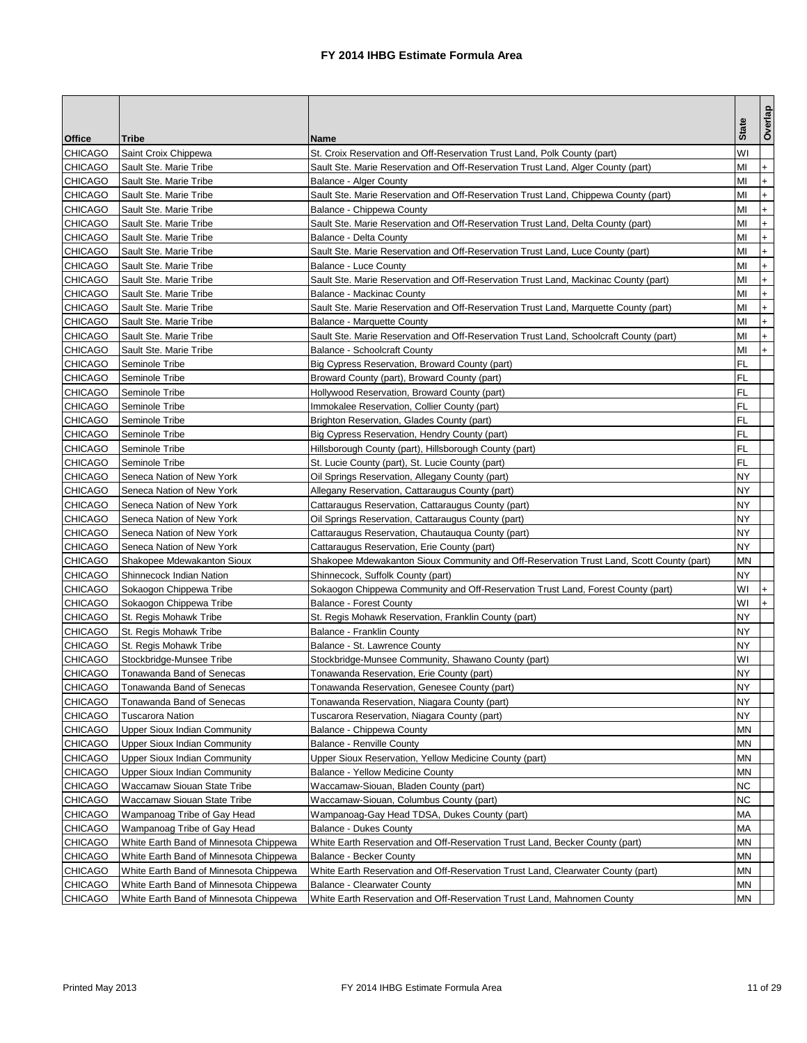| <b>State</b><br><b>Office</b><br>Name<br>Tribe<br><b>CHICAGO</b><br>W١<br>Saint Croix Chippewa<br>St. Croix Reservation and Off-Reservation Trust Land, Polk County (part)<br><b>CHICAGO</b><br>Sault Ste. Marie Tribe<br>MI<br>$\ddot{}$<br>Sault Ste. Marie Reservation and Off-Reservation Trust Land, Alger County (part)<br><b>CHICAGO</b><br>$+$<br>Sault Ste. Marie Tribe<br>MI<br>Balance - Alger County<br><b>CHICAGO</b><br>Sault Ste. Marie Tribe<br>Sault Ste. Marie Reservation and Off-Reservation Trust Land, Chippewa County (part)<br>MI<br>$\ddot{}$<br><b>CHICAGO</b><br>Sault Ste. Marie Tribe<br>Balance - Chippewa County<br>MI<br>$\ddot{}$<br><b>CHICAGO</b><br>Sault Ste. Marie Tribe<br>Sault Ste. Marie Reservation and Off-Reservation Trust Land, Delta County (part)<br>MI<br>$\ddot{}$<br><b>CHICAGO</b><br>Sault Ste. Marie Tribe<br>ΜI<br>$\ddot{}$<br>Balance - Delta County<br>$\ddot{}$<br><b>CHICAGO</b><br>Sault Ste. Marie Tribe<br>Sault Ste. Marie Reservation and Off-Reservation Trust Land, Luce County (part)<br>MI<br><b>CHICAGO</b><br>MI<br>$+$<br>Sault Ste. Marie Tribe<br>Balance - Luce County<br>$\ddot{}$<br><b>CHICAGO</b><br>ΜI<br>Sault Ste. Marie Tribe<br>Sault Ste. Marie Reservation and Off-Reservation Trust Land, Mackinac County (part)<br><b>CHICAGO</b><br>MI<br>Sault Ste. Marie Tribe<br>Balance - Mackinac County<br>$\ddot{}$<br><b>CHICAGO</b><br>$\ddot{}$<br>Sault Ste. Marie Tribe<br>ΜI<br>Sault Ste. Marie Reservation and Off-Reservation Trust Land, Marquette County (part)<br><b>CHICAGO</b><br>Sault Ste. Marie Tribe<br><b>Balance - Marquette County</b><br>MI<br>$\ddot{}$<br><b>CHICAGO</b><br>MI<br>Sault Ste. Marie Tribe<br>Sault Ste. Marie Reservation and Off-Reservation Trust Land, Schoolcraft County (part)<br>$\ddot{}$<br>$+$<br><b>CHICAGO</b><br>Sault Ste. Marie Tribe<br>MI<br><b>Balance - Schoolcraft County</b><br><b>CHICAGO</b><br>FL<br>Seminole Tribe<br>Big Cypress Reservation, Broward County (part)<br>CHICAGO<br>FL<br>Seminole Tribe<br>Broward County (part), Broward County (part)<br><b>CHICAGO</b><br>FL<br>Seminole Tribe<br>Hollywood Reservation, Broward County (part)<br>FL<br><b>CHICAGO</b><br>Immokalee Reservation, Collier County (part)<br>Seminole Tribe<br>FL<br><b>CHICAGO</b><br>Seminole Tribe<br>Brighton Reservation, Glades County (part)<br><b>CHICAGO</b><br>FL<br>Seminole Tribe<br>Big Cypress Reservation, Hendry County (part)<br><b>CHICAGO</b><br>Seminole Tribe<br>Hillsborough County (part), Hillsborough County (part)<br>FL<br>FL<br><b>CHICAGO</b><br>Seminole Tribe<br>St. Lucie County (part), St. Lucie County (part)<br>NY<br>CHICAGO<br>Oil Springs Reservation, Allegany County (part)<br>Seneca Nation of New York<br><b>CHICAGO</b><br>NY<br>Seneca Nation of New York<br>Allegany Reservation, Cattaraugus County (part)<br><b>CHICAGO</b><br>NY<br>Seneca Nation of New York<br>Cattaraugus Reservation, Cattaraugus County (part)<br>NY<br><b>CHICAGO</b><br>Seneca Nation of New York<br>Oil Springs Reservation, Cattaraugus County (part)<br>CHICAGO<br>NY.<br>Seneca Nation of New York<br>Cattaraugus Reservation, Chautauqua County (part)<br><b>CHICAGO</b><br>Seneca Nation of New York<br>NY<br>Cattaraugus Reservation, Erie County (part)<br><b>CHICAGO</b><br>Shakopee Mdewakanton Sioux<br>Shakopee Mdewakanton Sioux Community and Off-Reservation Trust Land, Scott County (part)<br>ΜN<br><b>CHICAGO</b><br>NΥ<br>Shinnecock Indian Nation<br>Shinnecock, Suffolk County (part)<br>W١<br>CHICAGO<br>Sokaogon Chippewa Tribe<br>Sokaogon Chippewa Community and Off-Reservation Trust Land, Forest County (part)<br>W١<br>$+$<br><b>CHICAGO</b><br>Sokaogon Chippewa Tribe<br><b>Balance - Forest County</b><br>NΥ<br><b>CHICAGO</b><br>St. Regis Mohawk Tribe<br>St. Regis Mohawk Reservation, Franklin County (part)<br><b>CHICAGO</b><br>NΥ<br>St. Regis Mohawk Tribe<br><b>Balance - Franklin County</b><br><b>CHICAGO</b><br>NY<br>St. Regis Mohawk Tribe<br>Balance - St. Lawrence County<br><b>CHICAGO</b><br>W١<br>Stockbridge-Munsee Tribe<br>Stockbridge-Munsee Community, Shawano County (part)<br><b>CHICAGO</b><br>Tonawanda Reservation, Erie County (part)<br>NY<br>Tonawanda Band of Senecas<br><b>NY</b><br><b>CHICAGO</b><br>Tonawanda Band of Senecas<br>Tonawanda Reservation, Genesee County (part)<br><b>CHICAGO</b><br>Tonawanda Reservation, Niagara County (part)<br>ΝY<br>Tonawanda Band of Senecas<br><b>CHICAGO</b><br>NY.<br>Tuscarora Nation<br>Tuscarora Reservation, Niagara County (part)<br><b>CHICAGO</b><br><b>Upper Sioux Indian Community</b><br>Balance - Chippewa County<br>ΜN<br><b>CHICAGO</b><br>Upper Sioux Indian Community<br><b>Balance - Renville County</b><br>ΜN<br><b>CHICAGO</b><br>ΜN<br><b>Upper Sioux Indian Community</b><br>Upper Sioux Reservation, Yellow Medicine County (part)<br><b>CHICAGO</b><br><b>Upper Sioux Indian Community</b><br>Balance - Yellow Medicine County<br>MΝ<br><b>CHICAGO</b><br>ΝC<br>Waccamaw Siouan State Tribe<br>Waccamaw-Siouan, Bladen County (part)<br><b>CHICAGO</b><br>Waccamaw Siouan State Tribe<br>Waccamaw-Siouan, Columbus County (part)<br>ΝC<br><b>CHICAGO</b><br>МA<br>Wampanoag Tribe of Gay Head<br>Wampanoag-Gay Head TDSA, Dukes County (part)<br><b>CHICAGO</b><br>Wampanoag Tribe of Gay Head<br><b>Balance - Dukes County</b><br>МA<br><b>CHICAGO</b><br>White Earth Reservation and Off-Reservation Trust Land, Becker County (part)<br>MΝ<br>White Earth Band of Minnesota Chippewa<br><b>CHICAGO</b><br>White Earth Band of Minnesota Chippewa<br>Balance - Becker County<br>ΜN<br><b>CHICAGO</b><br>White Earth Band of Minnesota Chippewa<br>White Earth Reservation and Off-Reservation Trust Land, Clearwater County (part)<br>ΜN<br><b>CHICAGO</b><br>ΜN<br>White Earth Band of Minnesota Chippewa<br><b>Balance - Clearwater County</b> |                |                                        |                                                                         |    | Overlap |
|------------------------------------------------------------------------------------------------------------------------------------------------------------------------------------------------------------------------------------------------------------------------------------------------------------------------------------------------------------------------------------------------------------------------------------------------------------------------------------------------------------------------------------------------------------------------------------------------------------------------------------------------------------------------------------------------------------------------------------------------------------------------------------------------------------------------------------------------------------------------------------------------------------------------------------------------------------------------------------------------------------------------------------------------------------------------------------------------------------------------------------------------------------------------------------------------------------------------------------------------------------------------------------------------------------------------------------------------------------------------------------------------------------------------------------------------------------------------------------------------------------------------------------------------------------------------------------------------------------------------------------------------------------------------------------------------------------------------------------------------------------------------------------------------------------------------------------------------------------------------------------------------------------------------------------------------------------------------------------------------------------------------------------------------------------------------------------------------------------------------------------------------------------------------------------------------------------------------------------------------------------------------------------------------------------------------------------------------------------------------------------------------------------------------------------------------------------------------------------------------------------------------------------------------------------------------------------------------------------------------------------------------------------------------------------------------------------------------------------------------------------------------------------------------------------------------------------------------------------------------------------------------------------------------------------------------------------------------------------------------------------------------------------------------------------------------------------------------------------------------------------------------------------------------------------------------------------------------------------------------------------------------------------------------------------------------------------------------------------------------------------------------------------------------------------------------------------------------------------------------------------------------------------------------------------------------------------------------------------------------------------------------------------------------------------------------------------------------------------------------------------------------------------------------------------------------------------------------------------------------------------------------------------------------------------------------------------------------------------------------------------------------------------------------------------------------------------------------------------------------------------------------------------------------------------------------------------------------------------------------------------------------------------------------------------------------------------------------------------------------------------------------------------------------------------------------------------------------------------------------------------------------------------------------------------------------------------------------------------------------------------------------------------------------------------------------------------------------------------------------------------------------------------------------------------------------------------------------------------------------------------------------------------------------------------------------------------------------------------------------------------------------------------------------------------------------------------------------------------------------------------------------------------------------------------------------------------------------------------------------------------------------------------------------------------------------------------------------------------------------------------------------------------------------------------------------------------------------------------------------------------------------------------------------------------------------------------------------------------------------------------------------------------------------------------------------------------------------------------------------------------------------------------------------------------------------------------------------------------------------------------------------------------------------------------------------|----------------|----------------------------------------|-------------------------------------------------------------------------|----|---------|
|                                                                                                                                                                                                                                                                                                                                                                                                                                                                                                                                                                                                                                                                                                                                                                                                                                                                                                                                                                                                                                                                                                                                                                                                                                                                                                                                                                                                                                                                                                                                                                                                                                                                                                                                                                                                                                                                                                                                                                                                                                                                                                                                                                                                                                                                                                                                                                                                                                                                                                                                                                                                                                                                                                                                                                                                                                                                                                                                                                                                                                                                                                                                                                                                                                                                                                                                                                                                                                                                                                                                                                                                                                                                                                                                                                                                                                                                                                                                                                                                                                                                                                                                                                                                                                                                                                                                                                                                                                                                                                                                                                                                                                                                                                                                                                                                                                                                                                                                                                                                                                                                                                                                                                                                                                                                                                                                                                                                                                                                                                                                                                                                                                                                                                                                                                                                                                                                                                                                                |                |                                        |                                                                         |    |         |
|                                                                                                                                                                                                                                                                                                                                                                                                                                                                                                                                                                                                                                                                                                                                                                                                                                                                                                                                                                                                                                                                                                                                                                                                                                                                                                                                                                                                                                                                                                                                                                                                                                                                                                                                                                                                                                                                                                                                                                                                                                                                                                                                                                                                                                                                                                                                                                                                                                                                                                                                                                                                                                                                                                                                                                                                                                                                                                                                                                                                                                                                                                                                                                                                                                                                                                                                                                                                                                                                                                                                                                                                                                                                                                                                                                                                                                                                                                                                                                                                                                                                                                                                                                                                                                                                                                                                                                                                                                                                                                                                                                                                                                                                                                                                                                                                                                                                                                                                                                                                                                                                                                                                                                                                                                                                                                                                                                                                                                                                                                                                                                                                                                                                                                                                                                                                                                                                                                                                                |                |                                        |                                                                         |    |         |
|                                                                                                                                                                                                                                                                                                                                                                                                                                                                                                                                                                                                                                                                                                                                                                                                                                                                                                                                                                                                                                                                                                                                                                                                                                                                                                                                                                                                                                                                                                                                                                                                                                                                                                                                                                                                                                                                                                                                                                                                                                                                                                                                                                                                                                                                                                                                                                                                                                                                                                                                                                                                                                                                                                                                                                                                                                                                                                                                                                                                                                                                                                                                                                                                                                                                                                                                                                                                                                                                                                                                                                                                                                                                                                                                                                                                                                                                                                                                                                                                                                                                                                                                                                                                                                                                                                                                                                                                                                                                                                                                                                                                                                                                                                                                                                                                                                                                                                                                                                                                                                                                                                                                                                                                                                                                                                                                                                                                                                                                                                                                                                                                                                                                                                                                                                                                                                                                                                                                                |                |                                        |                                                                         |    |         |
|                                                                                                                                                                                                                                                                                                                                                                                                                                                                                                                                                                                                                                                                                                                                                                                                                                                                                                                                                                                                                                                                                                                                                                                                                                                                                                                                                                                                                                                                                                                                                                                                                                                                                                                                                                                                                                                                                                                                                                                                                                                                                                                                                                                                                                                                                                                                                                                                                                                                                                                                                                                                                                                                                                                                                                                                                                                                                                                                                                                                                                                                                                                                                                                                                                                                                                                                                                                                                                                                                                                                                                                                                                                                                                                                                                                                                                                                                                                                                                                                                                                                                                                                                                                                                                                                                                                                                                                                                                                                                                                                                                                                                                                                                                                                                                                                                                                                                                                                                                                                                                                                                                                                                                                                                                                                                                                                                                                                                                                                                                                                                                                                                                                                                                                                                                                                                                                                                                                                                |                |                                        |                                                                         |    |         |
|                                                                                                                                                                                                                                                                                                                                                                                                                                                                                                                                                                                                                                                                                                                                                                                                                                                                                                                                                                                                                                                                                                                                                                                                                                                                                                                                                                                                                                                                                                                                                                                                                                                                                                                                                                                                                                                                                                                                                                                                                                                                                                                                                                                                                                                                                                                                                                                                                                                                                                                                                                                                                                                                                                                                                                                                                                                                                                                                                                                                                                                                                                                                                                                                                                                                                                                                                                                                                                                                                                                                                                                                                                                                                                                                                                                                                                                                                                                                                                                                                                                                                                                                                                                                                                                                                                                                                                                                                                                                                                                                                                                                                                                                                                                                                                                                                                                                                                                                                                                                                                                                                                                                                                                                                                                                                                                                                                                                                                                                                                                                                                                                                                                                                                                                                                                                                                                                                                                                                |                |                                        |                                                                         |    |         |
|                                                                                                                                                                                                                                                                                                                                                                                                                                                                                                                                                                                                                                                                                                                                                                                                                                                                                                                                                                                                                                                                                                                                                                                                                                                                                                                                                                                                                                                                                                                                                                                                                                                                                                                                                                                                                                                                                                                                                                                                                                                                                                                                                                                                                                                                                                                                                                                                                                                                                                                                                                                                                                                                                                                                                                                                                                                                                                                                                                                                                                                                                                                                                                                                                                                                                                                                                                                                                                                                                                                                                                                                                                                                                                                                                                                                                                                                                                                                                                                                                                                                                                                                                                                                                                                                                                                                                                                                                                                                                                                                                                                                                                                                                                                                                                                                                                                                                                                                                                                                                                                                                                                                                                                                                                                                                                                                                                                                                                                                                                                                                                                                                                                                                                                                                                                                                                                                                                                                                |                |                                        |                                                                         |    |         |
|                                                                                                                                                                                                                                                                                                                                                                                                                                                                                                                                                                                                                                                                                                                                                                                                                                                                                                                                                                                                                                                                                                                                                                                                                                                                                                                                                                                                                                                                                                                                                                                                                                                                                                                                                                                                                                                                                                                                                                                                                                                                                                                                                                                                                                                                                                                                                                                                                                                                                                                                                                                                                                                                                                                                                                                                                                                                                                                                                                                                                                                                                                                                                                                                                                                                                                                                                                                                                                                                                                                                                                                                                                                                                                                                                                                                                                                                                                                                                                                                                                                                                                                                                                                                                                                                                                                                                                                                                                                                                                                                                                                                                                                                                                                                                                                                                                                                                                                                                                                                                                                                                                                                                                                                                                                                                                                                                                                                                                                                                                                                                                                                                                                                                                                                                                                                                                                                                                                                                |                |                                        |                                                                         |    |         |
|                                                                                                                                                                                                                                                                                                                                                                                                                                                                                                                                                                                                                                                                                                                                                                                                                                                                                                                                                                                                                                                                                                                                                                                                                                                                                                                                                                                                                                                                                                                                                                                                                                                                                                                                                                                                                                                                                                                                                                                                                                                                                                                                                                                                                                                                                                                                                                                                                                                                                                                                                                                                                                                                                                                                                                                                                                                                                                                                                                                                                                                                                                                                                                                                                                                                                                                                                                                                                                                                                                                                                                                                                                                                                                                                                                                                                                                                                                                                                                                                                                                                                                                                                                                                                                                                                                                                                                                                                                                                                                                                                                                                                                                                                                                                                                                                                                                                                                                                                                                                                                                                                                                                                                                                                                                                                                                                                                                                                                                                                                                                                                                                                                                                                                                                                                                                                                                                                                                                                |                |                                        |                                                                         |    |         |
|                                                                                                                                                                                                                                                                                                                                                                                                                                                                                                                                                                                                                                                                                                                                                                                                                                                                                                                                                                                                                                                                                                                                                                                                                                                                                                                                                                                                                                                                                                                                                                                                                                                                                                                                                                                                                                                                                                                                                                                                                                                                                                                                                                                                                                                                                                                                                                                                                                                                                                                                                                                                                                                                                                                                                                                                                                                                                                                                                                                                                                                                                                                                                                                                                                                                                                                                                                                                                                                                                                                                                                                                                                                                                                                                                                                                                                                                                                                                                                                                                                                                                                                                                                                                                                                                                                                                                                                                                                                                                                                                                                                                                                                                                                                                                                                                                                                                                                                                                                                                                                                                                                                                                                                                                                                                                                                                                                                                                                                                                                                                                                                                                                                                                                                                                                                                                                                                                                                                                |                |                                        |                                                                         |    |         |
|                                                                                                                                                                                                                                                                                                                                                                                                                                                                                                                                                                                                                                                                                                                                                                                                                                                                                                                                                                                                                                                                                                                                                                                                                                                                                                                                                                                                                                                                                                                                                                                                                                                                                                                                                                                                                                                                                                                                                                                                                                                                                                                                                                                                                                                                                                                                                                                                                                                                                                                                                                                                                                                                                                                                                                                                                                                                                                                                                                                                                                                                                                                                                                                                                                                                                                                                                                                                                                                                                                                                                                                                                                                                                                                                                                                                                                                                                                                                                                                                                                                                                                                                                                                                                                                                                                                                                                                                                                                                                                                                                                                                                                                                                                                                                                                                                                                                                                                                                                                                                                                                                                                                                                                                                                                                                                                                                                                                                                                                                                                                                                                                                                                                                                                                                                                                                                                                                                                                                |                |                                        |                                                                         |    |         |
|                                                                                                                                                                                                                                                                                                                                                                                                                                                                                                                                                                                                                                                                                                                                                                                                                                                                                                                                                                                                                                                                                                                                                                                                                                                                                                                                                                                                                                                                                                                                                                                                                                                                                                                                                                                                                                                                                                                                                                                                                                                                                                                                                                                                                                                                                                                                                                                                                                                                                                                                                                                                                                                                                                                                                                                                                                                                                                                                                                                                                                                                                                                                                                                                                                                                                                                                                                                                                                                                                                                                                                                                                                                                                                                                                                                                                                                                                                                                                                                                                                                                                                                                                                                                                                                                                                                                                                                                                                                                                                                                                                                                                                                                                                                                                                                                                                                                                                                                                                                                                                                                                                                                                                                                                                                                                                                                                                                                                                                                                                                                                                                                                                                                                                                                                                                                                                                                                                                                                |                |                                        |                                                                         |    |         |
|                                                                                                                                                                                                                                                                                                                                                                                                                                                                                                                                                                                                                                                                                                                                                                                                                                                                                                                                                                                                                                                                                                                                                                                                                                                                                                                                                                                                                                                                                                                                                                                                                                                                                                                                                                                                                                                                                                                                                                                                                                                                                                                                                                                                                                                                                                                                                                                                                                                                                                                                                                                                                                                                                                                                                                                                                                                                                                                                                                                                                                                                                                                                                                                                                                                                                                                                                                                                                                                                                                                                                                                                                                                                                                                                                                                                                                                                                                                                                                                                                                                                                                                                                                                                                                                                                                                                                                                                                                                                                                                                                                                                                                                                                                                                                                                                                                                                                                                                                                                                                                                                                                                                                                                                                                                                                                                                                                                                                                                                                                                                                                                                                                                                                                                                                                                                                                                                                                                                                |                |                                        |                                                                         |    |         |
|                                                                                                                                                                                                                                                                                                                                                                                                                                                                                                                                                                                                                                                                                                                                                                                                                                                                                                                                                                                                                                                                                                                                                                                                                                                                                                                                                                                                                                                                                                                                                                                                                                                                                                                                                                                                                                                                                                                                                                                                                                                                                                                                                                                                                                                                                                                                                                                                                                                                                                                                                                                                                                                                                                                                                                                                                                                                                                                                                                                                                                                                                                                                                                                                                                                                                                                                                                                                                                                                                                                                                                                                                                                                                                                                                                                                                                                                                                                                                                                                                                                                                                                                                                                                                                                                                                                                                                                                                                                                                                                                                                                                                                                                                                                                                                                                                                                                                                                                                                                                                                                                                                                                                                                                                                                                                                                                                                                                                                                                                                                                                                                                                                                                                                                                                                                                                                                                                                                                                |                |                                        |                                                                         |    |         |
|                                                                                                                                                                                                                                                                                                                                                                                                                                                                                                                                                                                                                                                                                                                                                                                                                                                                                                                                                                                                                                                                                                                                                                                                                                                                                                                                                                                                                                                                                                                                                                                                                                                                                                                                                                                                                                                                                                                                                                                                                                                                                                                                                                                                                                                                                                                                                                                                                                                                                                                                                                                                                                                                                                                                                                                                                                                                                                                                                                                                                                                                                                                                                                                                                                                                                                                                                                                                                                                                                                                                                                                                                                                                                                                                                                                                                                                                                                                                                                                                                                                                                                                                                                                                                                                                                                                                                                                                                                                                                                                                                                                                                                                                                                                                                                                                                                                                                                                                                                                                                                                                                                                                                                                                                                                                                                                                                                                                                                                                                                                                                                                                                                                                                                                                                                                                                                                                                                                                                |                |                                        |                                                                         |    |         |
|                                                                                                                                                                                                                                                                                                                                                                                                                                                                                                                                                                                                                                                                                                                                                                                                                                                                                                                                                                                                                                                                                                                                                                                                                                                                                                                                                                                                                                                                                                                                                                                                                                                                                                                                                                                                                                                                                                                                                                                                                                                                                                                                                                                                                                                                                                                                                                                                                                                                                                                                                                                                                                                                                                                                                                                                                                                                                                                                                                                                                                                                                                                                                                                                                                                                                                                                                                                                                                                                                                                                                                                                                                                                                                                                                                                                                                                                                                                                                                                                                                                                                                                                                                                                                                                                                                                                                                                                                                                                                                                                                                                                                                                                                                                                                                                                                                                                                                                                                                                                                                                                                                                                                                                                                                                                                                                                                                                                                                                                                                                                                                                                                                                                                                                                                                                                                                                                                                                                                |                |                                        |                                                                         |    |         |
|                                                                                                                                                                                                                                                                                                                                                                                                                                                                                                                                                                                                                                                                                                                                                                                                                                                                                                                                                                                                                                                                                                                                                                                                                                                                                                                                                                                                                                                                                                                                                                                                                                                                                                                                                                                                                                                                                                                                                                                                                                                                                                                                                                                                                                                                                                                                                                                                                                                                                                                                                                                                                                                                                                                                                                                                                                                                                                                                                                                                                                                                                                                                                                                                                                                                                                                                                                                                                                                                                                                                                                                                                                                                                                                                                                                                                                                                                                                                                                                                                                                                                                                                                                                                                                                                                                                                                                                                                                                                                                                                                                                                                                                                                                                                                                                                                                                                                                                                                                                                                                                                                                                                                                                                                                                                                                                                                                                                                                                                                                                                                                                                                                                                                                                                                                                                                                                                                                                                                |                |                                        |                                                                         |    |         |
|                                                                                                                                                                                                                                                                                                                                                                                                                                                                                                                                                                                                                                                                                                                                                                                                                                                                                                                                                                                                                                                                                                                                                                                                                                                                                                                                                                                                                                                                                                                                                                                                                                                                                                                                                                                                                                                                                                                                                                                                                                                                                                                                                                                                                                                                                                                                                                                                                                                                                                                                                                                                                                                                                                                                                                                                                                                                                                                                                                                                                                                                                                                                                                                                                                                                                                                                                                                                                                                                                                                                                                                                                                                                                                                                                                                                                                                                                                                                                                                                                                                                                                                                                                                                                                                                                                                                                                                                                                                                                                                                                                                                                                                                                                                                                                                                                                                                                                                                                                                                                                                                                                                                                                                                                                                                                                                                                                                                                                                                                                                                                                                                                                                                                                                                                                                                                                                                                                                                                |                |                                        |                                                                         |    |         |
|                                                                                                                                                                                                                                                                                                                                                                                                                                                                                                                                                                                                                                                                                                                                                                                                                                                                                                                                                                                                                                                                                                                                                                                                                                                                                                                                                                                                                                                                                                                                                                                                                                                                                                                                                                                                                                                                                                                                                                                                                                                                                                                                                                                                                                                                                                                                                                                                                                                                                                                                                                                                                                                                                                                                                                                                                                                                                                                                                                                                                                                                                                                                                                                                                                                                                                                                                                                                                                                                                                                                                                                                                                                                                                                                                                                                                                                                                                                                                                                                                                                                                                                                                                                                                                                                                                                                                                                                                                                                                                                                                                                                                                                                                                                                                                                                                                                                                                                                                                                                                                                                                                                                                                                                                                                                                                                                                                                                                                                                                                                                                                                                                                                                                                                                                                                                                                                                                                                                                |                |                                        |                                                                         |    |         |
|                                                                                                                                                                                                                                                                                                                                                                                                                                                                                                                                                                                                                                                                                                                                                                                                                                                                                                                                                                                                                                                                                                                                                                                                                                                                                                                                                                                                                                                                                                                                                                                                                                                                                                                                                                                                                                                                                                                                                                                                                                                                                                                                                                                                                                                                                                                                                                                                                                                                                                                                                                                                                                                                                                                                                                                                                                                                                                                                                                                                                                                                                                                                                                                                                                                                                                                                                                                                                                                                                                                                                                                                                                                                                                                                                                                                                                                                                                                                                                                                                                                                                                                                                                                                                                                                                                                                                                                                                                                                                                                                                                                                                                                                                                                                                                                                                                                                                                                                                                                                                                                                                                                                                                                                                                                                                                                                                                                                                                                                                                                                                                                                                                                                                                                                                                                                                                                                                                                                                |                |                                        |                                                                         |    |         |
|                                                                                                                                                                                                                                                                                                                                                                                                                                                                                                                                                                                                                                                                                                                                                                                                                                                                                                                                                                                                                                                                                                                                                                                                                                                                                                                                                                                                                                                                                                                                                                                                                                                                                                                                                                                                                                                                                                                                                                                                                                                                                                                                                                                                                                                                                                                                                                                                                                                                                                                                                                                                                                                                                                                                                                                                                                                                                                                                                                                                                                                                                                                                                                                                                                                                                                                                                                                                                                                                                                                                                                                                                                                                                                                                                                                                                                                                                                                                                                                                                                                                                                                                                                                                                                                                                                                                                                                                                                                                                                                                                                                                                                                                                                                                                                                                                                                                                                                                                                                                                                                                                                                                                                                                                                                                                                                                                                                                                                                                                                                                                                                                                                                                                                                                                                                                                                                                                                                                                |                |                                        |                                                                         |    |         |
|                                                                                                                                                                                                                                                                                                                                                                                                                                                                                                                                                                                                                                                                                                                                                                                                                                                                                                                                                                                                                                                                                                                                                                                                                                                                                                                                                                                                                                                                                                                                                                                                                                                                                                                                                                                                                                                                                                                                                                                                                                                                                                                                                                                                                                                                                                                                                                                                                                                                                                                                                                                                                                                                                                                                                                                                                                                                                                                                                                                                                                                                                                                                                                                                                                                                                                                                                                                                                                                                                                                                                                                                                                                                                                                                                                                                                                                                                                                                                                                                                                                                                                                                                                                                                                                                                                                                                                                                                                                                                                                                                                                                                                                                                                                                                                                                                                                                                                                                                                                                                                                                                                                                                                                                                                                                                                                                                                                                                                                                                                                                                                                                                                                                                                                                                                                                                                                                                                                                                |                |                                        |                                                                         |    |         |
|                                                                                                                                                                                                                                                                                                                                                                                                                                                                                                                                                                                                                                                                                                                                                                                                                                                                                                                                                                                                                                                                                                                                                                                                                                                                                                                                                                                                                                                                                                                                                                                                                                                                                                                                                                                                                                                                                                                                                                                                                                                                                                                                                                                                                                                                                                                                                                                                                                                                                                                                                                                                                                                                                                                                                                                                                                                                                                                                                                                                                                                                                                                                                                                                                                                                                                                                                                                                                                                                                                                                                                                                                                                                                                                                                                                                                                                                                                                                                                                                                                                                                                                                                                                                                                                                                                                                                                                                                                                                                                                                                                                                                                                                                                                                                                                                                                                                                                                                                                                                                                                                                                                                                                                                                                                                                                                                                                                                                                                                                                                                                                                                                                                                                                                                                                                                                                                                                                                                                |                |                                        |                                                                         |    |         |
|                                                                                                                                                                                                                                                                                                                                                                                                                                                                                                                                                                                                                                                                                                                                                                                                                                                                                                                                                                                                                                                                                                                                                                                                                                                                                                                                                                                                                                                                                                                                                                                                                                                                                                                                                                                                                                                                                                                                                                                                                                                                                                                                                                                                                                                                                                                                                                                                                                                                                                                                                                                                                                                                                                                                                                                                                                                                                                                                                                                                                                                                                                                                                                                                                                                                                                                                                                                                                                                                                                                                                                                                                                                                                                                                                                                                                                                                                                                                                                                                                                                                                                                                                                                                                                                                                                                                                                                                                                                                                                                                                                                                                                                                                                                                                                                                                                                                                                                                                                                                                                                                                                                                                                                                                                                                                                                                                                                                                                                                                                                                                                                                                                                                                                                                                                                                                                                                                                                                                |                |                                        |                                                                         |    |         |
|                                                                                                                                                                                                                                                                                                                                                                                                                                                                                                                                                                                                                                                                                                                                                                                                                                                                                                                                                                                                                                                                                                                                                                                                                                                                                                                                                                                                                                                                                                                                                                                                                                                                                                                                                                                                                                                                                                                                                                                                                                                                                                                                                                                                                                                                                                                                                                                                                                                                                                                                                                                                                                                                                                                                                                                                                                                                                                                                                                                                                                                                                                                                                                                                                                                                                                                                                                                                                                                                                                                                                                                                                                                                                                                                                                                                                                                                                                                                                                                                                                                                                                                                                                                                                                                                                                                                                                                                                                                                                                                                                                                                                                                                                                                                                                                                                                                                                                                                                                                                                                                                                                                                                                                                                                                                                                                                                                                                                                                                                                                                                                                                                                                                                                                                                                                                                                                                                                                                                |                |                                        |                                                                         |    |         |
|                                                                                                                                                                                                                                                                                                                                                                                                                                                                                                                                                                                                                                                                                                                                                                                                                                                                                                                                                                                                                                                                                                                                                                                                                                                                                                                                                                                                                                                                                                                                                                                                                                                                                                                                                                                                                                                                                                                                                                                                                                                                                                                                                                                                                                                                                                                                                                                                                                                                                                                                                                                                                                                                                                                                                                                                                                                                                                                                                                                                                                                                                                                                                                                                                                                                                                                                                                                                                                                                                                                                                                                                                                                                                                                                                                                                                                                                                                                                                                                                                                                                                                                                                                                                                                                                                                                                                                                                                                                                                                                                                                                                                                                                                                                                                                                                                                                                                                                                                                                                                                                                                                                                                                                                                                                                                                                                                                                                                                                                                                                                                                                                                                                                                                                                                                                                                                                                                                                                                |                |                                        |                                                                         |    |         |
|                                                                                                                                                                                                                                                                                                                                                                                                                                                                                                                                                                                                                                                                                                                                                                                                                                                                                                                                                                                                                                                                                                                                                                                                                                                                                                                                                                                                                                                                                                                                                                                                                                                                                                                                                                                                                                                                                                                                                                                                                                                                                                                                                                                                                                                                                                                                                                                                                                                                                                                                                                                                                                                                                                                                                                                                                                                                                                                                                                                                                                                                                                                                                                                                                                                                                                                                                                                                                                                                                                                                                                                                                                                                                                                                                                                                                                                                                                                                                                                                                                                                                                                                                                                                                                                                                                                                                                                                                                                                                                                                                                                                                                                                                                                                                                                                                                                                                                                                                                                                                                                                                                                                                                                                                                                                                                                                                                                                                                                                                                                                                                                                                                                                                                                                                                                                                                                                                                                                                |                |                                        |                                                                         |    |         |
|                                                                                                                                                                                                                                                                                                                                                                                                                                                                                                                                                                                                                                                                                                                                                                                                                                                                                                                                                                                                                                                                                                                                                                                                                                                                                                                                                                                                                                                                                                                                                                                                                                                                                                                                                                                                                                                                                                                                                                                                                                                                                                                                                                                                                                                                                                                                                                                                                                                                                                                                                                                                                                                                                                                                                                                                                                                                                                                                                                                                                                                                                                                                                                                                                                                                                                                                                                                                                                                                                                                                                                                                                                                                                                                                                                                                                                                                                                                                                                                                                                                                                                                                                                                                                                                                                                                                                                                                                                                                                                                                                                                                                                                                                                                                                                                                                                                                                                                                                                                                                                                                                                                                                                                                                                                                                                                                                                                                                                                                                                                                                                                                                                                                                                                                                                                                                                                                                                                                                |                |                                        |                                                                         |    |         |
|                                                                                                                                                                                                                                                                                                                                                                                                                                                                                                                                                                                                                                                                                                                                                                                                                                                                                                                                                                                                                                                                                                                                                                                                                                                                                                                                                                                                                                                                                                                                                                                                                                                                                                                                                                                                                                                                                                                                                                                                                                                                                                                                                                                                                                                                                                                                                                                                                                                                                                                                                                                                                                                                                                                                                                                                                                                                                                                                                                                                                                                                                                                                                                                                                                                                                                                                                                                                                                                                                                                                                                                                                                                                                                                                                                                                                                                                                                                                                                                                                                                                                                                                                                                                                                                                                                                                                                                                                                                                                                                                                                                                                                                                                                                                                                                                                                                                                                                                                                                                                                                                                                                                                                                                                                                                                                                                                                                                                                                                                                                                                                                                                                                                                                                                                                                                                                                                                                                                                |                |                                        |                                                                         |    |         |
|                                                                                                                                                                                                                                                                                                                                                                                                                                                                                                                                                                                                                                                                                                                                                                                                                                                                                                                                                                                                                                                                                                                                                                                                                                                                                                                                                                                                                                                                                                                                                                                                                                                                                                                                                                                                                                                                                                                                                                                                                                                                                                                                                                                                                                                                                                                                                                                                                                                                                                                                                                                                                                                                                                                                                                                                                                                                                                                                                                                                                                                                                                                                                                                                                                                                                                                                                                                                                                                                                                                                                                                                                                                                                                                                                                                                                                                                                                                                                                                                                                                                                                                                                                                                                                                                                                                                                                                                                                                                                                                                                                                                                                                                                                                                                                                                                                                                                                                                                                                                                                                                                                                                                                                                                                                                                                                                                                                                                                                                                                                                                                                                                                                                                                                                                                                                                                                                                                                                                |                |                                        |                                                                         |    |         |
|                                                                                                                                                                                                                                                                                                                                                                                                                                                                                                                                                                                                                                                                                                                                                                                                                                                                                                                                                                                                                                                                                                                                                                                                                                                                                                                                                                                                                                                                                                                                                                                                                                                                                                                                                                                                                                                                                                                                                                                                                                                                                                                                                                                                                                                                                                                                                                                                                                                                                                                                                                                                                                                                                                                                                                                                                                                                                                                                                                                                                                                                                                                                                                                                                                                                                                                                                                                                                                                                                                                                                                                                                                                                                                                                                                                                                                                                                                                                                                                                                                                                                                                                                                                                                                                                                                                                                                                                                                                                                                                                                                                                                                                                                                                                                                                                                                                                                                                                                                                                                                                                                                                                                                                                                                                                                                                                                                                                                                                                                                                                                                                                                                                                                                                                                                                                                                                                                                                                                |                |                                        |                                                                         |    |         |
|                                                                                                                                                                                                                                                                                                                                                                                                                                                                                                                                                                                                                                                                                                                                                                                                                                                                                                                                                                                                                                                                                                                                                                                                                                                                                                                                                                                                                                                                                                                                                                                                                                                                                                                                                                                                                                                                                                                                                                                                                                                                                                                                                                                                                                                                                                                                                                                                                                                                                                                                                                                                                                                                                                                                                                                                                                                                                                                                                                                                                                                                                                                                                                                                                                                                                                                                                                                                                                                                                                                                                                                                                                                                                                                                                                                                                                                                                                                                                                                                                                                                                                                                                                                                                                                                                                                                                                                                                                                                                                                                                                                                                                                                                                                                                                                                                                                                                                                                                                                                                                                                                                                                                                                                                                                                                                                                                                                                                                                                                                                                                                                                                                                                                                                                                                                                                                                                                                                                                |                |                                        |                                                                         |    |         |
|                                                                                                                                                                                                                                                                                                                                                                                                                                                                                                                                                                                                                                                                                                                                                                                                                                                                                                                                                                                                                                                                                                                                                                                                                                                                                                                                                                                                                                                                                                                                                                                                                                                                                                                                                                                                                                                                                                                                                                                                                                                                                                                                                                                                                                                                                                                                                                                                                                                                                                                                                                                                                                                                                                                                                                                                                                                                                                                                                                                                                                                                                                                                                                                                                                                                                                                                                                                                                                                                                                                                                                                                                                                                                                                                                                                                                                                                                                                                                                                                                                                                                                                                                                                                                                                                                                                                                                                                                                                                                                                                                                                                                                                                                                                                                                                                                                                                                                                                                                                                                                                                                                                                                                                                                                                                                                                                                                                                                                                                                                                                                                                                                                                                                                                                                                                                                                                                                                                                                |                |                                        |                                                                         |    |         |
|                                                                                                                                                                                                                                                                                                                                                                                                                                                                                                                                                                                                                                                                                                                                                                                                                                                                                                                                                                                                                                                                                                                                                                                                                                                                                                                                                                                                                                                                                                                                                                                                                                                                                                                                                                                                                                                                                                                                                                                                                                                                                                                                                                                                                                                                                                                                                                                                                                                                                                                                                                                                                                                                                                                                                                                                                                                                                                                                                                                                                                                                                                                                                                                                                                                                                                                                                                                                                                                                                                                                                                                                                                                                                                                                                                                                                                                                                                                                                                                                                                                                                                                                                                                                                                                                                                                                                                                                                                                                                                                                                                                                                                                                                                                                                                                                                                                                                                                                                                                                                                                                                                                                                                                                                                                                                                                                                                                                                                                                                                                                                                                                                                                                                                                                                                                                                                                                                                                                                |                |                                        |                                                                         |    |         |
|                                                                                                                                                                                                                                                                                                                                                                                                                                                                                                                                                                                                                                                                                                                                                                                                                                                                                                                                                                                                                                                                                                                                                                                                                                                                                                                                                                                                                                                                                                                                                                                                                                                                                                                                                                                                                                                                                                                                                                                                                                                                                                                                                                                                                                                                                                                                                                                                                                                                                                                                                                                                                                                                                                                                                                                                                                                                                                                                                                                                                                                                                                                                                                                                                                                                                                                                                                                                                                                                                                                                                                                                                                                                                                                                                                                                                                                                                                                                                                                                                                                                                                                                                                                                                                                                                                                                                                                                                                                                                                                                                                                                                                                                                                                                                                                                                                                                                                                                                                                                                                                                                                                                                                                                                                                                                                                                                                                                                                                                                                                                                                                                                                                                                                                                                                                                                                                                                                                                                |                |                                        |                                                                         |    |         |
|                                                                                                                                                                                                                                                                                                                                                                                                                                                                                                                                                                                                                                                                                                                                                                                                                                                                                                                                                                                                                                                                                                                                                                                                                                                                                                                                                                                                                                                                                                                                                                                                                                                                                                                                                                                                                                                                                                                                                                                                                                                                                                                                                                                                                                                                                                                                                                                                                                                                                                                                                                                                                                                                                                                                                                                                                                                                                                                                                                                                                                                                                                                                                                                                                                                                                                                                                                                                                                                                                                                                                                                                                                                                                                                                                                                                                                                                                                                                                                                                                                                                                                                                                                                                                                                                                                                                                                                                                                                                                                                                                                                                                                                                                                                                                                                                                                                                                                                                                                                                                                                                                                                                                                                                                                                                                                                                                                                                                                                                                                                                                                                                                                                                                                                                                                                                                                                                                                                                                |                |                                        |                                                                         |    |         |
|                                                                                                                                                                                                                                                                                                                                                                                                                                                                                                                                                                                                                                                                                                                                                                                                                                                                                                                                                                                                                                                                                                                                                                                                                                                                                                                                                                                                                                                                                                                                                                                                                                                                                                                                                                                                                                                                                                                                                                                                                                                                                                                                                                                                                                                                                                                                                                                                                                                                                                                                                                                                                                                                                                                                                                                                                                                                                                                                                                                                                                                                                                                                                                                                                                                                                                                                                                                                                                                                                                                                                                                                                                                                                                                                                                                                                                                                                                                                                                                                                                                                                                                                                                                                                                                                                                                                                                                                                                                                                                                                                                                                                                                                                                                                                                                                                                                                                                                                                                                                                                                                                                                                                                                                                                                                                                                                                                                                                                                                                                                                                                                                                                                                                                                                                                                                                                                                                                                                                |                |                                        |                                                                         |    |         |
|                                                                                                                                                                                                                                                                                                                                                                                                                                                                                                                                                                                                                                                                                                                                                                                                                                                                                                                                                                                                                                                                                                                                                                                                                                                                                                                                                                                                                                                                                                                                                                                                                                                                                                                                                                                                                                                                                                                                                                                                                                                                                                                                                                                                                                                                                                                                                                                                                                                                                                                                                                                                                                                                                                                                                                                                                                                                                                                                                                                                                                                                                                                                                                                                                                                                                                                                                                                                                                                                                                                                                                                                                                                                                                                                                                                                                                                                                                                                                                                                                                                                                                                                                                                                                                                                                                                                                                                                                                                                                                                                                                                                                                                                                                                                                                                                                                                                                                                                                                                                                                                                                                                                                                                                                                                                                                                                                                                                                                                                                                                                                                                                                                                                                                                                                                                                                                                                                                                                                |                |                                        |                                                                         |    |         |
|                                                                                                                                                                                                                                                                                                                                                                                                                                                                                                                                                                                                                                                                                                                                                                                                                                                                                                                                                                                                                                                                                                                                                                                                                                                                                                                                                                                                                                                                                                                                                                                                                                                                                                                                                                                                                                                                                                                                                                                                                                                                                                                                                                                                                                                                                                                                                                                                                                                                                                                                                                                                                                                                                                                                                                                                                                                                                                                                                                                                                                                                                                                                                                                                                                                                                                                                                                                                                                                                                                                                                                                                                                                                                                                                                                                                                                                                                                                                                                                                                                                                                                                                                                                                                                                                                                                                                                                                                                                                                                                                                                                                                                                                                                                                                                                                                                                                                                                                                                                                                                                                                                                                                                                                                                                                                                                                                                                                                                                                                                                                                                                                                                                                                                                                                                                                                                                                                                                                                |                |                                        |                                                                         |    |         |
|                                                                                                                                                                                                                                                                                                                                                                                                                                                                                                                                                                                                                                                                                                                                                                                                                                                                                                                                                                                                                                                                                                                                                                                                                                                                                                                                                                                                                                                                                                                                                                                                                                                                                                                                                                                                                                                                                                                                                                                                                                                                                                                                                                                                                                                                                                                                                                                                                                                                                                                                                                                                                                                                                                                                                                                                                                                                                                                                                                                                                                                                                                                                                                                                                                                                                                                                                                                                                                                                                                                                                                                                                                                                                                                                                                                                                                                                                                                                                                                                                                                                                                                                                                                                                                                                                                                                                                                                                                                                                                                                                                                                                                                                                                                                                                                                                                                                                                                                                                                                                                                                                                                                                                                                                                                                                                                                                                                                                                                                                                                                                                                                                                                                                                                                                                                                                                                                                                                                                |                |                                        |                                                                         |    |         |
|                                                                                                                                                                                                                                                                                                                                                                                                                                                                                                                                                                                                                                                                                                                                                                                                                                                                                                                                                                                                                                                                                                                                                                                                                                                                                                                                                                                                                                                                                                                                                                                                                                                                                                                                                                                                                                                                                                                                                                                                                                                                                                                                                                                                                                                                                                                                                                                                                                                                                                                                                                                                                                                                                                                                                                                                                                                                                                                                                                                                                                                                                                                                                                                                                                                                                                                                                                                                                                                                                                                                                                                                                                                                                                                                                                                                                                                                                                                                                                                                                                                                                                                                                                                                                                                                                                                                                                                                                                                                                                                                                                                                                                                                                                                                                                                                                                                                                                                                                                                                                                                                                                                                                                                                                                                                                                                                                                                                                                                                                                                                                                                                                                                                                                                                                                                                                                                                                                                                                |                |                                        |                                                                         |    |         |
|                                                                                                                                                                                                                                                                                                                                                                                                                                                                                                                                                                                                                                                                                                                                                                                                                                                                                                                                                                                                                                                                                                                                                                                                                                                                                                                                                                                                                                                                                                                                                                                                                                                                                                                                                                                                                                                                                                                                                                                                                                                                                                                                                                                                                                                                                                                                                                                                                                                                                                                                                                                                                                                                                                                                                                                                                                                                                                                                                                                                                                                                                                                                                                                                                                                                                                                                                                                                                                                                                                                                                                                                                                                                                                                                                                                                                                                                                                                                                                                                                                                                                                                                                                                                                                                                                                                                                                                                                                                                                                                                                                                                                                                                                                                                                                                                                                                                                                                                                                                                                                                                                                                                                                                                                                                                                                                                                                                                                                                                                                                                                                                                                                                                                                                                                                                                                                                                                                                                                |                |                                        |                                                                         |    |         |
|                                                                                                                                                                                                                                                                                                                                                                                                                                                                                                                                                                                                                                                                                                                                                                                                                                                                                                                                                                                                                                                                                                                                                                                                                                                                                                                                                                                                                                                                                                                                                                                                                                                                                                                                                                                                                                                                                                                                                                                                                                                                                                                                                                                                                                                                                                                                                                                                                                                                                                                                                                                                                                                                                                                                                                                                                                                                                                                                                                                                                                                                                                                                                                                                                                                                                                                                                                                                                                                                                                                                                                                                                                                                                                                                                                                                                                                                                                                                                                                                                                                                                                                                                                                                                                                                                                                                                                                                                                                                                                                                                                                                                                                                                                                                                                                                                                                                                                                                                                                                                                                                                                                                                                                                                                                                                                                                                                                                                                                                                                                                                                                                                                                                                                                                                                                                                                                                                                                                                |                |                                        |                                                                         |    |         |
|                                                                                                                                                                                                                                                                                                                                                                                                                                                                                                                                                                                                                                                                                                                                                                                                                                                                                                                                                                                                                                                                                                                                                                                                                                                                                                                                                                                                                                                                                                                                                                                                                                                                                                                                                                                                                                                                                                                                                                                                                                                                                                                                                                                                                                                                                                                                                                                                                                                                                                                                                                                                                                                                                                                                                                                                                                                                                                                                                                                                                                                                                                                                                                                                                                                                                                                                                                                                                                                                                                                                                                                                                                                                                                                                                                                                                                                                                                                                                                                                                                                                                                                                                                                                                                                                                                                                                                                                                                                                                                                                                                                                                                                                                                                                                                                                                                                                                                                                                                                                                                                                                                                                                                                                                                                                                                                                                                                                                                                                                                                                                                                                                                                                                                                                                                                                                                                                                                                                                |                |                                        |                                                                         |    |         |
|                                                                                                                                                                                                                                                                                                                                                                                                                                                                                                                                                                                                                                                                                                                                                                                                                                                                                                                                                                                                                                                                                                                                                                                                                                                                                                                                                                                                                                                                                                                                                                                                                                                                                                                                                                                                                                                                                                                                                                                                                                                                                                                                                                                                                                                                                                                                                                                                                                                                                                                                                                                                                                                                                                                                                                                                                                                                                                                                                                                                                                                                                                                                                                                                                                                                                                                                                                                                                                                                                                                                                                                                                                                                                                                                                                                                                                                                                                                                                                                                                                                                                                                                                                                                                                                                                                                                                                                                                                                                                                                                                                                                                                                                                                                                                                                                                                                                                                                                                                                                                                                                                                                                                                                                                                                                                                                                                                                                                                                                                                                                                                                                                                                                                                                                                                                                                                                                                                                                                |                |                                        |                                                                         |    |         |
|                                                                                                                                                                                                                                                                                                                                                                                                                                                                                                                                                                                                                                                                                                                                                                                                                                                                                                                                                                                                                                                                                                                                                                                                                                                                                                                                                                                                                                                                                                                                                                                                                                                                                                                                                                                                                                                                                                                                                                                                                                                                                                                                                                                                                                                                                                                                                                                                                                                                                                                                                                                                                                                                                                                                                                                                                                                                                                                                                                                                                                                                                                                                                                                                                                                                                                                                                                                                                                                                                                                                                                                                                                                                                                                                                                                                                                                                                                                                                                                                                                                                                                                                                                                                                                                                                                                                                                                                                                                                                                                                                                                                                                                                                                                                                                                                                                                                                                                                                                                                                                                                                                                                                                                                                                                                                                                                                                                                                                                                                                                                                                                                                                                                                                                                                                                                                                                                                                                                                |                |                                        |                                                                         |    |         |
|                                                                                                                                                                                                                                                                                                                                                                                                                                                                                                                                                                                                                                                                                                                                                                                                                                                                                                                                                                                                                                                                                                                                                                                                                                                                                                                                                                                                                                                                                                                                                                                                                                                                                                                                                                                                                                                                                                                                                                                                                                                                                                                                                                                                                                                                                                                                                                                                                                                                                                                                                                                                                                                                                                                                                                                                                                                                                                                                                                                                                                                                                                                                                                                                                                                                                                                                                                                                                                                                                                                                                                                                                                                                                                                                                                                                                                                                                                                                                                                                                                                                                                                                                                                                                                                                                                                                                                                                                                                                                                                                                                                                                                                                                                                                                                                                                                                                                                                                                                                                                                                                                                                                                                                                                                                                                                                                                                                                                                                                                                                                                                                                                                                                                                                                                                                                                                                                                                                                                |                |                                        |                                                                         |    |         |
|                                                                                                                                                                                                                                                                                                                                                                                                                                                                                                                                                                                                                                                                                                                                                                                                                                                                                                                                                                                                                                                                                                                                                                                                                                                                                                                                                                                                                                                                                                                                                                                                                                                                                                                                                                                                                                                                                                                                                                                                                                                                                                                                                                                                                                                                                                                                                                                                                                                                                                                                                                                                                                                                                                                                                                                                                                                                                                                                                                                                                                                                                                                                                                                                                                                                                                                                                                                                                                                                                                                                                                                                                                                                                                                                                                                                                                                                                                                                                                                                                                                                                                                                                                                                                                                                                                                                                                                                                                                                                                                                                                                                                                                                                                                                                                                                                                                                                                                                                                                                                                                                                                                                                                                                                                                                                                                                                                                                                                                                                                                                                                                                                                                                                                                                                                                                                                                                                                                                                |                |                                        |                                                                         |    |         |
|                                                                                                                                                                                                                                                                                                                                                                                                                                                                                                                                                                                                                                                                                                                                                                                                                                                                                                                                                                                                                                                                                                                                                                                                                                                                                                                                                                                                                                                                                                                                                                                                                                                                                                                                                                                                                                                                                                                                                                                                                                                                                                                                                                                                                                                                                                                                                                                                                                                                                                                                                                                                                                                                                                                                                                                                                                                                                                                                                                                                                                                                                                                                                                                                                                                                                                                                                                                                                                                                                                                                                                                                                                                                                                                                                                                                                                                                                                                                                                                                                                                                                                                                                                                                                                                                                                                                                                                                                                                                                                                                                                                                                                                                                                                                                                                                                                                                                                                                                                                                                                                                                                                                                                                                                                                                                                                                                                                                                                                                                                                                                                                                                                                                                                                                                                                                                                                                                                                                                |                |                                        |                                                                         |    |         |
|                                                                                                                                                                                                                                                                                                                                                                                                                                                                                                                                                                                                                                                                                                                                                                                                                                                                                                                                                                                                                                                                                                                                                                                                                                                                                                                                                                                                                                                                                                                                                                                                                                                                                                                                                                                                                                                                                                                                                                                                                                                                                                                                                                                                                                                                                                                                                                                                                                                                                                                                                                                                                                                                                                                                                                                                                                                                                                                                                                                                                                                                                                                                                                                                                                                                                                                                                                                                                                                                                                                                                                                                                                                                                                                                                                                                                                                                                                                                                                                                                                                                                                                                                                                                                                                                                                                                                                                                                                                                                                                                                                                                                                                                                                                                                                                                                                                                                                                                                                                                                                                                                                                                                                                                                                                                                                                                                                                                                                                                                                                                                                                                                                                                                                                                                                                                                                                                                                                                                |                |                                        |                                                                         |    |         |
|                                                                                                                                                                                                                                                                                                                                                                                                                                                                                                                                                                                                                                                                                                                                                                                                                                                                                                                                                                                                                                                                                                                                                                                                                                                                                                                                                                                                                                                                                                                                                                                                                                                                                                                                                                                                                                                                                                                                                                                                                                                                                                                                                                                                                                                                                                                                                                                                                                                                                                                                                                                                                                                                                                                                                                                                                                                                                                                                                                                                                                                                                                                                                                                                                                                                                                                                                                                                                                                                                                                                                                                                                                                                                                                                                                                                                                                                                                                                                                                                                                                                                                                                                                                                                                                                                                                                                                                                                                                                                                                                                                                                                                                                                                                                                                                                                                                                                                                                                                                                                                                                                                                                                                                                                                                                                                                                                                                                                                                                                                                                                                                                                                                                                                                                                                                                                                                                                                                                                |                |                                        |                                                                         |    |         |
|                                                                                                                                                                                                                                                                                                                                                                                                                                                                                                                                                                                                                                                                                                                                                                                                                                                                                                                                                                                                                                                                                                                                                                                                                                                                                                                                                                                                                                                                                                                                                                                                                                                                                                                                                                                                                                                                                                                                                                                                                                                                                                                                                                                                                                                                                                                                                                                                                                                                                                                                                                                                                                                                                                                                                                                                                                                                                                                                                                                                                                                                                                                                                                                                                                                                                                                                                                                                                                                                                                                                                                                                                                                                                                                                                                                                                                                                                                                                                                                                                                                                                                                                                                                                                                                                                                                                                                                                                                                                                                                                                                                                                                                                                                                                                                                                                                                                                                                                                                                                                                                                                                                                                                                                                                                                                                                                                                                                                                                                                                                                                                                                                                                                                                                                                                                                                                                                                                                                                |                |                                        |                                                                         |    |         |
|                                                                                                                                                                                                                                                                                                                                                                                                                                                                                                                                                                                                                                                                                                                                                                                                                                                                                                                                                                                                                                                                                                                                                                                                                                                                                                                                                                                                                                                                                                                                                                                                                                                                                                                                                                                                                                                                                                                                                                                                                                                                                                                                                                                                                                                                                                                                                                                                                                                                                                                                                                                                                                                                                                                                                                                                                                                                                                                                                                                                                                                                                                                                                                                                                                                                                                                                                                                                                                                                                                                                                                                                                                                                                                                                                                                                                                                                                                                                                                                                                                                                                                                                                                                                                                                                                                                                                                                                                                                                                                                                                                                                                                                                                                                                                                                                                                                                                                                                                                                                                                                                                                                                                                                                                                                                                                                                                                                                                                                                                                                                                                                                                                                                                                                                                                                                                                                                                                                                                |                |                                        |                                                                         |    |         |
|                                                                                                                                                                                                                                                                                                                                                                                                                                                                                                                                                                                                                                                                                                                                                                                                                                                                                                                                                                                                                                                                                                                                                                                                                                                                                                                                                                                                                                                                                                                                                                                                                                                                                                                                                                                                                                                                                                                                                                                                                                                                                                                                                                                                                                                                                                                                                                                                                                                                                                                                                                                                                                                                                                                                                                                                                                                                                                                                                                                                                                                                                                                                                                                                                                                                                                                                                                                                                                                                                                                                                                                                                                                                                                                                                                                                                                                                                                                                                                                                                                                                                                                                                                                                                                                                                                                                                                                                                                                                                                                                                                                                                                                                                                                                                                                                                                                                                                                                                                                                                                                                                                                                                                                                                                                                                                                                                                                                                                                                                                                                                                                                                                                                                                                                                                                                                                                                                                                                                |                |                                        |                                                                         |    |         |
|                                                                                                                                                                                                                                                                                                                                                                                                                                                                                                                                                                                                                                                                                                                                                                                                                                                                                                                                                                                                                                                                                                                                                                                                                                                                                                                                                                                                                                                                                                                                                                                                                                                                                                                                                                                                                                                                                                                                                                                                                                                                                                                                                                                                                                                                                                                                                                                                                                                                                                                                                                                                                                                                                                                                                                                                                                                                                                                                                                                                                                                                                                                                                                                                                                                                                                                                                                                                                                                                                                                                                                                                                                                                                                                                                                                                                                                                                                                                                                                                                                                                                                                                                                                                                                                                                                                                                                                                                                                                                                                                                                                                                                                                                                                                                                                                                                                                                                                                                                                                                                                                                                                                                                                                                                                                                                                                                                                                                                                                                                                                                                                                                                                                                                                                                                                                                                                                                                                                                | <b>CHICAGO</b> | White Earth Band of Minnesota Chippewa | White Earth Reservation and Off-Reservation Trust Land, Mahnomen County | ΜN |         |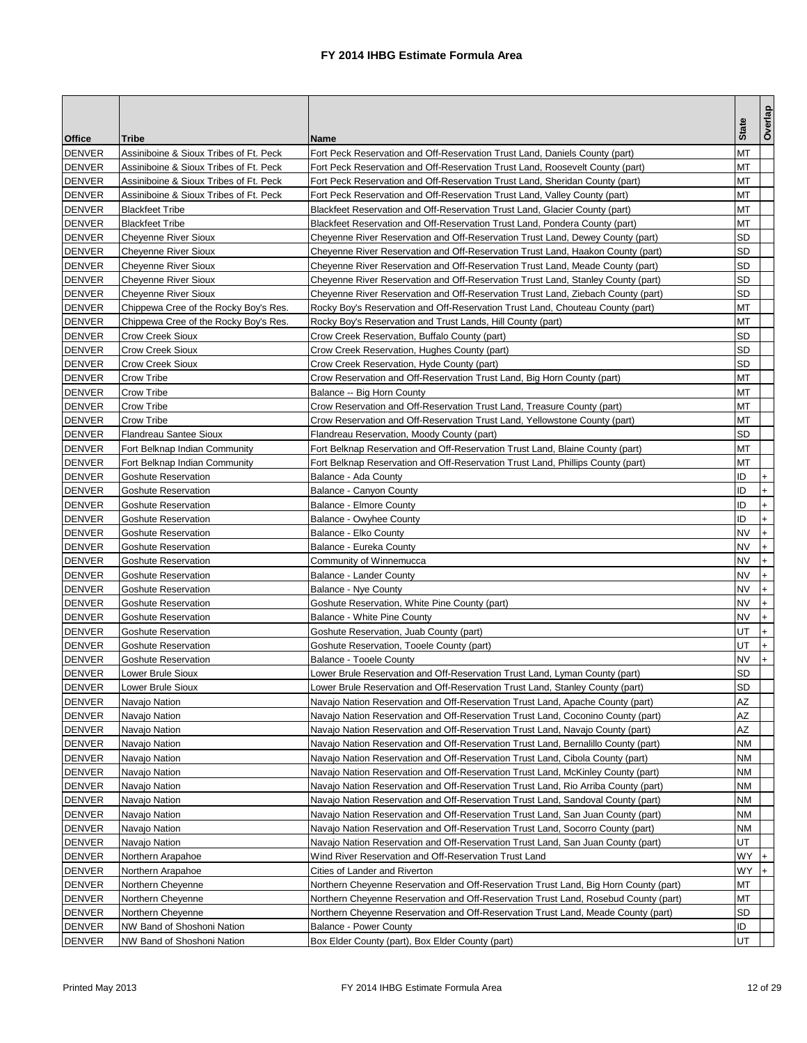|                                |                                                          |                                                                                      | <b>State</b> | Overlap                          |
|--------------------------------|----------------------------------------------------------|--------------------------------------------------------------------------------------|--------------|----------------------------------|
| <b>Office</b>                  | <b>Tribe</b>                                             | <b>Name</b>                                                                          |              |                                  |
| <b>DENVER</b>                  | Assiniboine & Sioux Tribes of Ft. Peck                   | Fort Peck Reservation and Off-Reservation Trust Land, Daniels County (part)          | МT           |                                  |
| <b>DENVER</b>                  | Assiniboine & Sioux Tribes of Ft. Peck                   | Fort Peck Reservation and Off-Reservation Trust Land, Roosevelt County (part)        | МT           |                                  |
| <b>DENVER</b>                  | Assiniboine & Sioux Tribes of Ft. Peck                   | Fort Peck Reservation and Off-Reservation Trust Land, Sheridan County (part)         | ΜТ           |                                  |
| <b>DENVER</b>                  | Assiniboine & Sioux Tribes of Ft. Peck                   | Fort Peck Reservation and Off-Reservation Trust Land, Valley County (part)           | MT           |                                  |
| <b>DENVER</b>                  | <b>Blackfeet Tribe</b>                                   | Blackfeet Reservation and Off-Reservation Trust Land, Glacier County (part)          | МT           |                                  |
| <b>DENVER</b>                  | <b>Blackfeet Tribe</b>                                   | Blackfeet Reservation and Off-Reservation Trust Land, Pondera County (part)          | МΤ           |                                  |
| <b>DENVER</b>                  | <b>Cheyenne River Sioux</b>                              | Cheyenne River Reservation and Off-Reservation Trust Land, Dewey County (part)       | SD           |                                  |
| <b>DENVER</b>                  | <b>Cheyenne River Sioux</b>                              | Cheyenne River Reservation and Off-Reservation Trust Land, Haakon County (part)      | SD           |                                  |
| <b>DENVER</b>                  | <b>Cheyenne River Sioux</b>                              | Cheyenne River Reservation and Off-Reservation Trust Land, Meade County (part)       | SD           |                                  |
| <b>DENVER</b>                  | <b>Cheyenne River Sioux</b>                              | Cheyenne River Reservation and Off-Reservation Trust Land, Stanley County (part)     | SD           |                                  |
| <b>DENVER</b>                  | <b>Cheyenne River Sioux</b>                              | Cheyenne River Reservation and Off-Reservation Trust Land, Ziebach County (part)     | SD           |                                  |
| <b>DENVER</b>                  | Chippewa Cree of the Rocky Boy's Res.                    | Rocky Boy's Reservation and Off-Reservation Trust Land, Chouteau County (part)       | МT           |                                  |
| <b>DENVER</b>                  | Chippewa Cree of the Rocky Boy's Res.                    | Rocky Boy's Reservation and Trust Lands, Hill County (part)                          | MT           |                                  |
| <b>DENVER</b>                  | <b>Crow Creek Sioux</b>                                  | Crow Creek Reservation, Buffalo County (part)                                        | SD           |                                  |
| <b>DENVER</b>                  | <b>Crow Creek Sioux</b>                                  | Crow Creek Reservation, Hughes County (part)                                         | SD           |                                  |
| <b>DENVER</b>                  | <b>Crow Creek Sioux</b>                                  | Crow Creek Reservation, Hyde County (part)                                           | SD           |                                  |
| <b>DENVER</b>                  | Crow Tribe                                               | Crow Reservation and Off-Reservation Trust Land, Big Horn County (part)              | МT           |                                  |
| <b>DENVER</b>                  | Crow Tribe                                               | Balance -- Big Horn County                                                           | мт           |                                  |
| <b>DENVER</b>                  | Crow Tribe                                               | Crow Reservation and Off-Reservation Trust Land, Treasure County (part)              | МΤ           |                                  |
| <b>DENVER</b>                  | Crow Tribe                                               | Crow Reservation and Off-Reservation Trust Land, Yellowstone County (part)           | МT           |                                  |
| DENVER                         | <b>Flandreau Santee Sioux</b>                            | Flandreau Reservation, Moody County (part)                                           | SD           |                                  |
| <b>DENVER</b>                  | Fort Belknap Indian Community                            | Fort Belknap Reservation and Off-Reservation Trust Land, Blaine County (part)        | MT           |                                  |
| <b>DENVER</b>                  | Fort Belknap Indian Community                            | Fort Belknap Reservation and Off-Reservation Trust Land, Phillips County (part)      | ΜТ           |                                  |
| <b>DENVER</b>                  | <b>Goshute Reservation</b>                               | Balance - Ada County                                                                 | ID           |                                  |
| <b>DENVER</b>                  | <b>Goshute Reservation</b>                               | Balance - Canyon County                                                              | ID           | $\ddot{}$                        |
| <b>DENVER</b>                  | <b>Goshute Reservation</b>                               | <b>Balance - Elmore County</b>                                                       | ID           | $\ddot{}$                        |
| <b>DENVER</b>                  | <b>Goshute Reservation</b>                               | Balance - Owyhee County                                                              | ID           | $\ddot{}$                        |
| <b>DENVER</b>                  | <b>Goshute Reservation</b>                               | Balance - Elko County                                                                | <b>NV</b>    | $\ddot{}$                        |
| <b>DENVER</b>                  | <b>Goshute Reservation</b>                               | Balance - Eureka County                                                              | <b>NV</b>    | $+$                              |
| <b>DENVER</b>                  | <b>Goshute Reservation</b>                               | Community of Winnemucca                                                              | NV           | $\begin{array}{c} + \end{array}$ |
| <b>DENVER</b>                  | <b>Goshute Reservation</b>                               | <b>Balance - Lander County</b>                                                       | NV<br>NV     | $\ddot{}$                        |
| <b>DENVER</b><br><b>DENVER</b> | <b>Goshute Reservation</b><br><b>Goshute Reservation</b> | Balance - Nye County                                                                 | NV           | $\ddot{}$                        |
| <b>DENVER</b>                  | <b>Goshute Reservation</b>                               | Goshute Reservation, White Pine County (part)<br>Balance - White Pine County         | NV           | $\ddot{}$<br>$\ddot{}$           |
| <b>DENVER</b>                  | <b>Goshute Reservation</b>                               | Goshute Reservation, Juab County (part)                                              | UT           | $\ddot{}$                        |
| <b>DENVER</b>                  | <b>Goshute Reservation</b>                               | Goshute Reservation, Tooele County (part)                                            | UT           | $+$                              |
| <b>DENVER</b>                  | <b>Goshute Reservation</b>                               | <b>Balance - Tooele County</b>                                                       | NV           | $\ddot{}$                        |
| <b>DENVER</b>                  | Lower Brule Sioux                                        | Lower Brule Reservation and Off-Reservation Trust Land, Lyman County (part)          | SD           |                                  |
| <b>DENVER</b>                  | Lower Brule Sioux                                        | Lower Brule Reservation and Off-Reservation Trust Land, Stanley County (part)        | SD           |                                  |
| <b>DENVER</b>                  | Navajo Nation                                            | Navajo Nation Reservation and Off-Reservation Trust Land, Apache County (part)       | ΑZ           |                                  |
| <b>DENVER</b>                  | Navajo Nation                                            | Navajo Nation Reservation and Off-Reservation Trust Land, Coconino County (part)     | ΑZ           |                                  |
| <b>DENVER</b>                  | Navajo Nation                                            | Navajo Nation Reservation and Off-Reservation Trust Land, Navajo County (part)       | ΑZ           |                                  |
| <b>DENVER</b>                  | Navajo Nation                                            | Navajo Nation Reservation and Off-Reservation Trust Land, Bernalillo County (part)   | NΜ           |                                  |
| <b>DENVER</b>                  | Navajo Nation                                            | Navajo Nation Reservation and Off-Reservation Trust Land, Cibola County (part)       | NM           |                                  |
| <b>DENVER</b>                  | Navajo Nation                                            | Navajo Nation Reservation and Off-Reservation Trust Land, McKinley County (part)     | NΜ           |                                  |
| <b>DENVER</b>                  | Navajo Nation                                            | Navajo Nation Reservation and Off-Reservation Trust Land, Rio Arriba County (part)   | NΜ           |                                  |
| <b>DENVER</b>                  | Navajo Nation                                            | Navajo Nation Reservation and Off-Reservation Trust Land, Sandoval County (part)     | NΜ           |                                  |
| DENVER                         | Navajo Nation                                            | Navajo Nation Reservation and Off-Reservation Trust Land, San Juan County (part)     | ΝM           |                                  |
| <b>DENVER</b>                  | Navajo Nation                                            | Navajo Nation Reservation and Off-Reservation Trust Land, Socorro County (part)      | ΝM           |                                  |
| <b>DENVER</b>                  | Navajo Nation                                            | Navajo Nation Reservation and Off-Reservation Trust Land, San Juan County (part)     | UT           |                                  |
| <b>DENVER</b>                  | Northern Arapahoe                                        | Wind River Reservation and Off-Reservation Trust Land                                | WY           | $\ddot{}$                        |
| <b>DENVER</b>                  | Northern Arapahoe                                        | Cities of Lander and Riverton                                                        | WY           | $+$                              |
| DENVER                         | Northern Cheyenne                                        | Northern Cheyenne Reservation and Off-Reservation Trust Land, Big Horn County (part) | ΜТ           |                                  |
| <b>DENVER</b>                  | Northern Cheyenne                                        | Northern Cheyenne Reservation and Off-Reservation Trust Land, Rosebud County (part)  | МT           |                                  |
| <b>DENVER</b>                  | Northern Cheyenne                                        | Northern Cheyenne Reservation and Off-Reservation Trust Land, Meade County (part)    | SD           |                                  |
| <b>DENVER</b>                  | NW Band of Shoshoni Nation                               | <b>Balance - Power County</b>                                                        | ID           |                                  |
| <b>DENVER</b>                  | NW Band of Shoshoni Nation                               | Box Elder County (part), Box Elder County (part)                                     | UT           |                                  |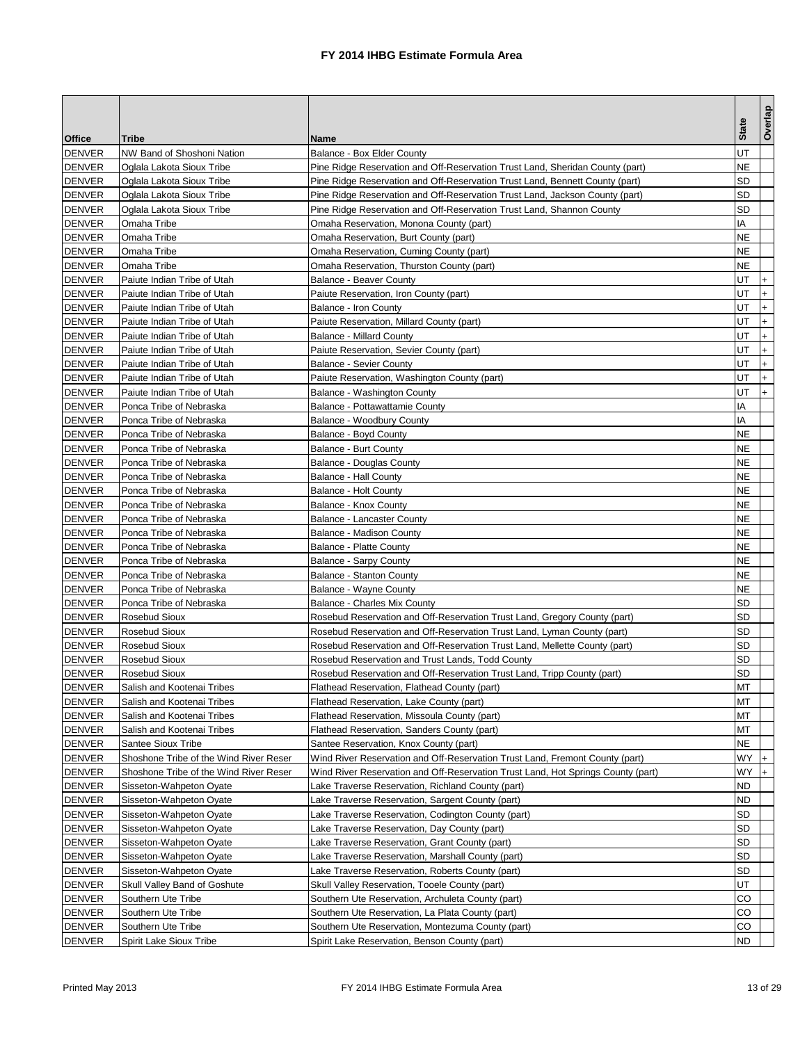|                                |                                                          |                                                                                                                        |              | Overlap                          |
|--------------------------------|----------------------------------------------------------|------------------------------------------------------------------------------------------------------------------------|--------------|----------------------------------|
| <b>Office</b>                  | <b>Tribe</b>                                             | <b>Name</b>                                                                                                            | <b>State</b> |                                  |
| <b>DENVER</b>                  | NW Band of Shoshoni Nation                               | Balance - Box Elder County                                                                                             | UT           |                                  |
| <b>DENVER</b>                  | Oglala Lakota Sioux Tribe                                | Pine Ridge Reservation and Off-Reservation Trust Land, Sheridan County (part)                                          | NE           |                                  |
| <b>DENVER</b>                  | Oglala Lakota Sioux Tribe                                | Pine Ridge Reservation and Off-Reservation Trust Land, Bennett County (part)                                           | SD           |                                  |
| <b>DENVER</b>                  | Oglala Lakota Sioux Tribe                                | Pine Ridge Reservation and Off-Reservation Trust Land, Jackson County (part)                                           | SD           |                                  |
| <b>DENVER</b>                  | Oglala Lakota Sioux Tribe                                | Pine Ridge Reservation and Off-Reservation Trust Land, Shannon County                                                  | <b>SD</b>    |                                  |
| <b>DENVER</b>                  | Omaha Tribe                                              | Omaha Reservation, Monona County (part)                                                                                | ΙA           |                                  |
| <b>DENVER</b>                  | Omaha Tribe                                              | Omaha Reservation, Burt County (part)                                                                                  | NE           |                                  |
| <b>DENVER</b>                  | Omaha Tribe                                              | Omaha Reservation, Cuming County (part)                                                                                | NE           |                                  |
| <b>DENVER</b>                  | Omaha Tribe                                              | Omaha Reservation, Thurston County (part)                                                                              | NE           |                                  |
| <b>DENVER</b>                  | Paiute Indian Tribe of Utah                              | <b>Balance - Beaver County</b>                                                                                         | UT           | $\ddot{}$                        |
| <b>DENVER</b>                  | Paiute Indian Tribe of Utah                              | Paiute Reservation, Iron County (part)                                                                                 | UT           | $\ddot{}$                        |
| <b>DENVER</b>                  | Paiute Indian Tribe of Utah                              | Balance - Iron County                                                                                                  | UT           | $\ddot{}$                        |
| <b>DENVER</b>                  | Paiute Indian Tribe of Utah                              | Paiute Reservation, Millard County (part)                                                                              | UT           | $\ddot{}$                        |
| <b>DENVER</b>                  | Paiute Indian Tribe of Utah                              | <b>Balance - Millard County</b>                                                                                        | UT           | $\ddot{}$                        |
| <b>DENVER</b>                  | Paiute Indian Tribe of Utah                              | Paiute Reservation, Sevier County (part)                                                                               | UT           | $+$                              |
| <b>DENVER</b>                  | Paiute Indian Tribe of Utah                              | <b>Balance - Sevier County</b>                                                                                         | UT           | $\begin{array}{c} + \end{array}$ |
| <b>DENVER</b>                  | Paiute Indian Tribe of Utah                              | Paiute Reservation, Washington County (part)                                                                           | UT           | $\ddot{}$                        |
| <b>DENVER</b>                  | Paiute Indian Tribe of Utah                              | Balance - Washington County                                                                                            | UT           | $+$                              |
| <b>DENVER</b>                  | Ponca Tribe of Nebraska                                  | Balance - Pottawattamie County                                                                                         | ΙA           |                                  |
| <b>DENVER</b>                  | Ponca Tribe of Nebraska                                  | Balance - Woodbury County                                                                                              | ΙA           |                                  |
| <b>DENVER</b>                  | Ponca Tribe of Nebraska                                  | Balance - Boyd County                                                                                                  | NE           |                                  |
| <b>DENVER</b>                  | Ponca Tribe of Nebraska                                  | Balance - Burt County                                                                                                  | NE           |                                  |
| <b>DENVER</b>                  | Ponca Tribe of Nebraska                                  | Balance - Douglas County                                                                                               | NE           |                                  |
| <b>DENVER</b>                  | Ponca Tribe of Nebraska                                  | <b>Balance - Hall County</b>                                                                                           | NE           |                                  |
| <b>DENVER</b>                  | Ponca Tribe of Nebraska                                  | Balance - Holt County                                                                                                  | NE           |                                  |
| <b>DENVER</b>                  | Ponca Tribe of Nebraska                                  | Balance - Knox County                                                                                                  | NE           |                                  |
| <b>DENVER</b>                  | Ponca Tribe of Nebraska                                  | <b>Balance - Lancaster County</b>                                                                                      | NE           |                                  |
| <b>DENVER</b>                  | Ponca Tribe of Nebraska                                  | Balance - Madison County                                                                                               | NE           |                                  |
| <b>DENVER</b>                  | Ponca Tribe of Nebraska                                  | <b>Balance - Platte County</b>                                                                                         | NE           |                                  |
| <b>DENVER</b>                  | Ponca Tribe of Nebraska                                  | Balance - Sarpy County                                                                                                 | NE           |                                  |
| <b>DENVER</b>                  | Ponca Tribe of Nebraska                                  | <b>Balance - Stanton County</b>                                                                                        | <b>NE</b>    |                                  |
| <b>DENVER</b>                  | Ponca Tribe of Nebraska                                  | Balance - Wayne County                                                                                                 | NE           |                                  |
| <b>DENVER</b>                  | Ponca Tribe of Nebraska                                  | <b>Balance - Charles Mix County</b>                                                                                    | SD           |                                  |
| <b>DENVER</b>                  | Rosebud Sioux                                            | Rosebud Reservation and Off-Reservation Trust Land, Gregory County (part)                                              | SD           |                                  |
| <b>DENVER</b>                  | Rosebud Sioux                                            | Rosebud Reservation and Off-Reservation Trust Land, Lyman County (part)                                                | SD           |                                  |
| <b>DENVER</b>                  | <b>Rosebud Sioux</b>                                     | Rosebud Reservation and Off-Reservation Trust Land, Mellette County (part)                                             | SD           |                                  |
| <b>DENVER</b><br><b>DENVER</b> | Rosebud Sioux                                            | Rosebud Reservation and Trust Lands, Todd County                                                                       | SD<br>SD     |                                  |
|                                | <b>Rosebud Sioux</b>                                     | Rosebud Reservation and Off-Reservation Trust Land, Tripp County (part)                                                |              |                                  |
| DENVER                         | Salish and Kootenai Tribes                               | Flathead Reservation, Flathead County (part)                                                                           | МT<br>МT     |                                  |
| DENVER                         | Salish and Kootenai Tribes                               | Flathead Reservation, Lake County (part)                                                                               |              |                                  |
| <b>DENVER</b><br><b>DENVER</b> | Salish and Kootenai Tribes<br>Salish and Kootenai Tribes | Flathead Reservation, Missoula County (part)<br>Flathead Reservation, Sanders County (part)                            | мт<br>МT     |                                  |
|                                | Santee Sioux Tribe                                       |                                                                                                                        | NE           |                                  |
| DENVER<br><b>DENVER</b>        | Shoshone Tribe of the Wind River Reser                   | Santee Reservation, Knox County (part)<br>Wind River Reservation and Off-Reservation Trust Land, Fremont County (part) | WY           | $\ddot{}$                        |
| <b>DENVER</b>                  | Shoshone Tribe of the Wind River Reser                   | Wind River Reservation and Off-Reservation Trust Land, Hot Springs County (part)                                       | WY.          | $+$                              |
| <b>DENVER</b>                  | Sisseton-Wahpeton Oyate                                  | Lake Traverse Reservation, Richland County (part)                                                                      | ND           |                                  |
| <b>DENVER</b>                  | Sisseton-Wahpeton Oyate                                  | Lake Traverse Reservation, Sargent County (part)                                                                       | ND           |                                  |
| DENVER                         | Sisseton-Wahpeton Oyate                                  | Lake Traverse Reservation, Codington County (part)                                                                     | SD           |                                  |
| <b>DENVER</b>                  | Sisseton-Wahpeton Oyate                                  | Lake Traverse Reservation, Day County (part)                                                                           | <b>SD</b>    |                                  |
| <b>DENVER</b>                  | Sisseton-Wahpeton Oyate                                  | Lake Traverse Reservation, Grant County (part)                                                                         | SD           |                                  |
| <b>DENVER</b>                  | Sisseton-Wahpeton Oyate                                  | Lake Traverse Reservation, Marshall County (part)                                                                      | <b>SD</b>    |                                  |
| DENVER                         | Sisseton-Wahpeton Oyate                                  | Lake Traverse Reservation, Roberts County (part)                                                                       | SD           |                                  |
| <b>DENVER</b>                  | Skull Valley Band of Goshute                             | Skull Valley Reservation, Tooele County (part)                                                                         | UT           |                                  |
| <b>DENVER</b>                  | Southern Ute Tribe                                       | Southern Ute Reservation, Archuleta County (part)                                                                      | CO           |                                  |
| <b>DENVER</b>                  | Southern Ute Tribe                                       | Southern Ute Reservation, La Plata County (part)                                                                       | CO           |                                  |
| <b>DENVER</b>                  | Southern Ute Tribe                                       | Southern Ute Reservation, Montezuma County (part)                                                                      | CO           |                                  |
| DENVER                         | Spirit Lake Sioux Tribe                                  | Spirit Lake Reservation, Benson County (part)                                                                          | ND           |                                  |
|                                |                                                          |                                                                                                                        |              |                                  |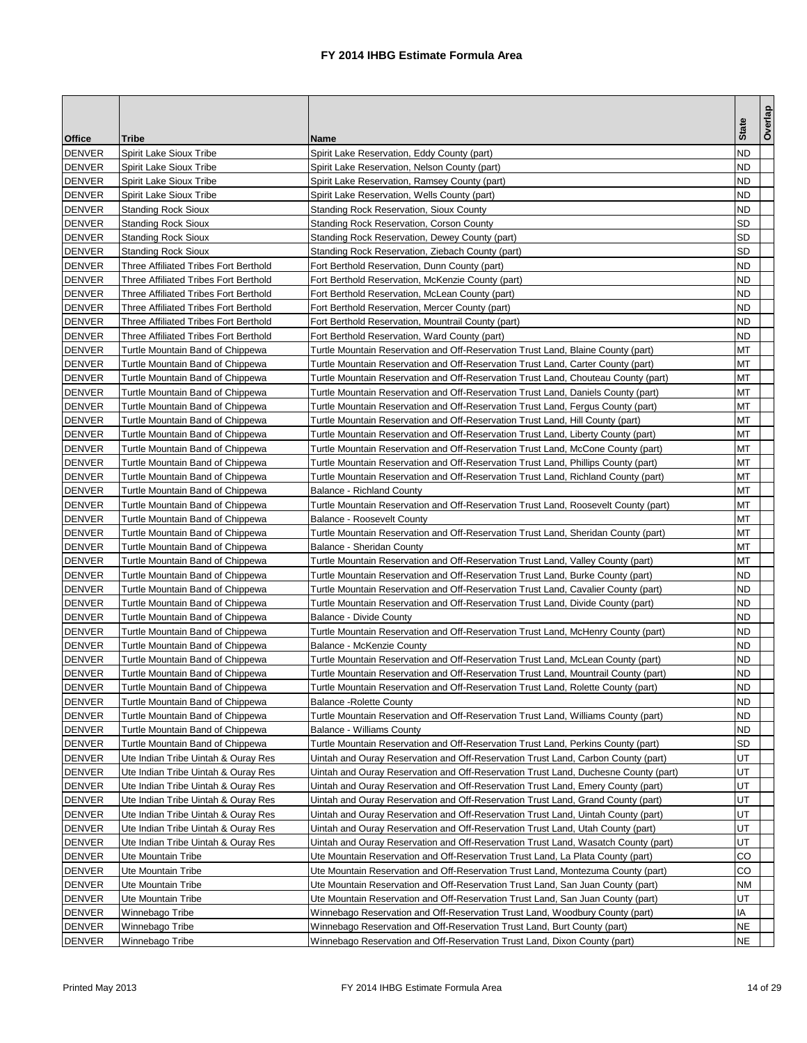|               |                                       |                                                                                     | <b>State</b> | Overlap |
|---------------|---------------------------------------|-------------------------------------------------------------------------------------|--------------|---------|
| <b>Office</b> | Tribe                                 | Name                                                                                |              |         |
| <b>DENVER</b> | Spirit Lake Sioux Tribe               | Spirit Lake Reservation, Eddy County (part)                                         | ND           |         |
| <b>DENVER</b> | Spirit Lake Sioux Tribe               | Spirit Lake Reservation, Nelson County (part)                                       | ND           |         |
| <b>DENVER</b> | Spirit Lake Sioux Tribe               | Spirit Lake Reservation, Ramsey County (part)                                       | ND           |         |
| <b>DENVER</b> | Spirit Lake Sioux Tribe               | Spirit Lake Reservation, Wells County (part)                                        | ND           |         |
| <b>DENVER</b> | <b>Standing Rock Sioux</b>            | <b>Standing Rock Reservation, Sioux County</b>                                      | <b>ND</b>    |         |
| <b>DENVER</b> | <b>Standing Rock Sioux</b>            | <b>Standing Rock Reservation, Corson County</b>                                     | SD           |         |
| <b>DENVER</b> | <b>Standing Rock Sioux</b>            | Standing Rock Reservation, Dewey County (part)                                      | SD           |         |
| <b>DENVER</b> | <b>Standing Rock Sioux</b>            | Standing Rock Reservation, Ziebach County (part)                                    | SD           |         |
| <b>DENVER</b> | Three Affiliated Tribes Fort Berthold | Fort Berthold Reservation, Dunn County (part)                                       | ND           |         |
| <b>DENVER</b> | Three Affiliated Tribes Fort Berthold | Fort Berthold Reservation, McKenzie County (part)                                   | ND           |         |
| <b>DENVER</b> | Three Affiliated Tribes Fort Berthold | Fort Berthold Reservation, McLean County (part)                                     | ND           |         |
| <b>DENVER</b> | Three Affiliated Tribes Fort Berthold | Fort Berthold Reservation, Mercer County (part)                                     | ND           |         |
| <b>DENVER</b> | Three Affiliated Tribes Fort Berthold | Fort Berthold Reservation, Mountrail County (part)                                  | ND           |         |
| <b>DENVER</b> | Three Affiliated Tribes Fort Berthold | Fort Berthold Reservation, Ward County (part)                                       | <b>ND</b>    |         |
| <b>DENVER</b> | Turtle Mountain Band of Chippewa      | Turtle Mountain Reservation and Off-Reservation Trust Land, Blaine County (part)    | МT           |         |
| <b>DENVER</b> | Turtle Mountain Band of Chippewa      | Turtle Mountain Reservation and Off-Reservation Trust Land, Carter County (part)    | МΤ           |         |
| <b>DENVER</b> | Turtle Mountain Band of Chippewa      | Turtle Mountain Reservation and Off-Reservation Trust Land, Chouteau County (part)  | МΤ           |         |
| <b>DENVER</b> | Turtle Mountain Band of Chippewa      | Turtle Mountain Reservation and Off-Reservation Trust Land, Daniels County (part)   | мт           |         |
| <b>DENVER</b> | Turtle Mountain Band of Chippewa      | Turtle Mountain Reservation and Off-Reservation Trust Land, Fergus County (part)    | МT           |         |
| <b>DENVER</b> | Turtle Mountain Band of Chippewa      | Turtle Mountain Reservation and Off-Reservation Trust Land, Hill County (part)      | МΤ           |         |
| <b>DENVER</b> | Turtle Mountain Band of Chippewa      | Turtle Mountain Reservation and Off-Reservation Trust Land, Liberty County (part)   | МΤ           |         |
| <b>DENVER</b> | Turtle Mountain Band of Chippewa      | Turtle Mountain Reservation and Off-Reservation Trust Land, McCone County (part)    | МΤ           |         |
| <b>DENVER</b> | Turtle Mountain Band of Chippewa      | Turtle Mountain Reservation and Off-Reservation Trust Land, Phillips County (part)  | ΜТ           |         |
| <b>DENVER</b> | Turtle Mountain Band of Chippewa      | Turtle Mountain Reservation and Off-Reservation Trust Land, Richland County (part)  | МT           |         |
| <b>DENVER</b> | Turtle Mountain Band of Chippewa      | <b>Balance - Richland County</b>                                                    | МΤ           |         |
| <b>DENVER</b> | Turtle Mountain Band of Chippewa      | Turtle Mountain Reservation and Off-Reservation Trust Land, Roosevelt County (part) | ΜТ           |         |
| <b>DENVER</b> | Turtle Mountain Band of Chippewa      | <b>Balance - Roosevelt County</b>                                                   | ΜТ           |         |
| <b>DENVER</b> | Turtle Mountain Band of Chippewa      | Turtle Mountain Reservation and Off-Reservation Trust Land, Sheridan County (part)  | MT           |         |
| <b>DENVER</b> | Turtle Mountain Band of Chippewa      | Balance - Sheridan County                                                           | МT           |         |
| <b>DENVER</b> | Turtle Mountain Band of Chippewa      | Turtle Mountain Reservation and Off-Reservation Trust Land, Valley County (part)    | МΤ           |         |
| <b>DENVER</b> | Turtle Mountain Band of Chippewa      | Turtle Mountain Reservation and Off-Reservation Trust Land, Burke County (part)     | ND           |         |
| <b>DENVER</b> | Turtle Mountain Band of Chippewa      | Turtle Mountain Reservation and Off-Reservation Trust Land, Cavalier County (part)  | ND           |         |
| <b>DENVER</b> | Turtle Mountain Band of Chippewa      | Turtle Mountain Reservation and Off-Reservation Trust Land, Divide County (part)    | ND           |         |
| <b>DENVER</b> | Turtle Mountain Band of Chippewa      | <b>Balance - Divide County</b>                                                      | ND           |         |
| <b>DENVER</b> | Turtle Mountain Band of Chippewa      | Turtle Mountain Reservation and Off-Reservation Trust Land, McHenry County (part)   | ND           |         |
| <b>DENVER</b> | Turtle Mountain Band of Chippewa      | <b>Balance - McKenzie County</b>                                                    | ND           |         |
| <b>DENVER</b> | Turtle Mountain Band of Chippewa      | Turtle Mountain Reservation and Off-Reservation Trust Land, McLean County (part)    | ND           |         |
| <b>DENVER</b> | Turtle Mountain Band of Chippewa      | Turtle Mountain Reservation and Off-Reservation Trust Land, Mountrail County (part) | ND           |         |
| DENVER        | Turtle Mountain Band of Chippewa      | Turtle Mountain Reservation and Off-Reservation Trust Land, Rolette County (part)   | ND.          |         |
| <b>DENVER</b> | Turtle Mountain Band of Chippewa      | <b>Balance -Rolette County</b>                                                      | ND           |         |
| <b>DENVER</b> | Turtle Mountain Band of Chippewa      | Turtle Mountain Reservation and Off-Reservation Trust Land, Williams County (part)  | ND           |         |
| <b>DENVER</b> | Turtle Mountain Band of Chippewa      | <b>Balance - Williams County</b>                                                    | ND           |         |
| <b>DENVER</b> | Turtle Mountain Band of Chippewa      | Turtle Mountain Reservation and Off-Reservation Trust Land, Perkins County (part)   | SD           |         |
| <b>DENVER</b> | Ute Indian Tribe Uintah & Ouray Res   | Uintah and Ouray Reservation and Off-Reservation Trust Land, Carbon County (part)   | UT           |         |
| <b>DENVER</b> | Ute Indian Tribe Uintah & Ouray Res   | Uintah and Ouray Reservation and Off-Reservation Trust Land, Duchesne County (part) | UT           |         |
| <b>DENVER</b> | Ute Indian Tribe Uintah & Ouray Res   | Uintah and Ouray Reservation and Off-Reservation Trust Land, Emery County (part)    | UT           |         |
| <b>DENVER</b> | Ute Indian Tribe Uintah & Ouray Res   | Uintah and Ouray Reservation and Off-Reservation Trust Land, Grand County (part)    | UT           |         |
| <b>DENVER</b> | Ute Indian Tribe Uintah & Ouray Res   | Uintah and Ouray Reservation and Off-Reservation Trust Land, Uintah County (part)   | UT           |         |
| <b>DENVER</b> | Ute Indian Tribe Uintah & Ouray Res   | Uintah and Ouray Reservation and Off-Reservation Trust Land, Utah County (part)     | UT           |         |
| <b>DENVER</b> | Ute Indian Tribe Uintah & Ouray Res   | Uintah and Ouray Reservation and Off-Reservation Trust Land, Wasatch County (part)  | UT           |         |
| <b>DENVER</b> | Ute Mountain Tribe                    | Ute Mountain Reservation and Off-Reservation Trust Land, La Plata County (part)     | CO           |         |
| <b>DENVER</b> | Ute Mountain Tribe                    | Ute Mountain Reservation and Off-Reservation Trust Land, Montezuma County (part)    | CO           |         |
| <b>DENVER</b> | Ute Mountain Tribe                    | Ute Mountain Reservation and Off-Reservation Trust Land, San Juan County (part)     | NΜ           |         |
| <b>DENVER</b> | Ute Mountain Tribe                    | Ute Mountain Reservation and Off-Reservation Trust Land, San Juan County (part)     | UT           |         |
| <b>DENVER</b> | Winnebago Tribe                       | Winnebago Reservation and Off-Reservation Trust Land, Woodbury County (part)        | IA           |         |
| <b>DENVER</b> | Winnebago Tribe                       | Winnebago Reservation and Off-Reservation Trust Land, Burt County (part)            | ΝE           |         |
| <b>DENVER</b> | Winnebago Tribe                       | Winnebago Reservation and Off-Reservation Trust Land, Dixon County (part)           | ΝE           |         |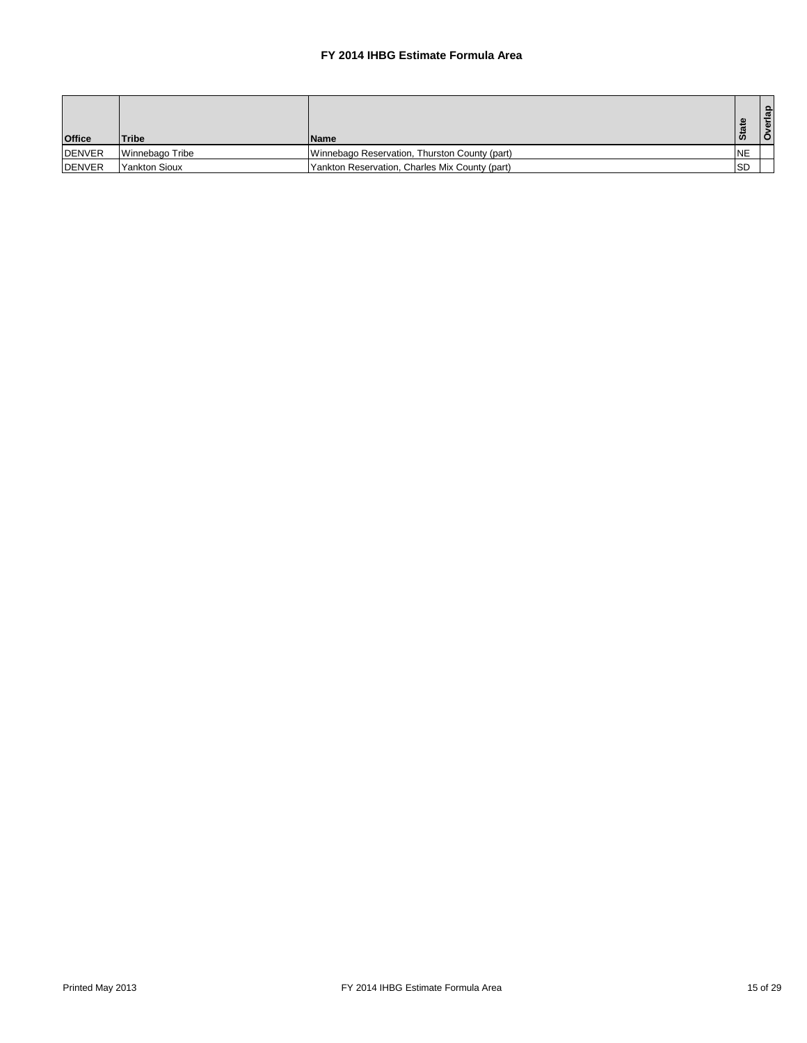| <b>Office</b>  | <b>Tribe</b>    | <b>Name</b>                                    | ഗ          | erlap<br>ó |
|----------------|-----------------|------------------------------------------------|------------|------------|
| <b>DENVER</b>  | Winnebago Tribe | Winnebago Reservation, Thurston County (part)  | <b>NE</b>  |            |
| <b>IDENVER</b> | l Yankton Sioux | Yankton Reservation, Charles Mix County (part) | <b>ISD</b> |            |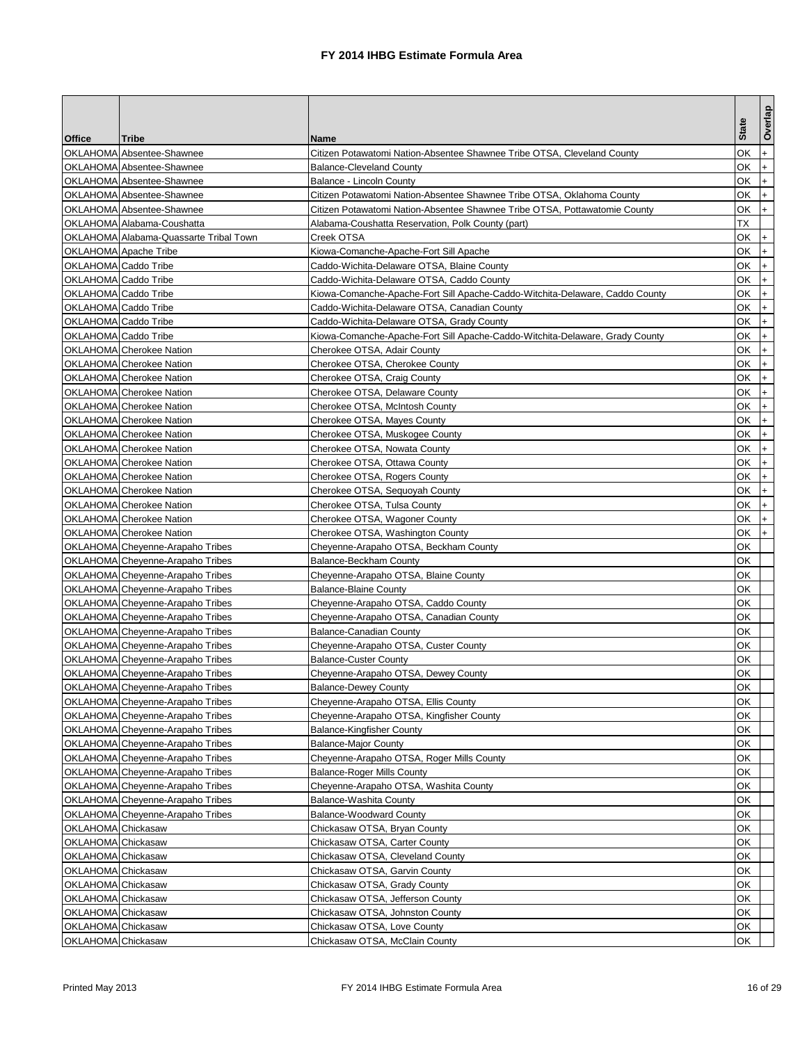|                      |                                        |                                                                              |              | Overlap   |
|----------------------|----------------------------------------|------------------------------------------------------------------------------|--------------|-----------|
| Office               | Tribe                                  | Name                                                                         | <b>State</b> |           |
|                      | OKLAHOMA Absentee-Shawnee              | Citizen Potawatomi Nation-Absentee Shawnee Tribe OTSA, Cleveland County      | ОΚ           | $+$       |
|                      | OKLAHOMA Absentee-Shawnee              | Balance-Cleveland County                                                     | ОK           | $+$       |
|                      | OKLAHOMA Absentee-Shawnee              | Balance - Lincoln County                                                     | ОK           | $+$       |
|                      | OKLAHOMA Absentee-Shawnee              | Citizen Potawatomi Nation-Absentee Shawnee Tribe OTSA, Oklahoma County       | ОK           | $+$       |
|                      | OKLAHOMA Absentee-Shawnee              | Citizen Potawatomi Nation-Absentee Shawnee Tribe OTSA, Pottawatomie County   | ОK           | $+$       |
|                      | OKLAHOMA Alabama-Coushatta             | Alabama-Coushatta Reservation, Polk County (part)                            | ТX           |           |
|                      | OKLAHOMA Alabama-Quassarte Tribal Town | Creek OTSA                                                                   | OK           | $+$       |
|                      | OKLAHOMA Apache Tribe                  | Kiowa-Comanche-Apache-Fort Sill Apache                                       | ОK           | $+$       |
| OKLAHOMA Caddo Tribe |                                        | Caddo-Wichita-Delaware OTSA, Blaine County                                   | ОK           | $+$       |
| OKLAHOMA Caddo Tribe |                                        | Caddo-Wichita-Delaware OTSA, Caddo County                                    | OK           | $+$       |
| OKLAHOMA Caddo Tribe |                                        | Kiowa-Comanche-Apache-Fort Sill Apache-Caddo-Witchita-Delaware, Caddo County | ОK           | $+$       |
| OKLAHOMA Caddo Tribe |                                        | Caddo-Wichita-Delaware OTSA, Canadian County                                 | ОK           | $+$       |
| OKLAHOMA Caddo Tribe |                                        | Caddo-Wichita-Delaware OTSA, Grady County                                    | ОK           | $+$       |
| OKLAHOMA Caddo Tribe |                                        | Kiowa-Comanche-Apache-Fort Sill Apache-Caddo-Witchita-Delaware, Grady County | ОK           | $+$       |
|                      | OKLAHOMA Cherokee Nation               | Cherokee OTSA, Adair County                                                  | ОK           | $+$       |
|                      | OKLAHOMA Cherokee Nation               | Cherokee OTSA, Cherokee County                                               | OK           | $+$       |
|                      | OKLAHOMA Cherokee Nation               | Cherokee OTSA, Craig County                                                  | ОK           | I+.       |
|                      | OKLAHOMA Cherokee Nation               | Cherokee OTSA, Delaware County                                               | ОK           | $+$       |
|                      | OKLAHOMA Cherokee Nation               | Cherokee OTSA, McIntosh County                                               | ОK           | $+$       |
|                      | OKLAHOMA Cherokee Nation               | Cherokee OTSA, Mayes County                                                  | ОK           | $+$       |
|                      | OKLAHOMA Cherokee Nation               | Cherokee OTSA, Muskogee County                                               | ОK           | $+$       |
|                      | OKLAHOMA Cherokee Nation               | Cherokee OTSA, Nowata County                                                 | ОK           | $\ddot{}$ |
|                      | OKLAHOMA Cherokee Nation               | Cherokee OTSA, Ottawa County                                                 | ОK           | $+$       |
|                      | OKLAHOMA Cherokee Nation               | Cherokee OTSA, Rogers County                                                 | ОK           | $+$       |
|                      | OKLAHOMA Cherokee Nation               | Cherokee OTSA, Sequoyah County                                               | ОK           | $\ddot{}$ |
|                      | OKLAHOMA Cherokee Nation               | Cherokee OTSA, Tulsa County                                                  | ОK           | $+$       |
|                      | <b>OKLAHOMA</b> Cherokee Nation        | Cherokee OTSA, Wagoner County                                                | ОK           | $+$       |
|                      | OKLAHOMA Cherokee Nation               | Cherokee OTSA, Washington County                                             | ОK           | $+$       |
|                      | OKLAHOMA Cheyenne-Arapaho Tribes       | Cheyenne-Arapaho OTSA, Beckham County                                        | ОΚ           |           |
|                      | OKLAHOMA Cheyenne-Arapaho Tribes       | Balance-Beckham County                                                       | ОK           |           |
|                      | OKLAHOMA Cheyenne-Arapaho Tribes       | Cheyenne-Arapaho OTSA, Blaine County                                         | ОK           |           |
|                      | OKLAHOMA Cheyenne-Arapaho Tribes       | <b>Balance-Blaine County</b>                                                 | ОK           |           |
|                      | OKLAHOMA Cheyenne-Arapaho Tribes       | Cheyenne-Arapaho OTSA, Caddo County                                          | ОK           |           |
|                      | OKLAHOMA Cheyenne-Arapaho Tribes       | Cheyenne-Arapaho OTSA, Canadian County                                       | ОK           |           |
|                      | OKLAHOMA Cheyenne-Arapaho Tribes       | <b>Balance-Canadian County</b>                                               | ОK           |           |
|                      | OKLAHOMA Cheyenne-Arapaho Tribes       | Cheyenne-Arapaho OTSA, Custer County                                         | ОΚ           |           |
|                      | OKLAHOMA Cheyenne-Arapaho Tribes       | <b>Balance-Custer County</b>                                                 | ОΚ           |           |
|                      | OKLAHOMA Cheyenne-Arapaho Tribes       | Cheyenne-Arapaho OTSA, Dewey County                                          | ОK           |           |
|                      | OKLAHOMA Cheyenne-Arapaho Tribes       | <b>Balance-Dewey County</b>                                                  | <b>OK</b>    |           |
|                      | OKLAHOMA Cheyenne-Arapaho Tribes       | Cheyenne-Arapaho OTSA, Ellis County                                          | OK           |           |
|                      | OKLAHOMA Cheyenne-Arapaho Tribes       | Cheyenne-Arapaho OTSA, Kingfisher County                                     | ОK           |           |
|                      | OKLAHOMA Cheyenne-Arapaho Tribes       | <b>Balance-Kingfisher County</b>                                             | ОK           |           |
|                      | OKLAHOMA Cheyenne-Arapaho Tribes       | <b>Balance-Major County</b>                                                  | ОK           |           |
|                      | OKLAHOMA Cheyenne-Arapaho Tribes       | Cheyenne-Arapaho OTSA, Roger Mills County                                    | ОΚ           |           |
|                      | OKLAHOMA Cheyenne-Arapaho Tribes       | <b>Balance-Roger Mills County</b>                                            | ОΚ           |           |
|                      | OKLAHOMA Cheyenne-Arapaho Tribes       | Cheyenne-Arapaho OTSA, Washita County                                        | ОK           |           |
|                      | OKLAHOMA Cheyenne-Arapaho Tribes       | Balance-Washita County                                                       | ОK           |           |
|                      | OKLAHOMA Cheyenne-Arapaho Tribes       | <b>Balance-Woodward County</b>                                               | ОK           |           |
| OKLAHOMA Chickasaw   |                                        | Chickasaw OTSA, Bryan County                                                 | ОK           |           |
| OKLAHOMA Chickasaw   |                                        | Chickasaw OTSA, Carter County                                                | ОK           |           |
| OKLAHOMA Chickasaw   |                                        | Chickasaw OTSA, Cleveland County                                             | ОK           |           |
| OKLAHOMA Chickasaw   |                                        | Chickasaw OTSA, Garvin County                                                | ОK           |           |
| OKLAHOMA Chickasaw   |                                        | Chickasaw OTSA, Grady County                                                 | ОΚ           |           |
| OKLAHOMA Chickasaw   |                                        | Chickasaw OTSA, Jefferson County                                             | ОΚ           |           |
| OKLAHOMA Chickasaw   |                                        | Chickasaw OTSA, Johnston County                                              | ОК           |           |
| OKLAHOMA Chickasaw   |                                        | Chickasaw OTSA, Love County                                                  | ОK           |           |
| OKLAHOMA Chickasaw   |                                        | Chickasaw OTSA, McClain County                                               | ОK           |           |
|                      |                                        |                                                                              |              |           |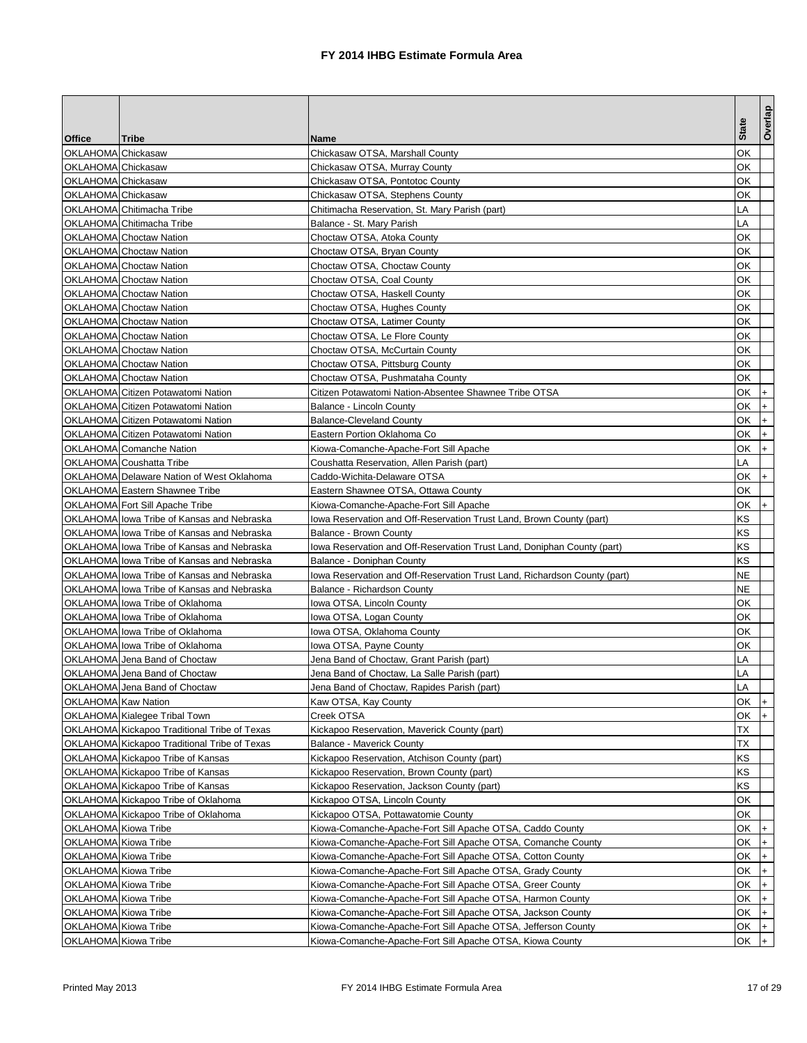|                      |                                                                        |                                                                           |              | Overlap |
|----------------------|------------------------------------------------------------------------|---------------------------------------------------------------------------|--------------|---------|
| <b>Office</b>        | Tribe                                                                  | Name                                                                      | <b>State</b> |         |
| OKLAHOMA Chickasaw   |                                                                        | Chickasaw OTSA, Marshall County                                           | ОK           |         |
| OKLAHOMA Chickasaw   |                                                                        | Chickasaw OTSA, Murray County                                             | ОK           |         |
| OKLAHOMA Chickasaw   |                                                                        | Chickasaw OTSA, Pontotoc County                                           | ОK           |         |
| OKLAHOMA Chickasaw   |                                                                        | Chickasaw OTSA, Stephens County                                           | ОK           |         |
|                      | OKLAHOMA Chitimacha Tribe                                              | Chitimacha Reservation, St. Mary Parish (part)                            | LA           |         |
|                      | OKLAHOMA Chitimacha Tribe                                              | Balance - St. Mary Parish                                                 | LA           |         |
|                      | <b>OKLAHOMA</b> Choctaw Nation                                         | Choctaw OTSA, Atoka County                                                | ОK           |         |
|                      | <b>OKLAHOMA</b> Choctaw Nation                                         | Choctaw OTSA, Bryan County                                                | ОK           |         |
|                      | <b>OKLAHOMA</b> Choctaw Nation                                         | Choctaw OTSA, Choctaw County                                              | ОK           |         |
|                      | <b>OKLAHOMA</b> Choctaw Nation                                         | Choctaw OTSA, Coal County                                                 | ОΚ           |         |
|                      | <b>OKLAHOMA</b> Choctaw Nation                                         | Choctaw OTSA, Haskell County                                              | ОK           |         |
|                      | <b>OKLAHOMA</b> Choctaw Nation                                         | Choctaw OTSA, Hughes County                                               | ОK           |         |
|                      | <b>OKLAHOMA</b> Choctaw Nation                                         | Choctaw OTSA, Latimer County                                              | ОK           |         |
|                      | OKLAHOMA Choctaw Nation                                                | Choctaw OTSA, Le Flore County                                             | ОΚ           |         |
|                      | <b>OKLAHOMA</b> Choctaw Nation                                         | Choctaw OTSA, McCurtain County                                            | ОΚ           |         |
|                      | <b>OKLAHOMA</b> Choctaw Nation                                         | Choctaw OTSA, Pittsburg County                                            | ОK           |         |
|                      | <b>OKLAHOMA</b> Choctaw Nation                                         | Choctaw OTSA, Pushmataha County                                           | ОK           |         |
|                      | OKLAHOMA Citizen Potawatomi Nation                                     | Citizen Potawatomi Nation-Absentee Shawnee Tribe OTSA                     | ОK           | $+$     |
|                      | OKLAHOMA Citizen Potawatomi Nation                                     | Balance - Lincoln County                                                  | ОK           | $+$     |
|                      | OKLAHOMA Citizen Potawatomi Nation                                     | <b>Balance-Cleveland County</b>                                           | ОK           | $+$     |
|                      | OKLAHOMA Citizen Potawatomi Nation                                     | Eastern Portion Oklahoma Co                                               | ОK           | $+$     |
|                      | OKLAHOMA Comanche Nation                                               | Kiowa-Comanche-Apache-Fort Sill Apache                                    | ОK           | $+$     |
|                      | OKLAHOMA Coushatta Tribe                                               | Coushatta Reservation. Allen Parish (part)                                | LA           |         |
|                      | OKLAHOMA Delaware Nation of West Oklahoma                              | Caddo-Wichita-Delaware OTSA                                               | ОK           | $+$     |
|                      | OKLAHOMA Eastern Shawnee Tribe                                         | Eastern Shawnee OTSA, Ottawa County                                       | ОK           |         |
|                      | OKLAHOMA Fort Sill Apache Tribe                                        | Kiowa-Comanche-Apache-Fort Sill Apache                                    | ОK           | $ + $   |
|                      | OKLAHOMA lowa Tribe of Kansas and Nebraska                             | lowa Reservation and Off-Reservation Trust Land, Brown County (part)      | ΚS           |         |
|                      | OKLAHOMA lowa Tribe of Kansas and Nebraska                             | Balance - Brown County                                                    | ΚS           |         |
|                      | OKLAHOMA lowa Tribe of Kansas and Nebraska                             | Iowa Reservation and Off-Reservation Trust Land, Doniphan County (part)   | ΚS           |         |
|                      | OKLAHOMA lowa Tribe of Kansas and Nebraska                             | Balance - Doniphan County                                                 | ΚS           |         |
|                      | OKLAHOMA lowa Tribe of Kansas and Nebraska                             | lowa Reservation and Off-Reservation Trust Land, Richardson County (part) | NE           |         |
|                      | OKLAHOMA lowa Tribe of Kansas and Nebraska                             | Balance - Richardson County                                               | NE           |         |
|                      | OKLAHOMA lowa Tribe of Oklahoma                                        | Iowa OTSA, Lincoln County                                                 | ОΚ           |         |
|                      | OKLAHOMA Iowa Tribe of Oklahoma                                        | Iowa OTSA, Logan County                                                   | ОK           |         |
|                      | OKLAHOMA lowa Tribe of Oklahoma                                        | Iowa OTSA, Oklahoma County                                                | ОK           |         |
|                      | OKLAHOMA lowa Tribe of Oklahoma                                        | Iowa OTSA, Payne County                                                   | ОK           |         |
|                      | OKLAHOMA Jena Band of Choctaw                                          | Jena Band of Choctaw, Grant Parish (part)                                 | LA           |         |
|                      | OKLAHOMA Jena Band of Choctaw                                          | Jena Band of Choctaw, La Salle Parish (part)                              | LA           |         |
|                      | OKLAHOMA Jena Band of Choctaw                                          | Jena Band of Choctaw, Rapides Parish (part)                               |              |         |
|                      |                                                                        |                                                                           | LA<br>OK     | $ + $   |
| OKLAHOMA Kaw Nation  | OKLAHOMA Kialegee Tribal Town                                          | Kaw OTSA, Kay County<br>Creek OTSA                                        | ОK           | $+$     |
|                      | OKLAHOMA Kickapoo Traditional Tribe of Texas                           | Kickapoo Reservation, Maverick County (part)                              | ТX           |         |
|                      | OKLAHOMA Kickapoo Traditional Tribe of Texas                           |                                                                           | ТX           |         |
|                      |                                                                        | Balance - Maverick County                                                 | KS           |         |
|                      | OKLAHOMA Kickapoo Tribe of Kansas<br>OKLAHOMA Kickapoo Tribe of Kansas | Kickapoo Reservation, Atchison County (part)                              |              |         |
|                      | OKLAHOMA Kickapoo Tribe of Kansas                                      | Kickapoo Reservation, Brown County (part)                                 | ΚS           |         |
|                      |                                                                        | Kickapoo Reservation, Jackson County (part)                               | ΚS           |         |
|                      | OKLAHOMA Kickapoo Tribe of Oklahoma                                    | Kickapoo OTSA, Lincoln County                                             | ОK           |         |
|                      | OKLAHOMA Kickapoo Tribe of Oklahoma                                    | Kickapoo OTSA, Pottawatomie County                                        | ОK           |         |
| OKLAHOMA Kiowa Tribe |                                                                        | Kiowa-Comanche-Apache-Fort Sill Apache OTSA, Caddo County                 | ОK           | $+$     |
| OKLAHOMA Kiowa Tribe |                                                                        | Kiowa-Comanche-Apache-Fort Sill Apache OTSA, Comanche County              | ОK           | $+$     |
| OKLAHOMA Kiowa Tribe |                                                                        | Kiowa-Comanche-Apache-Fort Sill Apache OTSA, Cotton County                | OK           | $ + $   |
| OKLAHOMA Kiowa Tribe |                                                                        | Kiowa-Comanche-Apache-Fort Sill Apache OTSA, Grady County                 | ОK           | I+      |
| OKLAHOMA Kiowa Tribe |                                                                        | Kiowa-Comanche-Apache-Fort Sill Apache OTSA, Greer County                 | ОK           | $+$     |
| OKLAHOMA Kiowa Tribe |                                                                        | Kiowa-Comanche-Apache-Fort Sill Apache OTSA, Harmon County                | ОK           | $+$     |
| OKLAHOMA Kiowa Tribe |                                                                        | Kiowa-Comanche-Apache-Fort Sill Apache OTSA, Jackson County               | OK           | $+$     |
| OKLAHOMA Kiowa Tribe |                                                                        | Kiowa-Comanche-Apache-Fort Sill Apache OTSA, Jefferson County             | OK           | $+$     |
| OKLAHOMA Kiowa Tribe |                                                                        | Kiowa-Comanche-Apache-Fort Sill Apache OTSA, Kiowa County                 | ОK           |         |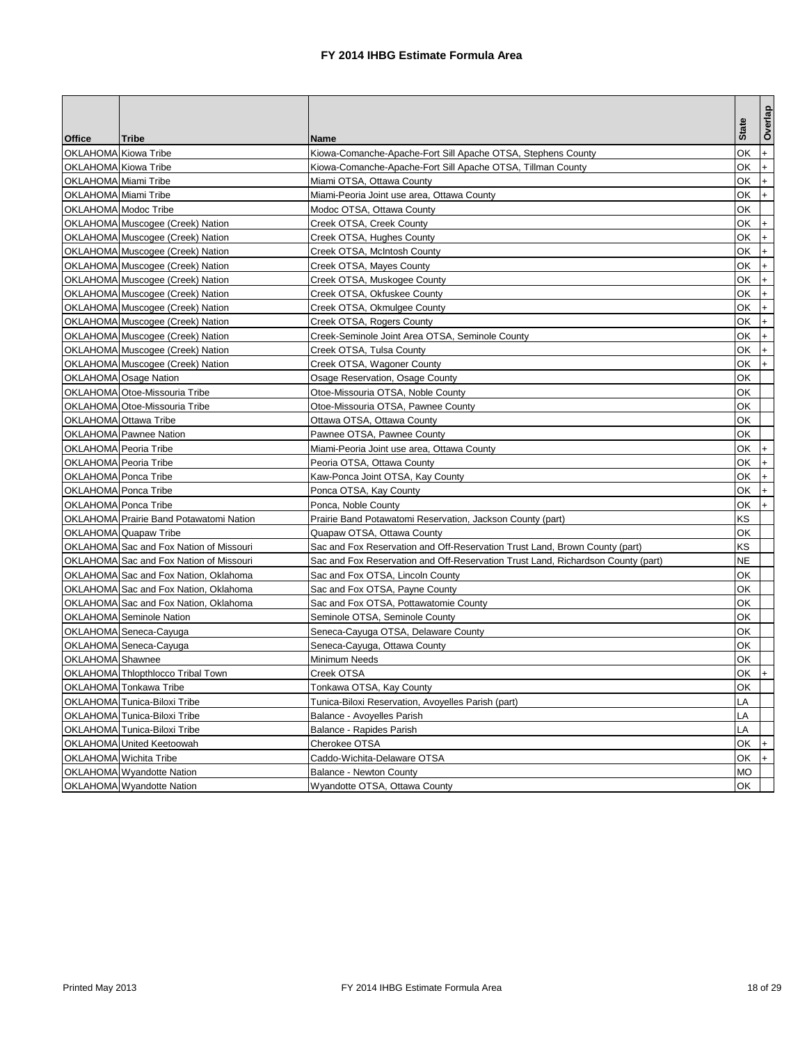|                       |                                         |                                                                                  | <b>State</b> | Overlap   |
|-----------------------|-----------------------------------------|----------------------------------------------------------------------------------|--------------|-----------|
| Office                | <b>Tribe</b>                            | <b>Name</b>                                                                      |              |           |
| OKLAHOMA Kiowa Tribe  |                                         | Kiowa-Comanche-Apache-Fort Sill Apache OTSA, Stephens County                     | ОK           | $+$       |
| OKLAHOMA Kiowa Tribe  |                                         | Kiowa-Comanche-Apache-Fort Sill Apache OTSA, Tillman County                      | ОK           | $+$       |
| OKLAHOMA Miami Tribe  |                                         | Miami OTSA, Ottawa County                                                        | ОK           | $+$       |
| OKLAHOMA Miami Tribe  |                                         | Miami-Peoria Joint use area, Ottawa County                                       | ОK           | $+$       |
| OKLAHOMA Modoc Tribe  |                                         | Modoc OTSA, Ottawa County                                                        | ОK           |           |
|                       | OKLAHOMA Muscogee (Creek) Nation        | Creek OTSA, Creek County                                                         | ОK           | $+$       |
|                       | OKLAHOMA Muscogee (Creek) Nation        | Creek OTSA, Hughes County                                                        | ОK           | $+$       |
|                       | OKLAHOMA Muscogee (Creek) Nation        | Creek OTSA, McIntosh County                                                      | ОK           | $+$       |
|                       | OKLAHOMA Muscogee (Creek) Nation        | Creek OTSA, Mayes County                                                         | ОK           | $ + $     |
|                       | OKLAHOMA Muscogee (Creek) Nation        | Creek OTSA, Muskogee County                                                      | ОK           | $ + $     |
|                       | OKLAHOMA Muscogee (Creek) Nation        | Creek OTSA, Okfuskee County                                                      | ОK           | I+.       |
|                       | OKLAHOMA Muscogee (Creek) Nation        | Creek OTSA, Okmulgee County                                                      | ОK           | $+$       |
|                       | OKLAHOMA Muscogee (Creek) Nation        | Creek OTSA, Rogers County                                                        | ОK           | $\ddot{}$ |
|                       | OKLAHOMA Muscogee (Creek) Nation        | Creek-Seminole Joint Area OTSA, Seminole County                                  | ОK           | $+$       |
|                       | OKLAHOMA Muscogee (Creek) Nation        | Creek OTSA, Tulsa County                                                         | ОΚ           | $+$       |
|                       | OKLAHOMA Muscogee (Creek) Nation        | Creek OTSA, Wagoner County                                                       | ОK           | $+$       |
|                       | OKLAHOMA Osage Nation                   | Osage Reservation, Osage County                                                  | ОΚ           |           |
|                       | OKLAHOMA Otoe-Missouria Tribe           | Otoe-Missouria OTSA, Noble County                                                | OK           |           |
|                       | OKLAHOMA Otoe-Missouria Tribe           | Otoe-Missouria OTSA, Pawnee County                                               | ОK           |           |
|                       | OKLAHOMA Ottawa Tribe                   | Ottawa OTSA, Ottawa County                                                       | ОK           |           |
|                       | OKLAHOMA Pawnee Nation                  | Pawnee OTSA, Pawnee County                                                       | ОK           |           |
| OKLAHOMA Peoria Tribe |                                         | Miami-Peoria Joint use area, Ottawa County                                       | ОK           | $\ddot{}$ |
| OKLAHOMA Peoria Tribe |                                         | Peoria OTSA, Ottawa County                                                       | ОK           | $\ddot{}$ |
| OKLAHOMA Ponca Tribe  |                                         | Kaw-Ponca Joint OTSA, Kay County                                                 | ОK           | $+$       |
| OKLAHOMA Ponca Tribe  |                                         | Ponca OTSA, Kay County                                                           | ОK           | $+$       |
| OKLAHOMA Ponca Tribe  |                                         | Ponca, Noble County                                                              | ОK           | $+$       |
|                       | OKLAHOMA Prairie Band Potawatomi Nation | Prairie Band Potawatomi Reservation, Jackson County (part)                       | KS           |           |
|                       | OKLAHOMA Quapaw Tribe                   | Quapaw OTSA, Ottawa County                                                       | ОK           |           |
|                       | OKLAHOMA Sac and Fox Nation of Missouri | Sac and Fox Reservation and Off-Reservation Trust Land, Brown County (part)      | ΚS           |           |
|                       | OKLAHOMA Sac and Fox Nation of Missouri | Sac and Fox Reservation and Off-Reservation Trust Land, Richardson County (part) | NΕ           |           |
|                       | OKLAHOMA Sac and Fox Nation, Oklahoma   | Sac and Fox OTSA, Lincoln County                                                 | ОΚ           |           |
|                       | OKLAHOMA Sac and Fox Nation, Oklahoma   | Sac and Fox OTSA, Payne County                                                   | ОK           |           |
|                       | OKLAHOMA Sac and Fox Nation, Oklahoma   | Sac and Fox OTSA, Pottawatomie County                                            | ОΚ           |           |
|                       | <b>OKLAHOMA</b> Seminole Nation         | Seminole OTSA, Seminole County                                                   | ОK           |           |
|                       | OKLAHOMA Seneca-Cayuga                  | Seneca-Cayuga OTSA, Delaware County                                              | ОK           |           |
|                       | OKLAHOMA Seneca-Cayuga                  | Seneca-Cayuga, Ottawa County                                                     | ОK           |           |
| OKLAHOMA Shawnee      |                                         | Minimum Needs                                                                    | ОK           |           |
|                       | OKLAHOMA Thlopthlocco Tribal Town       | Creek OTSA                                                                       | ОK           |           |
|                       | OKLAHOMA Tonkawa Tribe                  | Tonkawa OTSA, Kay County                                                         | <b>OK</b>    |           |
|                       | OKLAHOMA Tunica-Biloxi Tribe            | Tunica-Biloxi Reservation, Avoyelles Parish (part)                               | LA           |           |
|                       | OKLAHOMA Tunica-Biloxi Tribe            | Balance - Avoyelles Parish                                                       | LA           |           |
|                       | OKLAHOMA Tunica-Biloxi Tribe            | Balance - Rapides Parish                                                         | LA           |           |
|                       | OKLAHOMA United Keetoowah               | Cherokee OTSA                                                                    | OK           | $+$       |
|                       | OKLAHOMA Wichita Tribe                  | Caddo-Wichita-Delaware OTSA                                                      | OK           | $+$       |
|                       | OKLAHOMA Wyandotte Nation               | <b>Balance - Newton County</b>                                                   | МO           |           |
|                       | OKLAHOMA Wyandotte Nation               | Wyandotte OTSA, Ottawa County                                                    | OK           |           |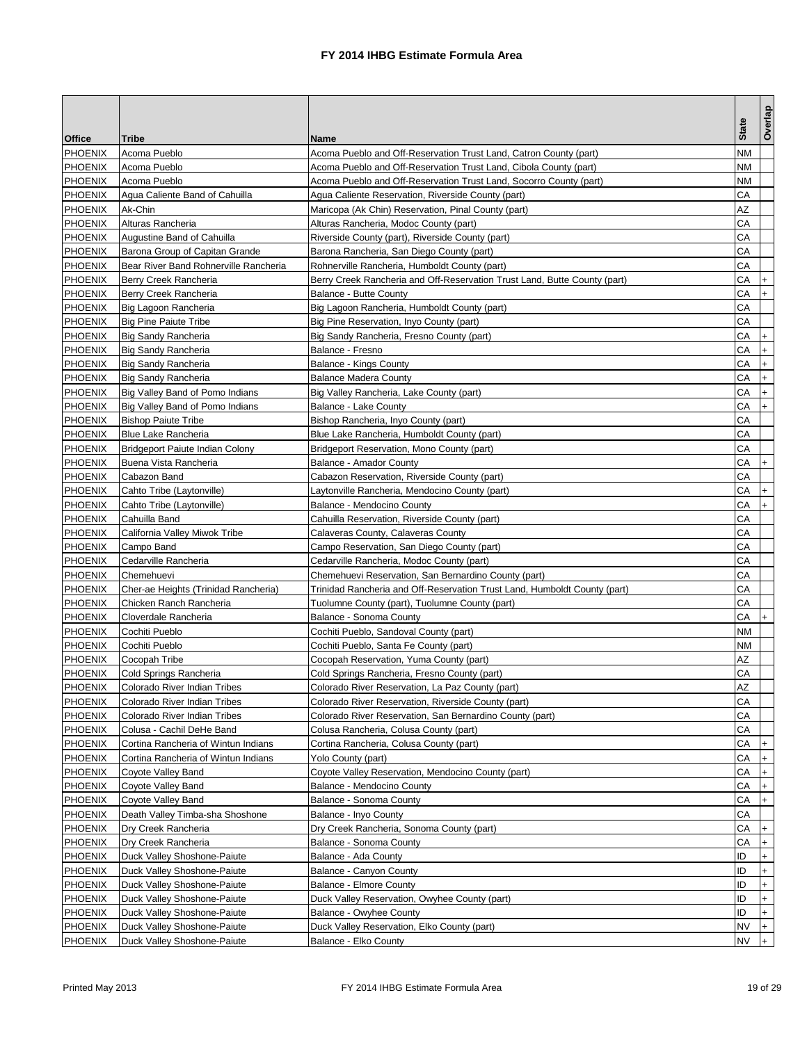| <b>Office</b><br><b>Tribe</b><br><b>Name</b><br><b>PHOENIX</b><br>Acoma Pueblo<br>NΜ<br>Acoma Pueblo and Off-Reservation Trust Land, Catron County (part)<br>NΜ<br><b>PHOENIX</b><br>Acoma Pueblo<br>Acoma Pueblo and Off-Reservation Trust Land, Cibola County (part)<br><b>PHOENIX</b><br>Acoma Pueblo and Off-Reservation Trust Land, Socorro County (part)<br>NΜ<br>Acoma Pueblo<br><b>PHOENIX</b><br>Agua Caliente Reservation, Riverside County (part)<br>CА<br>Agua Caliente Band of Cahuilla<br>AZ<br>Ak-Chin<br>Maricopa (Ak Chin) Reservation, Pinal County (part)<br>CА<br>Alturas Rancheria<br>Alturas Rancheria, Modoc County (part)<br>CА<br><b>PHOENIX</b><br>Augustine Band of Cahuilla<br>Riverside County (part), Riverside County (part)<br><b>PHOENIX</b><br>CА<br>Barona Group of Capitan Grande<br>Barona Rancheria, San Diego County (part)<br><b>PHOENIX</b><br>CА<br>Bear River Band Rohnerville Rancheria<br>Rohnerville Rancheria, Humboldt County (part)<br><b>PHOENIX</b><br>СA<br>Berry Creek Rancheria<br>Berry Creek Rancheria and Off-Reservation Trust Land, Butte County (part)<br>$\ddot{}$<br><b>PHOENIX</b><br>СA<br>$+$<br>Berry Creek Rancheria<br>Balance - Butte County<br><b>PHOENIX</b><br>CА<br>Big Lagoon Rancheria<br>Big Lagoon Rancheria, Humboldt County (part)<br><b>PHOENIX</b><br>CА<br><b>Big Pine Paiute Tribe</b><br>Big Pine Reservation, Inyo County (part)<br><b>PHOENIX</b><br>CА<br><b>Big Sandy Rancheria</b><br>Big Sandy Rancheria, Fresno County (part)<br>$\ddot{}$<br>CA<br><b>PHOENIX</b><br>$+$<br><b>Big Sandy Rancheria</b><br>Balance - Fresno<br>CА<br><b>PHOENIX</b><br><b>Big Sandy Rancheria</b><br>Balance - Kings County<br>$\ddot{}$<br><b>PHOENIX</b><br>CА<br><b>Big Sandy Rancheria</b><br><b>Balance Madera County</b><br>$\ddot{}$<br>CА<br><b>PHOENIX</b><br>Big Valley Band of Pomo Indians<br>Big Valley Rancheria, Lake County (part)<br>$\ddot{}$<br>CА<br>Big Valley Band of Pomo Indians<br>Balance - Lake County<br>$+$<br><b>PHOENIX</b><br><b>Bishop Paiute Tribe</b><br>Bishop Rancheria, Inyo County (part)<br>CА<br><b>PHOENIX</b><br>CА<br><b>Blue Lake Rancheria</b><br>Blue Lake Rancheria, Humboldt County (part)<br><b>PHOENIX</b><br>CА<br><b>Bridgeport Paiute Indian Colony</b><br>Bridgeport Reservation, Mono County (part)<br>СA<br><b>PHOENIX</b><br>$+$<br>Buena Vista Rancheria<br>Balance - Amador County<br><b>PHOENIX</b><br>CА<br>Cabazon Band<br>Cabazon Reservation, Riverside County (part)<br><b>PHOENIX</b><br>Cahto Tribe (Laytonville)<br>Laytonville Rancheria, Mendocino County (part)<br>CА<br><b>PHOENIX</b><br>Cahto Tribe (Laytonville)<br>Balance - Mendocino County<br>CА<br>$+$<br><b>PHOENIX</b><br>Cahuilla Band<br>СA<br>Cahuilla Reservation, Riverside County (part)<br><b>PHOENIX</b><br>California Valley Miwok Tribe<br>CА<br>Calaveras County, Calaveras County<br><b>PHOENIX</b><br>CА<br>Campo Band<br>Campo Reservation, San Diego County (part)<br><b>PHOENIX</b><br>CА<br>Cedarville Rancheria<br>Cedarville Rancheria, Modoc County (part)<br>СA<br><b>PHOENIX</b><br>Chemehuevi<br>Chemehuevi Reservation, San Bernardino County (part)<br><b>PHOENIX</b><br>CА<br>Cher-ae Heights (Trinidad Rancheria)<br>Trinidad Rancheria and Off-Reservation Trust Land, Humboldt County (part)<br><b>PHOENIX</b><br>Chicken Ranch Rancheria<br>CА<br>Tuolumne County (part), Tuolumne County (part)<br><b>PHOENIX</b><br>Cloverdale Rancheria<br>Balance - Sonoma County<br>CА<br>$\ddot{}$<br><b>PHOENIX</b><br>NΜ<br>Cochiti Pueblo<br>Cochiti Pueblo, Sandoval County (part)<br><b>PHOENIX</b><br>Cochiti Pueblo<br>Cochiti Pueblo, Santa Fe County (part)<br>NΜ<br>AZ<br>Cocopah Tribe<br>Cocopah Reservation. Yuma County (part)<br>СA<br>Cold Springs Rancheria<br>Cold Springs Rancheria, Fresno County (part)<br>Colorado River Indian Tribes<br>Colorado River Reservation, La Paz County (part)<br>ΑZ<br>CА<br><b>PHOENIX</b><br>Colorado River Indian Tribes<br>Colorado River Reservation, Riverside County (part)<br><b>PHOENIX</b><br>Colorado River Indian Tribes<br>Colorado River Reservation, San Bernardino County (part)<br>CА<br><b>PHOENIX</b><br>СA<br>Colusa - Cachil DeHe Band<br>Colusa Rancheria, Colusa County (part)<br><b>PHOENIX</b><br>Cortina Rancheria of Wintun Indians<br>Cortina Rancheria, Colusa County (part)<br>СA<br>$\ddot{}$<br><b>PHOENIX</b><br>Cortina Rancheria of Wintun Indians<br>Yolo County (part)<br>СA<br>$\ddot{}$<br><b>PHOENIX</b><br>CА<br>$\ddot{}$<br>Coyote Valley Band<br>Coyote Valley Reservation, Mendocino County (part)<br><b>PHOENIX</b><br>CА<br>Coyote Valley Band<br>Balance - Mendocino County<br>$\ddot{}$<br>СA<br>$+$<br>Coyote Valley Band<br>Balance - Sonoma County<br><b>PHOENIX</b><br>Death Valley Timba-sha Shoshone<br>Balance - Inyo County<br>CА<br><b>PHOENIX</b><br>СA<br>Dry Creek Rancheria<br>Dry Creek Rancheria, Sonoma County (part)<br>$\ddot{}$<br>Dry Creek Rancheria<br>Balance - Sonoma County<br>CА<br>$\ddot{}$<br><b>PHOENIX</b><br>ID<br>Duck Valley Shoshone-Paiute<br>Balance - Ada County<br>$\ddot{}$<br>ID<br>Duck Valley Shoshone-Paiute<br>Balance - Canyon County<br>$\ddot{}$<br><b>PHOENIX</b><br>Duck Valley Shoshone-Paiute<br><b>Balance - Elmore County</b><br>ID<br>$\ddot{}$<br><b>PHOENIX</b><br>ID<br>$\ddot{}$<br>Duck Valley Shoshone-Paiute<br>Duck Valley Reservation, Owyhee County (part)<br><b>PHOENIX</b><br>Duck Valley Shoshone-Paiute<br>ID<br>Balance - Owyhee County<br>$\ddot{}$<br>NV<br>$+$<br>Duck Valley Shoshone-Paiute<br>Duck Valley Reservation, Elko County (part)<br><b>PHOENIX</b><br>Duck Valley Shoshone-Paiute<br>Balance - Elko County<br>NV<br>$+$ |                |  |              | Overlap |
|----------------------------------------------------------------------------------------------------------------------------------------------------------------------------------------------------------------------------------------------------------------------------------------------------------------------------------------------------------------------------------------------------------------------------------------------------------------------------------------------------------------------------------------------------------------------------------------------------------------------------------------------------------------------------------------------------------------------------------------------------------------------------------------------------------------------------------------------------------------------------------------------------------------------------------------------------------------------------------------------------------------------------------------------------------------------------------------------------------------------------------------------------------------------------------------------------------------------------------------------------------------------------------------------------------------------------------------------------------------------------------------------------------------------------------------------------------------------------------------------------------------------------------------------------------------------------------------------------------------------------------------------------------------------------------------------------------------------------------------------------------------------------------------------------------------------------------------------------------------------------------------------------------------------------------------------------------------------------------------------------------------------------------------------------------------------------------------------------------------------------------------------------------------------------------------------------------------------------------------------------------------------------------------------------------------------------------------------------------------------------------------------------------------------------------------------------------------------------------------------------------------------------------------------------------------------------------------------------------------------------------------------------------------------------------------------------------------------------------------------------------------------------------------------------------------------------------------------------------------------------------------------------------------------------------------------------------------------------------------------------------------------------------------------------------------------------------------------------------------------------------------------------------------------------------------------------------------------------------------------------------------------------------------------------------------------------------------------------------------------------------------------------------------------------------------------------------------------------------------------------------------------------------------------------------------------------------------------------------------------------------------------------------------------------------------------------------------------------------------------------------------------------------------------------------------------------------------------------------------------------------------------------------------------------------------------------------------------------------------------------------------------------------------------------------------------------------------------------------------------------------------------------------------------------------------------------------------------------------------------------------------------------------------------------------------------------------------------------------------------------------------------------------------------------------------------------------------------------------------------------------------------------------------------------------------------------------------------------------------------------------------------------------------------------------------------------------------------------------------------------------------------------------------------------------------------------------------------------------------------------------------------------------------------------------------------------------------------------------------------------------------------------------------------------------------------------------------------------------------------------------------------------------------------------------------------------------------------------------------------------------------------------------------------------------------------------------------------------------------------------------------------------------------------------------------------------------------------------------------------------------------------------------------------------------------------------------------------------------------------------------------------------------------------------------------------------------------------------------------------------|----------------|--|--------------|---------|
|                                                                                                                                                                                                                                                                                                                                                                                                                                                                                                                                                                                                                                                                                                                                                                                                                                                                                                                                                                                                                                                                                                                                                                                                                                                                                                                                                                                                                                                                                                                                                                                                                                                                                                                                                                                                                                                                                                                                                                                                                                                                                                                                                                                                                                                                                                                                                                                                                                                                                                                                                                                                                                                                                                                                                                                                                                                                                                                                                                                                                                                                                                                                                                                                                                                                                                                                                                                                                                                                                                                                                                                                                                                                                                                                                                                                                                                                                                                                                                                                                                                                                                                                                                                                                                                                                                                                                                                                                                                                                                                                                                                                                                                                                                                                                                                                                                                                                                                                                                                                                                                                                                                                                                                                                                                                                                                                                                                                                                                                                                                                                                                                                                                                                                                                                    |                |  | <b>State</b> |         |
|                                                                                                                                                                                                                                                                                                                                                                                                                                                                                                                                                                                                                                                                                                                                                                                                                                                                                                                                                                                                                                                                                                                                                                                                                                                                                                                                                                                                                                                                                                                                                                                                                                                                                                                                                                                                                                                                                                                                                                                                                                                                                                                                                                                                                                                                                                                                                                                                                                                                                                                                                                                                                                                                                                                                                                                                                                                                                                                                                                                                                                                                                                                                                                                                                                                                                                                                                                                                                                                                                                                                                                                                                                                                                                                                                                                                                                                                                                                                                                                                                                                                                                                                                                                                                                                                                                                                                                                                                                                                                                                                                                                                                                                                                                                                                                                                                                                                                                                                                                                                                                                                                                                                                                                                                                                                                                                                                                                                                                                                                                                                                                                                                                                                                                                                                    |                |  |              |         |
|                                                                                                                                                                                                                                                                                                                                                                                                                                                                                                                                                                                                                                                                                                                                                                                                                                                                                                                                                                                                                                                                                                                                                                                                                                                                                                                                                                                                                                                                                                                                                                                                                                                                                                                                                                                                                                                                                                                                                                                                                                                                                                                                                                                                                                                                                                                                                                                                                                                                                                                                                                                                                                                                                                                                                                                                                                                                                                                                                                                                                                                                                                                                                                                                                                                                                                                                                                                                                                                                                                                                                                                                                                                                                                                                                                                                                                                                                                                                                                                                                                                                                                                                                                                                                                                                                                                                                                                                                                                                                                                                                                                                                                                                                                                                                                                                                                                                                                                                                                                                                                                                                                                                                                                                                                                                                                                                                                                                                                                                                                                                                                                                                                                                                                                                                    |                |  |              |         |
|                                                                                                                                                                                                                                                                                                                                                                                                                                                                                                                                                                                                                                                                                                                                                                                                                                                                                                                                                                                                                                                                                                                                                                                                                                                                                                                                                                                                                                                                                                                                                                                                                                                                                                                                                                                                                                                                                                                                                                                                                                                                                                                                                                                                                                                                                                                                                                                                                                                                                                                                                                                                                                                                                                                                                                                                                                                                                                                                                                                                                                                                                                                                                                                                                                                                                                                                                                                                                                                                                                                                                                                                                                                                                                                                                                                                                                                                                                                                                                                                                                                                                                                                                                                                                                                                                                                                                                                                                                                                                                                                                                                                                                                                                                                                                                                                                                                                                                                                                                                                                                                                                                                                                                                                                                                                                                                                                                                                                                                                                                                                                                                                                                                                                                                                                    |                |  |              |         |
|                                                                                                                                                                                                                                                                                                                                                                                                                                                                                                                                                                                                                                                                                                                                                                                                                                                                                                                                                                                                                                                                                                                                                                                                                                                                                                                                                                                                                                                                                                                                                                                                                                                                                                                                                                                                                                                                                                                                                                                                                                                                                                                                                                                                                                                                                                                                                                                                                                                                                                                                                                                                                                                                                                                                                                                                                                                                                                                                                                                                                                                                                                                                                                                                                                                                                                                                                                                                                                                                                                                                                                                                                                                                                                                                                                                                                                                                                                                                                                                                                                                                                                                                                                                                                                                                                                                                                                                                                                                                                                                                                                                                                                                                                                                                                                                                                                                                                                                                                                                                                                                                                                                                                                                                                                                                                                                                                                                                                                                                                                                                                                                                                                                                                                                                                    |                |  |              |         |
|                                                                                                                                                                                                                                                                                                                                                                                                                                                                                                                                                                                                                                                                                                                                                                                                                                                                                                                                                                                                                                                                                                                                                                                                                                                                                                                                                                                                                                                                                                                                                                                                                                                                                                                                                                                                                                                                                                                                                                                                                                                                                                                                                                                                                                                                                                                                                                                                                                                                                                                                                                                                                                                                                                                                                                                                                                                                                                                                                                                                                                                                                                                                                                                                                                                                                                                                                                                                                                                                                                                                                                                                                                                                                                                                                                                                                                                                                                                                                                                                                                                                                                                                                                                                                                                                                                                                                                                                                                                                                                                                                                                                                                                                                                                                                                                                                                                                                                                                                                                                                                                                                                                                                                                                                                                                                                                                                                                                                                                                                                                                                                                                                                                                                                                                                    | PHOENIX        |  |              |         |
|                                                                                                                                                                                                                                                                                                                                                                                                                                                                                                                                                                                                                                                                                                                                                                                                                                                                                                                                                                                                                                                                                                                                                                                                                                                                                                                                                                                                                                                                                                                                                                                                                                                                                                                                                                                                                                                                                                                                                                                                                                                                                                                                                                                                                                                                                                                                                                                                                                                                                                                                                                                                                                                                                                                                                                                                                                                                                                                                                                                                                                                                                                                                                                                                                                                                                                                                                                                                                                                                                                                                                                                                                                                                                                                                                                                                                                                                                                                                                                                                                                                                                                                                                                                                                                                                                                                                                                                                                                                                                                                                                                                                                                                                                                                                                                                                                                                                                                                                                                                                                                                                                                                                                                                                                                                                                                                                                                                                                                                                                                                                                                                                                                                                                                                                                    | PHOENIX        |  |              |         |
|                                                                                                                                                                                                                                                                                                                                                                                                                                                                                                                                                                                                                                                                                                                                                                                                                                                                                                                                                                                                                                                                                                                                                                                                                                                                                                                                                                                                                                                                                                                                                                                                                                                                                                                                                                                                                                                                                                                                                                                                                                                                                                                                                                                                                                                                                                                                                                                                                                                                                                                                                                                                                                                                                                                                                                                                                                                                                                                                                                                                                                                                                                                                                                                                                                                                                                                                                                                                                                                                                                                                                                                                                                                                                                                                                                                                                                                                                                                                                                                                                                                                                                                                                                                                                                                                                                                                                                                                                                                                                                                                                                                                                                                                                                                                                                                                                                                                                                                                                                                                                                                                                                                                                                                                                                                                                                                                                                                                                                                                                                                                                                                                                                                                                                                                                    |                |  |              |         |
|                                                                                                                                                                                                                                                                                                                                                                                                                                                                                                                                                                                                                                                                                                                                                                                                                                                                                                                                                                                                                                                                                                                                                                                                                                                                                                                                                                                                                                                                                                                                                                                                                                                                                                                                                                                                                                                                                                                                                                                                                                                                                                                                                                                                                                                                                                                                                                                                                                                                                                                                                                                                                                                                                                                                                                                                                                                                                                                                                                                                                                                                                                                                                                                                                                                                                                                                                                                                                                                                                                                                                                                                                                                                                                                                                                                                                                                                                                                                                                                                                                                                                                                                                                                                                                                                                                                                                                                                                                                                                                                                                                                                                                                                                                                                                                                                                                                                                                                                                                                                                                                                                                                                                                                                                                                                                                                                                                                                                                                                                                                                                                                                                                                                                                                                                    |                |  |              |         |
|                                                                                                                                                                                                                                                                                                                                                                                                                                                                                                                                                                                                                                                                                                                                                                                                                                                                                                                                                                                                                                                                                                                                                                                                                                                                                                                                                                                                                                                                                                                                                                                                                                                                                                                                                                                                                                                                                                                                                                                                                                                                                                                                                                                                                                                                                                                                                                                                                                                                                                                                                                                                                                                                                                                                                                                                                                                                                                                                                                                                                                                                                                                                                                                                                                                                                                                                                                                                                                                                                                                                                                                                                                                                                                                                                                                                                                                                                                                                                                                                                                                                                                                                                                                                                                                                                                                                                                                                                                                                                                                                                                                                                                                                                                                                                                                                                                                                                                                                                                                                                                                                                                                                                                                                                                                                                                                                                                                                                                                                                                                                                                                                                                                                                                                                                    |                |  |              |         |
|                                                                                                                                                                                                                                                                                                                                                                                                                                                                                                                                                                                                                                                                                                                                                                                                                                                                                                                                                                                                                                                                                                                                                                                                                                                                                                                                                                                                                                                                                                                                                                                                                                                                                                                                                                                                                                                                                                                                                                                                                                                                                                                                                                                                                                                                                                                                                                                                                                                                                                                                                                                                                                                                                                                                                                                                                                                                                                                                                                                                                                                                                                                                                                                                                                                                                                                                                                                                                                                                                                                                                                                                                                                                                                                                                                                                                                                                                                                                                                                                                                                                                                                                                                                                                                                                                                                                                                                                                                                                                                                                                                                                                                                                                                                                                                                                                                                                                                                                                                                                                                                                                                                                                                                                                                                                                                                                                                                                                                                                                                                                                                                                                                                                                                                                                    |                |  |              |         |
|                                                                                                                                                                                                                                                                                                                                                                                                                                                                                                                                                                                                                                                                                                                                                                                                                                                                                                                                                                                                                                                                                                                                                                                                                                                                                                                                                                                                                                                                                                                                                                                                                                                                                                                                                                                                                                                                                                                                                                                                                                                                                                                                                                                                                                                                                                                                                                                                                                                                                                                                                                                                                                                                                                                                                                                                                                                                                                                                                                                                                                                                                                                                                                                                                                                                                                                                                                                                                                                                                                                                                                                                                                                                                                                                                                                                                                                                                                                                                                                                                                                                                                                                                                                                                                                                                                                                                                                                                                                                                                                                                                                                                                                                                                                                                                                                                                                                                                                                                                                                                                                                                                                                                                                                                                                                                                                                                                                                                                                                                                                                                                                                                                                                                                                                                    |                |  |              |         |
|                                                                                                                                                                                                                                                                                                                                                                                                                                                                                                                                                                                                                                                                                                                                                                                                                                                                                                                                                                                                                                                                                                                                                                                                                                                                                                                                                                                                                                                                                                                                                                                                                                                                                                                                                                                                                                                                                                                                                                                                                                                                                                                                                                                                                                                                                                                                                                                                                                                                                                                                                                                                                                                                                                                                                                                                                                                                                                                                                                                                                                                                                                                                                                                                                                                                                                                                                                                                                                                                                                                                                                                                                                                                                                                                                                                                                                                                                                                                                                                                                                                                                                                                                                                                                                                                                                                                                                                                                                                                                                                                                                                                                                                                                                                                                                                                                                                                                                                                                                                                                                                                                                                                                                                                                                                                                                                                                                                                                                                                                                                                                                                                                                                                                                                                                    |                |  |              |         |
|                                                                                                                                                                                                                                                                                                                                                                                                                                                                                                                                                                                                                                                                                                                                                                                                                                                                                                                                                                                                                                                                                                                                                                                                                                                                                                                                                                                                                                                                                                                                                                                                                                                                                                                                                                                                                                                                                                                                                                                                                                                                                                                                                                                                                                                                                                                                                                                                                                                                                                                                                                                                                                                                                                                                                                                                                                                                                                                                                                                                                                                                                                                                                                                                                                                                                                                                                                                                                                                                                                                                                                                                                                                                                                                                                                                                                                                                                                                                                                                                                                                                                                                                                                                                                                                                                                                                                                                                                                                                                                                                                                                                                                                                                                                                                                                                                                                                                                                                                                                                                                                                                                                                                                                                                                                                                                                                                                                                                                                                                                                                                                                                                                                                                                                                                    |                |  |              |         |
|                                                                                                                                                                                                                                                                                                                                                                                                                                                                                                                                                                                                                                                                                                                                                                                                                                                                                                                                                                                                                                                                                                                                                                                                                                                                                                                                                                                                                                                                                                                                                                                                                                                                                                                                                                                                                                                                                                                                                                                                                                                                                                                                                                                                                                                                                                                                                                                                                                                                                                                                                                                                                                                                                                                                                                                                                                                                                                                                                                                                                                                                                                                                                                                                                                                                                                                                                                                                                                                                                                                                                                                                                                                                                                                                                                                                                                                                                                                                                                                                                                                                                                                                                                                                                                                                                                                                                                                                                                                                                                                                                                                                                                                                                                                                                                                                                                                                                                                                                                                                                                                                                                                                                                                                                                                                                                                                                                                                                                                                                                                                                                                                                                                                                                                                                    |                |  |              |         |
|                                                                                                                                                                                                                                                                                                                                                                                                                                                                                                                                                                                                                                                                                                                                                                                                                                                                                                                                                                                                                                                                                                                                                                                                                                                                                                                                                                                                                                                                                                                                                                                                                                                                                                                                                                                                                                                                                                                                                                                                                                                                                                                                                                                                                                                                                                                                                                                                                                                                                                                                                                                                                                                                                                                                                                                                                                                                                                                                                                                                                                                                                                                                                                                                                                                                                                                                                                                                                                                                                                                                                                                                                                                                                                                                                                                                                                                                                                                                                                                                                                                                                                                                                                                                                                                                                                                                                                                                                                                                                                                                                                                                                                                                                                                                                                                                                                                                                                                                                                                                                                                                                                                                                                                                                                                                                                                                                                                                                                                                                                                                                                                                                                                                                                                                                    |                |  |              |         |
|                                                                                                                                                                                                                                                                                                                                                                                                                                                                                                                                                                                                                                                                                                                                                                                                                                                                                                                                                                                                                                                                                                                                                                                                                                                                                                                                                                                                                                                                                                                                                                                                                                                                                                                                                                                                                                                                                                                                                                                                                                                                                                                                                                                                                                                                                                                                                                                                                                                                                                                                                                                                                                                                                                                                                                                                                                                                                                                                                                                                                                                                                                                                                                                                                                                                                                                                                                                                                                                                                                                                                                                                                                                                                                                                                                                                                                                                                                                                                                                                                                                                                                                                                                                                                                                                                                                                                                                                                                                                                                                                                                                                                                                                                                                                                                                                                                                                                                                                                                                                                                                                                                                                                                                                                                                                                                                                                                                                                                                                                                                                                                                                                                                                                                                                                    |                |  |              |         |
|                                                                                                                                                                                                                                                                                                                                                                                                                                                                                                                                                                                                                                                                                                                                                                                                                                                                                                                                                                                                                                                                                                                                                                                                                                                                                                                                                                                                                                                                                                                                                                                                                                                                                                                                                                                                                                                                                                                                                                                                                                                                                                                                                                                                                                                                                                                                                                                                                                                                                                                                                                                                                                                                                                                                                                                                                                                                                                                                                                                                                                                                                                                                                                                                                                                                                                                                                                                                                                                                                                                                                                                                                                                                                                                                                                                                                                                                                                                                                                                                                                                                                                                                                                                                                                                                                                                                                                                                                                                                                                                                                                                                                                                                                                                                                                                                                                                                                                                                                                                                                                                                                                                                                                                                                                                                                                                                                                                                                                                                                                                                                                                                                                                                                                                                                    |                |  |              |         |
|                                                                                                                                                                                                                                                                                                                                                                                                                                                                                                                                                                                                                                                                                                                                                                                                                                                                                                                                                                                                                                                                                                                                                                                                                                                                                                                                                                                                                                                                                                                                                                                                                                                                                                                                                                                                                                                                                                                                                                                                                                                                                                                                                                                                                                                                                                                                                                                                                                                                                                                                                                                                                                                                                                                                                                                                                                                                                                                                                                                                                                                                                                                                                                                                                                                                                                                                                                                                                                                                                                                                                                                                                                                                                                                                                                                                                                                                                                                                                                                                                                                                                                                                                                                                                                                                                                                                                                                                                                                                                                                                                                                                                                                                                                                                                                                                                                                                                                                                                                                                                                                                                                                                                                                                                                                                                                                                                                                                                                                                                                                                                                                                                                                                                                                                                    |                |  |              |         |
|                                                                                                                                                                                                                                                                                                                                                                                                                                                                                                                                                                                                                                                                                                                                                                                                                                                                                                                                                                                                                                                                                                                                                                                                                                                                                                                                                                                                                                                                                                                                                                                                                                                                                                                                                                                                                                                                                                                                                                                                                                                                                                                                                                                                                                                                                                                                                                                                                                                                                                                                                                                                                                                                                                                                                                                                                                                                                                                                                                                                                                                                                                                                                                                                                                                                                                                                                                                                                                                                                                                                                                                                                                                                                                                                                                                                                                                                                                                                                                                                                                                                                                                                                                                                                                                                                                                                                                                                                                                                                                                                                                                                                                                                                                                                                                                                                                                                                                                                                                                                                                                                                                                                                                                                                                                                                                                                                                                                                                                                                                                                                                                                                                                                                                                                                    | PHOENIX        |  |              |         |
|                                                                                                                                                                                                                                                                                                                                                                                                                                                                                                                                                                                                                                                                                                                                                                                                                                                                                                                                                                                                                                                                                                                                                                                                                                                                                                                                                                                                                                                                                                                                                                                                                                                                                                                                                                                                                                                                                                                                                                                                                                                                                                                                                                                                                                                                                                                                                                                                                                                                                                                                                                                                                                                                                                                                                                                                                                                                                                                                                                                                                                                                                                                                                                                                                                                                                                                                                                                                                                                                                                                                                                                                                                                                                                                                                                                                                                                                                                                                                                                                                                                                                                                                                                                                                                                                                                                                                                                                                                                                                                                                                                                                                                                                                                                                                                                                                                                                                                                                                                                                                                                                                                                                                                                                                                                                                                                                                                                                                                                                                                                                                                                                                                                                                                                                                    |                |  |              |         |
|                                                                                                                                                                                                                                                                                                                                                                                                                                                                                                                                                                                                                                                                                                                                                                                                                                                                                                                                                                                                                                                                                                                                                                                                                                                                                                                                                                                                                                                                                                                                                                                                                                                                                                                                                                                                                                                                                                                                                                                                                                                                                                                                                                                                                                                                                                                                                                                                                                                                                                                                                                                                                                                                                                                                                                                                                                                                                                                                                                                                                                                                                                                                                                                                                                                                                                                                                                                                                                                                                                                                                                                                                                                                                                                                                                                                                                                                                                                                                                                                                                                                                                                                                                                                                                                                                                                                                                                                                                                                                                                                                                                                                                                                                                                                                                                                                                                                                                                                                                                                                                                                                                                                                                                                                                                                                                                                                                                                                                                                                                                                                                                                                                                                                                                                                    |                |  |              |         |
|                                                                                                                                                                                                                                                                                                                                                                                                                                                                                                                                                                                                                                                                                                                                                                                                                                                                                                                                                                                                                                                                                                                                                                                                                                                                                                                                                                                                                                                                                                                                                                                                                                                                                                                                                                                                                                                                                                                                                                                                                                                                                                                                                                                                                                                                                                                                                                                                                                                                                                                                                                                                                                                                                                                                                                                                                                                                                                                                                                                                                                                                                                                                                                                                                                                                                                                                                                                                                                                                                                                                                                                                                                                                                                                                                                                                                                                                                                                                                                                                                                                                                                                                                                                                                                                                                                                                                                                                                                                                                                                                                                                                                                                                                                                                                                                                                                                                                                                                                                                                                                                                                                                                                                                                                                                                                                                                                                                                                                                                                                                                                                                                                                                                                                                                                    |                |  |              |         |
|                                                                                                                                                                                                                                                                                                                                                                                                                                                                                                                                                                                                                                                                                                                                                                                                                                                                                                                                                                                                                                                                                                                                                                                                                                                                                                                                                                                                                                                                                                                                                                                                                                                                                                                                                                                                                                                                                                                                                                                                                                                                                                                                                                                                                                                                                                                                                                                                                                                                                                                                                                                                                                                                                                                                                                                                                                                                                                                                                                                                                                                                                                                                                                                                                                                                                                                                                                                                                                                                                                                                                                                                                                                                                                                                                                                                                                                                                                                                                                                                                                                                                                                                                                                                                                                                                                                                                                                                                                                                                                                                                                                                                                                                                                                                                                                                                                                                                                                                                                                                                                                                                                                                                                                                                                                                                                                                                                                                                                                                                                                                                                                                                                                                                                                                                    |                |  |              |         |
|                                                                                                                                                                                                                                                                                                                                                                                                                                                                                                                                                                                                                                                                                                                                                                                                                                                                                                                                                                                                                                                                                                                                                                                                                                                                                                                                                                                                                                                                                                                                                                                                                                                                                                                                                                                                                                                                                                                                                                                                                                                                                                                                                                                                                                                                                                                                                                                                                                                                                                                                                                                                                                                                                                                                                                                                                                                                                                                                                                                                                                                                                                                                                                                                                                                                                                                                                                                                                                                                                                                                                                                                                                                                                                                                                                                                                                                                                                                                                                                                                                                                                                                                                                                                                                                                                                                                                                                                                                                                                                                                                                                                                                                                                                                                                                                                                                                                                                                                                                                                                                                                                                                                                                                                                                                                                                                                                                                                                                                                                                                                                                                                                                                                                                                                                    |                |  |              |         |
|                                                                                                                                                                                                                                                                                                                                                                                                                                                                                                                                                                                                                                                                                                                                                                                                                                                                                                                                                                                                                                                                                                                                                                                                                                                                                                                                                                                                                                                                                                                                                                                                                                                                                                                                                                                                                                                                                                                                                                                                                                                                                                                                                                                                                                                                                                                                                                                                                                                                                                                                                                                                                                                                                                                                                                                                                                                                                                                                                                                                                                                                                                                                                                                                                                                                                                                                                                                                                                                                                                                                                                                                                                                                                                                                                                                                                                                                                                                                                                                                                                                                                                                                                                                                                                                                                                                                                                                                                                                                                                                                                                                                                                                                                                                                                                                                                                                                                                                                                                                                                                                                                                                                                                                                                                                                                                                                                                                                                                                                                                                                                                                                                                                                                                                                                    |                |  |              |         |
|                                                                                                                                                                                                                                                                                                                                                                                                                                                                                                                                                                                                                                                                                                                                                                                                                                                                                                                                                                                                                                                                                                                                                                                                                                                                                                                                                                                                                                                                                                                                                                                                                                                                                                                                                                                                                                                                                                                                                                                                                                                                                                                                                                                                                                                                                                                                                                                                                                                                                                                                                                                                                                                                                                                                                                                                                                                                                                                                                                                                                                                                                                                                                                                                                                                                                                                                                                                                                                                                                                                                                                                                                                                                                                                                                                                                                                                                                                                                                                                                                                                                                                                                                                                                                                                                                                                                                                                                                                                                                                                                                                                                                                                                                                                                                                                                                                                                                                                                                                                                                                                                                                                                                                                                                                                                                                                                                                                                                                                                                                                                                                                                                                                                                                                                                    |                |  |              |         |
|                                                                                                                                                                                                                                                                                                                                                                                                                                                                                                                                                                                                                                                                                                                                                                                                                                                                                                                                                                                                                                                                                                                                                                                                                                                                                                                                                                                                                                                                                                                                                                                                                                                                                                                                                                                                                                                                                                                                                                                                                                                                                                                                                                                                                                                                                                                                                                                                                                                                                                                                                                                                                                                                                                                                                                                                                                                                                                                                                                                                                                                                                                                                                                                                                                                                                                                                                                                                                                                                                                                                                                                                                                                                                                                                                                                                                                                                                                                                                                                                                                                                                                                                                                                                                                                                                                                                                                                                                                                                                                                                                                                                                                                                                                                                                                                                                                                                                                                                                                                                                                                                                                                                                                                                                                                                                                                                                                                                                                                                                                                                                                                                                                                                                                                                                    |                |  |              |         |
|                                                                                                                                                                                                                                                                                                                                                                                                                                                                                                                                                                                                                                                                                                                                                                                                                                                                                                                                                                                                                                                                                                                                                                                                                                                                                                                                                                                                                                                                                                                                                                                                                                                                                                                                                                                                                                                                                                                                                                                                                                                                                                                                                                                                                                                                                                                                                                                                                                                                                                                                                                                                                                                                                                                                                                                                                                                                                                                                                                                                                                                                                                                                                                                                                                                                                                                                                                                                                                                                                                                                                                                                                                                                                                                                                                                                                                                                                                                                                                                                                                                                                                                                                                                                                                                                                                                                                                                                                                                                                                                                                                                                                                                                                                                                                                                                                                                                                                                                                                                                                                                                                                                                                                                                                                                                                                                                                                                                                                                                                                                                                                                                                                                                                                                                                    |                |  |              |         |
|                                                                                                                                                                                                                                                                                                                                                                                                                                                                                                                                                                                                                                                                                                                                                                                                                                                                                                                                                                                                                                                                                                                                                                                                                                                                                                                                                                                                                                                                                                                                                                                                                                                                                                                                                                                                                                                                                                                                                                                                                                                                                                                                                                                                                                                                                                                                                                                                                                                                                                                                                                                                                                                                                                                                                                                                                                                                                                                                                                                                                                                                                                                                                                                                                                                                                                                                                                                                                                                                                                                                                                                                                                                                                                                                                                                                                                                                                                                                                                                                                                                                                                                                                                                                                                                                                                                                                                                                                                                                                                                                                                                                                                                                                                                                                                                                                                                                                                                                                                                                                                                                                                                                                                                                                                                                                                                                                                                                                                                                                                                                                                                                                                                                                                                                                    |                |  |              |         |
|                                                                                                                                                                                                                                                                                                                                                                                                                                                                                                                                                                                                                                                                                                                                                                                                                                                                                                                                                                                                                                                                                                                                                                                                                                                                                                                                                                                                                                                                                                                                                                                                                                                                                                                                                                                                                                                                                                                                                                                                                                                                                                                                                                                                                                                                                                                                                                                                                                                                                                                                                                                                                                                                                                                                                                                                                                                                                                                                                                                                                                                                                                                                                                                                                                                                                                                                                                                                                                                                                                                                                                                                                                                                                                                                                                                                                                                                                                                                                                                                                                                                                                                                                                                                                                                                                                                                                                                                                                                                                                                                                                                                                                                                                                                                                                                                                                                                                                                                                                                                                                                                                                                                                                                                                                                                                                                                                                                                                                                                                                                                                                                                                                                                                                                                                    |                |  |              |         |
|                                                                                                                                                                                                                                                                                                                                                                                                                                                                                                                                                                                                                                                                                                                                                                                                                                                                                                                                                                                                                                                                                                                                                                                                                                                                                                                                                                                                                                                                                                                                                                                                                                                                                                                                                                                                                                                                                                                                                                                                                                                                                                                                                                                                                                                                                                                                                                                                                                                                                                                                                                                                                                                                                                                                                                                                                                                                                                                                                                                                                                                                                                                                                                                                                                                                                                                                                                                                                                                                                                                                                                                                                                                                                                                                                                                                                                                                                                                                                                                                                                                                                                                                                                                                                                                                                                                                                                                                                                                                                                                                                                                                                                                                                                                                                                                                                                                                                                                                                                                                                                                                                                                                                                                                                                                                                                                                                                                                                                                                                                                                                                                                                                                                                                                                                    |                |  |              |         |
|                                                                                                                                                                                                                                                                                                                                                                                                                                                                                                                                                                                                                                                                                                                                                                                                                                                                                                                                                                                                                                                                                                                                                                                                                                                                                                                                                                                                                                                                                                                                                                                                                                                                                                                                                                                                                                                                                                                                                                                                                                                                                                                                                                                                                                                                                                                                                                                                                                                                                                                                                                                                                                                                                                                                                                                                                                                                                                                                                                                                                                                                                                                                                                                                                                                                                                                                                                                                                                                                                                                                                                                                                                                                                                                                                                                                                                                                                                                                                                                                                                                                                                                                                                                                                                                                                                                                                                                                                                                                                                                                                                                                                                                                                                                                                                                                                                                                                                                                                                                                                                                                                                                                                                                                                                                                                                                                                                                                                                                                                                                                                                                                                                                                                                                                                    |                |  |              |         |
|                                                                                                                                                                                                                                                                                                                                                                                                                                                                                                                                                                                                                                                                                                                                                                                                                                                                                                                                                                                                                                                                                                                                                                                                                                                                                                                                                                                                                                                                                                                                                                                                                                                                                                                                                                                                                                                                                                                                                                                                                                                                                                                                                                                                                                                                                                                                                                                                                                                                                                                                                                                                                                                                                                                                                                                                                                                                                                                                                                                                                                                                                                                                                                                                                                                                                                                                                                                                                                                                                                                                                                                                                                                                                                                                                                                                                                                                                                                                                                                                                                                                                                                                                                                                                                                                                                                                                                                                                                                                                                                                                                                                                                                                                                                                                                                                                                                                                                                                                                                                                                                                                                                                                                                                                                                                                                                                                                                                                                                                                                                                                                                                                                                                                                                                                    |                |  |              |         |
|                                                                                                                                                                                                                                                                                                                                                                                                                                                                                                                                                                                                                                                                                                                                                                                                                                                                                                                                                                                                                                                                                                                                                                                                                                                                                                                                                                                                                                                                                                                                                                                                                                                                                                                                                                                                                                                                                                                                                                                                                                                                                                                                                                                                                                                                                                                                                                                                                                                                                                                                                                                                                                                                                                                                                                                                                                                                                                                                                                                                                                                                                                                                                                                                                                                                                                                                                                                                                                                                                                                                                                                                                                                                                                                                                                                                                                                                                                                                                                                                                                                                                                                                                                                                                                                                                                                                                                                                                                                                                                                                                                                                                                                                                                                                                                                                                                                                                                                                                                                                                                                                                                                                                                                                                                                                                                                                                                                                                                                                                                                                                                                                                                                                                                                                                    |                |  |              |         |
|                                                                                                                                                                                                                                                                                                                                                                                                                                                                                                                                                                                                                                                                                                                                                                                                                                                                                                                                                                                                                                                                                                                                                                                                                                                                                                                                                                                                                                                                                                                                                                                                                                                                                                                                                                                                                                                                                                                                                                                                                                                                                                                                                                                                                                                                                                                                                                                                                                                                                                                                                                                                                                                                                                                                                                                                                                                                                                                                                                                                                                                                                                                                                                                                                                                                                                                                                                                                                                                                                                                                                                                                                                                                                                                                                                                                                                                                                                                                                                                                                                                                                                                                                                                                                                                                                                                                                                                                                                                                                                                                                                                                                                                                                                                                                                                                                                                                                                                                                                                                                                                                                                                                                                                                                                                                                                                                                                                                                                                                                                                                                                                                                                                                                                                                                    |                |  |              |         |
|                                                                                                                                                                                                                                                                                                                                                                                                                                                                                                                                                                                                                                                                                                                                                                                                                                                                                                                                                                                                                                                                                                                                                                                                                                                                                                                                                                                                                                                                                                                                                                                                                                                                                                                                                                                                                                                                                                                                                                                                                                                                                                                                                                                                                                                                                                                                                                                                                                                                                                                                                                                                                                                                                                                                                                                                                                                                                                                                                                                                                                                                                                                                                                                                                                                                                                                                                                                                                                                                                                                                                                                                                                                                                                                                                                                                                                                                                                                                                                                                                                                                                                                                                                                                                                                                                                                                                                                                                                                                                                                                                                                                                                                                                                                                                                                                                                                                                                                                                                                                                                                                                                                                                                                                                                                                                                                                                                                                                                                                                                                                                                                                                                                                                                                                                    |                |  |              |         |
|                                                                                                                                                                                                                                                                                                                                                                                                                                                                                                                                                                                                                                                                                                                                                                                                                                                                                                                                                                                                                                                                                                                                                                                                                                                                                                                                                                                                                                                                                                                                                                                                                                                                                                                                                                                                                                                                                                                                                                                                                                                                                                                                                                                                                                                                                                                                                                                                                                                                                                                                                                                                                                                                                                                                                                                                                                                                                                                                                                                                                                                                                                                                                                                                                                                                                                                                                                                                                                                                                                                                                                                                                                                                                                                                                                                                                                                                                                                                                                                                                                                                                                                                                                                                                                                                                                                                                                                                                                                                                                                                                                                                                                                                                                                                                                                                                                                                                                                                                                                                                                                                                                                                                                                                                                                                                                                                                                                                                                                                                                                                                                                                                                                                                                                                                    | PHOENIX        |  |              |         |
|                                                                                                                                                                                                                                                                                                                                                                                                                                                                                                                                                                                                                                                                                                                                                                                                                                                                                                                                                                                                                                                                                                                                                                                                                                                                                                                                                                                                                                                                                                                                                                                                                                                                                                                                                                                                                                                                                                                                                                                                                                                                                                                                                                                                                                                                                                                                                                                                                                                                                                                                                                                                                                                                                                                                                                                                                                                                                                                                                                                                                                                                                                                                                                                                                                                                                                                                                                                                                                                                                                                                                                                                                                                                                                                                                                                                                                                                                                                                                                                                                                                                                                                                                                                                                                                                                                                                                                                                                                                                                                                                                                                                                                                                                                                                                                                                                                                                                                                                                                                                                                                                                                                                                                                                                                                                                                                                                                                                                                                                                                                                                                                                                                                                                                                                                    | PHOENIX        |  |              |         |
|                                                                                                                                                                                                                                                                                                                                                                                                                                                                                                                                                                                                                                                                                                                                                                                                                                                                                                                                                                                                                                                                                                                                                                                                                                                                                                                                                                                                                                                                                                                                                                                                                                                                                                                                                                                                                                                                                                                                                                                                                                                                                                                                                                                                                                                                                                                                                                                                                                                                                                                                                                                                                                                                                                                                                                                                                                                                                                                                                                                                                                                                                                                                                                                                                                                                                                                                                                                                                                                                                                                                                                                                                                                                                                                                                                                                                                                                                                                                                                                                                                                                                                                                                                                                                                                                                                                                                                                                                                                                                                                                                                                                                                                                                                                                                                                                                                                                                                                                                                                                                                                                                                                                                                                                                                                                                                                                                                                                                                                                                                                                                                                                                                                                                                                                                    | <b>PHOENIX</b> |  |              |         |
|                                                                                                                                                                                                                                                                                                                                                                                                                                                                                                                                                                                                                                                                                                                                                                                                                                                                                                                                                                                                                                                                                                                                                                                                                                                                                                                                                                                                                                                                                                                                                                                                                                                                                                                                                                                                                                                                                                                                                                                                                                                                                                                                                                                                                                                                                                                                                                                                                                                                                                                                                                                                                                                                                                                                                                                                                                                                                                                                                                                                                                                                                                                                                                                                                                                                                                                                                                                                                                                                                                                                                                                                                                                                                                                                                                                                                                                                                                                                                                                                                                                                                                                                                                                                                                                                                                                                                                                                                                                                                                                                                                                                                                                                                                                                                                                                                                                                                                                                                                                                                                                                                                                                                                                                                                                                                                                                                                                                                                                                                                                                                                                                                                                                                                                                                    |                |  |              |         |
|                                                                                                                                                                                                                                                                                                                                                                                                                                                                                                                                                                                                                                                                                                                                                                                                                                                                                                                                                                                                                                                                                                                                                                                                                                                                                                                                                                                                                                                                                                                                                                                                                                                                                                                                                                                                                                                                                                                                                                                                                                                                                                                                                                                                                                                                                                                                                                                                                                                                                                                                                                                                                                                                                                                                                                                                                                                                                                                                                                                                                                                                                                                                                                                                                                                                                                                                                                                                                                                                                                                                                                                                                                                                                                                                                                                                                                                                                                                                                                                                                                                                                                                                                                                                                                                                                                                                                                                                                                                                                                                                                                                                                                                                                                                                                                                                                                                                                                                                                                                                                                                                                                                                                                                                                                                                                                                                                                                                                                                                                                                                                                                                                                                                                                                                                    |                |  |              |         |
|                                                                                                                                                                                                                                                                                                                                                                                                                                                                                                                                                                                                                                                                                                                                                                                                                                                                                                                                                                                                                                                                                                                                                                                                                                                                                                                                                                                                                                                                                                                                                                                                                                                                                                                                                                                                                                                                                                                                                                                                                                                                                                                                                                                                                                                                                                                                                                                                                                                                                                                                                                                                                                                                                                                                                                                                                                                                                                                                                                                                                                                                                                                                                                                                                                                                                                                                                                                                                                                                                                                                                                                                                                                                                                                                                                                                                                                                                                                                                                                                                                                                                                                                                                                                                                                                                                                                                                                                                                                                                                                                                                                                                                                                                                                                                                                                                                                                                                                                                                                                                                                                                                                                                                                                                                                                                                                                                                                                                                                                                                                                                                                                                                                                                                                                                    |                |  |              |         |
|                                                                                                                                                                                                                                                                                                                                                                                                                                                                                                                                                                                                                                                                                                                                                                                                                                                                                                                                                                                                                                                                                                                                                                                                                                                                                                                                                                                                                                                                                                                                                                                                                                                                                                                                                                                                                                                                                                                                                                                                                                                                                                                                                                                                                                                                                                                                                                                                                                                                                                                                                                                                                                                                                                                                                                                                                                                                                                                                                                                                                                                                                                                                                                                                                                                                                                                                                                                                                                                                                                                                                                                                                                                                                                                                                                                                                                                                                                                                                                                                                                                                                                                                                                                                                                                                                                                                                                                                                                                                                                                                                                                                                                                                                                                                                                                                                                                                                                                                                                                                                                                                                                                                                                                                                                                                                                                                                                                                                                                                                                                                                                                                                                                                                                                                                    |                |  |              |         |
|                                                                                                                                                                                                                                                                                                                                                                                                                                                                                                                                                                                                                                                                                                                                                                                                                                                                                                                                                                                                                                                                                                                                                                                                                                                                                                                                                                                                                                                                                                                                                                                                                                                                                                                                                                                                                                                                                                                                                                                                                                                                                                                                                                                                                                                                                                                                                                                                                                                                                                                                                                                                                                                                                                                                                                                                                                                                                                                                                                                                                                                                                                                                                                                                                                                                                                                                                                                                                                                                                                                                                                                                                                                                                                                                                                                                                                                                                                                                                                                                                                                                                                                                                                                                                                                                                                                                                                                                                                                                                                                                                                                                                                                                                                                                                                                                                                                                                                                                                                                                                                                                                                                                                                                                                                                                                                                                                                                                                                                                                                                                                                                                                                                                                                                                                    |                |  |              |         |
|                                                                                                                                                                                                                                                                                                                                                                                                                                                                                                                                                                                                                                                                                                                                                                                                                                                                                                                                                                                                                                                                                                                                                                                                                                                                                                                                                                                                                                                                                                                                                                                                                                                                                                                                                                                                                                                                                                                                                                                                                                                                                                                                                                                                                                                                                                                                                                                                                                                                                                                                                                                                                                                                                                                                                                                                                                                                                                                                                                                                                                                                                                                                                                                                                                                                                                                                                                                                                                                                                                                                                                                                                                                                                                                                                                                                                                                                                                                                                                                                                                                                                                                                                                                                                                                                                                                                                                                                                                                                                                                                                                                                                                                                                                                                                                                                                                                                                                                                                                                                                                                                                                                                                                                                                                                                                                                                                                                                                                                                                                                                                                                                                                                                                                                                                    |                |  |              |         |
|                                                                                                                                                                                                                                                                                                                                                                                                                                                                                                                                                                                                                                                                                                                                                                                                                                                                                                                                                                                                                                                                                                                                                                                                                                                                                                                                                                                                                                                                                                                                                                                                                                                                                                                                                                                                                                                                                                                                                                                                                                                                                                                                                                                                                                                                                                                                                                                                                                                                                                                                                                                                                                                                                                                                                                                                                                                                                                                                                                                                                                                                                                                                                                                                                                                                                                                                                                                                                                                                                                                                                                                                                                                                                                                                                                                                                                                                                                                                                                                                                                                                                                                                                                                                                                                                                                                                                                                                                                                                                                                                                                                                                                                                                                                                                                                                                                                                                                                                                                                                                                                                                                                                                                                                                                                                                                                                                                                                                                                                                                                                                                                                                                                                                                                                                    |                |  |              |         |
|                                                                                                                                                                                                                                                                                                                                                                                                                                                                                                                                                                                                                                                                                                                                                                                                                                                                                                                                                                                                                                                                                                                                                                                                                                                                                                                                                                                                                                                                                                                                                                                                                                                                                                                                                                                                                                                                                                                                                                                                                                                                                                                                                                                                                                                                                                                                                                                                                                                                                                                                                                                                                                                                                                                                                                                                                                                                                                                                                                                                                                                                                                                                                                                                                                                                                                                                                                                                                                                                                                                                                                                                                                                                                                                                                                                                                                                                                                                                                                                                                                                                                                                                                                                                                                                                                                                                                                                                                                                                                                                                                                                                                                                                                                                                                                                                                                                                                                                                                                                                                                                                                                                                                                                                                                                                                                                                                                                                                                                                                                                                                                                                                                                                                                                                                    | PHOENIX        |  |              |         |
|                                                                                                                                                                                                                                                                                                                                                                                                                                                                                                                                                                                                                                                                                                                                                                                                                                                                                                                                                                                                                                                                                                                                                                                                                                                                                                                                                                                                                                                                                                                                                                                                                                                                                                                                                                                                                                                                                                                                                                                                                                                                                                                                                                                                                                                                                                                                                                                                                                                                                                                                                                                                                                                                                                                                                                                                                                                                                                                                                                                                                                                                                                                                                                                                                                                                                                                                                                                                                                                                                                                                                                                                                                                                                                                                                                                                                                                                                                                                                                                                                                                                                                                                                                                                                                                                                                                                                                                                                                                                                                                                                                                                                                                                                                                                                                                                                                                                                                                                                                                                                                                                                                                                                                                                                                                                                                                                                                                                                                                                                                                                                                                                                                                                                                                                                    |                |  |              |         |
|                                                                                                                                                                                                                                                                                                                                                                                                                                                                                                                                                                                                                                                                                                                                                                                                                                                                                                                                                                                                                                                                                                                                                                                                                                                                                                                                                                                                                                                                                                                                                                                                                                                                                                                                                                                                                                                                                                                                                                                                                                                                                                                                                                                                                                                                                                                                                                                                                                                                                                                                                                                                                                                                                                                                                                                                                                                                                                                                                                                                                                                                                                                                                                                                                                                                                                                                                                                                                                                                                                                                                                                                                                                                                                                                                                                                                                                                                                                                                                                                                                                                                                                                                                                                                                                                                                                                                                                                                                                                                                                                                                                                                                                                                                                                                                                                                                                                                                                                                                                                                                                                                                                                                                                                                                                                                                                                                                                                                                                                                                                                                                                                                                                                                                                                                    |                |  |              |         |
|                                                                                                                                                                                                                                                                                                                                                                                                                                                                                                                                                                                                                                                                                                                                                                                                                                                                                                                                                                                                                                                                                                                                                                                                                                                                                                                                                                                                                                                                                                                                                                                                                                                                                                                                                                                                                                                                                                                                                                                                                                                                                                                                                                                                                                                                                                                                                                                                                                                                                                                                                                                                                                                                                                                                                                                                                                                                                                                                                                                                                                                                                                                                                                                                                                                                                                                                                                                                                                                                                                                                                                                                                                                                                                                                                                                                                                                                                                                                                                                                                                                                                                                                                                                                                                                                                                                                                                                                                                                                                                                                                                                                                                                                                                                                                                                                                                                                                                                                                                                                                                                                                                                                                                                                                                                                                                                                                                                                                                                                                                                                                                                                                                                                                                                                                    | <b>PHOENIX</b> |  |              |         |
|                                                                                                                                                                                                                                                                                                                                                                                                                                                                                                                                                                                                                                                                                                                                                                                                                                                                                                                                                                                                                                                                                                                                                                                                                                                                                                                                                                                                                                                                                                                                                                                                                                                                                                                                                                                                                                                                                                                                                                                                                                                                                                                                                                                                                                                                                                                                                                                                                                                                                                                                                                                                                                                                                                                                                                                                                                                                                                                                                                                                                                                                                                                                                                                                                                                                                                                                                                                                                                                                                                                                                                                                                                                                                                                                                                                                                                                                                                                                                                                                                                                                                                                                                                                                                                                                                                                                                                                                                                                                                                                                                                                                                                                                                                                                                                                                                                                                                                                                                                                                                                                                                                                                                                                                                                                                                                                                                                                                                                                                                                                                                                                                                                                                                                                                                    |                |  |              |         |
|                                                                                                                                                                                                                                                                                                                                                                                                                                                                                                                                                                                                                                                                                                                                                                                                                                                                                                                                                                                                                                                                                                                                                                                                                                                                                                                                                                                                                                                                                                                                                                                                                                                                                                                                                                                                                                                                                                                                                                                                                                                                                                                                                                                                                                                                                                                                                                                                                                                                                                                                                                                                                                                                                                                                                                                                                                                                                                                                                                                                                                                                                                                                                                                                                                                                                                                                                                                                                                                                                                                                                                                                                                                                                                                                                                                                                                                                                                                                                                                                                                                                                                                                                                                                                                                                                                                                                                                                                                                                                                                                                                                                                                                                                                                                                                                                                                                                                                                                                                                                                                                                                                                                                                                                                                                                                                                                                                                                                                                                                                                                                                                                                                                                                                                                                    | <b>PHOENIX</b> |  |              |         |
|                                                                                                                                                                                                                                                                                                                                                                                                                                                                                                                                                                                                                                                                                                                                                                                                                                                                                                                                                                                                                                                                                                                                                                                                                                                                                                                                                                                                                                                                                                                                                                                                                                                                                                                                                                                                                                                                                                                                                                                                                                                                                                                                                                                                                                                                                                                                                                                                                                                                                                                                                                                                                                                                                                                                                                                                                                                                                                                                                                                                                                                                                                                                                                                                                                                                                                                                                                                                                                                                                                                                                                                                                                                                                                                                                                                                                                                                                                                                                                                                                                                                                                                                                                                                                                                                                                                                                                                                                                                                                                                                                                                                                                                                                                                                                                                                                                                                                                                                                                                                                                                                                                                                                                                                                                                                                                                                                                                                                                                                                                                                                                                                                                                                                                                                                    |                |  |              |         |
|                                                                                                                                                                                                                                                                                                                                                                                                                                                                                                                                                                                                                                                                                                                                                                                                                                                                                                                                                                                                                                                                                                                                                                                                                                                                                                                                                                                                                                                                                                                                                                                                                                                                                                                                                                                                                                                                                                                                                                                                                                                                                                                                                                                                                                                                                                                                                                                                                                                                                                                                                                                                                                                                                                                                                                                                                                                                                                                                                                                                                                                                                                                                                                                                                                                                                                                                                                                                                                                                                                                                                                                                                                                                                                                                                                                                                                                                                                                                                                                                                                                                                                                                                                                                                                                                                                                                                                                                                                                                                                                                                                                                                                                                                                                                                                                                                                                                                                                                                                                                                                                                                                                                                                                                                                                                                                                                                                                                                                                                                                                                                                                                                                                                                                                                                    |                |  |              |         |
|                                                                                                                                                                                                                                                                                                                                                                                                                                                                                                                                                                                                                                                                                                                                                                                                                                                                                                                                                                                                                                                                                                                                                                                                                                                                                                                                                                                                                                                                                                                                                                                                                                                                                                                                                                                                                                                                                                                                                                                                                                                                                                                                                                                                                                                                                                                                                                                                                                                                                                                                                                                                                                                                                                                                                                                                                                                                                                                                                                                                                                                                                                                                                                                                                                                                                                                                                                                                                                                                                                                                                                                                                                                                                                                                                                                                                                                                                                                                                                                                                                                                                                                                                                                                                                                                                                                                                                                                                                                                                                                                                                                                                                                                                                                                                                                                                                                                                                                                                                                                                                                                                                                                                                                                                                                                                                                                                                                                                                                                                                                                                                                                                                                                                                                                                    |                |  |              |         |
|                                                                                                                                                                                                                                                                                                                                                                                                                                                                                                                                                                                                                                                                                                                                                                                                                                                                                                                                                                                                                                                                                                                                                                                                                                                                                                                                                                                                                                                                                                                                                                                                                                                                                                                                                                                                                                                                                                                                                                                                                                                                                                                                                                                                                                                                                                                                                                                                                                                                                                                                                                                                                                                                                                                                                                                                                                                                                                                                                                                                                                                                                                                                                                                                                                                                                                                                                                                                                                                                                                                                                                                                                                                                                                                                                                                                                                                                                                                                                                                                                                                                                                                                                                                                                                                                                                                                                                                                                                                                                                                                                                                                                                                                                                                                                                                                                                                                                                                                                                                                                                                                                                                                                                                                                                                                                                                                                                                                                                                                                                                                                                                                                                                                                                                                                    | <b>PHOENIX</b> |  |              |         |
|                                                                                                                                                                                                                                                                                                                                                                                                                                                                                                                                                                                                                                                                                                                                                                                                                                                                                                                                                                                                                                                                                                                                                                                                                                                                                                                                                                                                                                                                                                                                                                                                                                                                                                                                                                                                                                                                                                                                                                                                                                                                                                                                                                                                                                                                                                                                                                                                                                                                                                                                                                                                                                                                                                                                                                                                                                                                                                                                                                                                                                                                                                                                                                                                                                                                                                                                                                                                                                                                                                                                                                                                                                                                                                                                                                                                                                                                                                                                                                                                                                                                                                                                                                                                                                                                                                                                                                                                                                                                                                                                                                                                                                                                                                                                                                                                                                                                                                                                                                                                                                                                                                                                                                                                                                                                                                                                                                                                                                                                                                                                                                                                                                                                                                                                                    |                |  |              |         |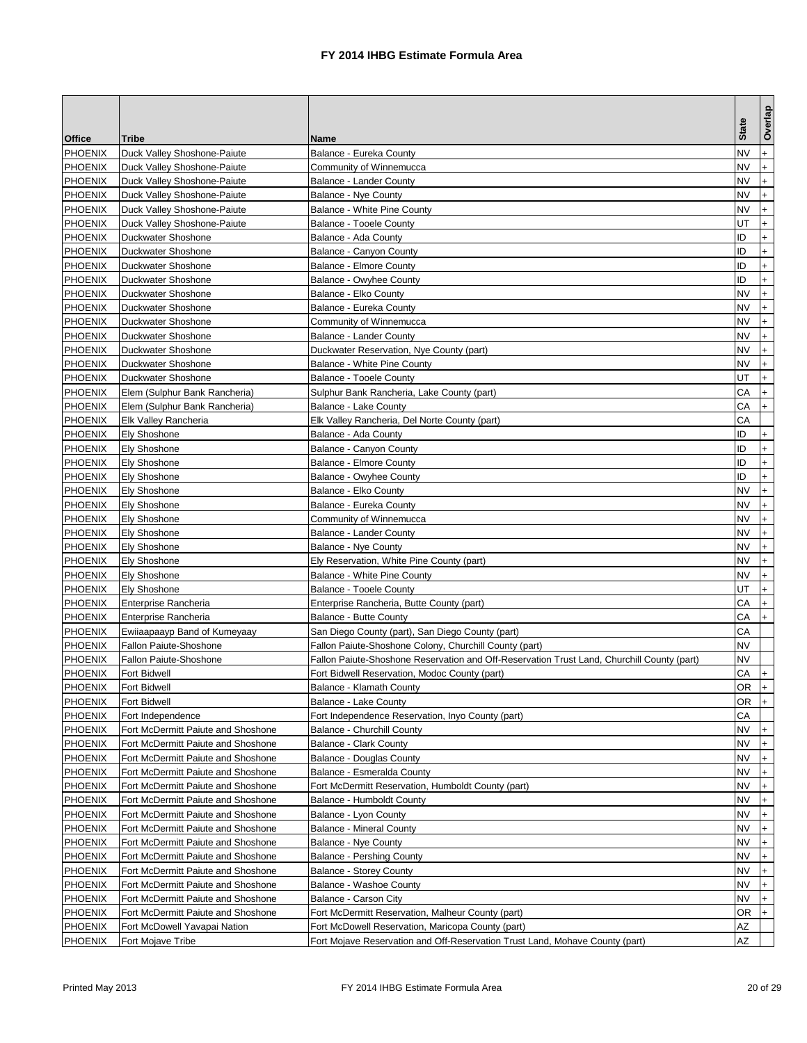| Office<br>Tribe<br>Name<br><b>PHOENIX</b><br>Duck Valley Shoshone-Paiute<br>Balance - Eureka County<br><b>PHOENIX</b><br>Duck Valley Shoshone-Paiute<br>Community of Winnemucca<br><b>PHOENIX</b><br>Duck Valley Shoshone-Paiute<br>Balance - Lander County<br><b>PHOENIX</b><br>Duck Valley Shoshone-Paiute<br>Balance - Nye County<br><b>PHOENIX</b><br>Duck Valley Shoshone-Paiute<br>Balance - White Pine County<br><b>PHOENIX</b><br>Duck Valley Shoshone-Paiute<br><b>Balance - Tooele County</b><br><b>PHOENIX</b><br>Duckwater Shoshone<br>Balance - Ada County<br><b>PHOENIX</b><br>Duckwater Shoshone<br>Balance - Canyon County<br><b>PHOENIX</b><br>Duckwater Shoshone<br><b>Balance - Elmore County</b><br><b>PHOENIX</b><br>Duckwater Shoshone<br>Balance - Owyhee County<br><b>PHOENIX</b><br>Duckwater Shoshone<br>Balance - Elko County<br><b>PHOENIX</b><br>Duckwater Shoshone<br>Balance - Eureka County<br><b>PHOENIX</b><br>Duckwater Shoshone<br>Community of Winnemucca<br><b>PHOENIX</b><br>Duckwater Shoshone<br>Balance - Lander County<br><b>PHOENIX</b><br>Duckwater Shoshone<br>Duckwater Reservation, Nye County (part)<br><b>PHOENIX</b><br>Duckwater Shoshone<br><b>Balance - White Pine County</b><br><b>PHOENIX</b><br>Duckwater Shoshone<br>Balance - Tooele County<br><b>PHOENIX</b><br>Elem (Sulphur Bank Rancheria)<br>Sulphur Bank Rancheria, Lake County (part)<br><b>PHOENIX</b><br>Elem (Sulphur Bank Rancheria)<br>Balance - Lake County<br><b>PHOENIX</b><br>Elk Valley Rancheria<br>Elk Valley Rancheria, Del Norte County (part)<br><b>PHOENIX</b><br><b>Ely Shoshone</b><br>Balance - Ada County<br><b>PHOENIX</b><br><b>Ely Shoshone</b><br>Balance - Canyon County<br><b>PHOENIX</b><br><b>Ely Shoshone</b><br><b>Balance - Elmore County</b><br><b>PHOENIX</b><br><b>Balance - Owyhee County</b><br>Ely Shoshone<br><b>PHOENIX</b><br><b>Ely Shoshone</b><br>Balance - Elko County<br><b>PHOENIX</b><br><b>Ely Shoshone</b><br>Balance - Eureka County<br><b>PHOENIX</b><br><b>Ely Shoshone</b><br>Community of Winnemucca | <b>State</b><br>NV |                                               |
|------------------------------------------------------------------------------------------------------------------------------------------------------------------------------------------------------------------------------------------------------------------------------------------------------------------------------------------------------------------------------------------------------------------------------------------------------------------------------------------------------------------------------------------------------------------------------------------------------------------------------------------------------------------------------------------------------------------------------------------------------------------------------------------------------------------------------------------------------------------------------------------------------------------------------------------------------------------------------------------------------------------------------------------------------------------------------------------------------------------------------------------------------------------------------------------------------------------------------------------------------------------------------------------------------------------------------------------------------------------------------------------------------------------------------------------------------------------------------------------------------------------------------------------------------------------------------------------------------------------------------------------------------------------------------------------------------------------------------------------------------------------------------------------------------------------------------------------------------------------------------------------------------------------------------------------------------------------------------------------------------------------------------------------------------------------------------|--------------------|-----------------------------------------------|
|                                                                                                                                                                                                                                                                                                                                                                                                                                                                                                                                                                                                                                                                                                                                                                                                                                                                                                                                                                                                                                                                                                                                                                                                                                                                                                                                                                                                                                                                                                                                                                                                                                                                                                                                                                                                                                                                                                                                                                                                                                                                              |                    | Overlap                                       |
|                                                                                                                                                                                                                                                                                                                                                                                                                                                                                                                                                                                                                                                                                                                                                                                                                                                                                                                                                                                                                                                                                                                                                                                                                                                                                                                                                                                                                                                                                                                                                                                                                                                                                                                                                                                                                                                                                                                                                                                                                                                                              |                    | $+$                                           |
|                                                                                                                                                                                                                                                                                                                                                                                                                                                                                                                                                                                                                                                                                                                                                                                                                                                                                                                                                                                                                                                                                                                                                                                                                                                                                                                                                                                                                                                                                                                                                                                                                                                                                                                                                                                                                                                                                                                                                                                                                                                                              | NV                 | $\ddot{}$                                     |
|                                                                                                                                                                                                                                                                                                                                                                                                                                                                                                                                                                                                                                                                                                                                                                                                                                                                                                                                                                                                                                                                                                                                                                                                                                                                                                                                                                                                                                                                                                                                                                                                                                                                                                                                                                                                                                                                                                                                                                                                                                                                              | NV                 | $\ddot{}$                                     |
|                                                                                                                                                                                                                                                                                                                                                                                                                                                                                                                                                                                                                                                                                                                                                                                                                                                                                                                                                                                                                                                                                                                                                                                                                                                                                                                                                                                                                                                                                                                                                                                                                                                                                                                                                                                                                                                                                                                                                                                                                                                                              | NV                 | $\ddot{}$                                     |
|                                                                                                                                                                                                                                                                                                                                                                                                                                                                                                                                                                                                                                                                                                                                                                                                                                                                                                                                                                                                                                                                                                                                                                                                                                                                                                                                                                                                                                                                                                                                                                                                                                                                                                                                                                                                                                                                                                                                                                                                                                                                              | NV                 | $\ddot{}$                                     |
|                                                                                                                                                                                                                                                                                                                                                                                                                                                                                                                                                                                                                                                                                                                                                                                                                                                                                                                                                                                                                                                                                                                                                                                                                                                                                                                                                                                                                                                                                                                                                                                                                                                                                                                                                                                                                                                                                                                                                                                                                                                                              | UT                 | $\ddot{}$                                     |
|                                                                                                                                                                                                                                                                                                                                                                                                                                                                                                                                                                                                                                                                                                                                                                                                                                                                                                                                                                                                                                                                                                                                                                                                                                                                                                                                                                                                                                                                                                                                                                                                                                                                                                                                                                                                                                                                                                                                                                                                                                                                              | ID                 | $\ddot{}$                                     |
|                                                                                                                                                                                                                                                                                                                                                                                                                                                                                                                                                                                                                                                                                                                                                                                                                                                                                                                                                                                                                                                                                                                                                                                                                                                                                                                                                                                                                                                                                                                                                                                                                                                                                                                                                                                                                                                                                                                                                                                                                                                                              | ID                 | $\ddot{}$                                     |
|                                                                                                                                                                                                                                                                                                                                                                                                                                                                                                                                                                                                                                                                                                                                                                                                                                                                                                                                                                                                                                                                                                                                                                                                                                                                                                                                                                                                                                                                                                                                                                                                                                                                                                                                                                                                                                                                                                                                                                                                                                                                              | ID                 | $\ddot{}$                                     |
|                                                                                                                                                                                                                                                                                                                                                                                                                                                                                                                                                                                                                                                                                                                                                                                                                                                                                                                                                                                                                                                                                                                                                                                                                                                                                                                                                                                                                                                                                                                                                                                                                                                                                                                                                                                                                                                                                                                                                                                                                                                                              | ID                 | $+$                                           |
|                                                                                                                                                                                                                                                                                                                                                                                                                                                                                                                                                                                                                                                                                                                                                                                                                                                                                                                                                                                                                                                                                                                                                                                                                                                                                                                                                                                                                                                                                                                                                                                                                                                                                                                                                                                                                                                                                                                                                                                                                                                                              | NV                 | $\ddot{}$                                     |
|                                                                                                                                                                                                                                                                                                                                                                                                                                                                                                                                                                                                                                                                                                                                                                                                                                                                                                                                                                                                                                                                                                                                                                                                                                                                                                                                                                                                                                                                                                                                                                                                                                                                                                                                                                                                                                                                                                                                                                                                                                                                              | NV                 | $\ddot{}$                                     |
|                                                                                                                                                                                                                                                                                                                                                                                                                                                                                                                                                                                                                                                                                                                                                                                                                                                                                                                                                                                                                                                                                                                                                                                                                                                                                                                                                                                                                                                                                                                                                                                                                                                                                                                                                                                                                                                                                                                                                                                                                                                                              | NV                 |                                               |
|                                                                                                                                                                                                                                                                                                                                                                                                                                                                                                                                                                                                                                                                                                                                                                                                                                                                                                                                                                                                                                                                                                                                                                                                                                                                                                                                                                                                                                                                                                                                                                                                                                                                                                                                                                                                                                                                                                                                                                                                                                                                              | NV                 | $\ddot{}$                                     |
|                                                                                                                                                                                                                                                                                                                                                                                                                                                                                                                                                                                                                                                                                                                                                                                                                                                                                                                                                                                                                                                                                                                                                                                                                                                                                                                                                                                                                                                                                                                                                                                                                                                                                                                                                                                                                                                                                                                                                                                                                                                                              | NV                 | $\ddot{}$                                     |
|                                                                                                                                                                                                                                                                                                                                                                                                                                                                                                                                                                                                                                                                                                                                                                                                                                                                                                                                                                                                                                                                                                                                                                                                                                                                                                                                                                                                                                                                                                                                                                                                                                                                                                                                                                                                                                                                                                                                                                                                                                                                              | NV                 | $\ddot{}$                                     |
|                                                                                                                                                                                                                                                                                                                                                                                                                                                                                                                                                                                                                                                                                                                                                                                                                                                                                                                                                                                                                                                                                                                                                                                                                                                                                                                                                                                                                                                                                                                                                                                                                                                                                                                                                                                                                                                                                                                                                                                                                                                                              | UT                 | $\ddot{}$                                     |
|                                                                                                                                                                                                                                                                                                                                                                                                                                                                                                                                                                                                                                                                                                                                                                                                                                                                                                                                                                                                                                                                                                                                                                                                                                                                                                                                                                                                                                                                                                                                                                                                                                                                                                                                                                                                                                                                                                                                                                                                                                                                              | CА                 | $+$                                           |
|                                                                                                                                                                                                                                                                                                                                                                                                                                                                                                                                                                                                                                                                                                                                                                                                                                                                                                                                                                                                                                                                                                                                                                                                                                                                                                                                                                                                                                                                                                                                                                                                                                                                                                                                                                                                                                                                                                                                                                                                                                                                              | СA                 | $+$                                           |
|                                                                                                                                                                                                                                                                                                                                                                                                                                                                                                                                                                                                                                                                                                                                                                                                                                                                                                                                                                                                                                                                                                                                                                                                                                                                                                                                                                                                                                                                                                                                                                                                                                                                                                                                                                                                                                                                                                                                                                                                                                                                              | СA                 |                                               |
|                                                                                                                                                                                                                                                                                                                                                                                                                                                                                                                                                                                                                                                                                                                                                                                                                                                                                                                                                                                                                                                                                                                                                                                                                                                                                                                                                                                                                                                                                                                                                                                                                                                                                                                                                                                                                                                                                                                                                                                                                                                                              | ID                 | $\ddot{}$                                     |
|                                                                                                                                                                                                                                                                                                                                                                                                                                                                                                                                                                                                                                                                                                                                                                                                                                                                                                                                                                                                                                                                                                                                                                                                                                                                                                                                                                                                                                                                                                                                                                                                                                                                                                                                                                                                                                                                                                                                                                                                                                                                              | ID                 | $\ddot{}$                                     |
|                                                                                                                                                                                                                                                                                                                                                                                                                                                                                                                                                                                                                                                                                                                                                                                                                                                                                                                                                                                                                                                                                                                                                                                                                                                                                                                                                                                                                                                                                                                                                                                                                                                                                                                                                                                                                                                                                                                                                                                                                                                                              | ID                 | $\ddot{}$                                     |
|                                                                                                                                                                                                                                                                                                                                                                                                                                                                                                                                                                                                                                                                                                                                                                                                                                                                                                                                                                                                                                                                                                                                                                                                                                                                                                                                                                                                                                                                                                                                                                                                                                                                                                                                                                                                                                                                                                                                                                                                                                                                              | ID                 | $\ddot{}$                                     |
|                                                                                                                                                                                                                                                                                                                                                                                                                                                                                                                                                                                                                                                                                                                                                                                                                                                                                                                                                                                                                                                                                                                                                                                                                                                                                                                                                                                                                                                                                                                                                                                                                                                                                                                                                                                                                                                                                                                                                                                                                                                                              | NV                 | $\ddot{}$                                     |
|                                                                                                                                                                                                                                                                                                                                                                                                                                                                                                                                                                                                                                                                                                                                                                                                                                                                                                                                                                                                                                                                                                                                                                                                                                                                                                                                                                                                                                                                                                                                                                                                                                                                                                                                                                                                                                                                                                                                                                                                                                                                              | NV                 | $\ddot{}$                                     |
|                                                                                                                                                                                                                                                                                                                                                                                                                                                                                                                                                                                                                                                                                                                                                                                                                                                                                                                                                                                                                                                                                                                                                                                                                                                                                                                                                                                                                                                                                                                                                                                                                                                                                                                                                                                                                                                                                                                                                                                                                                                                              | <b>NV</b>          | $\ddot{}$                                     |
| <b>PHOENIX</b><br><b>Ely Shoshone</b><br>Balance - Lander County                                                                                                                                                                                                                                                                                                                                                                                                                                                                                                                                                                                                                                                                                                                                                                                                                                                                                                                                                                                                                                                                                                                                                                                                                                                                                                                                                                                                                                                                                                                                                                                                                                                                                                                                                                                                                                                                                                                                                                                                             | <b>NV</b>          | $+$                                           |
| <b>PHOENIX</b><br><b>Ely Shoshone</b><br>Balance - Nye County                                                                                                                                                                                                                                                                                                                                                                                                                                                                                                                                                                                                                                                                                                                                                                                                                                                                                                                                                                                                                                                                                                                                                                                                                                                                                                                                                                                                                                                                                                                                                                                                                                                                                                                                                                                                                                                                                                                                                                                                                | NV                 |                                               |
| <b>PHOENIX</b><br><b>Ely Shoshone</b><br>Ely Reservation, White Pine County (part)                                                                                                                                                                                                                                                                                                                                                                                                                                                                                                                                                                                                                                                                                                                                                                                                                                                                                                                                                                                                                                                                                                                                                                                                                                                                                                                                                                                                                                                                                                                                                                                                                                                                                                                                                                                                                                                                                                                                                                                           | NV                 | $\ddot{}$                                     |
| <b>PHOENIX</b><br>Ely Shoshone<br>Balance - White Pine County                                                                                                                                                                                                                                                                                                                                                                                                                                                                                                                                                                                                                                                                                                                                                                                                                                                                                                                                                                                                                                                                                                                                                                                                                                                                                                                                                                                                                                                                                                                                                                                                                                                                                                                                                                                                                                                                                                                                                                                                                | NV                 | $\ddot{}$                                     |
| <b>PHOENIX</b><br>Ely Shoshone<br>Balance - Tooele County                                                                                                                                                                                                                                                                                                                                                                                                                                                                                                                                                                                                                                                                                                                                                                                                                                                                                                                                                                                                                                                                                                                                                                                                                                                                                                                                                                                                                                                                                                                                                                                                                                                                                                                                                                                                                                                                                                                                                                                                                    | UT                 | $\ddot{}$                                     |
| <b>PHOENIX</b><br>Enterprise Rancheria<br>Enterprise Rancheria, Butte County (part)                                                                                                                                                                                                                                                                                                                                                                                                                                                                                                                                                                                                                                                                                                                                                                                                                                                                                                                                                                                                                                                                                                                                                                                                                                                                                                                                                                                                                                                                                                                                                                                                                                                                                                                                                                                                                                                                                                                                                                                          | CА                 | $\ddot{}$                                     |
| <b>PHOENIX</b><br><b>Balance - Butte County</b><br>Enterprise Rancheria                                                                                                                                                                                                                                                                                                                                                                                                                                                                                                                                                                                                                                                                                                                                                                                                                                                                                                                                                                                                                                                                                                                                                                                                                                                                                                                                                                                                                                                                                                                                                                                                                                                                                                                                                                                                                                                                                                                                                                                                      | CА                 | $+$                                           |
| <b>PHOENIX</b><br>Ewiiaapaayp Band of Kumeyaay<br>San Diego County (part), San Diego County (part)                                                                                                                                                                                                                                                                                                                                                                                                                                                                                                                                                                                                                                                                                                                                                                                                                                                                                                                                                                                                                                                                                                                                                                                                                                                                                                                                                                                                                                                                                                                                                                                                                                                                                                                                                                                                                                                                                                                                                                           | CА                 |                                               |
| <b>PHOENIX</b><br>Fallon Paiute-Shoshone<br>Fallon Paiute-Shoshone Colony, Churchill County (part)                                                                                                                                                                                                                                                                                                                                                                                                                                                                                                                                                                                                                                                                                                                                                                                                                                                                                                                                                                                                                                                                                                                                                                                                                                                                                                                                                                                                                                                                                                                                                                                                                                                                                                                                                                                                                                                                                                                                                                           | NV                 |                                               |
| <b>PHOENIX</b><br>Fallon Paiute-Shoshone<br>Fallon Paiute-Shoshone Reservation and Off-Reservation Trust Land, Churchill County (part)                                                                                                                                                                                                                                                                                                                                                                                                                                                                                                                                                                                                                                                                                                                                                                                                                                                                                                                                                                                                                                                                                                                                                                                                                                                                                                                                                                                                                                                                                                                                                                                                                                                                                                                                                                                                                                                                                                                                       | NV                 |                                               |
| <b>PHOENIX</b><br>Fort Bidwell Reservation, Modoc County (part)<br>Fort Bidwell                                                                                                                                                                                                                                                                                                                                                                                                                                                                                                                                                                                                                                                                                                                                                                                                                                                                                                                                                                                                                                                                                                                                                                                                                                                                                                                                                                                                                                                                                                                                                                                                                                                                                                                                                                                                                                                                                                                                                                                              | CА                 |                                               |
| Fort Bidwell<br><b>PHOENIX</b><br>Balance - Klamath County                                                                                                                                                                                                                                                                                                                                                                                                                                                                                                                                                                                                                                                                                                                                                                                                                                                                                                                                                                                                                                                                                                                                                                                                                                                                                                                                                                                                                                                                                                                                                                                                                                                                                                                                                                                                                                                                                                                                                                                                                   |                    | OR +                                          |
| <b>PHOENIX</b><br>Fort Bidwell<br>Balance - Lake County                                                                                                                                                                                                                                                                                                                                                                                                                                                                                                                                                                                                                                                                                                                                                                                                                                                                                                                                                                                                                                                                                                                                                                                                                                                                                                                                                                                                                                                                                                                                                                                                                                                                                                                                                                                                                                                                                                                                                                                                                      | OR                 | $ + $                                         |
| <b>PHOENIX</b><br>Fort Independence<br>Fort Independence Reservation, Inyo County (part)                                                                                                                                                                                                                                                                                                                                                                                                                                                                                                                                                                                                                                                                                                                                                                                                                                                                                                                                                                                                                                                                                                                                                                                                                                                                                                                                                                                                                                                                                                                                                                                                                                                                                                                                                                                                                                                                                                                                                                                     | СA<br>NV.          |                                               |
| PHOENIX<br>Fort McDermitt Paiute and Shoshone<br><b>Balance - Churchill County</b>                                                                                                                                                                                                                                                                                                                                                                                                                                                                                                                                                                                                                                                                                                                                                                                                                                                                                                                                                                                                                                                                                                                                                                                                                                                                                                                                                                                                                                                                                                                                                                                                                                                                                                                                                                                                                                                                                                                                                                                           |                    | $+$                                           |
| PHOENIX<br>Fort McDermitt Paiute and Shoshone<br><b>Balance - Clark County</b><br><b>PHOENIX</b><br>Fort McDermitt Paiute and Shoshone                                                                                                                                                                                                                                                                                                                                                                                                                                                                                                                                                                                                                                                                                                                                                                                                                                                                                                                                                                                                                                                                                                                                                                                                                                                                                                                                                                                                                                                                                                                                                                                                                                                                                                                                                                                                                                                                                                                                       | NV<br><b>NV</b>    | $+$<br>$+$                                    |
| Balance - Douglas County<br>Fort McDermitt Paiute and Shoshone                                                                                                                                                                                                                                                                                                                                                                                                                                                                                                                                                                                                                                                                                                                                                                                                                                                                                                                                                                                                                                                                                                                                                                                                                                                                                                                                                                                                                                                                                                                                                                                                                                                                                                                                                                                                                                                                                                                                                                                                               | NV                 |                                               |
| <b>PHOENIX</b><br>Balance - Esmeralda County<br><b>PHOENIX</b><br>Fort McDermitt Paiute and Shoshone<br>Fort McDermitt Reservation, Humboldt County (part)                                                                                                                                                                                                                                                                                                                                                                                                                                                                                                                                                                                                                                                                                                                                                                                                                                                                                                                                                                                                                                                                                                                                                                                                                                                                                                                                                                                                                                                                                                                                                                                                                                                                                                                                                                                                                                                                                                                   | NV                 | $\ddot{}$                                     |
| <b>PHOENIX</b><br>Fort McDermitt Paiute and Shoshone<br>Balance - Humboldt County                                                                                                                                                                                                                                                                                                                                                                                                                                                                                                                                                                                                                                                                                                                                                                                                                                                                                                                                                                                                                                                                                                                                                                                                                                                                                                                                                                                                                                                                                                                                                                                                                                                                                                                                                                                                                                                                                                                                                                                            | NV                 | $+$<br>$\ddot{}$                              |
| <b>PHOENIX</b><br>Fort McDermitt Paiute and Shoshone<br>Balance - Lyon County                                                                                                                                                                                                                                                                                                                                                                                                                                                                                                                                                                                                                                                                                                                                                                                                                                                                                                                                                                                                                                                                                                                                                                                                                                                                                                                                                                                                                                                                                                                                                                                                                                                                                                                                                                                                                                                                                                                                                                                                | NV                 |                                               |
| <b>PHOENIX</b><br>Fort McDermitt Paiute and Shoshone<br><b>Balance - Mineral County</b>                                                                                                                                                                                                                                                                                                                                                                                                                                                                                                                                                                                                                                                                                                                                                                                                                                                                                                                                                                                                                                                                                                                                                                                                                                                                                                                                                                                                                                                                                                                                                                                                                                                                                                                                                                                                                                                                                                                                                                                      | NV                 | $\ddot{}$<br>$\begin{array}{c} + \end{array}$ |
| <b>PHOENIX</b><br>Fort McDermitt Paiute and Shoshone<br><b>Balance - Nye County</b>                                                                                                                                                                                                                                                                                                                                                                                                                                                                                                                                                                                                                                                                                                                                                                                                                                                                                                                                                                                                                                                                                                                                                                                                                                                                                                                                                                                                                                                                                                                                                                                                                                                                                                                                                                                                                                                                                                                                                                                          | <b>NV</b>          | $+$                                           |
| PHOENIX<br>Fort McDermitt Paiute and Shoshone<br><b>Balance - Pershing County</b>                                                                                                                                                                                                                                                                                                                                                                                                                                                                                                                                                                                                                                                                                                                                                                                                                                                                                                                                                                                                                                                                                                                                                                                                                                                                                                                                                                                                                                                                                                                                                                                                                                                                                                                                                                                                                                                                                                                                                                                            | NV                 | $\ddot{}$                                     |
|                                                                                                                                                                                                                                                                                                                                                                                                                                                                                                                                                                                                                                                                                                                                                                                                                                                                                                                                                                                                                                                                                                                                                                                                                                                                                                                                                                                                                                                                                                                                                                                                                                                                                                                                                                                                                                                                                                                                                                                                                                                                              | NV.                |                                               |
| PHOENIX<br>Fort McDermitt Paiute and Shoshone<br><b>Balance - Storey County</b><br><b>PHOENIX</b><br>Fort McDermitt Paiute and Shoshone<br>Balance - Washoe County                                                                                                                                                                                                                                                                                                                                                                                                                                                                                                                                                                                                                                                                                                                                                                                                                                                                                                                                                                                                                                                                                                                                                                                                                                                                                                                                                                                                                                                                                                                                                                                                                                                                                                                                                                                                                                                                                                           | NV                 | $\ddot{}$<br>$\ddot{}$                        |
| <b>PHOENIX</b><br>Balance - Carson City<br>Fort McDermitt Paiute and Shoshone                                                                                                                                                                                                                                                                                                                                                                                                                                                                                                                                                                                                                                                                                                                                                                                                                                                                                                                                                                                                                                                                                                                                                                                                                                                                                                                                                                                                                                                                                                                                                                                                                                                                                                                                                                                                                                                                                                                                                                                                | NV                 |                                               |
| <b>PHOENIX</b><br>Fort McDermitt Paiute and Shoshone<br>Fort McDermitt Reservation, Malheur County (part)                                                                                                                                                                                                                                                                                                                                                                                                                                                                                                                                                                                                                                                                                                                                                                                                                                                                                                                                                                                                                                                                                                                                                                                                                                                                                                                                                                                                                                                                                                                                                                                                                                                                                                                                                                                                                                                                                                                                                                    | OR                 | $+$                                           |
| <b>PHOENIX</b><br>Fort McDowell Yavapai Nation<br>Fort McDowell Reservation, Maricopa County (part)                                                                                                                                                                                                                                                                                                                                                                                                                                                                                                                                                                                                                                                                                                                                                                                                                                                                                                                                                                                                                                                                                                                                                                                                                                                                                                                                                                                                                                                                                                                                                                                                                                                                                                                                                                                                                                                                                                                                                                          | AΖ                 |                                               |
| <b>PHOENIX</b><br>Fort Mojave Tribe<br>Fort Mojave Reservation and Off-Reservation Trust Land, Mohave County (part)                                                                                                                                                                                                                                                                                                                                                                                                                                                                                                                                                                                                                                                                                                                                                                                                                                                                                                                                                                                                                                                                                                                                                                                                                                                                                                                                                                                                                                                                                                                                                                                                                                                                                                                                                                                                                                                                                                                                                          | AΖ                 |                                               |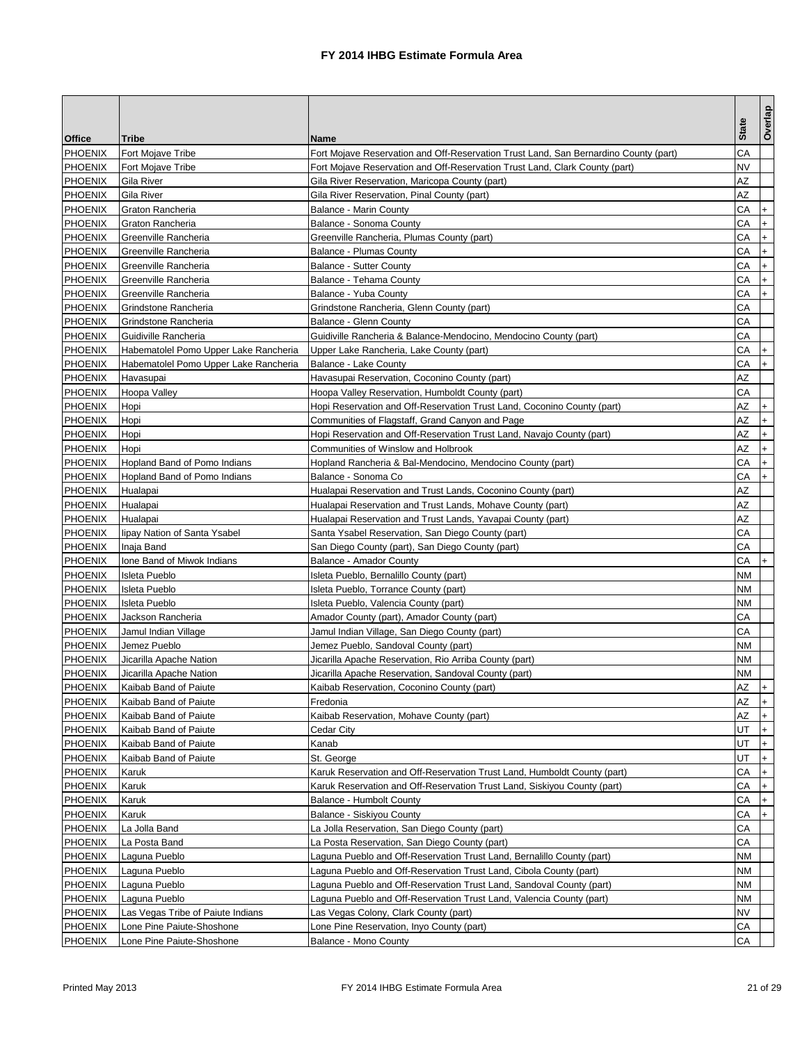|                |                                       |                                                                                      |              | Overlap                          |
|----------------|---------------------------------------|--------------------------------------------------------------------------------------|--------------|----------------------------------|
| Office         | Tribe                                 | Name                                                                                 | <b>State</b> |                                  |
| <b>PHOENIX</b> | Fort Mojave Tribe                     | Fort Mojave Reservation and Off-Reservation Trust Land, San Bernardino County (part) | СA           |                                  |
| <b>PHOENIX</b> | Fort Mojave Tribe                     | Fort Mojave Reservation and Off-Reservation Trust Land, Clark County (part)          | NV           |                                  |
| <b>PHOENIX</b> | Gila River                            | Gila River Reservation, Maricopa County (part)                                       | ΑZ           |                                  |
| <b>PHOENIX</b> | Gila River                            | Gila River Reservation, Pinal County (part)                                          | ΑZ           |                                  |
| <b>PHOENIX</b> | Graton Rancheria                      | Balance - Marin County                                                               | CА           | $\ddot{}$                        |
| <b>PHOENIX</b> | Graton Rancheria                      | Balance - Sonoma County                                                              | CА           | $\ddot{}$                        |
| <b>PHOENIX</b> | Greenville Rancheria                  | Greenville Rancheria, Plumas County (part)                                           | CА           | $\ddot{}$                        |
| <b>PHOENIX</b> | Greenville Rancheria                  | <b>Balance - Plumas County</b>                                                       | CА           | $+$                              |
| <b>PHOENIX</b> | Greenville Rancheria                  | <b>Balance - Sutter County</b>                                                       | СA           | $\ddot{}$                        |
| <b>PHOENIX</b> | Greenville Rancheria                  | Balance - Tehama County                                                              | CA           | $+$                              |
| <b>PHOENIX</b> | Greenville Rancheria                  | Balance - Yuba County                                                                | CА           | $\ddot{}$                        |
| <b>PHOENIX</b> | Grindstone Rancheria                  | Grindstone Rancheria, Glenn County (part)                                            | СA           |                                  |
| <b>PHOENIX</b> | Grindstone Rancheria                  | Balance - Glenn County                                                               | СA           |                                  |
| <b>PHOENIX</b> | Guidiville Rancheria                  | Guidiville Rancheria & Balance-Mendocino, Mendocino County (part)                    | СA           |                                  |
| <b>PHOENIX</b> | Habematolel Pomo Upper Lake Rancheria | Upper Lake Rancheria, Lake County (part)                                             | CА           | $\ddot{}$                        |
| <b>PHOENIX</b> | Habematolel Pomo Upper Lake Rancheria | Balance - Lake County                                                                | CА           | $+$                              |
| <b>PHOENIX</b> | Havasupai                             | Havasupai Reservation, Coconino County (part)                                        | ΑZ           |                                  |
| <b>PHOENIX</b> | Hoopa Valley                          | Hoopa Valley Reservation, Humboldt County (part)                                     | CА           |                                  |
| <b>PHOENIX</b> | Hopi                                  | Hopi Reservation and Off-Reservation Trust Land, Coconino County (part)              | ΑZ           | $+$                              |
| <b>PHOENIX</b> | Hopi                                  | Communities of Flagstaff, Grand Canyon and Page                                      | ΑZ           | $\ddot{}$                        |
| <b>PHOENIX</b> | Hopi                                  | Hopi Reservation and Off-Reservation Trust Land, Navajo County (part)                | AΖ           |                                  |
| <b>PHOENIX</b> | Hopi                                  | Communities of Winslow and Holbrook                                                  | AΖ           |                                  |
| <b>PHOENIX</b> | Hopland Band of Pomo Indians          | Hopland Rancheria & Bal-Mendocino, Mendocino County (part)                           | СA           | $\ddot{}$                        |
| <b>PHOENIX</b> | Hopland Band of Pomo Indians          | Balance - Sonoma Co                                                                  | СA           | $+$                              |
| <b>PHOENIX</b> | Hualapai                              | Hualapai Reservation and Trust Lands, Coconino County (part)                         | AZ           |                                  |
| <b>PHOENIX</b> | Hualapai                              | Hualapai Reservation and Trust Lands, Mohave County (part)                           | ΑZ           |                                  |
| <b>PHOENIX</b> | Hualapai                              | Hualapai Reservation and Trust Lands, Yavapai County (part)                          | AZ           |                                  |
| <b>PHOENIX</b> | lipay Nation of Santa Ysabel          | Santa Ysabel Reservation, San Diego County (part)                                    | CА           |                                  |
| <b>PHOENIX</b> | Inaja Band                            | San Diego County (part), San Diego County (part)                                     | СA           |                                  |
| <b>PHOENIX</b> | Ione Band of Miwok Indians            | <b>Balance - Amador County</b>                                                       | CА           | $\ddot{}$                        |
| <b>PHOENIX</b> | <b>Isleta Pueblo</b>                  | Isleta Pueblo, Bernalillo County (part)                                              | NΜ           |                                  |
| PHOENIX        | Isleta Pueblo                         | Isleta Pueblo, Torrance County (part)                                                | NM           |                                  |
| <b>PHOENIX</b> | Isleta Pueblo                         | Isleta Pueblo, Valencia County (part)                                                | NΜ           |                                  |
| <b>PHOENIX</b> | Jackson Rancheria                     | Amador County (part), Amador County (part)                                           | CА           |                                  |
| <b>PHOENIX</b> | Jamul Indian Village                  | Jamul Indian Village, San Diego County (part)                                        | CА           |                                  |
| <b>PHOENIX</b> | Jemez Pueblo                          | Jemez Pueblo, Sandoval County (part)                                                 | NΜ           |                                  |
| <b>PHOENIX</b> | Jicarilla Apache Nation               | Jicarilla Apache Reservation, Rio Arriba County (part)                               | NΜ           |                                  |
| <b>PHOENIX</b> | Jicarilla Apache Nation               | Jicarilla Apache Reservation, Sandoval County (part)                                 | NΜ           |                                  |
| <b>PHOENIX</b> | Kaibab Band of Paiute                 | Kaibab Reservation, Coconino County (part)                                           | AZ           | $ +$                             |
| <b>PHOENIX</b> | Kaibab Band of Paiute                 | Fredonia                                                                             | ΑZ           | $+$                              |
| <b>PHOENIX</b> | Kaibab Band of Paiute                 | Kaibab Reservation, Mohave County (part)                                             | AZ           | $+$                              |
| <b>PHOENIX</b> | Kaibab Band of Paiute                 | Cedar City                                                                           | UT           | $+$                              |
| <b>PHOENIX</b> | Kaibab Band of Paiute                 | Kanab                                                                                | UT           | $\ddot{}$                        |
| <b>PHOENIX</b> | Kaibab Band of Paiute                 | St. George                                                                           | UT           | $\ddot{}$                        |
| <b>PHOENIX</b> | Karuk                                 | Karuk Reservation and Off-Reservation Trust Land, Humboldt County (part)             | CA           | $\ddot{}$                        |
| <b>PHOENIX</b> | Karuk                                 | Karuk Reservation and Off-Reservation Trust Land, Siskiyou County (part)             | CА           | $\ddot{}$                        |
| PHOENIX        | Karuk                                 | Balance - Humbolt County                                                             | CА           | $\begin{array}{c} + \end{array}$ |
| PHOENIX        | Karuk                                 | Balance - Siskiyou County                                                            | CА           | $+$                              |
| <b>PHOENIX</b> | La Jolla Band                         | La Jolla Reservation, San Diego County (part)                                        | СA           |                                  |
| PHOENIX        | La Posta Band                         | La Posta Reservation, San Diego County (part)                                        | CA           |                                  |
| <b>PHOENIX</b> | Laguna Pueblo                         | Laguna Pueblo and Off-Reservation Trust Land, Bernalillo County (part)               | NΜ           |                                  |
| <b>PHOENIX</b> | Laguna Pueblo                         | Laguna Pueblo and Off-Reservation Trust Land, Cibola County (part)                   | NΜ           |                                  |
| <b>PHOENIX</b> | Laguna Pueblo                         | Laguna Pueblo and Off-Reservation Trust Land, Sandoval County (part)                 | NΜ           |                                  |
| <b>PHOENIX</b> | Laguna Pueblo                         | Laguna Pueblo and Off-Reservation Trust Land, Valencia County (part)                 | NM           |                                  |
| <b>PHOENIX</b> | Las Vegas Tribe of Paiute Indians     | Las Vegas Colony, Clark County (part)                                                | <b>NV</b>    |                                  |
| <b>PHOENIX</b> | Lone Pine Paiute-Shoshone             | Lone Pine Reservation, Inyo County (part)                                            | СA           |                                  |
| <b>PHOENIX</b> | Lone Pine Paiute-Shoshone             | Balance - Mono County                                                                | СA           |                                  |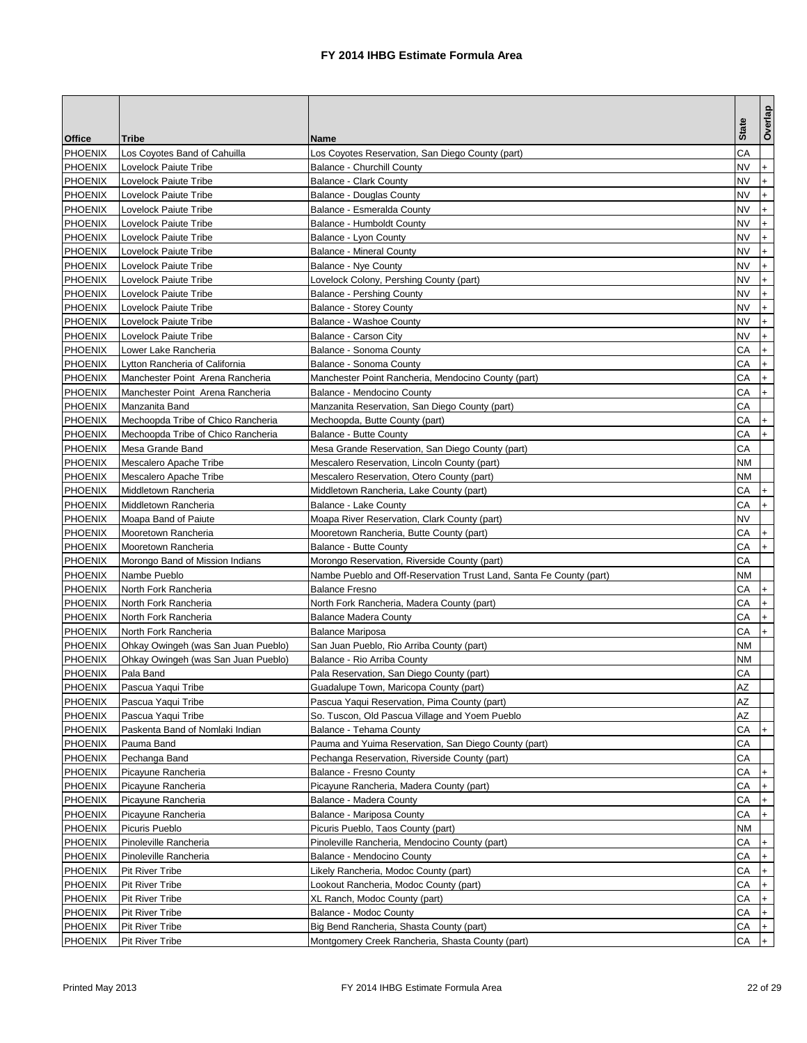|                           |                                     |                                                                     | <b>State</b> | Overlap          |
|---------------------------|-------------------------------------|---------------------------------------------------------------------|--------------|------------------|
| Office                    | Tribe                               | Name                                                                |              |                  |
| <b>PHOENIX</b>            | Los Coyotes Band of Cahuilla        | Los Coyotes Reservation, San Diego County (part)                    | СA           |                  |
| <b>PHOENIX</b>            | Lovelock Paiute Tribe               | <b>Balance - Churchill County</b>                                   | NV           | $\ddot{}$        |
| <b>PHOENIX</b>            | Lovelock Paiute Tribe               | <b>Balance - Clark County</b>                                       | NV           | $+$              |
| <b>PHOENIX</b>            | Lovelock Paiute Tribe               | <b>Balance - Douglas County</b>                                     | NV           | $\ddot{}$        |
| <b>PHOENIX</b>            | Lovelock Paiute Tribe               | Balance - Esmeralda County                                          | <b>NV</b>    | $\ddot{}$        |
| <b>PHOENIX</b>            | Lovelock Paiute Tribe               | <b>Balance - Humboldt County</b>                                    | NV           | $+$              |
| <b>PHOENIX</b>            | Lovelock Paiute Tribe               | Balance - Lyon County                                               | NV           | $\ddot{}$        |
| <b>PHOENIX</b>            | Lovelock Paiute Tribe               | <b>Balance - Mineral County</b>                                     | NV           | $\ddot{}$        |
| <b>PHOENIX</b>            | Lovelock Paiute Tribe               | <b>Balance - Nye County</b>                                         | NV           | $\ddot{}$        |
| <b>PHOENIX</b>            | <b>Lovelock Paiute Tribe</b>        | Lovelock Colony, Pershing County (part)                             | NV.          | $+$              |
| <b>PHOENIX</b>            | Lovelock Paiute Tribe               | Balance - Pershing County                                           | NV.          | $\ddot{}$        |
| <b>PHOENIX</b>            | Lovelock Paiute Tribe               | <b>Balance - Storey County</b>                                      | <b>NV</b>    | $+$              |
| <b>PHOENIX</b>            | Lovelock Paiute Tribe               | Balance - Washoe County                                             | NV           | $\ddot{}$        |
| <b>PHOENIX</b>            | Lovelock Paiute Tribe               | Balance - Carson City                                               | <b>NV</b>    | $\ddot{}$        |
| <b>PHOENIX</b>            | Lower Lake Rancheria                | Balance - Sonoma County                                             | CА           | $\ddot{}$        |
| <b>PHOENIX</b>            | Lytton Rancheria of California      | Balance - Sonoma County                                             | CА           | $\ddot{}$        |
| <b>PHOENIX</b>            | Manchester Point Arena Rancheria    | Manchester Point Rancheria, Mendocino County (part)                 | CА           | $\ddot{}$        |
| <b>PHOENIX</b>            | Manchester Point Arena Rancheria    | Balance - Mendocino County                                          | CА           | $+$              |
| <b>PHOENIX</b>            | Manzanita Band                      | Manzanita Reservation, San Diego County (part)                      | CA           |                  |
| <b>PHOENIX</b>            | Mechoopda Tribe of Chico Rancheria  | Mechoopda, Butte County (part)                                      | СA           | $\ddot{}$        |
| <b>PHOENIX</b>            | Mechoopda Tribe of Chico Rancheria  | <b>Balance - Butte County</b>                                       | CА           | $+$              |
| <b>PHOENIX</b>            | Mesa Grande Band                    | Mesa Grande Reservation, San Diego County (part)                    | СA           |                  |
| <b>PHOENIX</b>            | Mescalero Apache Tribe              | Mescalero Reservation, Lincoln County (part)                        | NΜ           |                  |
| <b>PHOENIX</b>            | Mescalero Apache Tribe              | Mescalero Reservation, Otero County (part)                          | NΜ           |                  |
| <b>PHOENIX</b>            | Middletown Rancheria                | Middletown Rancheria, Lake County (part)                            | CА           | $\ddot{}$        |
| <b>PHOENIX</b>            | Middletown Rancheria                | Balance - Lake County                                               | СA           | $+$              |
| <b>PHOENIX</b>            | Moapa Band of Paiute                | Moapa River Reservation, Clark County (part)                        | <b>NV</b>    |                  |
| <b>PHOENIX</b>            | Mooretown Rancheria                 | Mooretown Rancheria, Butte County (part)                            | CА           | $+$              |
| <b>PHOENIX</b>            | Mooretown Rancheria                 | <b>Balance - Butte County</b>                                       | CА           | $\ddot{}$        |
| <b>PHOENIX</b>            | Morongo Band of Mission Indians     | Morongo Reservation, Riverside County (part)                        | СA           |                  |
| <b>PHOENIX</b>            | Nambe Pueblo                        | Nambe Pueblo and Off-Reservation Trust Land, Santa Fe County (part) | NΜ           |                  |
| <b>PHOENIX</b>            | North Fork Rancheria                | <b>Balance Fresno</b>                                               | СA           | $\ddot{}$        |
| <b>PHOENIX</b>            | North Fork Rancheria                | North Fork Rancheria, Madera County (part)                          | CА           | $\ddot{}$        |
| <b>PHOENIX</b>            | North Fork Rancheria                | <b>Balance Madera County</b>                                        | CА           | $\ddot{}$        |
| <b>PHOENIX</b>            | North Fork Rancheria                | <b>Balance Mariposa</b>                                             | CА           | $+$              |
| <b>PHOENIX</b>            | Ohkay Owingeh (was San Juan Pueblo) | San Juan Pueblo, Rio Arriba County (part)                           | <b>NM</b>    |                  |
| <b>PHOENIX</b>            | Ohkay Owingeh (was San Juan Pueblo) | Balance - Rio Arriba County                                         | NΜ           |                  |
| <b>PHOENIX</b>            | Pala Band                           | Pala Reservation, San Diego County (part)                           | CА           |                  |
| <b>PHOENIX</b>            | Pascua Yaqui Tribe                  | Guadalupe Town, Maricopa County (part)                              | AZ           |                  |
| <b>PHOENIX</b>            | Pascua Yaqui Tribe                  | Pascua Yaqui Reservation, Pima County (part)                        | ΑZ           |                  |
| <b>PHOENIX</b>            | Pascua Yaqui Tribe                  | So. Tuscon, Old Pascua Village and Yoem Pueblo                      | AZ           |                  |
| <b>PHOENIX</b>            | Paskenta Band of Nomlaki Indian     | Balance - Tehama County                                             | СA           | $+$              |
| <b>PHOENIX</b>            | Pauma Band                          | Pauma and Yuima Reservation, San Diego County (part)                | СA           |                  |
| <b>PHOENIX</b>            | Pechanga Band                       | Pechanga Reservation, Riverside County (part)                       | CA           |                  |
| <b>PHOENIX</b>            | Picayune Rancheria                  | Balance - Fresno County                                             | СA           |                  |
| <b>PHOENIX</b>            | Picayune Rancheria                  | Picayune Rancheria, Madera County (part)                            | СA           | $\ddot{}$        |
| <b>PHOENIX</b>            | Picayune Rancheria                  | Balance - Madera County                                             | СA           | $\ddot{}$        |
| PHOENIX                   | Picayune Rancheria                  | Balance - Mariposa County                                           | СA           | $+$              |
| PHOENIX                   | Picuris Pueblo                      | Picuris Pueblo, Taos County (part)                                  | ΝM           |                  |
| <b>PHOENIX</b>            | Pinoleville Rancheria               | Pinoleville Rancheria, Mendocino County (part)                      | СA           | $\ddot{}$        |
| <b>PHOENIX</b>            | Pinoleville Rancheria               | Balance - Mendocino County                                          | СA           | $+$              |
|                           |                                     |                                                                     |              |                  |
| PHOENIX<br><b>PHOENIX</b> | Pit River Tribe<br>Pit River Tribe  | Likely Rancheria, Modoc County (part)                               | СA<br>СA     | $+$<br>$\ddot{}$ |
|                           |                                     | Lookout Rancheria, Modoc County (part)                              |              |                  |
| <b>PHOENIX</b>            | Pit River Tribe                     | XL Ranch, Modoc County (part)                                       | СA           | $\ddot{}$        |
| <b>PHOENIX</b>            | Pit River Tribe                     | Balance - Modoc County                                              | СA           | $+$              |
| <b>PHOENIX</b>            | Pit River Tribe                     | Big Bend Rancheria, Shasta County (part)                            | СA           | $+$              |
| <b>PHOENIX</b>            | Pit River Tribe                     | Montgomery Creek Rancheria, Shasta County (part)                    | СA           | $+$              |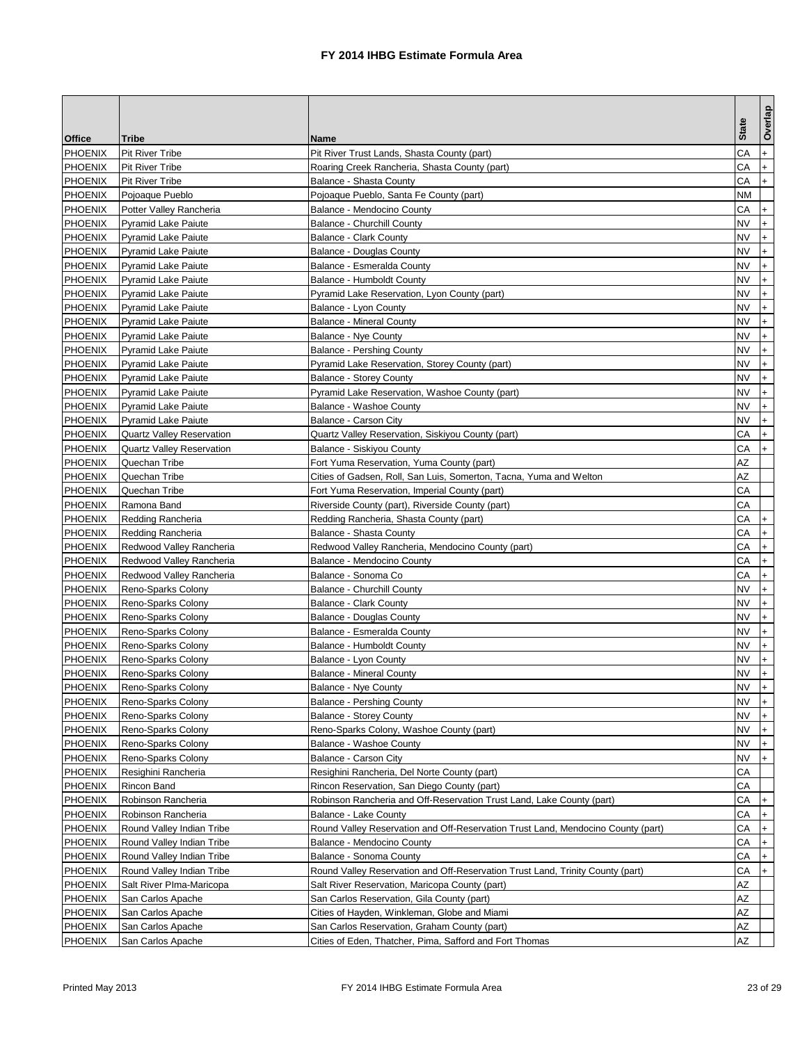|                |                                  |                                                                                  | <b>State</b> | Overlap                          |
|----------------|----------------------------------|----------------------------------------------------------------------------------|--------------|----------------------------------|
| <b>Office</b>  | <b>Tribe</b>                     | Name                                                                             |              |                                  |
| <b>PHOENIX</b> | <b>Pit River Tribe</b>           | Pit River Trust Lands, Shasta County (part)                                      | CA           | $+$                              |
| <b>PHOENIX</b> | <b>Pit River Tribe</b>           | Roaring Creek Rancheria, Shasta County (part)                                    | CА           | $\ddot{}$                        |
| <b>PHOENIX</b> | <b>Pit River Tribe</b>           | Balance - Shasta County                                                          | CА           | $+$                              |
| <b>PHOENIX</b> | Pojoaque Pueblo                  | Pojoaque Pueblo, Santa Fe County (part)                                          | NΜ           |                                  |
| <b>PHOENIX</b> | Potter Valley Rancheria          | Balance - Mendocino County                                                       | СA           | $\ddot{}$                        |
| PHOENIX        | <b>Pyramid Lake Paiute</b>       | <b>Balance - Churchill County</b>                                                | NV           | $\ddot{}$                        |
| <b>PHOENIX</b> | <b>Pyramid Lake Paiute</b>       | <b>Balance - Clark County</b>                                                    | NV           | $\ddot{}$                        |
| <b>PHOENIX</b> | <b>Pyramid Lake Paiute</b>       | <b>Balance - Douglas County</b>                                                  | <b>NV</b>    | $\ddot{}$                        |
| <b>PHOENIX</b> | <b>Pyramid Lake Paiute</b>       | Balance - Esmeralda County                                                       | <b>NV</b>    | $\ddot{}$                        |
| <b>PHOENIX</b> | <b>Pyramid Lake Paiute</b>       | <b>Balance - Humboldt County</b>                                                 | <b>NV</b>    | $+$                              |
| <b>PHOENIX</b> | <b>Pyramid Lake Paiute</b>       | Pyramid Lake Reservation, Lyon County (part)                                     | NV           | $\ddot{}$                        |
| <b>PHOENIX</b> | <b>Pyramid Lake Paiute</b>       | Balance - Lyon County                                                            | NV           | $\ddot{}$                        |
| <b>PHOENIX</b> | <b>Pyramid Lake Paiute</b>       | <b>Balance - Mineral County</b>                                                  | NV           | $\ddot{}$                        |
| <b>PHOENIX</b> | <b>Pyramid Lake Paiute</b>       | Balance - Nye County                                                             | <b>NV</b>    | $\ddot{}$                        |
| PHOENIX        | <b>Pyramid Lake Paiute</b>       | <b>Balance - Pershing County</b>                                                 | NV           | $+$                              |
| <b>PHOENIX</b> | <b>Pyramid Lake Paiute</b>       | Pyramid Lake Reservation, Storey County (part)                                   | NV           | $\ddot{}$                        |
| <b>PHOENIX</b> | <b>Pyramid Lake Paiute</b>       | <b>Balance - Storey County</b>                                                   | <b>NV</b>    | $+$                              |
| <b>PHOENIX</b> | <b>Pyramid Lake Paiute</b>       | Pyramid Lake Reservation, Washoe County (part)                                   | <b>NV</b>    | $\ddot{}$                        |
| <b>PHOENIX</b> | <b>Pyramid Lake Paiute</b>       | Balance - Washoe County                                                          | NV           | $+$                              |
| <b>PHOENIX</b> | <b>Pyramid Lake Paiute</b>       | Balance - Carson City                                                            | NV           | $\ddot{}$                        |
| <b>PHOENIX</b> | <b>Quartz Valley Reservation</b> | Quartz Valley Reservation, Siskiyou County (part)                                | СA           | $\ddot{}$                        |
| <b>PHOENIX</b> | <b>Quartz Valley Reservation</b> | Balance - Siskiyou County                                                        | СA           | $\ddot{}$                        |
| <b>PHOENIX</b> | Quechan Tribe                    | Fort Yuma Reservation, Yuma County (part)                                        | AZ           |                                  |
| <b>PHOENIX</b> | Quechan Tribe                    | Cities of Gadsen, Roll, San Luis, Somerton, Tacna, Yuma and Welton               | AZ           |                                  |
| <b>PHOENIX</b> | Quechan Tribe                    | Fort Yuma Reservation, Imperial County (part)                                    | СA           |                                  |
| <b>PHOENIX</b> | Ramona Band                      | Riverside County (part), Riverside County (part)                                 | CA           |                                  |
| <b>PHOENIX</b> | Redding Rancheria                | Redding Rancheria, Shasta County (part)                                          | CА           | $\ddot{}$                        |
| <b>PHOENIX</b> | Redding Rancheria                | Balance - Shasta County                                                          | CА           | $\ddot{}$                        |
| <b>PHOENIX</b> | Redwood Valley Rancheria         | Redwood Valley Rancheria, Mendocino County (part)                                | СA           | $\ddot{}$                        |
| <b>PHOENIX</b> | Redwood Valley Rancheria         | Balance - Mendocino County                                                       | CА           | $\ddot{}$                        |
| <b>PHOENIX</b> | Redwood Valley Rancheria         | Balance - Sonoma Co                                                              | CА           | $\ddot{}$                        |
| <b>PHOENIX</b> | Reno-Sparks Colony               | <b>Balance - Churchill County</b>                                                | <b>NV</b>    | $\ddot{}$                        |
| <b>PHOENIX</b> | Reno-Sparks Colony               | <b>Balance - Clark County</b>                                                    | <b>NV</b>    | $+$                              |
| <b>PHOENIX</b> | Reno-Sparks Colony               | Balance - Douglas County                                                         | NV.          | $\begin{array}{c} + \end{array}$ |
| <b>PHOENIX</b> | Reno-Sparks Colony               | Balance - Esmeralda County                                                       | NV           | $\ddot{}$                        |
| <b>PHOENIX</b> | Reno-Sparks Colony               | Balance - Humboldt County                                                        | NV           | $\ddot{}$                        |
| <b>PHOENIX</b> | Reno-Sparks Colony               | Balance - Lyon County                                                            | NV           | $\ddot{}$                        |
| <b>PHOENIX</b> | Reno-Sparks Colony               | <b>Balance - Mineral County</b>                                                  | NV           |                                  |
| <b>PHOENIX</b> | Reno-Sparks Colony               | Balance - Nye County                                                             | NV.          | $ +$                             |
| <b>PHOENIX</b> | Reno-Sparks Colony               | Balance - Pershing County                                                        | NV           | $+$                              |
| <b>PHOENIX</b> | Reno-Sparks Colony               | <b>Balance - Storey County</b>                                                   | <b>NV</b>    | $+$                              |
| <b>PHOENIX</b> | Reno-Sparks Colony               | Reno-Sparks Colony, Washoe County (part)                                         | <b>NV</b>    | $+$                              |
| <b>PHOENIX</b> | Reno-Sparks Colony               | Balance - Washoe County                                                          | NV           | $\ddot{}$                        |
| <b>PHOENIX</b> | Reno-Sparks Colony               | Balance - Carson City                                                            | NV           | $+$                              |
| <b>PHOENIX</b> | Resighini Rancheria              | Resighini Rancheria, Del Norte County (part)                                     | CA           |                                  |
| <b>PHOENIX</b> | Rincon Band                      | Rincon Reservation, San Diego County (part)                                      | CА           |                                  |
| <b>PHOENIX</b> | Robinson Rancheria               | Robinson Rancheria and Off-Reservation Trust Land, Lake County (part)            | СA           | $\ddot{}$                        |
| PHOENIX        | Robinson Rancheria               | Balance - Lake County                                                            | СA           | $\ddot{}$                        |
| <b>PHOENIX</b> | Round Valley Indian Tribe        | Round Valley Reservation and Off-Reservation Trust Land, Mendocino County (part) | СA           | $\ddot{}$                        |
| <b>PHOENIX</b> | Round Valley Indian Tribe        | Balance - Mendocino County                                                       | СA           | $+$                              |
| <b>PHOENIX</b> | Round Valley Indian Tribe        | Balance - Sonoma County                                                          | СA           | $+$                              |
| <b>PHOENIX</b> | Round Valley Indian Tribe        | Round Valley Reservation and Off-Reservation Trust Land, Trinity County (part)   | CА           | $\ddot{}$                        |
| <b>PHOENIX</b> | Salt River Plma-Maricopa         | Salt River Reservation, Maricopa County (part)                                   | AΖ           |                                  |
| <b>PHOENIX</b> | San Carlos Apache                | San Carlos Reservation, Gila County (part)                                       | ΑZ           |                                  |
| PHOENIX        | San Carlos Apache                | Cities of Hayden, Winkleman, Globe and Miami                                     | AΖ           |                                  |
| <b>PHOENIX</b> | San Carlos Apache                | San Carlos Reservation, Graham County (part)                                     | ΑZ           |                                  |
| PHOENIX        | San Carlos Apache                | Cities of Eden, Thatcher, Pima, Safford and Fort Thomas                          | ΑZ           |                                  |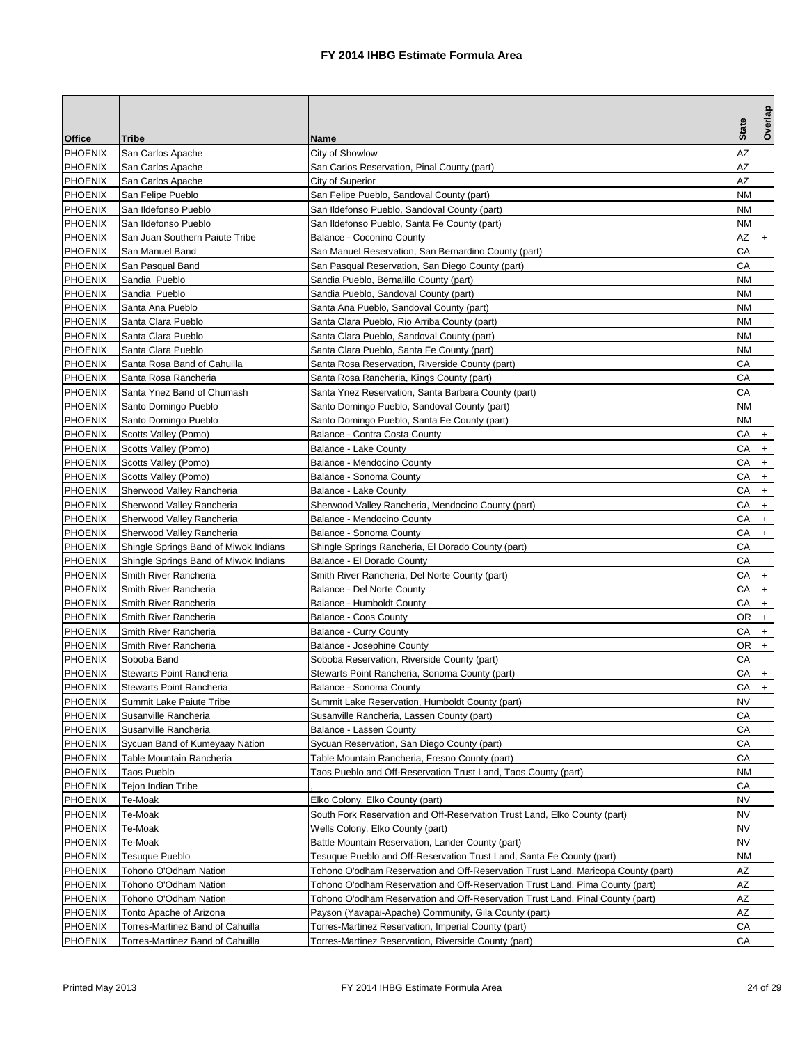|                |                                       |                                                                                   | <b>State</b> | Overlap   |
|----------------|---------------------------------------|-----------------------------------------------------------------------------------|--------------|-----------|
| Office         | Tribe                                 | Name                                                                              |              |           |
| <b>PHOENIX</b> | San Carlos Apache                     | City of Showlow                                                                   | AZ           |           |
| <b>PHOENIX</b> | San Carlos Apache                     | San Carlos Reservation, Pinal County (part)                                       | AZ           |           |
| <b>PHOENIX</b> | San Carlos Apache                     | City of Superior                                                                  | ΑZ           |           |
| <b>PHOENIX</b> | San Felipe Pueblo                     | San Felipe Pueblo, Sandoval County (part)                                         | NΜ           |           |
| <b>PHOENIX</b> | San Ildefonso Pueblo                  | San Ildefonso Pueblo, Sandoval County (part)                                      | NΜ           |           |
| <b>PHOENIX</b> | San Ildefonso Pueblo                  | San Ildefonso Pueblo, Santa Fe County (part)                                      | NΜ           |           |
| <b>PHOENIX</b> | San Juan Southern Paiute Tribe        | Balance - Coconino County                                                         | AZ           | $\ddot{}$ |
| <b>PHOENIX</b> | San Manuel Band                       | San Manuel Reservation, San Bernardino County (part)                              | CA           |           |
| <b>PHOENIX</b> | San Pasqual Band                      | San Pasqual Reservation, San Diego County (part)                                  | CA           |           |
| <b>PHOENIX</b> | Sandia Pueblo                         | Sandia Pueblo, Bernalillo County (part)                                           | NΜ           |           |
| <b>PHOENIX</b> | Sandia Pueblo                         | Sandia Pueblo, Sandoval County (part)                                             | NΜ           |           |
| <b>PHOENIX</b> | Santa Ana Pueblo                      | Santa Ana Pueblo, Sandoval County (part)                                          | NΜ           |           |
| <b>PHOENIX</b> | Santa Clara Pueblo                    | Santa Clara Pueblo, Rio Arriba County (part)                                      | NΜ           |           |
| <b>PHOENIX</b> | Santa Clara Pueblo                    | Santa Clara Pueblo, Sandoval County (part)                                        | NΜ           |           |
| <b>PHOENIX</b> | Santa Clara Pueblo                    | Santa Clara Pueblo, Santa Fe County (part)                                        | NΜ           |           |
| <b>PHOENIX</b> | Santa Rosa Band of Cahuilla           | Santa Rosa Reservation, Riverside County (part)                                   | CА           |           |
| <b>PHOENIX</b> | Santa Rosa Rancheria                  | Santa Rosa Rancheria, Kings County (part)                                         | CA           |           |
| <b>PHOENIX</b> | Santa Ynez Band of Chumash            | Santa Ynez Reservation, Santa Barbara County (part)                               | CА           |           |
| <b>PHOENIX</b> | Santo Domingo Pueblo                  | Santo Domingo Pueblo, Sandoval County (part)                                      | NΜ           |           |
| <b>PHOENIX</b> | Santo Domingo Pueblo                  | Santo Domingo Pueblo, Santa Fe County (part)                                      | NΜ           |           |
| <b>PHOENIX</b> | Scotts Valley (Pomo)                  | Balance - Contra Costa County                                                     | CА           | $\ddot{}$ |
| <b>PHOENIX</b> | Scotts Valley (Pomo)                  | Balance - Lake County                                                             | СA           | $\ddot{}$ |
| <b>PHOENIX</b> | Scotts Valley (Pomo)                  | Balance - Mendocino County                                                        | СA           | $\ddot{}$ |
| PHOENIX        | Scotts Valley (Pomo)                  | Balance - Sonoma County                                                           | СA           | $\ddot{}$ |
| <b>PHOENIX</b> | Sherwood Valley Rancheria             | Balance - Lake County                                                             | СA           | $\ddot{}$ |
| <b>PHOENIX</b> | Sherwood Valley Rancheria             | Sherwood Valley Rancheria, Mendocino County (part)                                | СA           | $\ddot{}$ |
| <b>PHOENIX</b> | Sherwood Valley Rancheria             | Balance - Mendocino County                                                        | CА           | $\ddot{}$ |
| <b>PHOENIX</b> | Sherwood Valley Rancheria             | Balance - Sonoma County                                                           | CА           | $+$       |
| <b>PHOENIX</b> | Shingle Springs Band of Miwok Indians | Shingle Springs Rancheria, El Dorado County (part)                                | СA           |           |
| <b>PHOENIX</b> | Shingle Springs Band of Miwok Indians | Balance - El Dorado County                                                        | CА           |           |
| <b>PHOENIX</b> | Smith River Rancheria                 | Smith River Rancheria, Del Norte County (part)                                    | CА           | $\ddot{}$ |
| <b>PHOENIX</b> | Smith River Rancheria                 | Balance - Del Norte County                                                        | СA           | $+$       |
| PHOENIX        | Smith River Rancheria                 | Balance - Humboldt County                                                         | CA           | $+$       |
| <b>PHOENIX</b> | Smith River Rancheria                 | Balance - Coos County                                                             | OR           | $\ddot{}$ |
| <b>PHOENIX</b> | Smith River Rancheria                 | <b>Balance - Curry County</b>                                                     | СA           | $\ddot{}$ |
| <b>PHOENIX</b> | Smith River Rancheria                 | Balance - Josephine County                                                        | OR           | $+$       |
| PHOENIX        | Soboba Band                           | Soboba Reservation, Riverside County (part)                                       | CА           |           |
| <b>PHOENIX</b> | Stewarts Point Rancheria              | Stewarts Point Rancheria, Sonoma County (part)                                    | CА           |           |
| <b>PHOENIX</b> | Stewarts Point Rancheria              | Balance - Sonoma County                                                           | CА           | $ +$      |
| <b>PHOENIX</b> | Summit Lake Paiute Tribe              | Summit Lake Reservation, Humboldt County (part)                                   | NV           |           |
| PHOENIX        | Susanville Rancheria                  | Susanville Rancheria, Lassen County (part)                                        | СA           |           |
| PHOENIX        | Susanville Rancheria                  | Balance - Lassen County                                                           | СA           |           |
| <b>PHOENIX</b> | Sycuan Band of Kumeyaay Nation        | Sycuan Reservation, San Diego County (part)                                       | CА           |           |
| <b>PHOENIX</b> | Table Mountain Rancheria              | Table Mountain Rancheria, Fresno County (part)                                    | СA           |           |
| <b>PHOENIX</b> | <b>Taos Pueblo</b>                    | Taos Pueblo and Off-Reservation Trust Land, Taos County (part)                    | NM           |           |
| <b>PHOENIX</b> | Tejon Indian Tribe                    |                                                                                   | СA           |           |
| PHOENIX        | Te-Moak                               | Elko Colony, Elko County (part)                                                   | NV           |           |
| PHOENIX        | Te-Moak                               | South Fork Reservation and Off-Reservation Trust Land, Elko County (part)         | NV           |           |
| <b>PHOENIX</b> | Te-Moak                               | Wells Colony, Elko County (part)                                                  | NV           |           |
| PHOENIX        | Te-Moak                               | Battle Mountain Reservation, Lander County (part)                                 | <b>NV</b>    |           |
| <b>PHOENIX</b> | <b>Tesuque Pueblo</b>                 | Tesuque Pueblo and Off-Reservation Trust Land, Santa Fe County (part)             | NΜ           |           |
| <b>PHOENIX</b> | Tohono O'Odham Nation                 | Tohono O'odham Reservation and Off-Reservation Trust Land, Maricopa County (part) | AΖ           |           |
| <b>PHOENIX</b> | Tohono O'Odham Nation                 | Tohono O'odham Reservation and Off-Reservation Trust Land, Pima County (part)     | ΑZ           |           |
| <b>PHOENIX</b> | Tohono O'Odham Nation                 | Tohono O'odham Reservation and Off-Reservation Trust Land, Pinal County (part)    | ΑZ           |           |
| <b>PHOENIX</b> | Tonto Apache of Arizona               | Payson (Yavapai-Apache) Community, Gila County (part)                             | AΖ           |           |
| <b>PHOENIX</b> | Torres-Martinez Band of Cahuilla      | Torres-Martinez Reservation, Imperial County (part)                               | СA           |           |
| PHOENIX        | Torres-Martinez Band of Cahuilla      | Torres-Martinez Reservation, Riverside County (part)                              | СA           |           |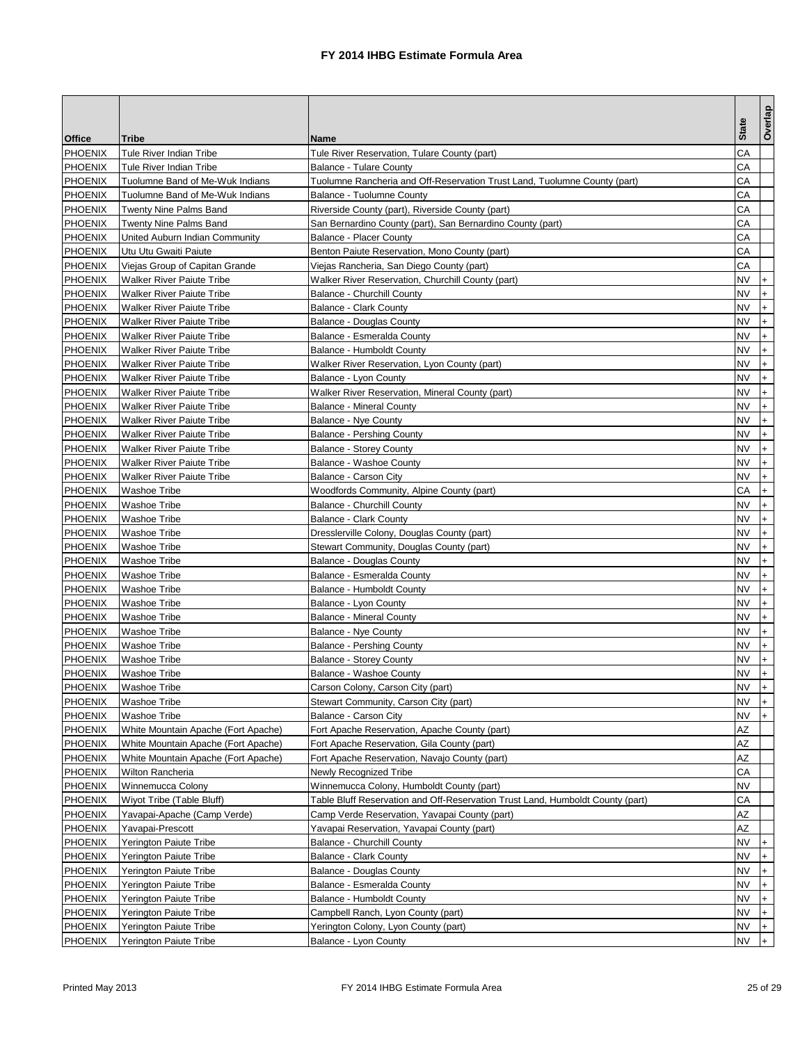|                |                                     |                                                                                |              | Overlap   |
|----------------|-------------------------------------|--------------------------------------------------------------------------------|--------------|-----------|
| <b>Office</b>  | Tribe                               | Name                                                                           | <b>State</b> |           |
| <b>PHOENIX</b> | Tule River Indian Tribe             | Tule River Reservation, Tulare County (part)                                   | CА           |           |
| <b>PHOENIX</b> | Tule River Indian Tribe             | <b>Balance - Tulare County</b>                                                 | CА           |           |
| <b>PHOENIX</b> | Tuolumne Band of Me-Wuk Indians     | Tuolumne Rancheria and Off-Reservation Trust Land, Tuolumne County (part)      | СA           |           |
| <b>PHOENIX</b> | Tuolumne Band of Me-Wuk Indians     | Balance - Tuolumne County                                                      | CА           |           |
| <b>PHOENIX</b> | Twenty Nine Palms Band              | Riverside County (part), Riverside County (part)                               | CА           |           |
| <b>PHOENIX</b> | <b>Twenty Nine Palms Band</b>       | San Bernardino County (part), San Bernardino County (part)                     | CА           |           |
| <b>PHOENIX</b> | United Auburn Indian Community      | <b>Balance - Placer County</b>                                                 | СA           |           |
| <b>PHOENIX</b> | Utu Utu Gwaiti Paiute               | Benton Paiute Reservation, Mono County (part)                                  | СA           |           |
| <b>PHOENIX</b> | Viejas Group of Capitan Grande      | Viejas Rancheria, San Diego County (part)                                      | СA           |           |
| <b>PHOENIX</b> | <b>Walker River Paiute Tribe</b>    | Walker River Reservation, Churchill County (part)                              | NV           | $\ddot{}$ |
| <b>PHOENIX</b> | <b>Walker River Paiute Tribe</b>    | <b>Balance - Churchill County</b>                                              | NV           | $\ddot{}$ |
| <b>PHOENIX</b> | <b>Walker River Paiute Tribe</b>    | <b>Balance - Clark County</b>                                                  | NV           | $+$       |
| <b>PHOENIX</b> | <b>Walker River Paiute Tribe</b>    | <b>Balance - Douglas County</b>                                                | <b>NV</b>    | $\ddot{}$ |
| <b>PHOENIX</b> | <b>Walker River Paiute Tribe</b>    | Balance - Esmeralda County                                                     | <b>NV</b>    | $+$       |
| <b>PHOENIX</b> | <b>Walker River Paiute Tribe</b>    | <b>Balance - Humboldt County</b>                                               | NV           | $\ddot{}$ |
| <b>PHOENIX</b> | <b>Walker River Paiute Tribe</b>    | Walker River Reservation, Lyon County (part)                                   | NV           | $\ddot{}$ |
| <b>PHOENIX</b> | <b>Walker River Paiute Tribe</b>    | Balance - Lyon County                                                          | NV           | $+$       |
| <b>PHOENIX</b> | <b>Walker River Paiute Tribe</b>    | Walker River Reservation, Mineral County (part)                                | NV.          | $+$       |
| <b>PHOENIX</b> | <b>Walker River Paiute Tribe</b>    | <b>Balance - Mineral County</b>                                                | NV.          | $\ddot{}$ |
| <b>PHOENIX</b> | <b>Walker River Paiute Tribe</b>    | Balance - Nye County                                                           | NV           | $\ddot{}$ |
| <b>PHOENIX</b> | <b>Walker River Paiute Tribe</b>    | <b>Balance - Pershing County</b>                                               | <b>NV</b>    | $+$       |
| <b>PHOENIX</b> | <b>Walker River Paiute Tribe</b>    | <b>Balance - Storey County</b>                                                 | <b>NV</b>    | $\ddot{}$ |
| <b>PHOENIX</b> | <b>Walker River Paiute Tribe</b>    | Balance - Washoe County                                                        | NV           | $+$       |
| <b>PHOENIX</b> | <b>Walker River Paiute Tribe</b>    | Balance - Carson City                                                          | NV           | $\ddot{}$ |
| <b>PHOENIX</b> | Washoe Tribe                        | Woodfords Community, Alpine County (part)                                      | CА           | $+$       |
| <b>PHOENIX</b> | <b>Washoe Tribe</b>                 | <b>Balance - Churchill County</b>                                              | NV           | $\ddot{}$ |
| <b>PHOENIX</b> | <b>Washoe Tribe</b>                 | <b>Balance - Clark County</b>                                                  | <b>NV</b>    | $+$       |
| <b>PHOENIX</b> | <b>Washoe Tribe</b>                 | Dresslerville Colony, Douglas County (part)                                    | NV.          | $+$       |
| <b>PHOENIX</b> | <b>Washoe Tribe</b>                 | Stewart Community, Douglas County (part)                                       | NV.          | $\ddot{}$ |
| <b>PHOENIX</b> | <b>Washoe Tribe</b>                 | Balance - Douglas County                                                       | <b>NV</b>    | $+$       |
| <b>PHOENIX</b> | <b>Washoe Tribe</b>                 | Balance - Esmeralda County                                                     | NV           | $\ddot{}$ |
| <b>PHOENIX</b> | <b>Washoe Tribe</b>                 | Balance - Humboldt County                                                      | <b>NV</b>    | $+$       |
| <b>PHOENIX</b> | <b>Washoe Tribe</b>                 | Balance - Lyon County                                                          | NV           | $\ddot{}$ |
| <b>PHOENIX</b> | <b>Washoe Tribe</b>                 | <b>Balance - Mineral County</b>                                                | NV           | $\ddot{}$ |
| <b>PHOENIX</b> | Washoe Tribe                        | Balance - Nye County                                                           | NV           | $\ddot{}$ |
| <b>PHOENIX</b> | <b>Washoe Tribe</b>                 | <b>Balance - Pershing County</b>                                               | <b>NV</b>    | $+$       |
| <b>PHOENIX</b> | <b>Washoe Tribe</b>                 | <b>Balance - Storey County</b>                                                 | <b>NV</b>    | $+$       |
| <b>PHOENIX</b> | Washoe Tribe                        | Balance - Washoe County                                                        | NV           |           |
| <b>PHOENIX</b> | Washoe Tribe                        | Carson Colony, Carson City (part)                                              | <b>NV</b>    | $+$       |
| <b>PHOENIX</b> | <b>Washoe Tribe</b>                 | Stewart Community, Carson City (part)                                          | NV           | $+$       |
| <b>PHOENIX</b> | Washoe Tribe                        | Balance - Carson City                                                          | NV           | $+$       |
| <b>PHOENIX</b> | White Mountain Apache (Fort Apache) | Fort Apache Reservation, Apache County (part)                                  | ΑZ           |           |
| <b>PHOENIX</b> | White Mountain Apache (Fort Apache) | Fort Apache Reservation, Gila County (part)                                    | AZ           |           |
| <b>PHOENIX</b> | White Mountain Apache (Fort Apache) | Fort Apache Reservation, Navajo County (part)                                  | AZ           |           |
| PHOENIX        | Wilton Rancheria                    | Newly Recognized Tribe                                                         | СA           |           |
| <b>PHOENIX</b> | Winnemucca Colony                   | Winnemucca Colony, Humboldt County (part)                                      | NV           |           |
| <b>PHOENIX</b> | Wiyot Tribe (Table Bluff)           | Table Bluff Reservation and Off-Reservation Trust Land, Humboldt County (part) | CА           |           |
| <b>PHOENIX</b> | Yavapai-Apache (Camp Verde)         | Camp Verde Reservation, Yavapai County (part)                                  | AΖ           |           |
| <b>PHOENIX</b> | Yavapai-Prescott                    | Yavapai Reservation, Yavapai County (part)                                     | ΑZ           |           |
| <b>PHOENIX</b> | Yerington Paiute Tribe              | <b>Balance - Churchill County</b>                                              | NV           | $\ddot{}$ |
| <b>PHOENIX</b> | Yerington Paiute Tribe              | <b>Balance - Clark County</b>                                                  | NV           | $\ddot{}$ |
| PHOENIX        | Yerington Paiute Tribe              | Balance - Douglas County                                                       | NV           | $\ddot{}$ |
| <b>PHOENIX</b> | Yerington Paiute Tribe              | Balance - Esmeralda County                                                     | NV           | $\ddot{}$ |
| <b>PHOENIX</b> | Yerington Paiute Tribe              | <b>Balance - Humboldt County</b>                                               | <b>NV</b>    | $\ddot{}$ |
| <b>PHOENIX</b> |                                     |                                                                                | <b>NV</b>    | $+$       |
|                | Yerington Paiute Tribe              | Campbell Ranch, Lyon County (part)                                             |              |           |
| <b>PHOENIX</b> | Yerington Paiute Tribe              | Yerington Colony, Lyon County (part)                                           | NV           |           |
| <b>PHOENIX</b> | Yerington Paiute Tribe              | Balance - Lyon County                                                          | NV           | $+$       |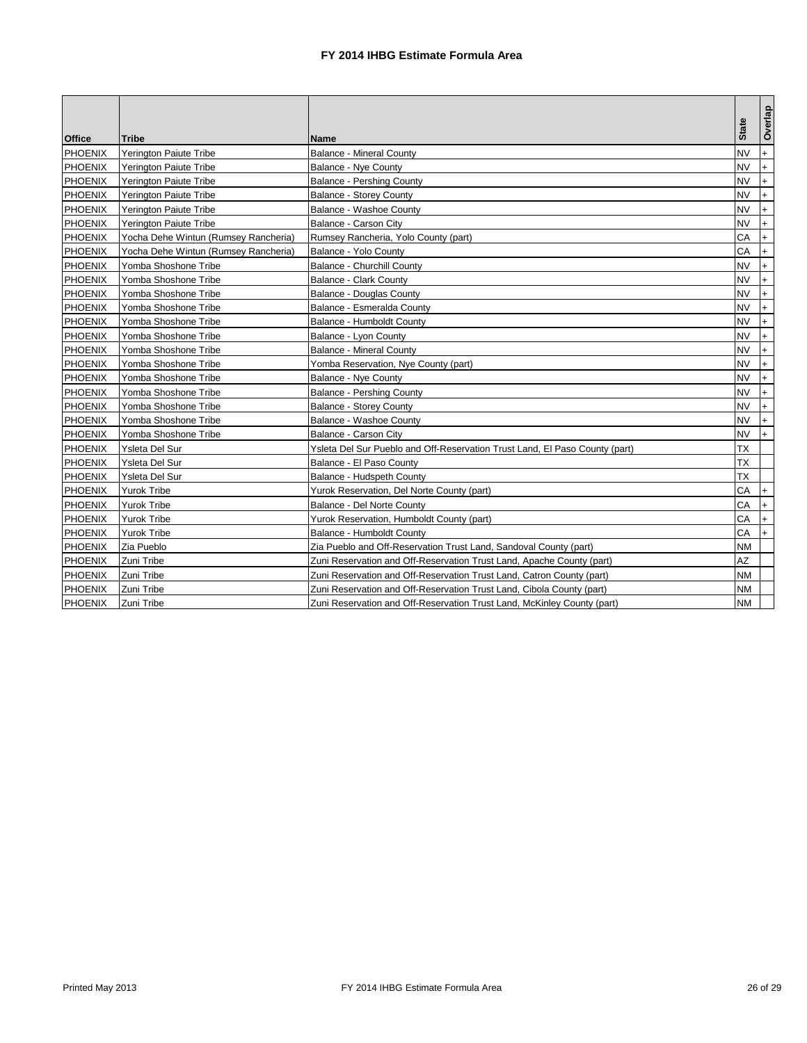| <b>Office</b>  | Tribe                                | <b>Name</b>                                                                 | <b>State</b> | Overlap   |
|----------------|--------------------------------------|-----------------------------------------------------------------------------|--------------|-----------|
| <b>PHOENIX</b> | Yerington Paiute Tribe               | <b>Balance - Mineral County</b>                                             | <b>NV</b>    | $+$       |
| <b>PHOENIX</b> | <b>Yerington Paiute Tribe</b>        | <b>Balance - Nye County</b>                                                 | <b>NV</b>    | $+$       |
| <b>PHOENIX</b> | Yerington Paiute Tribe               | <b>Balance - Pershing County</b>                                            | <b>NV</b>    | $+$       |
| <b>PHOENIX</b> | Yerington Paiute Tribe               | <b>Balance - Storey County</b>                                              | <b>NV</b>    | $+$       |
| <b>PHOENIX</b> | Yerington Paiute Tribe               | Balance - Washoe County                                                     | <b>NV</b>    | $+$       |
| <b>PHOENIX</b> | Yerington Paiute Tribe               | Balance - Carson City                                                       | <b>NV</b>    | $+$       |
| <b>PHOENIX</b> | Yocha Dehe Wintun (Rumsey Rancheria) | Rumsey Rancheria, Yolo County (part)                                        | CA           | $+$       |
| <b>PHOENIX</b> | Yocha Dehe Wintun (Rumsey Rancheria) | Balance - Yolo County                                                       | CA           | $+$       |
| <b>PHOENIX</b> | Yomba Shoshone Tribe                 | <b>Balance - Churchill County</b>                                           | <b>NV</b>    | $+$       |
| <b>PHOENIX</b> | Yomba Shoshone Tribe                 | Balance - Clark County                                                      | <b>NV</b>    | $+$       |
| <b>PHOENIX</b> | Yomba Shoshone Tribe                 | Balance - Douglas County                                                    | <b>NV</b>    | $+$       |
| <b>PHOENIX</b> | Yomba Shoshone Tribe                 | Balance - Esmeralda County                                                  | <b>NV</b>    | $+$       |
| <b>PHOENIX</b> | Yomba Shoshone Tribe                 | Balance - Humboldt County                                                   | <b>NV</b>    | $+$       |
| <b>PHOENIX</b> | Yomba Shoshone Tribe                 | Balance - Lyon County                                                       | <b>NV</b>    | $+$       |
| <b>PHOENIX</b> | Yomba Shoshone Tribe                 | <b>Balance - Mineral County</b>                                             | <b>NV</b>    | $+$       |
| <b>PHOENIX</b> | Yomba Shoshone Tribe                 | Yomba Reservation, Nye County (part)                                        | <b>NV</b>    | $+$       |
| <b>PHOENIX</b> | Yomba Shoshone Tribe                 | Balance - Nye County                                                        | <b>NV</b>    | $+$       |
| <b>PHOENIX</b> | Yomba Shoshone Tribe                 | <b>Balance - Pershing County</b>                                            | <b>NV</b>    | $\ddot{}$ |
| <b>PHOENIX</b> | Yomba Shoshone Tribe                 | <b>Balance - Storey County</b>                                              | <b>NV</b>    | $+$       |
| <b>PHOENIX</b> | Yomba Shoshone Tribe                 | Balance - Washoe County                                                     | <b>NV</b>    | $\ddot{}$ |
| <b>PHOENIX</b> | Yomba Shoshone Tribe                 | Balance - Carson City                                                       | <b>NV</b>    | $+$       |
| <b>PHOENIX</b> | Ysleta Del Sur                       | Ysleta Del Sur Pueblo and Off-Reservation Trust Land, El Paso County (part) | <b>TX</b>    |           |
| <b>PHOENIX</b> | Ysleta Del Sur                       | Balance - El Paso County                                                    | <b>TX</b>    |           |
| <b>PHOENIX</b> | Ysleta Del Sur                       | Balance - Hudspeth County                                                   | <b>TX</b>    |           |
| <b>PHOENIX</b> | <b>Yurok Tribe</b>                   | Yurok Reservation, Del Norte County (part)                                  | CA           | $+$       |
| <b>PHOENIX</b> | <b>Yurok Tribe</b>                   | Balance - Del Norte County                                                  | CA           | $+$       |
| <b>PHOENIX</b> | <b>Yurok Tribe</b>                   | Yurok Reservation, Humboldt County (part)                                   | CA           | $+$       |
| <b>PHOENIX</b> | <b>Yurok Tribe</b>                   | Balance - Humboldt County                                                   | CA           | $+$       |
| <b>PHOENIX</b> | Zia Pueblo                           | Zia Pueblo and Off-Reservation Trust Land, Sandoval County (part)           | <b>NM</b>    |           |
| <b>PHOENIX</b> | Zuni Tribe                           | Zuni Reservation and Off-Reservation Trust Land, Apache County (part)       | AZ           |           |
| <b>PHOENIX</b> | Zuni Tribe                           | Zuni Reservation and Off-Reservation Trust Land, Catron County (part)       | NM           |           |
| <b>PHOENIX</b> | Zuni Tribe                           | Zuni Reservation and Off-Reservation Trust Land, Cibola County (part)       | NΜ           |           |
| <b>PHOENIX</b> | Zuni Tribe                           | Zuni Reservation and Off-Reservation Trust Land, McKinley County (part)     | <b>NM</b>    |           |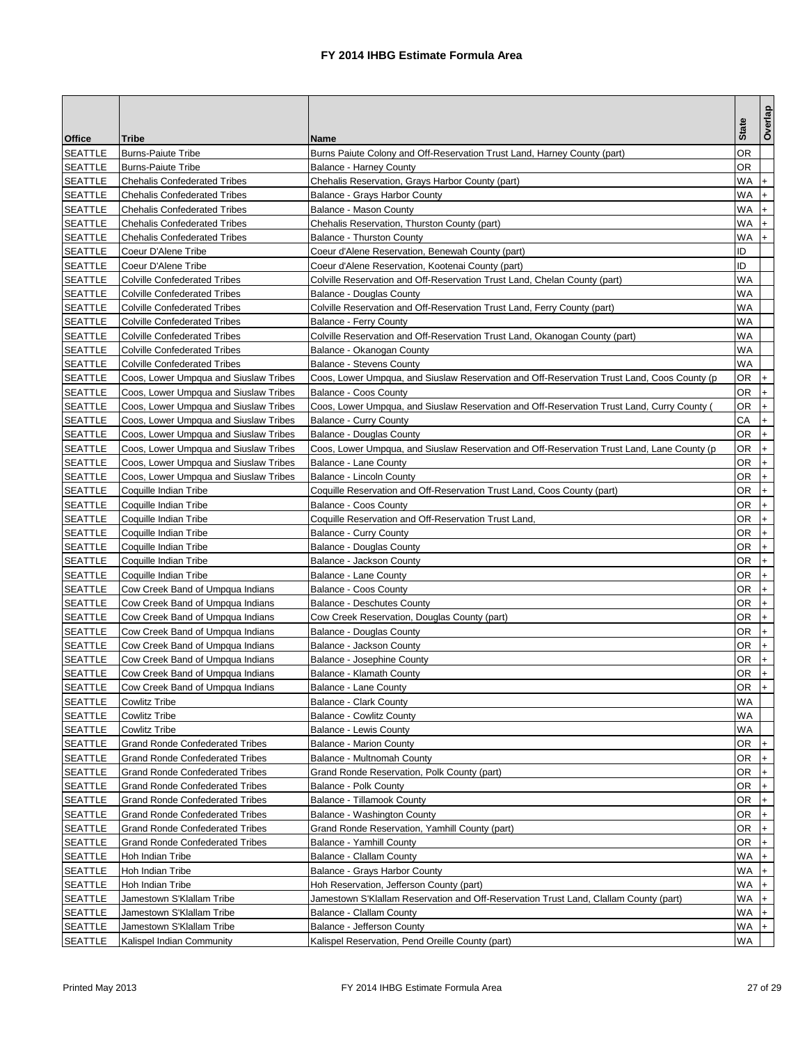|                |                                        |                                                                                            |              | Overlap   |
|----------------|----------------------------------------|--------------------------------------------------------------------------------------------|--------------|-----------|
| Office         | Tribe                                  | Name                                                                                       | <b>State</b> |           |
| <b>SEATTLE</b> | <b>Burns-Paiute Tribe</b>              | Burns Paiute Colony and Off-Reservation Trust Land, Harney County (part)                   | ΟR           |           |
| <b>SEATTLE</b> | <b>Burns-Paiute Tribe</b>              | Balance - Harney County                                                                    | OR           |           |
| <b>SEATTLE</b> | <b>Chehalis Confederated Tribes</b>    | Chehalis Reservation, Grays Harbor County (part)                                           | WA           | $+$       |
| <b>SEATTLE</b> | <b>Chehalis Confederated Tribes</b>    | Balance - Grays Harbor County                                                              | WA           | $\ddot{}$ |
| <b>SEATTLE</b> | <b>Chehalis Confederated Tribes</b>    | Balance - Mason County                                                                     | WA           | $+$       |
| <b>SEATTLE</b> | <b>Chehalis Confederated Tribes</b>    | Chehalis Reservation, Thurston County (part)                                               | WA           | $\ddot{}$ |
| <b>SEATTLE</b> | <b>Chehalis Confederated Tribes</b>    | <b>Balance - Thurston County</b>                                                           | WA           | $+$       |
| <b>SEATTLE</b> | Coeur D'Alene Tribe                    | Coeur d'Alene Reservation, Benewah County (part)                                           | ID           |           |
| <b>SEATTLE</b> | Coeur D'Alene Tribe                    | Coeur d'Alene Reservation, Kootenai County (part)                                          | ID           |           |
| <b>SEATTLE</b> | <b>Colville Confederated Tribes</b>    | Colville Reservation and Off-Reservation Trust Land, Chelan County (part)                  | WA           |           |
| <b>SEATTLE</b> | <b>Colville Confederated Tribes</b>    | Balance - Douglas County                                                                   | WA           |           |
| <b>SEATTLE</b> | <b>Colville Confederated Tribes</b>    | Colville Reservation and Off-Reservation Trust Land, Ferry County (part)                   | WA           |           |
| <b>SEATTLE</b> | <b>Colville Confederated Tribes</b>    | Balance - Ferry County                                                                     | WA           |           |
| <b>SEATTLE</b> | <b>Colville Confederated Tribes</b>    | Colville Reservation and Off-Reservation Trust Land, Okanogan County (part)                | WA           |           |
| <b>SEATTLE</b> | <b>Colville Confederated Tribes</b>    | Balance - Okanogan County                                                                  | WA           |           |
| <b>SEATTLE</b> | <b>Colville Confederated Tribes</b>    | <b>Balance - Stevens County</b>                                                            | WA           |           |
| <b>SEATTLE</b> | Coos, Lower Umpqua and Siuslaw Tribes  | Coos, Lower Umpqua, and Siuslaw Reservation and Off-Reservation Trust Land, Coos County (p | 0R           | $+$       |
| <b>SEATTLE</b> | Coos, Lower Umpqua and Siuslaw Tribes  | <b>Balance - Coos County</b>                                                               | OR           | $+$       |
| <b>SEATTLE</b> | Coos, Lower Umpqua and Siuslaw Tribes  | Coos, Lower Umpqua, and Siuslaw Reservation and Off-Reservation Trust Land, Curry County ( | OR           | $+$       |
| <b>SEATTLE</b> | Coos, Lower Umpqua and Siuslaw Tribes  | <b>Balance - Curry County</b>                                                              | СA           | $+$       |
| <b>SEATTLE</b> | Coos, Lower Umpqua and Siuslaw Tribes  | Balance - Douglas County                                                                   | OR           | $+$       |
| <b>SEATTLE</b> | Coos, Lower Umpqua and Siuslaw Tribes  | Coos, Lower Umpqua, and Siuslaw Reservation and Off-Reservation Trust Land, Lane County (p | OR           | $\ddot{}$ |
| <b>SEATTLE</b> | Coos, Lower Umpqua and Siuslaw Tribes  | Balance - Lane County                                                                      | ΟR           | $+$       |
| <b>SEATTLE</b> | Coos, Lower Umpqua and Siuslaw Tribes  | Balance - Lincoln County                                                                   | 0R           | $+$       |
| <b>SEATTLE</b> | Coquille Indian Tribe                  | Coquille Reservation and Off-Reservation Trust Land, Coos County (part)                    | OR           | $\ddot{}$ |
| <b>SEATTLE</b> | Coquille Indian Tribe                  | Balance - Coos County                                                                      | OR           | $+$       |
| <b>SEATTLE</b> | Coquille Indian Tribe                  | Coquille Reservation and Off-Reservation Trust Land                                        | OR           | $+$       |
| <b>SEATTLE</b> | Coquille Indian Tribe                  | Balance - Curry County                                                                     | OR           | $+$       |
| <b>SEATTLE</b> | Coquille Indian Tribe                  | Balance - Douglas County                                                                   | OR           | $+$       |
| <b>SEATTLE</b> | Coquille Indian Tribe                  | Balance - Jackson County                                                                   | OR           | $\ddot{}$ |
| <b>SEATTLE</b> | Coquille Indian Tribe                  | Balance - Lane County                                                                      | ΟR           | $\ddot{}$ |
| <b>SEATTLE</b> | Cow Creek Band of Umpqua Indians       | Balance - Coos County                                                                      | OR           | $+$       |
| <b>SEATTLE</b> | Cow Creek Band of Umpqua Indians       | <b>Balance - Deschutes County</b>                                                          | 0R           | $\ddot{}$ |
| SEATTLE        | Cow Creek Band of Umpqua Indians       | Cow Creek Reservation, Douglas County (part)                                               | OR           | $\ddot{}$ |
| <b>SEATTLE</b> | Cow Creek Band of Umpqua Indians       | Balance - Douglas County                                                                   | OR           | $+$       |
| <b>SEATTLE</b> | Cow Creek Band of Umpqua Indians       | Balance - Jackson County                                                                   | OR           | $+$       |
| <b>SEATTLE</b> | Cow Creek Band of Umpqua Indians       | Balance - Josephine County                                                                 | OR           | $+$       |
| <b>SEATTLE</b> | Cow Creek Band of Umpqua Indians       | Balance - Klamath County                                                                   | OR           |           |
| <b>SEATTLE</b> | Cow Creek Band of Umpqua Indians       | <b>Balance - Lane County</b>                                                               | OR $ + $     |           |
| <b>SEATTLE</b> | Cowlitz Tribe                          | <b>Balance - Clark County</b>                                                              | WA           |           |
| <b>SEATTLE</b> | <b>Cowlitz Tribe</b>                   | <b>Balance - Cowlitz County</b>                                                            | WA           |           |
| <b>SEATTLE</b> | <b>Cowlitz Tribe</b>                   | <b>Balance - Lewis County</b>                                                              | WA.          |           |
| <b>SEATTLE</b> | <b>Grand Ronde Confederated Tribes</b> | <b>Balance - Marion County</b>                                                             | OR           | $\ddot{}$ |
| <b>SEATTLE</b> | <b>Grand Ronde Confederated Tribes</b> | Balance - Multnomah County                                                                 | OR           | $+$       |
| <b>SEATTLE</b> | <b>Grand Ronde Confederated Tribes</b> | Grand Ronde Reservation, Polk County (part)                                                | 0R           | $+$       |
| <b>SEATTLE</b> | <b>Grand Ronde Confederated Tribes</b> | <b>Balance - Polk County</b>                                                               | OR           | $+$       |
| SEATTLE        | <b>Grand Ronde Confederated Tribes</b> | <b>Balance - Tillamook County</b>                                                          | OR           | $+$       |
| <b>SEATTLE</b> | <b>Grand Ronde Confederated Tribes</b> | Balance - Washington County                                                                | OR           | $+$       |
| SEATTLE        | <b>Grand Ronde Confederated Tribes</b> | Grand Ronde Reservation, Yamhill County (part)                                             | OR           | $+$       |
| SEATTLE        | <b>Grand Ronde Confederated Tribes</b> | <b>Balance - Yamhill County</b>                                                            | OR           | I+.       |
| <b>SEATTLE</b> | Hoh Indian Tribe                       | Balance - Clallam County                                                                   | WA +         |           |
| <b>SEATTLE</b> | Hoh Indian Tribe                       | Balance - Grays Harbor County                                                              | WA           | $+$       |
| <b>SEATTLE</b> | Hoh Indian Tribe                       | Hoh Reservation, Jefferson County (part)                                                   | WA           | $+$       |
| <b>SEATTLE</b> | Jamestown S'Klallam Tribe              | Jamestown S'Klallam Reservation and Off-Reservation Trust Land, Clallam County (part)      | WA           | $+$       |
| <b>SEATTLE</b> | Jamestown S'Klallam Tribe              | Balance - Clallam County                                                                   | WA           | $+$       |
| <b>SEATTLE</b> | Jamestown S'Klallam Tribe              | Balance - Jefferson County                                                                 | WA           | $+$       |
| <b>SEATTLE</b> | Kalispel Indian Community              | Kalispel Reservation, Pend Oreille County (part)                                           | WA           |           |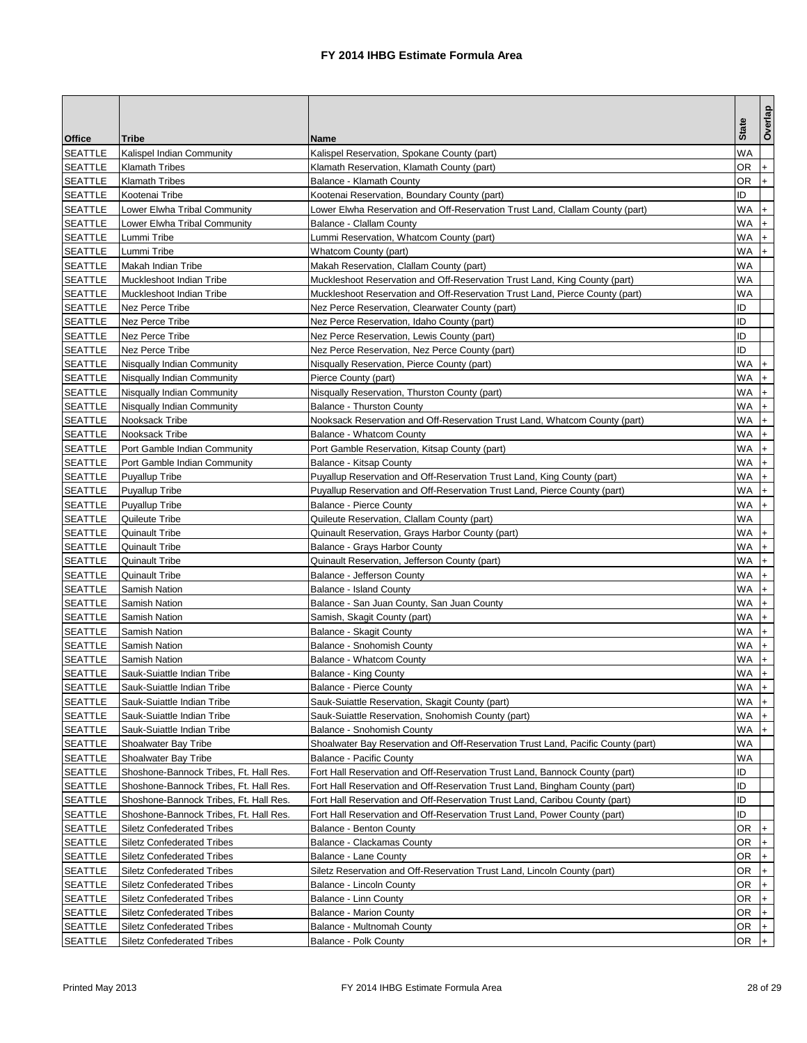| Office<br>Tribe<br>Name<br>WA<br><b>SEATTLE</b><br>Kalispel Indian Community<br>Kalispel Reservation, Spokane County (part)<br><b>SEATTLE</b><br><b>Klamath Tribes</b><br>Klamath Reservation, Klamath County (part)<br>OR<br>$\ddot{}$<br><b>SEATTLE</b><br><b>Klamath Tribes</b><br>OR<br>Balance - Klamath County<br>$+$<br><b>SEATTLE</b><br>Kootenai Tribe<br>ID<br>Kootenai Reservation, Boundary County (part)<br><b>SEATTLE</b><br>WA<br>Lower Elwha Reservation and Off-Reservation Trust Land, Clallam County (part)<br>Lower Elwha Tribal Community<br>$\ddot{}$<br><b>SEATTLE</b><br>Lower Elwha Tribal Community<br><b>Balance - Clallam County</b><br>WA<br>$+$<br><b>SEATTLE</b><br>WA<br>Lummi Tribe<br>Lummi Reservation, Whatcom County (part)<br>$+$<br>WA<br>$+$<br><b>SEATTLE</b><br>Lummi Tribe<br>Whatcom County (part)<br><b>SEATTLE</b><br>Makah Reservation, Clallam County (part)<br>WA<br>Makah Indian Tribe<br>WA<br><b>SEATTLE</b><br>Muckleshoot Indian Tribe<br>Muckleshoot Reservation and Off-Reservation Trust Land, King County (part)<br><b>SEATTLE</b><br>Muckleshoot Indian Tribe<br>Muckleshoot Reservation and Off-Reservation Trust Land, Pierce County (part)<br>WA<br>ID<br>Nez Perce Tribe<br><b>SEATTLE</b><br>Nez Perce Reservation, Clearwater County (part)<br><b>SEATTLE</b><br><b>Nez Perce Tribe</b><br>ID<br>Nez Perce Reservation, Idaho County (part)<br>ID<br><b>SEATTLE</b><br>Nez Perce Tribe<br>Nez Perce Reservation, Lewis County (part)<br>ID<br><b>SEATTLE</b><br>Nez Perce Tribe<br>Nez Perce Reservation, Nez Perce County (part)<br><b>SEATTLE</b><br>WA<br>Nisqually Indian Community<br>Nisqually Reservation, Pierce County (part)<br>$+$<br><b>WA</b><br>$+$<br><b>SEATTLE</b><br>Nisqually Indian Community<br>Pierce County (part)<br><b>SEATTLE</b><br>Nisqually Indian Community<br>Nisqually Reservation, Thurston County (part)<br>WA<br>$\ddot{}$<br>WA<br><b>SEATTLE</b><br>Nisqually Indian Community<br><b>Balance - Thurston County</b><br>$+$<br>Nooksack Tribe<br><b>SEATTLE</b><br>Nooksack Reservation and Off-Reservation Trust Land, Whatcom County (part)<br>WA<br>$\ddot{}$<br><b>SEATTLE</b><br>WA<br>Nooksack Tribe<br><b>Balance - Whatcom County</b><br>$+$<br><b>SEATTLE</b><br>WA<br>Port Gamble Indian Community<br>Port Gamble Reservation, Kitsap County (part)<br>$\ddot{}$<br><b>SEATTLE</b><br>WA<br>Port Gamble Indian Community<br>Balance - Kitsap County<br>$\ddot{}$<br><b>SEATTLE</b><br>WA.<br>$+$<br><b>Puyallup Tribe</b><br>Puyallup Reservation and Off-Reservation Trust Land, King County (part)<br><b>SEATTLE</b><br><b>Puyallup Tribe</b><br>Puyallup Reservation and Off-Reservation Trust Land, Pierce County (part)<br>WA<br>$+$<br>WA<br><b>SEATTLE</b><br>$+$<br><b>Puyallup Tribe</b><br><b>Balance - Pierce County</b><br><b>SEATTLE</b><br>WA<br>Quileute Tribe<br>Quileute Reservation, Clallam County (part)<br>WA<br><b>SEATTLE</b><br><b>Quinault Tribe</b><br>Quinault Reservation, Grays Harbor County (part)<br>$+$<br><b>SEATTLE</b><br>WA<br><b>Quinault Tribe</b><br>Balance - Grays Harbor County<br>$+$<br><b>SEATTLE</b><br>WA<br><b>Quinault Tribe</b><br>Quinault Reservation, Jefferson County (part)<br>$\ddot{}$<br>WA<br>$\ddot{}$<br><b>SEATTLE</b><br>Balance - Jefferson County<br><b>Quinault Tribe</b><br><b>SEATTLE</b><br>WA<br>Samish Nation<br>$\ddot{}$<br><b>Balance - Island County</b><br>WA<br><b>SEATTLE</b><br>Balance - San Juan County, San Juan County<br>$+$<br>Samish Nation<br><b>SEATTLE</b><br>WA<br>Samish, Skagit County (part)<br>Samish Nation<br>$\ddot{}$<br><b>SEATTLE</b><br>WA<br>Samish Nation<br>Balance - Skagit County<br>$+$<br><b>SEATTLE</b><br>WA<br>Samish Nation<br>Balance - Snohomish County<br>$+$<br><b>SEATTLE</b><br><b>Balance - Whatcom County</b><br>WA<br>Samish Nation<br>$\ddot{}$<br><b>SEATTLE</b><br>Sauk-Suiattle Indian Tribe<br>Balance - King County<br>WA<br>Balance - Pierce County<br>Sauk-Suiattle Indian Tribe<br><b>SEATTLE</b><br>WA I+<br>WA +<br><b>SEATTLE</b><br>Sauk-Suiattle Indian Tribe<br>Sauk-Suiattle Reservation, Skagit County (part)<br><b>SEATTLE</b><br>WA +<br>Sauk-Suiattle Indian Tribe<br>Sauk-Suiattle Reservation, Snohomish County (part)<br>WA<br>$+$<br><b>SEATTLE</b><br>Sauk-Suiattle Indian Tribe<br>Balance - Snohomish County<br><b>SEATTLE</b><br>Shoalwater Bay Tribe<br>Shoalwater Bay Reservation and Off-Reservation Trust Land, Pacific County (part)<br>WA<br>WA<br><b>SEATTLE</b><br>Shoalwater Bay Tribe<br><b>Balance - Pacific County</b><br><b>SEATTLE</b><br>ID<br>Shoshone-Bannock Tribes, Ft. Hall Res.<br>Fort Hall Reservation and Off-Reservation Trust Land, Bannock County (part)<br><b>SEATTLE</b><br>ID<br>Shoshone-Bannock Tribes, Ft. Hall Res.<br>Fort Hall Reservation and Off-Reservation Trust Land, Bingham County (part)<br>ID<br><b>SEATTLE</b><br>Shoshone-Bannock Tribes, Ft. Hall Res.<br>Fort Hall Reservation and Off-Reservation Trust Land, Caribou County (part)<br><b>SEATTLE</b><br>ID<br>Shoshone-Bannock Tribes, Ft. Hall Res.<br>Fort Hall Reservation and Off-Reservation Trust Land, Power County (part)<br><b>SEATTLE</b><br>OR<br>$+$<br><b>Siletz Confederated Tribes</b><br>Balance - Benton County<br><b>SEATTLE</b><br>OR<br>$+$<br><b>Siletz Confederated Tribes</b><br>Balance - Clackamas County<br><b>SEATTLE</b><br>OR<br>$+$<br>Siletz Confederated Tribes<br>Balance - Lane County<br><b>SEATTLE</b><br><b>Siletz Confederated Tribes</b><br>Siletz Reservation and Off-Reservation Trust Land, Lincoln County (part)<br>OR.<br>$+$<br><b>SEATTLE</b><br><b>Siletz Confederated Tribes</b><br>OR<br>Balance - Lincoln County<br>$\ddot{}$<br><b>SEATTLE</b><br>0R<br><b>Siletz Confederated Tribes</b><br>Balance - Linn County<br>$+$<br><b>SEATTLE</b><br>OR<br><b>Siletz Confederated Tribes</b><br><b>Balance - Marion County</b><br>$+$<br><b>SEATTLE</b><br><b>Siletz Confederated Tribes</b><br>Balance - Multnomah County<br>OR<br>$+$<br><b>SEATTLE</b><br>OR +<br><b>Siletz Confederated Tribes</b><br>Balance - Polk County |  |              | Overlap |
|-----------------------------------------------------------------------------------------------------------------------------------------------------------------------------------------------------------------------------------------------------------------------------------------------------------------------------------------------------------------------------------------------------------------------------------------------------------------------------------------------------------------------------------------------------------------------------------------------------------------------------------------------------------------------------------------------------------------------------------------------------------------------------------------------------------------------------------------------------------------------------------------------------------------------------------------------------------------------------------------------------------------------------------------------------------------------------------------------------------------------------------------------------------------------------------------------------------------------------------------------------------------------------------------------------------------------------------------------------------------------------------------------------------------------------------------------------------------------------------------------------------------------------------------------------------------------------------------------------------------------------------------------------------------------------------------------------------------------------------------------------------------------------------------------------------------------------------------------------------------------------------------------------------------------------------------------------------------------------------------------------------------------------------------------------------------------------------------------------------------------------------------------------------------------------------------------------------------------------------------------------------------------------------------------------------------------------------------------------------------------------------------------------------------------------------------------------------------------------------------------------------------------------------------------------------------------------------------------------------------------------------------------------------------------------------------------------------------------------------------------------------------------------------------------------------------------------------------------------------------------------------------------------------------------------------------------------------------------------------------------------------------------------------------------------------------------------------------------------------------------------------------------------------------------------------------------------------------------------------------------------------------------------------------------------------------------------------------------------------------------------------------------------------------------------------------------------------------------------------------------------------------------------------------------------------------------------------------------------------------------------------------------------------------------------------------------------------------------------------------------------------------------------------------------------------------------------------------------------------------------------------------------------------------------------------------------------------------------------------------------------------------------------------------------------------------------------------------------------------------------------------------------------------------------------------------------------------------------------------------------------------------------------------------------------------------------------------------------------------------------------------------------------------------------------------------------------------------------------------------------------------------------------------------------------------------------------------------------------------------------------------------------------------------------------------------------------------------------------------------------------------------------------------------------------------------------------------------------------------------------------------------------------------------------------------------------------------------------------------------------------------------------------------------------------------------------------------------------------------------------------------------------------------------------------------------------------------------------------------------------------------------------------------------------------------------------------------------------------------------------------------------------------------------------------------------------------------------------------------------------------------------------------------------------------------------------------------------------------------------------------------------------------------------------------------------------------------------------------------------------------------------------------------------------------------------------------------------------------------------------------------------------------------------------------------------------------------------------------------------------------------------------------------------------------------------------------------------------------------------------------------------------------|--|--------------|---------|
|                                                                                                                                                                                                                                                                                                                                                                                                                                                                                                                                                                                                                                                                                                                                                                                                                                                                                                                                                                                                                                                                                                                                                                                                                                                                                                                                                                                                                                                                                                                                                                                                                                                                                                                                                                                                                                                                                                                                                                                                                                                                                                                                                                                                                                                                                                                                                                                                                                                                                                                                                                                                                                                                                                                                                                                                                                                                                                                                                                                                                                                                                                                                                                                                                                                                                                                                                                                                                                                                                                                                                                                                                                                                                                                                                                                                                                                                                                                                                                                                                                                                                                                                                                                                                                                                                                                                                                                                                                                                                                                                                                                                                                                                                                                                                                                                                                                                                                                                                                                                                                                                                                                                                                                                                                                                                                                                                                                                                                                                                                                                                                                                                                                                                                                                                                                                                                                                                                                                                                                                                                                                                                                                                     |  | <b>State</b> |         |
|                                                                                                                                                                                                                                                                                                                                                                                                                                                                                                                                                                                                                                                                                                                                                                                                                                                                                                                                                                                                                                                                                                                                                                                                                                                                                                                                                                                                                                                                                                                                                                                                                                                                                                                                                                                                                                                                                                                                                                                                                                                                                                                                                                                                                                                                                                                                                                                                                                                                                                                                                                                                                                                                                                                                                                                                                                                                                                                                                                                                                                                                                                                                                                                                                                                                                                                                                                                                                                                                                                                                                                                                                                                                                                                                                                                                                                                                                                                                                                                                                                                                                                                                                                                                                                                                                                                                                                                                                                                                                                                                                                                                                                                                                                                                                                                                                                                                                                                                                                                                                                                                                                                                                                                                                                                                                                                                                                                                                                                                                                                                                                                                                                                                                                                                                                                                                                                                                                                                                                                                                                                                                                                                                     |  |              |         |
|                                                                                                                                                                                                                                                                                                                                                                                                                                                                                                                                                                                                                                                                                                                                                                                                                                                                                                                                                                                                                                                                                                                                                                                                                                                                                                                                                                                                                                                                                                                                                                                                                                                                                                                                                                                                                                                                                                                                                                                                                                                                                                                                                                                                                                                                                                                                                                                                                                                                                                                                                                                                                                                                                                                                                                                                                                                                                                                                                                                                                                                                                                                                                                                                                                                                                                                                                                                                                                                                                                                                                                                                                                                                                                                                                                                                                                                                                                                                                                                                                                                                                                                                                                                                                                                                                                                                                                                                                                                                                                                                                                                                                                                                                                                                                                                                                                                                                                                                                                                                                                                                                                                                                                                                                                                                                                                                                                                                                                                                                                                                                                                                                                                                                                                                                                                                                                                                                                                                                                                                                                                                                                                                                     |  |              |         |
|                                                                                                                                                                                                                                                                                                                                                                                                                                                                                                                                                                                                                                                                                                                                                                                                                                                                                                                                                                                                                                                                                                                                                                                                                                                                                                                                                                                                                                                                                                                                                                                                                                                                                                                                                                                                                                                                                                                                                                                                                                                                                                                                                                                                                                                                                                                                                                                                                                                                                                                                                                                                                                                                                                                                                                                                                                                                                                                                                                                                                                                                                                                                                                                                                                                                                                                                                                                                                                                                                                                                                                                                                                                                                                                                                                                                                                                                                                                                                                                                                                                                                                                                                                                                                                                                                                                                                                                                                                                                                                                                                                                                                                                                                                                                                                                                                                                                                                                                                                                                                                                                                                                                                                                                                                                                                                                                                                                                                                                                                                                                                                                                                                                                                                                                                                                                                                                                                                                                                                                                                                                                                                                                                     |  |              |         |
|                                                                                                                                                                                                                                                                                                                                                                                                                                                                                                                                                                                                                                                                                                                                                                                                                                                                                                                                                                                                                                                                                                                                                                                                                                                                                                                                                                                                                                                                                                                                                                                                                                                                                                                                                                                                                                                                                                                                                                                                                                                                                                                                                                                                                                                                                                                                                                                                                                                                                                                                                                                                                                                                                                                                                                                                                                                                                                                                                                                                                                                                                                                                                                                                                                                                                                                                                                                                                                                                                                                                                                                                                                                                                                                                                                                                                                                                                                                                                                                                                                                                                                                                                                                                                                                                                                                                                                                                                                                                                                                                                                                                                                                                                                                                                                                                                                                                                                                                                                                                                                                                                                                                                                                                                                                                                                                                                                                                                                                                                                                                                                                                                                                                                                                                                                                                                                                                                                                                                                                                                                                                                                                                                     |  |              |         |
|                                                                                                                                                                                                                                                                                                                                                                                                                                                                                                                                                                                                                                                                                                                                                                                                                                                                                                                                                                                                                                                                                                                                                                                                                                                                                                                                                                                                                                                                                                                                                                                                                                                                                                                                                                                                                                                                                                                                                                                                                                                                                                                                                                                                                                                                                                                                                                                                                                                                                                                                                                                                                                                                                                                                                                                                                                                                                                                                                                                                                                                                                                                                                                                                                                                                                                                                                                                                                                                                                                                                                                                                                                                                                                                                                                                                                                                                                                                                                                                                                                                                                                                                                                                                                                                                                                                                                                                                                                                                                                                                                                                                                                                                                                                                                                                                                                                                                                                                                                                                                                                                                                                                                                                                                                                                                                                                                                                                                                                                                                                                                                                                                                                                                                                                                                                                                                                                                                                                                                                                                                                                                                                                                     |  |              |         |
|                                                                                                                                                                                                                                                                                                                                                                                                                                                                                                                                                                                                                                                                                                                                                                                                                                                                                                                                                                                                                                                                                                                                                                                                                                                                                                                                                                                                                                                                                                                                                                                                                                                                                                                                                                                                                                                                                                                                                                                                                                                                                                                                                                                                                                                                                                                                                                                                                                                                                                                                                                                                                                                                                                                                                                                                                                                                                                                                                                                                                                                                                                                                                                                                                                                                                                                                                                                                                                                                                                                                                                                                                                                                                                                                                                                                                                                                                                                                                                                                                                                                                                                                                                                                                                                                                                                                                                                                                                                                                                                                                                                                                                                                                                                                                                                                                                                                                                                                                                                                                                                                                                                                                                                                                                                                                                                                                                                                                                                                                                                                                                                                                                                                                                                                                                                                                                                                                                                                                                                                                                                                                                                                                     |  |              |         |
|                                                                                                                                                                                                                                                                                                                                                                                                                                                                                                                                                                                                                                                                                                                                                                                                                                                                                                                                                                                                                                                                                                                                                                                                                                                                                                                                                                                                                                                                                                                                                                                                                                                                                                                                                                                                                                                                                                                                                                                                                                                                                                                                                                                                                                                                                                                                                                                                                                                                                                                                                                                                                                                                                                                                                                                                                                                                                                                                                                                                                                                                                                                                                                                                                                                                                                                                                                                                                                                                                                                                                                                                                                                                                                                                                                                                                                                                                                                                                                                                                                                                                                                                                                                                                                                                                                                                                                                                                                                                                                                                                                                                                                                                                                                                                                                                                                                                                                                                                                                                                                                                                                                                                                                                                                                                                                                                                                                                                                                                                                                                                                                                                                                                                                                                                                                                                                                                                                                                                                                                                                                                                                                                                     |  |              |         |
|                                                                                                                                                                                                                                                                                                                                                                                                                                                                                                                                                                                                                                                                                                                                                                                                                                                                                                                                                                                                                                                                                                                                                                                                                                                                                                                                                                                                                                                                                                                                                                                                                                                                                                                                                                                                                                                                                                                                                                                                                                                                                                                                                                                                                                                                                                                                                                                                                                                                                                                                                                                                                                                                                                                                                                                                                                                                                                                                                                                                                                                                                                                                                                                                                                                                                                                                                                                                                                                                                                                                                                                                                                                                                                                                                                                                                                                                                                                                                                                                                                                                                                                                                                                                                                                                                                                                                                                                                                                                                                                                                                                                                                                                                                                                                                                                                                                                                                                                                                                                                                                                                                                                                                                                                                                                                                                                                                                                                                                                                                                                                                                                                                                                                                                                                                                                                                                                                                                                                                                                                                                                                                                                                     |  |              |         |
|                                                                                                                                                                                                                                                                                                                                                                                                                                                                                                                                                                                                                                                                                                                                                                                                                                                                                                                                                                                                                                                                                                                                                                                                                                                                                                                                                                                                                                                                                                                                                                                                                                                                                                                                                                                                                                                                                                                                                                                                                                                                                                                                                                                                                                                                                                                                                                                                                                                                                                                                                                                                                                                                                                                                                                                                                                                                                                                                                                                                                                                                                                                                                                                                                                                                                                                                                                                                                                                                                                                                                                                                                                                                                                                                                                                                                                                                                                                                                                                                                                                                                                                                                                                                                                                                                                                                                                                                                                                                                                                                                                                                                                                                                                                                                                                                                                                                                                                                                                                                                                                                                                                                                                                                                                                                                                                                                                                                                                                                                                                                                                                                                                                                                                                                                                                                                                                                                                                                                                                                                                                                                                                                                     |  |              |         |
|                                                                                                                                                                                                                                                                                                                                                                                                                                                                                                                                                                                                                                                                                                                                                                                                                                                                                                                                                                                                                                                                                                                                                                                                                                                                                                                                                                                                                                                                                                                                                                                                                                                                                                                                                                                                                                                                                                                                                                                                                                                                                                                                                                                                                                                                                                                                                                                                                                                                                                                                                                                                                                                                                                                                                                                                                                                                                                                                                                                                                                                                                                                                                                                                                                                                                                                                                                                                                                                                                                                                                                                                                                                                                                                                                                                                                                                                                                                                                                                                                                                                                                                                                                                                                                                                                                                                                                                                                                                                                                                                                                                                                                                                                                                                                                                                                                                                                                                                                                                                                                                                                                                                                                                                                                                                                                                                                                                                                                                                                                                                                                                                                                                                                                                                                                                                                                                                                                                                                                                                                                                                                                                                                     |  |              |         |
|                                                                                                                                                                                                                                                                                                                                                                                                                                                                                                                                                                                                                                                                                                                                                                                                                                                                                                                                                                                                                                                                                                                                                                                                                                                                                                                                                                                                                                                                                                                                                                                                                                                                                                                                                                                                                                                                                                                                                                                                                                                                                                                                                                                                                                                                                                                                                                                                                                                                                                                                                                                                                                                                                                                                                                                                                                                                                                                                                                                                                                                                                                                                                                                                                                                                                                                                                                                                                                                                                                                                                                                                                                                                                                                                                                                                                                                                                                                                                                                                                                                                                                                                                                                                                                                                                                                                                                                                                                                                                                                                                                                                                                                                                                                                                                                                                                                                                                                                                                                                                                                                                                                                                                                                                                                                                                                                                                                                                                                                                                                                                                                                                                                                                                                                                                                                                                                                                                                                                                                                                                                                                                                                                     |  |              |         |
|                                                                                                                                                                                                                                                                                                                                                                                                                                                                                                                                                                                                                                                                                                                                                                                                                                                                                                                                                                                                                                                                                                                                                                                                                                                                                                                                                                                                                                                                                                                                                                                                                                                                                                                                                                                                                                                                                                                                                                                                                                                                                                                                                                                                                                                                                                                                                                                                                                                                                                                                                                                                                                                                                                                                                                                                                                                                                                                                                                                                                                                                                                                                                                                                                                                                                                                                                                                                                                                                                                                                                                                                                                                                                                                                                                                                                                                                                                                                                                                                                                                                                                                                                                                                                                                                                                                                                                                                                                                                                                                                                                                                                                                                                                                                                                                                                                                                                                                                                                                                                                                                                                                                                                                                                                                                                                                                                                                                                                                                                                                                                                                                                                                                                                                                                                                                                                                                                                                                                                                                                                                                                                                                                     |  |              |         |
|                                                                                                                                                                                                                                                                                                                                                                                                                                                                                                                                                                                                                                                                                                                                                                                                                                                                                                                                                                                                                                                                                                                                                                                                                                                                                                                                                                                                                                                                                                                                                                                                                                                                                                                                                                                                                                                                                                                                                                                                                                                                                                                                                                                                                                                                                                                                                                                                                                                                                                                                                                                                                                                                                                                                                                                                                                                                                                                                                                                                                                                                                                                                                                                                                                                                                                                                                                                                                                                                                                                                                                                                                                                                                                                                                                                                                                                                                                                                                                                                                                                                                                                                                                                                                                                                                                                                                                                                                                                                                                                                                                                                                                                                                                                                                                                                                                                                                                                                                                                                                                                                                                                                                                                                                                                                                                                                                                                                                                                                                                                                                                                                                                                                                                                                                                                                                                                                                                                                                                                                                                                                                                                                                     |  |              |         |
|                                                                                                                                                                                                                                                                                                                                                                                                                                                                                                                                                                                                                                                                                                                                                                                                                                                                                                                                                                                                                                                                                                                                                                                                                                                                                                                                                                                                                                                                                                                                                                                                                                                                                                                                                                                                                                                                                                                                                                                                                                                                                                                                                                                                                                                                                                                                                                                                                                                                                                                                                                                                                                                                                                                                                                                                                                                                                                                                                                                                                                                                                                                                                                                                                                                                                                                                                                                                                                                                                                                                                                                                                                                                                                                                                                                                                                                                                                                                                                                                                                                                                                                                                                                                                                                                                                                                                                                                                                                                                                                                                                                                                                                                                                                                                                                                                                                                                                                                                                                                                                                                                                                                                                                                                                                                                                                                                                                                                                                                                                                                                                                                                                                                                                                                                                                                                                                                                                                                                                                                                                                                                                                                                     |  |              |         |
|                                                                                                                                                                                                                                                                                                                                                                                                                                                                                                                                                                                                                                                                                                                                                                                                                                                                                                                                                                                                                                                                                                                                                                                                                                                                                                                                                                                                                                                                                                                                                                                                                                                                                                                                                                                                                                                                                                                                                                                                                                                                                                                                                                                                                                                                                                                                                                                                                                                                                                                                                                                                                                                                                                                                                                                                                                                                                                                                                                                                                                                                                                                                                                                                                                                                                                                                                                                                                                                                                                                                                                                                                                                                                                                                                                                                                                                                                                                                                                                                                                                                                                                                                                                                                                                                                                                                                                                                                                                                                                                                                                                                                                                                                                                                                                                                                                                                                                                                                                                                                                                                                                                                                                                                                                                                                                                                                                                                                                                                                                                                                                                                                                                                                                                                                                                                                                                                                                                                                                                                                                                                                                                                                     |  |              |         |
|                                                                                                                                                                                                                                                                                                                                                                                                                                                                                                                                                                                                                                                                                                                                                                                                                                                                                                                                                                                                                                                                                                                                                                                                                                                                                                                                                                                                                                                                                                                                                                                                                                                                                                                                                                                                                                                                                                                                                                                                                                                                                                                                                                                                                                                                                                                                                                                                                                                                                                                                                                                                                                                                                                                                                                                                                                                                                                                                                                                                                                                                                                                                                                                                                                                                                                                                                                                                                                                                                                                                                                                                                                                                                                                                                                                                                                                                                                                                                                                                                                                                                                                                                                                                                                                                                                                                                                                                                                                                                                                                                                                                                                                                                                                                                                                                                                                                                                                                                                                                                                                                                                                                                                                                                                                                                                                                                                                                                                                                                                                                                                                                                                                                                                                                                                                                                                                                                                                                                                                                                                                                                                                                                     |  |              |         |
|                                                                                                                                                                                                                                                                                                                                                                                                                                                                                                                                                                                                                                                                                                                                                                                                                                                                                                                                                                                                                                                                                                                                                                                                                                                                                                                                                                                                                                                                                                                                                                                                                                                                                                                                                                                                                                                                                                                                                                                                                                                                                                                                                                                                                                                                                                                                                                                                                                                                                                                                                                                                                                                                                                                                                                                                                                                                                                                                                                                                                                                                                                                                                                                                                                                                                                                                                                                                                                                                                                                                                                                                                                                                                                                                                                                                                                                                                                                                                                                                                                                                                                                                                                                                                                                                                                                                                                                                                                                                                                                                                                                                                                                                                                                                                                                                                                                                                                                                                                                                                                                                                                                                                                                                                                                                                                                                                                                                                                                                                                                                                                                                                                                                                                                                                                                                                                                                                                                                                                                                                                                                                                                                                     |  |              |         |
|                                                                                                                                                                                                                                                                                                                                                                                                                                                                                                                                                                                                                                                                                                                                                                                                                                                                                                                                                                                                                                                                                                                                                                                                                                                                                                                                                                                                                                                                                                                                                                                                                                                                                                                                                                                                                                                                                                                                                                                                                                                                                                                                                                                                                                                                                                                                                                                                                                                                                                                                                                                                                                                                                                                                                                                                                                                                                                                                                                                                                                                                                                                                                                                                                                                                                                                                                                                                                                                                                                                                                                                                                                                                                                                                                                                                                                                                                                                                                                                                                                                                                                                                                                                                                                                                                                                                                                                                                                                                                                                                                                                                                                                                                                                                                                                                                                                                                                                                                                                                                                                                                                                                                                                                                                                                                                                                                                                                                                                                                                                                                                                                                                                                                                                                                                                                                                                                                                                                                                                                                                                                                                                                                     |  |              |         |
|                                                                                                                                                                                                                                                                                                                                                                                                                                                                                                                                                                                                                                                                                                                                                                                                                                                                                                                                                                                                                                                                                                                                                                                                                                                                                                                                                                                                                                                                                                                                                                                                                                                                                                                                                                                                                                                                                                                                                                                                                                                                                                                                                                                                                                                                                                                                                                                                                                                                                                                                                                                                                                                                                                                                                                                                                                                                                                                                                                                                                                                                                                                                                                                                                                                                                                                                                                                                                                                                                                                                                                                                                                                                                                                                                                                                                                                                                                                                                                                                                                                                                                                                                                                                                                                                                                                                                                                                                                                                                                                                                                                                                                                                                                                                                                                                                                                                                                                                                                                                                                                                                                                                                                                                                                                                                                                                                                                                                                                                                                                                                                                                                                                                                                                                                                                                                                                                                                                                                                                                                                                                                                                                                     |  |              |         |
|                                                                                                                                                                                                                                                                                                                                                                                                                                                                                                                                                                                                                                                                                                                                                                                                                                                                                                                                                                                                                                                                                                                                                                                                                                                                                                                                                                                                                                                                                                                                                                                                                                                                                                                                                                                                                                                                                                                                                                                                                                                                                                                                                                                                                                                                                                                                                                                                                                                                                                                                                                                                                                                                                                                                                                                                                                                                                                                                                                                                                                                                                                                                                                                                                                                                                                                                                                                                                                                                                                                                                                                                                                                                                                                                                                                                                                                                                                                                                                                                                                                                                                                                                                                                                                                                                                                                                                                                                                                                                                                                                                                                                                                                                                                                                                                                                                                                                                                                                                                                                                                                                                                                                                                                                                                                                                                                                                                                                                                                                                                                                                                                                                                                                                                                                                                                                                                                                                                                                                                                                                                                                                                                                     |  |              |         |
|                                                                                                                                                                                                                                                                                                                                                                                                                                                                                                                                                                                                                                                                                                                                                                                                                                                                                                                                                                                                                                                                                                                                                                                                                                                                                                                                                                                                                                                                                                                                                                                                                                                                                                                                                                                                                                                                                                                                                                                                                                                                                                                                                                                                                                                                                                                                                                                                                                                                                                                                                                                                                                                                                                                                                                                                                                                                                                                                                                                                                                                                                                                                                                                                                                                                                                                                                                                                                                                                                                                                                                                                                                                                                                                                                                                                                                                                                                                                                                                                                                                                                                                                                                                                                                                                                                                                                                                                                                                                                                                                                                                                                                                                                                                                                                                                                                                                                                                                                                                                                                                                                                                                                                                                                                                                                                                                                                                                                                                                                                                                                                                                                                                                                                                                                                                                                                                                                                                                                                                                                                                                                                                                                     |  |              |         |
|                                                                                                                                                                                                                                                                                                                                                                                                                                                                                                                                                                                                                                                                                                                                                                                                                                                                                                                                                                                                                                                                                                                                                                                                                                                                                                                                                                                                                                                                                                                                                                                                                                                                                                                                                                                                                                                                                                                                                                                                                                                                                                                                                                                                                                                                                                                                                                                                                                                                                                                                                                                                                                                                                                                                                                                                                                                                                                                                                                                                                                                                                                                                                                                                                                                                                                                                                                                                                                                                                                                                                                                                                                                                                                                                                                                                                                                                                                                                                                                                                                                                                                                                                                                                                                                                                                                                                                                                                                                                                                                                                                                                                                                                                                                                                                                                                                                                                                                                                                                                                                                                                                                                                                                                                                                                                                                                                                                                                                                                                                                                                                                                                                                                                                                                                                                                                                                                                                                                                                                                                                                                                                                                                     |  |              |         |
|                                                                                                                                                                                                                                                                                                                                                                                                                                                                                                                                                                                                                                                                                                                                                                                                                                                                                                                                                                                                                                                                                                                                                                                                                                                                                                                                                                                                                                                                                                                                                                                                                                                                                                                                                                                                                                                                                                                                                                                                                                                                                                                                                                                                                                                                                                                                                                                                                                                                                                                                                                                                                                                                                                                                                                                                                                                                                                                                                                                                                                                                                                                                                                                                                                                                                                                                                                                                                                                                                                                                                                                                                                                                                                                                                                                                                                                                                                                                                                                                                                                                                                                                                                                                                                                                                                                                                                                                                                                                                                                                                                                                                                                                                                                                                                                                                                                                                                                                                                                                                                                                                                                                                                                                                                                                                                                                                                                                                                                                                                                                                                                                                                                                                                                                                                                                                                                                                                                                                                                                                                                                                                                                                     |  |              |         |
|                                                                                                                                                                                                                                                                                                                                                                                                                                                                                                                                                                                                                                                                                                                                                                                                                                                                                                                                                                                                                                                                                                                                                                                                                                                                                                                                                                                                                                                                                                                                                                                                                                                                                                                                                                                                                                                                                                                                                                                                                                                                                                                                                                                                                                                                                                                                                                                                                                                                                                                                                                                                                                                                                                                                                                                                                                                                                                                                                                                                                                                                                                                                                                                                                                                                                                                                                                                                                                                                                                                                                                                                                                                                                                                                                                                                                                                                                                                                                                                                                                                                                                                                                                                                                                                                                                                                                                                                                                                                                                                                                                                                                                                                                                                                                                                                                                                                                                                                                                                                                                                                                                                                                                                                                                                                                                                                                                                                                                                                                                                                                                                                                                                                                                                                                                                                                                                                                                                                                                                                                                                                                                                                                     |  |              |         |
|                                                                                                                                                                                                                                                                                                                                                                                                                                                                                                                                                                                                                                                                                                                                                                                                                                                                                                                                                                                                                                                                                                                                                                                                                                                                                                                                                                                                                                                                                                                                                                                                                                                                                                                                                                                                                                                                                                                                                                                                                                                                                                                                                                                                                                                                                                                                                                                                                                                                                                                                                                                                                                                                                                                                                                                                                                                                                                                                                                                                                                                                                                                                                                                                                                                                                                                                                                                                                                                                                                                                                                                                                                                                                                                                                                                                                                                                                                                                                                                                                                                                                                                                                                                                                                                                                                                                                                                                                                                                                                                                                                                                                                                                                                                                                                                                                                                                                                                                                                                                                                                                                                                                                                                                                                                                                                                                                                                                                                                                                                                                                                                                                                                                                                                                                                                                                                                                                                                                                                                                                                                                                                                                                     |  |              |         |
|                                                                                                                                                                                                                                                                                                                                                                                                                                                                                                                                                                                                                                                                                                                                                                                                                                                                                                                                                                                                                                                                                                                                                                                                                                                                                                                                                                                                                                                                                                                                                                                                                                                                                                                                                                                                                                                                                                                                                                                                                                                                                                                                                                                                                                                                                                                                                                                                                                                                                                                                                                                                                                                                                                                                                                                                                                                                                                                                                                                                                                                                                                                                                                                                                                                                                                                                                                                                                                                                                                                                                                                                                                                                                                                                                                                                                                                                                                                                                                                                                                                                                                                                                                                                                                                                                                                                                                                                                                                                                                                                                                                                                                                                                                                                                                                                                                                                                                                                                                                                                                                                                                                                                                                                                                                                                                                                                                                                                                                                                                                                                                                                                                                                                                                                                                                                                                                                                                                                                                                                                                                                                                                                                     |  |              |         |
|                                                                                                                                                                                                                                                                                                                                                                                                                                                                                                                                                                                                                                                                                                                                                                                                                                                                                                                                                                                                                                                                                                                                                                                                                                                                                                                                                                                                                                                                                                                                                                                                                                                                                                                                                                                                                                                                                                                                                                                                                                                                                                                                                                                                                                                                                                                                                                                                                                                                                                                                                                                                                                                                                                                                                                                                                                                                                                                                                                                                                                                                                                                                                                                                                                                                                                                                                                                                                                                                                                                                                                                                                                                                                                                                                                                                                                                                                                                                                                                                                                                                                                                                                                                                                                                                                                                                                                                                                                                                                                                                                                                                                                                                                                                                                                                                                                                                                                                                                                                                                                                                                                                                                                                                                                                                                                                                                                                                                                                                                                                                                                                                                                                                                                                                                                                                                                                                                                                                                                                                                                                                                                                                                     |  |              |         |
|                                                                                                                                                                                                                                                                                                                                                                                                                                                                                                                                                                                                                                                                                                                                                                                                                                                                                                                                                                                                                                                                                                                                                                                                                                                                                                                                                                                                                                                                                                                                                                                                                                                                                                                                                                                                                                                                                                                                                                                                                                                                                                                                                                                                                                                                                                                                                                                                                                                                                                                                                                                                                                                                                                                                                                                                                                                                                                                                                                                                                                                                                                                                                                                                                                                                                                                                                                                                                                                                                                                                                                                                                                                                                                                                                                                                                                                                                                                                                                                                                                                                                                                                                                                                                                                                                                                                                                                                                                                                                                                                                                                                                                                                                                                                                                                                                                                                                                                                                                                                                                                                                                                                                                                                                                                                                                                                                                                                                                                                                                                                                                                                                                                                                                                                                                                                                                                                                                                                                                                                                                                                                                                                                     |  |              |         |
|                                                                                                                                                                                                                                                                                                                                                                                                                                                                                                                                                                                                                                                                                                                                                                                                                                                                                                                                                                                                                                                                                                                                                                                                                                                                                                                                                                                                                                                                                                                                                                                                                                                                                                                                                                                                                                                                                                                                                                                                                                                                                                                                                                                                                                                                                                                                                                                                                                                                                                                                                                                                                                                                                                                                                                                                                                                                                                                                                                                                                                                                                                                                                                                                                                                                                                                                                                                                                                                                                                                                                                                                                                                                                                                                                                                                                                                                                                                                                                                                                                                                                                                                                                                                                                                                                                                                                                                                                                                                                                                                                                                                                                                                                                                                                                                                                                                                                                                                                                                                                                                                                                                                                                                                                                                                                                                                                                                                                                                                                                                                                                                                                                                                                                                                                                                                                                                                                                                                                                                                                                                                                                                                                     |  |              |         |
|                                                                                                                                                                                                                                                                                                                                                                                                                                                                                                                                                                                                                                                                                                                                                                                                                                                                                                                                                                                                                                                                                                                                                                                                                                                                                                                                                                                                                                                                                                                                                                                                                                                                                                                                                                                                                                                                                                                                                                                                                                                                                                                                                                                                                                                                                                                                                                                                                                                                                                                                                                                                                                                                                                                                                                                                                                                                                                                                                                                                                                                                                                                                                                                                                                                                                                                                                                                                                                                                                                                                                                                                                                                                                                                                                                                                                                                                                                                                                                                                                                                                                                                                                                                                                                                                                                                                                                                                                                                                                                                                                                                                                                                                                                                                                                                                                                                                                                                                                                                                                                                                                                                                                                                                                                                                                                                                                                                                                                                                                                                                                                                                                                                                                                                                                                                                                                                                                                                                                                                                                                                                                                                                                     |  |              |         |
|                                                                                                                                                                                                                                                                                                                                                                                                                                                                                                                                                                                                                                                                                                                                                                                                                                                                                                                                                                                                                                                                                                                                                                                                                                                                                                                                                                                                                                                                                                                                                                                                                                                                                                                                                                                                                                                                                                                                                                                                                                                                                                                                                                                                                                                                                                                                                                                                                                                                                                                                                                                                                                                                                                                                                                                                                                                                                                                                                                                                                                                                                                                                                                                                                                                                                                                                                                                                                                                                                                                                                                                                                                                                                                                                                                                                                                                                                                                                                                                                                                                                                                                                                                                                                                                                                                                                                                                                                                                                                                                                                                                                                                                                                                                                                                                                                                                                                                                                                                                                                                                                                                                                                                                                                                                                                                                                                                                                                                                                                                                                                                                                                                                                                                                                                                                                                                                                                                                                                                                                                                                                                                                                                     |  |              |         |
|                                                                                                                                                                                                                                                                                                                                                                                                                                                                                                                                                                                                                                                                                                                                                                                                                                                                                                                                                                                                                                                                                                                                                                                                                                                                                                                                                                                                                                                                                                                                                                                                                                                                                                                                                                                                                                                                                                                                                                                                                                                                                                                                                                                                                                                                                                                                                                                                                                                                                                                                                                                                                                                                                                                                                                                                                                                                                                                                                                                                                                                                                                                                                                                                                                                                                                                                                                                                                                                                                                                                                                                                                                                                                                                                                                                                                                                                                                                                                                                                                                                                                                                                                                                                                                                                                                                                                                                                                                                                                                                                                                                                                                                                                                                                                                                                                                                                                                                                                                                                                                                                                                                                                                                                                                                                                                                                                                                                                                                                                                                                                                                                                                                                                                                                                                                                                                                                                                                                                                                                                                                                                                                                                     |  |              |         |
|                                                                                                                                                                                                                                                                                                                                                                                                                                                                                                                                                                                                                                                                                                                                                                                                                                                                                                                                                                                                                                                                                                                                                                                                                                                                                                                                                                                                                                                                                                                                                                                                                                                                                                                                                                                                                                                                                                                                                                                                                                                                                                                                                                                                                                                                                                                                                                                                                                                                                                                                                                                                                                                                                                                                                                                                                                                                                                                                                                                                                                                                                                                                                                                                                                                                                                                                                                                                                                                                                                                                                                                                                                                                                                                                                                                                                                                                                                                                                                                                                                                                                                                                                                                                                                                                                                                                                                                                                                                                                                                                                                                                                                                                                                                                                                                                                                                                                                                                                                                                                                                                                                                                                                                                                                                                                                                                                                                                                                                                                                                                                                                                                                                                                                                                                                                                                                                                                                                                                                                                                                                                                                                                                     |  |              |         |
|                                                                                                                                                                                                                                                                                                                                                                                                                                                                                                                                                                                                                                                                                                                                                                                                                                                                                                                                                                                                                                                                                                                                                                                                                                                                                                                                                                                                                                                                                                                                                                                                                                                                                                                                                                                                                                                                                                                                                                                                                                                                                                                                                                                                                                                                                                                                                                                                                                                                                                                                                                                                                                                                                                                                                                                                                                                                                                                                                                                                                                                                                                                                                                                                                                                                                                                                                                                                                                                                                                                                                                                                                                                                                                                                                                                                                                                                                                                                                                                                                                                                                                                                                                                                                                                                                                                                                                                                                                                                                                                                                                                                                                                                                                                                                                                                                                                                                                                                                                                                                                                                                                                                                                                                                                                                                                                                                                                                                                                                                                                                                                                                                                                                                                                                                                                                                                                                                                                                                                                                                                                                                                                                                     |  |              |         |
|                                                                                                                                                                                                                                                                                                                                                                                                                                                                                                                                                                                                                                                                                                                                                                                                                                                                                                                                                                                                                                                                                                                                                                                                                                                                                                                                                                                                                                                                                                                                                                                                                                                                                                                                                                                                                                                                                                                                                                                                                                                                                                                                                                                                                                                                                                                                                                                                                                                                                                                                                                                                                                                                                                                                                                                                                                                                                                                                                                                                                                                                                                                                                                                                                                                                                                                                                                                                                                                                                                                                                                                                                                                                                                                                                                                                                                                                                                                                                                                                                                                                                                                                                                                                                                                                                                                                                                                                                                                                                                                                                                                                                                                                                                                                                                                                                                                                                                                                                                                                                                                                                                                                                                                                                                                                                                                                                                                                                                                                                                                                                                                                                                                                                                                                                                                                                                                                                                                                                                                                                                                                                                                                                     |  |              |         |
|                                                                                                                                                                                                                                                                                                                                                                                                                                                                                                                                                                                                                                                                                                                                                                                                                                                                                                                                                                                                                                                                                                                                                                                                                                                                                                                                                                                                                                                                                                                                                                                                                                                                                                                                                                                                                                                                                                                                                                                                                                                                                                                                                                                                                                                                                                                                                                                                                                                                                                                                                                                                                                                                                                                                                                                                                                                                                                                                                                                                                                                                                                                                                                                                                                                                                                                                                                                                                                                                                                                                                                                                                                                                                                                                                                                                                                                                                                                                                                                                                                                                                                                                                                                                                                                                                                                                                                                                                                                                                                                                                                                                                                                                                                                                                                                                                                                                                                                                                                                                                                                                                                                                                                                                                                                                                                                                                                                                                                                                                                                                                                                                                                                                                                                                                                                                                                                                                                                                                                                                                                                                                                                                                     |  |              |         |
|                                                                                                                                                                                                                                                                                                                                                                                                                                                                                                                                                                                                                                                                                                                                                                                                                                                                                                                                                                                                                                                                                                                                                                                                                                                                                                                                                                                                                                                                                                                                                                                                                                                                                                                                                                                                                                                                                                                                                                                                                                                                                                                                                                                                                                                                                                                                                                                                                                                                                                                                                                                                                                                                                                                                                                                                                                                                                                                                                                                                                                                                                                                                                                                                                                                                                                                                                                                                                                                                                                                                                                                                                                                                                                                                                                                                                                                                                                                                                                                                                                                                                                                                                                                                                                                                                                                                                                                                                                                                                                                                                                                                                                                                                                                                                                                                                                                                                                                                                                                                                                                                                                                                                                                                                                                                                                                                                                                                                                                                                                                                                                                                                                                                                                                                                                                                                                                                                                                                                                                                                                                                                                                                                     |  |              |         |
|                                                                                                                                                                                                                                                                                                                                                                                                                                                                                                                                                                                                                                                                                                                                                                                                                                                                                                                                                                                                                                                                                                                                                                                                                                                                                                                                                                                                                                                                                                                                                                                                                                                                                                                                                                                                                                                                                                                                                                                                                                                                                                                                                                                                                                                                                                                                                                                                                                                                                                                                                                                                                                                                                                                                                                                                                                                                                                                                                                                                                                                                                                                                                                                                                                                                                                                                                                                                                                                                                                                                                                                                                                                                                                                                                                                                                                                                                                                                                                                                                                                                                                                                                                                                                                                                                                                                                                                                                                                                                                                                                                                                                                                                                                                                                                                                                                                                                                                                                                                                                                                                                                                                                                                                                                                                                                                                                                                                                                                                                                                                                                                                                                                                                                                                                                                                                                                                                                                                                                                                                                                                                                                                                     |  |              |         |
|                                                                                                                                                                                                                                                                                                                                                                                                                                                                                                                                                                                                                                                                                                                                                                                                                                                                                                                                                                                                                                                                                                                                                                                                                                                                                                                                                                                                                                                                                                                                                                                                                                                                                                                                                                                                                                                                                                                                                                                                                                                                                                                                                                                                                                                                                                                                                                                                                                                                                                                                                                                                                                                                                                                                                                                                                                                                                                                                                                                                                                                                                                                                                                                                                                                                                                                                                                                                                                                                                                                                                                                                                                                                                                                                                                                                                                                                                                                                                                                                                                                                                                                                                                                                                                                                                                                                                                                                                                                                                                                                                                                                                                                                                                                                                                                                                                                                                                                                                                                                                                                                                                                                                                                                                                                                                                                                                                                                                                                                                                                                                                                                                                                                                                                                                                                                                                                                                                                                                                                                                                                                                                                                                     |  |              |         |
|                                                                                                                                                                                                                                                                                                                                                                                                                                                                                                                                                                                                                                                                                                                                                                                                                                                                                                                                                                                                                                                                                                                                                                                                                                                                                                                                                                                                                                                                                                                                                                                                                                                                                                                                                                                                                                                                                                                                                                                                                                                                                                                                                                                                                                                                                                                                                                                                                                                                                                                                                                                                                                                                                                                                                                                                                                                                                                                                                                                                                                                                                                                                                                                                                                                                                                                                                                                                                                                                                                                                                                                                                                                                                                                                                                                                                                                                                                                                                                                                                                                                                                                                                                                                                                                                                                                                                                                                                                                                                                                                                                                                                                                                                                                                                                                                                                                                                                                                                                                                                                                                                                                                                                                                                                                                                                                                                                                                                                                                                                                                                                                                                                                                                                                                                                                                                                                                                                                                                                                                                                                                                                                                                     |  |              |         |
|                                                                                                                                                                                                                                                                                                                                                                                                                                                                                                                                                                                                                                                                                                                                                                                                                                                                                                                                                                                                                                                                                                                                                                                                                                                                                                                                                                                                                                                                                                                                                                                                                                                                                                                                                                                                                                                                                                                                                                                                                                                                                                                                                                                                                                                                                                                                                                                                                                                                                                                                                                                                                                                                                                                                                                                                                                                                                                                                                                                                                                                                                                                                                                                                                                                                                                                                                                                                                                                                                                                                                                                                                                                                                                                                                                                                                                                                                                                                                                                                                                                                                                                                                                                                                                                                                                                                                                                                                                                                                                                                                                                                                                                                                                                                                                                                                                                                                                                                                                                                                                                                                                                                                                                                                                                                                                                                                                                                                                                                                                                                                                                                                                                                                                                                                                                                                                                                                                                                                                                                                                                                                                                                                     |  |              |         |
|                                                                                                                                                                                                                                                                                                                                                                                                                                                                                                                                                                                                                                                                                                                                                                                                                                                                                                                                                                                                                                                                                                                                                                                                                                                                                                                                                                                                                                                                                                                                                                                                                                                                                                                                                                                                                                                                                                                                                                                                                                                                                                                                                                                                                                                                                                                                                                                                                                                                                                                                                                                                                                                                                                                                                                                                                                                                                                                                                                                                                                                                                                                                                                                                                                                                                                                                                                                                                                                                                                                                                                                                                                                                                                                                                                                                                                                                                                                                                                                                                                                                                                                                                                                                                                                                                                                                                                                                                                                                                                                                                                                                                                                                                                                                                                                                                                                                                                                                                                                                                                                                                                                                                                                                                                                                                                                                                                                                                                                                                                                                                                                                                                                                                                                                                                                                                                                                                                                                                                                                                                                                                                                                                     |  |              |         |
|                                                                                                                                                                                                                                                                                                                                                                                                                                                                                                                                                                                                                                                                                                                                                                                                                                                                                                                                                                                                                                                                                                                                                                                                                                                                                                                                                                                                                                                                                                                                                                                                                                                                                                                                                                                                                                                                                                                                                                                                                                                                                                                                                                                                                                                                                                                                                                                                                                                                                                                                                                                                                                                                                                                                                                                                                                                                                                                                                                                                                                                                                                                                                                                                                                                                                                                                                                                                                                                                                                                                                                                                                                                                                                                                                                                                                                                                                                                                                                                                                                                                                                                                                                                                                                                                                                                                                                                                                                                                                                                                                                                                                                                                                                                                                                                                                                                                                                                                                                                                                                                                                                                                                                                                                                                                                                                                                                                                                                                                                                                                                                                                                                                                                                                                                                                                                                                                                                                                                                                                                                                                                                                                                     |  |              |         |
|                                                                                                                                                                                                                                                                                                                                                                                                                                                                                                                                                                                                                                                                                                                                                                                                                                                                                                                                                                                                                                                                                                                                                                                                                                                                                                                                                                                                                                                                                                                                                                                                                                                                                                                                                                                                                                                                                                                                                                                                                                                                                                                                                                                                                                                                                                                                                                                                                                                                                                                                                                                                                                                                                                                                                                                                                                                                                                                                                                                                                                                                                                                                                                                                                                                                                                                                                                                                                                                                                                                                                                                                                                                                                                                                                                                                                                                                                                                                                                                                                                                                                                                                                                                                                                                                                                                                                                                                                                                                                                                                                                                                                                                                                                                                                                                                                                                                                                                                                                                                                                                                                                                                                                                                                                                                                                                                                                                                                                                                                                                                                                                                                                                                                                                                                                                                                                                                                                                                                                                                                                                                                                                                                     |  |              |         |
|                                                                                                                                                                                                                                                                                                                                                                                                                                                                                                                                                                                                                                                                                                                                                                                                                                                                                                                                                                                                                                                                                                                                                                                                                                                                                                                                                                                                                                                                                                                                                                                                                                                                                                                                                                                                                                                                                                                                                                                                                                                                                                                                                                                                                                                                                                                                                                                                                                                                                                                                                                                                                                                                                                                                                                                                                                                                                                                                                                                                                                                                                                                                                                                                                                                                                                                                                                                                                                                                                                                                                                                                                                                                                                                                                                                                                                                                                                                                                                                                                                                                                                                                                                                                                                                                                                                                                                                                                                                                                                                                                                                                                                                                                                                                                                                                                                                                                                                                                                                                                                                                                                                                                                                                                                                                                                                                                                                                                                                                                                                                                                                                                                                                                                                                                                                                                                                                                                                                                                                                                                                                                                                                                     |  |              |         |
|                                                                                                                                                                                                                                                                                                                                                                                                                                                                                                                                                                                                                                                                                                                                                                                                                                                                                                                                                                                                                                                                                                                                                                                                                                                                                                                                                                                                                                                                                                                                                                                                                                                                                                                                                                                                                                                                                                                                                                                                                                                                                                                                                                                                                                                                                                                                                                                                                                                                                                                                                                                                                                                                                                                                                                                                                                                                                                                                                                                                                                                                                                                                                                                                                                                                                                                                                                                                                                                                                                                                                                                                                                                                                                                                                                                                                                                                                                                                                                                                                                                                                                                                                                                                                                                                                                                                                                                                                                                                                                                                                                                                                                                                                                                                                                                                                                                                                                                                                                                                                                                                                                                                                                                                                                                                                                                                                                                                                                                                                                                                                                                                                                                                                                                                                                                                                                                                                                                                                                                                                                                                                                                                                     |  |              |         |
|                                                                                                                                                                                                                                                                                                                                                                                                                                                                                                                                                                                                                                                                                                                                                                                                                                                                                                                                                                                                                                                                                                                                                                                                                                                                                                                                                                                                                                                                                                                                                                                                                                                                                                                                                                                                                                                                                                                                                                                                                                                                                                                                                                                                                                                                                                                                                                                                                                                                                                                                                                                                                                                                                                                                                                                                                                                                                                                                                                                                                                                                                                                                                                                                                                                                                                                                                                                                                                                                                                                                                                                                                                                                                                                                                                                                                                                                                                                                                                                                                                                                                                                                                                                                                                                                                                                                                                                                                                                                                                                                                                                                                                                                                                                                                                                                                                                                                                                                                                                                                                                                                                                                                                                                                                                                                                                                                                                                                                                                                                                                                                                                                                                                                                                                                                                                                                                                                                                                                                                                                                                                                                                                                     |  |              |         |
|                                                                                                                                                                                                                                                                                                                                                                                                                                                                                                                                                                                                                                                                                                                                                                                                                                                                                                                                                                                                                                                                                                                                                                                                                                                                                                                                                                                                                                                                                                                                                                                                                                                                                                                                                                                                                                                                                                                                                                                                                                                                                                                                                                                                                                                                                                                                                                                                                                                                                                                                                                                                                                                                                                                                                                                                                                                                                                                                                                                                                                                                                                                                                                                                                                                                                                                                                                                                                                                                                                                                                                                                                                                                                                                                                                                                                                                                                                                                                                                                                                                                                                                                                                                                                                                                                                                                                                                                                                                                                                                                                                                                                                                                                                                                                                                                                                                                                                                                                                                                                                                                                                                                                                                                                                                                                                                                                                                                                                                                                                                                                                                                                                                                                                                                                                                                                                                                                                                                                                                                                                                                                                                                                     |  |              |         |
|                                                                                                                                                                                                                                                                                                                                                                                                                                                                                                                                                                                                                                                                                                                                                                                                                                                                                                                                                                                                                                                                                                                                                                                                                                                                                                                                                                                                                                                                                                                                                                                                                                                                                                                                                                                                                                                                                                                                                                                                                                                                                                                                                                                                                                                                                                                                                                                                                                                                                                                                                                                                                                                                                                                                                                                                                                                                                                                                                                                                                                                                                                                                                                                                                                                                                                                                                                                                                                                                                                                                                                                                                                                                                                                                                                                                                                                                                                                                                                                                                                                                                                                                                                                                                                                                                                                                                                                                                                                                                                                                                                                                                                                                                                                                                                                                                                                                                                                                                                                                                                                                                                                                                                                                                                                                                                                                                                                                                                                                                                                                                                                                                                                                                                                                                                                                                                                                                                                                                                                                                                                                                                                                                     |  |              |         |
|                                                                                                                                                                                                                                                                                                                                                                                                                                                                                                                                                                                                                                                                                                                                                                                                                                                                                                                                                                                                                                                                                                                                                                                                                                                                                                                                                                                                                                                                                                                                                                                                                                                                                                                                                                                                                                                                                                                                                                                                                                                                                                                                                                                                                                                                                                                                                                                                                                                                                                                                                                                                                                                                                                                                                                                                                                                                                                                                                                                                                                                                                                                                                                                                                                                                                                                                                                                                                                                                                                                                                                                                                                                                                                                                                                                                                                                                                                                                                                                                                                                                                                                                                                                                                                                                                                                                                                                                                                                                                                                                                                                                                                                                                                                                                                                                                                                                                                                                                                                                                                                                                                                                                                                                                                                                                                                                                                                                                                                                                                                                                                                                                                                                                                                                                                                                                                                                                                                                                                                                                                                                                                                                                     |  |              |         |
|                                                                                                                                                                                                                                                                                                                                                                                                                                                                                                                                                                                                                                                                                                                                                                                                                                                                                                                                                                                                                                                                                                                                                                                                                                                                                                                                                                                                                                                                                                                                                                                                                                                                                                                                                                                                                                                                                                                                                                                                                                                                                                                                                                                                                                                                                                                                                                                                                                                                                                                                                                                                                                                                                                                                                                                                                                                                                                                                                                                                                                                                                                                                                                                                                                                                                                                                                                                                                                                                                                                                                                                                                                                                                                                                                                                                                                                                                                                                                                                                                                                                                                                                                                                                                                                                                                                                                                                                                                                                                                                                                                                                                                                                                                                                                                                                                                                                                                                                                                                                                                                                                                                                                                                                                                                                                                                                                                                                                                                                                                                                                                                                                                                                                                                                                                                                                                                                                                                                                                                                                                                                                                                                                     |  |              |         |
|                                                                                                                                                                                                                                                                                                                                                                                                                                                                                                                                                                                                                                                                                                                                                                                                                                                                                                                                                                                                                                                                                                                                                                                                                                                                                                                                                                                                                                                                                                                                                                                                                                                                                                                                                                                                                                                                                                                                                                                                                                                                                                                                                                                                                                                                                                                                                                                                                                                                                                                                                                                                                                                                                                                                                                                                                                                                                                                                                                                                                                                                                                                                                                                                                                                                                                                                                                                                                                                                                                                                                                                                                                                                                                                                                                                                                                                                                                                                                                                                                                                                                                                                                                                                                                                                                                                                                                                                                                                                                                                                                                                                                                                                                                                                                                                                                                                                                                                                                                                                                                                                                                                                                                                                                                                                                                                                                                                                                                                                                                                                                                                                                                                                                                                                                                                                                                                                                                                                                                                                                                                                                                                                                     |  |              |         |
|                                                                                                                                                                                                                                                                                                                                                                                                                                                                                                                                                                                                                                                                                                                                                                                                                                                                                                                                                                                                                                                                                                                                                                                                                                                                                                                                                                                                                                                                                                                                                                                                                                                                                                                                                                                                                                                                                                                                                                                                                                                                                                                                                                                                                                                                                                                                                                                                                                                                                                                                                                                                                                                                                                                                                                                                                                                                                                                                                                                                                                                                                                                                                                                                                                                                                                                                                                                                                                                                                                                                                                                                                                                                                                                                                                                                                                                                                                                                                                                                                                                                                                                                                                                                                                                                                                                                                                                                                                                                                                                                                                                                                                                                                                                                                                                                                                                                                                                                                                                                                                                                                                                                                                                                                                                                                                                                                                                                                                                                                                                                                                                                                                                                                                                                                                                                                                                                                                                                                                                                                                                                                                                                                     |  |              |         |
|                                                                                                                                                                                                                                                                                                                                                                                                                                                                                                                                                                                                                                                                                                                                                                                                                                                                                                                                                                                                                                                                                                                                                                                                                                                                                                                                                                                                                                                                                                                                                                                                                                                                                                                                                                                                                                                                                                                                                                                                                                                                                                                                                                                                                                                                                                                                                                                                                                                                                                                                                                                                                                                                                                                                                                                                                                                                                                                                                                                                                                                                                                                                                                                                                                                                                                                                                                                                                                                                                                                                                                                                                                                                                                                                                                                                                                                                                                                                                                                                                                                                                                                                                                                                                                                                                                                                                                                                                                                                                                                                                                                                                                                                                                                                                                                                                                                                                                                                                                                                                                                                                                                                                                                                                                                                                                                                                                                                                                                                                                                                                                                                                                                                                                                                                                                                                                                                                                                                                                                                                                                                                                                                                     |  |              |         |
|                                                                                                                                                                                                                                                                                                                                                                                                                                                                                                                                                                                                                                                                                                                                                                                                                                                                                                                                                                                                                                                                                                                                                                                                                                                                                                                                                                                                                                                                                                                                                                                                                                                                                                                                                                                                                                                                                                                                                                                                                                                                                                                                                                                                                                                                                                                                                                                                                                                                                                                                                                                                                                                                                                                                                                                                                                                                                                                                                                                                                                                                                                                                                                                                                                                                                                                                                                                                                                                                                                                                                                                                                                                                                                                                                                                                                                                                                                                                                                                                                                                                                                                                                                                                                                                                                                                                                                                                                                                                                                                                                                                                                                                                                                                                                                                                                                                                                                                                                                                                                                                                                                                                                                                                                                                                                                                                                                                                                                                                                                                                                                                                                                                                                                                                                                                                                                                                                                                                                                                                                                                                                                                                                     |  |              |         |
|                                                                                                                                                                                                                                                                                                                                                                                                                                                                                                                                                                                                                                                                                                                                                                                                                                                                                                                                                                                                                                                                                                                                                                                                                                                                                                                                                                                                                                                                                                                                                                                                                                                                                                                                                                                                                                                                                                                                                                                                                                                                                                                                                                                                                                                                                                                                                                                                                                                                                                                                                                                                                                                                                                                                                                                                                                                                                                                                                                                                                                                                                                                                                                                                                                                                                                                                                                                                                                                                                                                                                                                                                                                                                                                                                                                                                                                                                                                                                                                                                                                                                                                                                                                                                                                                                                                                                                                                                                                                                                                                                                                                                                                                                                                                                                                                                                                                                                                                                                                                                                                                                                                                                                                                                                                                                                                                                                                                                                                                                                                                                                                                                                                                                                                                                                                                                                                                                                                                                                                                                                                                                                                                                     |  |              |         |